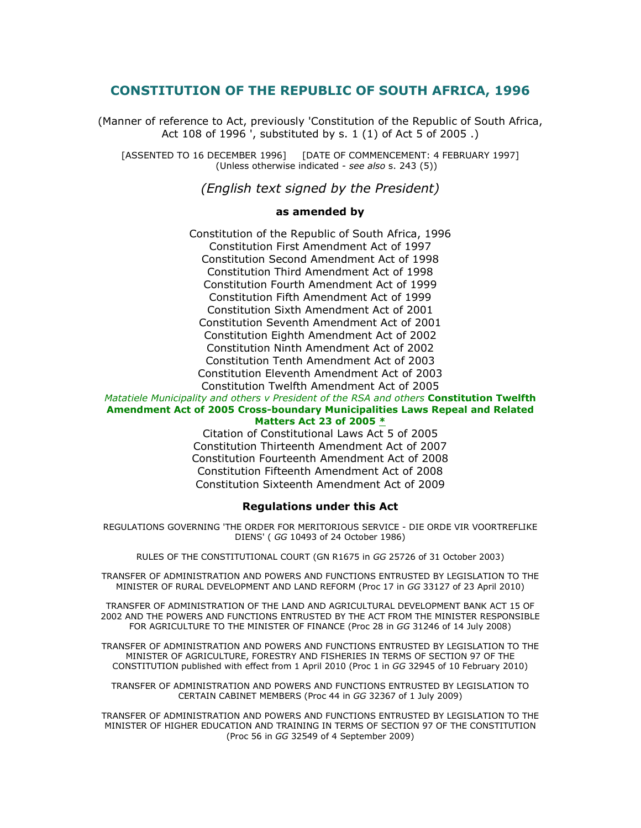# CONSTITUTION OF THE REPUBLIC OF SOUTH AFRICA, 1996

(Manner of reference to Act, previously 'Constitution of the Republic of South Africa, Act 108 of 1996 ', substituted by s. 1 (1) of Act 5 of 2005 .)

[ASSENTED TO 16 DECEMBER 1996] [DATE OF COMMENCEMENT: 4 FEBRUARY 1997] (Unless otherwise indicated - see also s. 243 (5))

#### (English text signed by the President)

#### as amended by

Constitution of the Republic of South Africa, 1996 Constitution First Amendment Act of 1997 Constitution Second Amendment Act of 1998 Constitution Third Amendment Act of 1998 Constitution Fourth Amendment Act of 1999 Constitution Fifth Amendment Act of 1999 Constitution Sixth Amendment Act of 2001 Constitution Seventh Amendment Act of 2001 Constitution Eighth Amendment Act of 2002 Constitution Ninth Amendment Act of 2002 Constitution Tenth Amendment Act of 2003 Constitution Eleventh Amendment Act of 2003

Constitution Twelfth Amendment Act of 2005 Matatiele Municipality and others v President of the RSA and others Constitution Twelfth Amendment Act of 2005 Cross-boundary Municipalities Laws Repeal and Related

#### Matters Act 23 of 2005 \*

Citation of Constitutional Laws Act 5 of 2005 Constitution Thirteenth Amendment Act of 2007 Constitution Fourteenth Amendment Act of 2008 Constitution Fifteenth Amendment Act of 2008 Constitution Sixteenth Amendment Act of 2009

#### Regulations under this Act

REGULATIONS GOVERNING 'THE ORDER FOR MERITORIOUS SERVICE - DIE ORDE VIR VOORTREFLIKE DIENS' ( GG 10493 of 24 October 1986)

RULES OF THE CONSTITUTIONAL COURT (GN R1675 in GG 25726 of 31 October 2003)

TRANSFER OF ADMINISTRATION AND POWERS AND FUNCTIONS ENTRUSTED BY LEGISLATION TO THE MINISTER OF RURAL DEVELOPMENT AND LAND REFORM (Proc 17 in GG 33127 of 23 April 2010)

TRANSFER OF ADMINISTRATION OF THE LAND AND AGRICULTURAL DEVELOPMENT BANK ACT 15 OF 2002 AND THE POWERS AND FUNCTIONS ENTRUSTED BY THE ACT FROM THE MINISTER RESPONSIBLE FOR AGRICULTURE TO THE MINISTER OF FINANCE (Proc 28 in GG 31246 of 14 July 2008)

TRANSFER OF ADMINISTRATION AND POWERS AND FUNCTIONS ENTRUSTED BY LEGISLATION TO THE MINISTER OF AGRICULTURE, FORESTRY AND FISHERIES IN TERMS OF SECTION 97 OF THE CONSTITUTION published with effect from 1 April 2010 (Proc 1 in GG 32945 of 10 February 2010)

TRANSFER OF ADMINISTRATION AND POWERS AND FUNCTIONS ENTRUSTED BY LEGISLATION TO CERTAIN CABINET MEMBERS (Proc 44 in GG 32367 of 1 July 2009)

TRANSFER OF ADMINISTRATION AND POWERS AND FUNCTIONS ENTRUSTED BY LEGISLATION TO THE MINISTER OF HIGHER EDUCATION AND TRAINING IN TERMS OF SECTION 97 OF THE CONSTITUTION (Proc 56 in GG 32549 of 4 September 2009)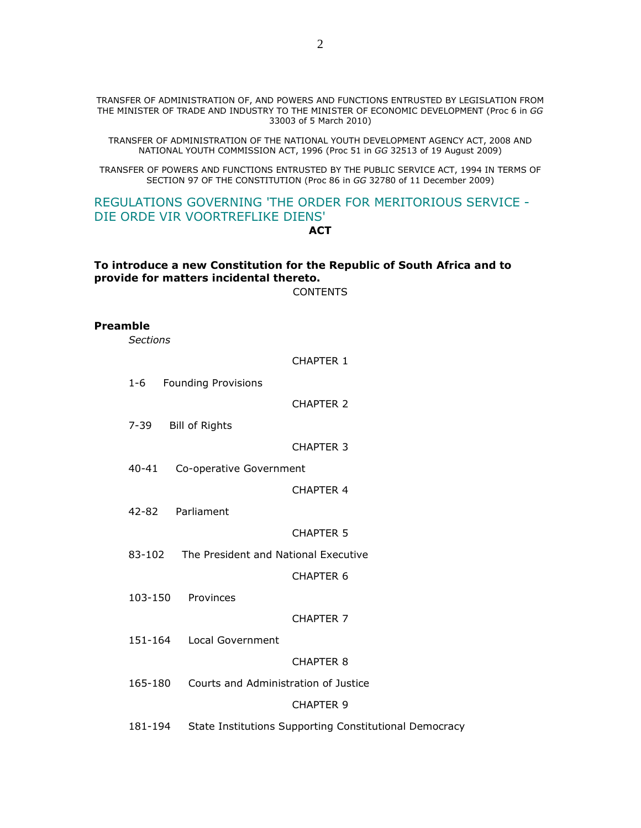TRANSFER OF ADMINISTRATION OF, AND POWERS AND FUNCTIONS ENTRUSTED BY LEGISLATION FROM THE MINISTER OF TRADE AND INDUSTRY TO THE MINISTER OF ECONOMIC DEVELOPMENT (Proc 6 in GG 33003 of 5 March 2010)

TRANSFER OF ADMINISTRATION OF THE NATIONAL YOUTH DEVELOPMENT AGENCY ACT, 2008 AND NATIONAL YOUTH COMMISSION ACT, 1996 (Proc 51 in GG 32513 of 19 August 2009)

TRANSFER OF POWERS AND FUNCTIONS ENTRUSTED BY THE PUBLIC SERVICE ACT, 1994 IN TERMS OF SECTION 97 OF THE CONSTITUTION (Proc 86 in GG 32780 of 11 December 2009)

# REGULATIONS GOVERNING 'THE ORDER FOR MERITORIOUS SERVICE - DIE ORDE VIR VOORTREFLIKE DIENS'

#### ACT

#### To introduce a new Constitution for the Republic of South Africa and to provide for matters incidental thereto.

**CONTENTS** 

#### Preamble

**Sections** 

#### CHAPTER 1

1-6 Founding Provisions

CHAPTER 2

7-39 Bill of Rights

CHAPTER 3

40-41 Co-operative Government

CHAPTER 4

42-82 Parliament

CHAPTER 5

83-102 The President and National Executive

CHAPTER 6

103-150 Provinces

#### CHAPTER 7

151-164 Local Government

#### CHAPTER 8

165-180 Courts and Administration of Justice

CHAPTER 9

181-194 State Institutions Supporting Constitutional Democracy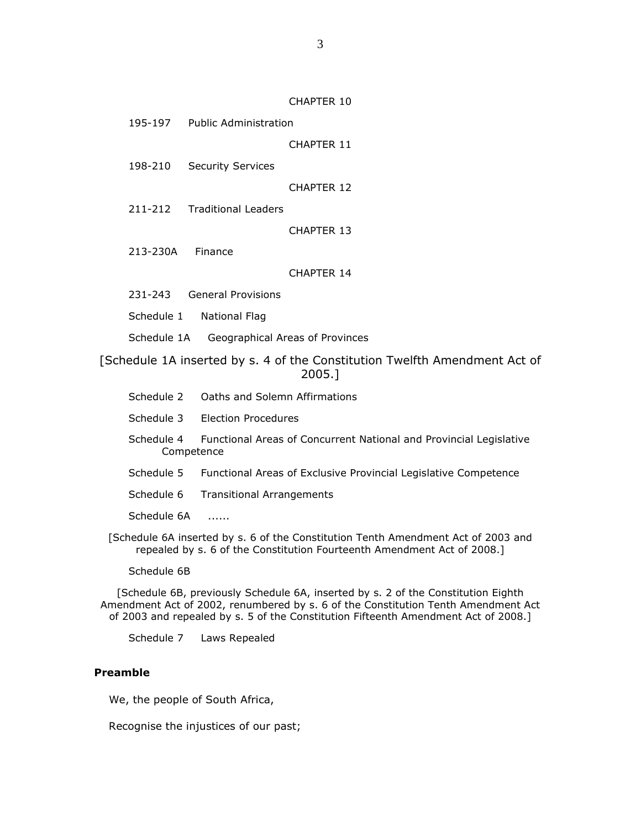CHAPTER 10

195-197 Public Administration

CHAPTER 11

198-210 Security Services

CHAPTER 12

211-212 Traditional Leaders

CHAPTER 13

213-230A Finance

CHAPTER 14

231-243 General Provisions

Schedule 1 National Flag

Schedule 1A Geographical Areas of Provinces

[Schedule 1A inserted by s. 4 of the Constitution Twelfth Amendment Act of 2005.]

- Schedule 2 Oaths and Solemn Affirmations
- Schedule 3 Election Procedures
- Schedule 4 Functional Areas of Concurrent National and Provincial Legislative Competence
- Schedule 5 Functional Areas of Exclusive Provincial Legislative Competence
- Schedule 6 Transitional Arrangements

Schedule 6A ......

[Schedule 6A inserted by s. 6 of the Constitution Tenth Amendment Act of 2003 and repealed by s. 6 of the Constitution Fourteenth Amendment Act of 2008.]

Schedule 6B

[Schedule 6B, previously Schedule 6A, inserted by s. 2 of the Constitution Eighth Amendment Act of 2002, renumbered by s. 6 of the Constitution Tenth Amendment Act of 2003 and repealed by s. 5 of the Constitution Fifteenth Amendment Act of 2008.]

Schedule 7 Laws Repealed

### Preamble

We, the people of South Africa,

Recognise the injustices of our past;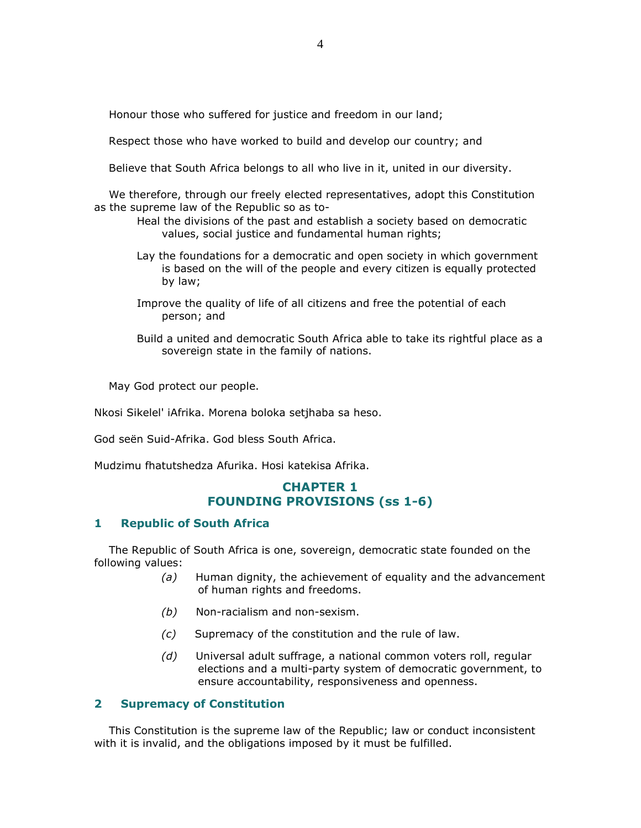Honour those who suffered for justice and freedom in our land;

Respect those who have worked to build and develop our country; and

Believe that South Africa belongs to all who live in it, united in our diversity.

 We therefore, through our freely elected representatives, adopt this Constitution as the supreme law of the Republic so as to-

- Heal the divisions of the past and establish a society based on democratic values, social justice and fundamental human rights;
- Lay the foundations for a democratic and open society in which government is based on the will of the people and every citizen is equally protected by law;
- Improve the quality of life of all citizens and free the potential of each person; and
- Build a united and democratic South Africa able to take its rightful place as a sovereign state in the family of nations.

May God protect our people.

Nkosi Sikelel' iAfrika. Morena boloka setjhaba sa heso.

God seën Suid-Afrika. God bless South Africa.

Mudzimu fhatutshedza Afurika. Hosi katekisa Afrika.

# CHAPTER 1 FOUNDING PROVISIONS (ss 1-6)

#### 1 Republic of South Africa

 The Republic of South Africa is one, sovereign, democratic state founded on the following values:

- $(a)$  Human dignity, the achievement of equality and the advancement of human rights and freedoms.
- (b) Non-racialism and non-sexism.
- (c) Supremacy of the constitution and the rule of law.
- (d) Universal adult suffrage, a national common voters roll, regular elections and a multi-party system of democratic government, to ensure accountability, responsiveness and openness.

# 2 Supremacy of Constitution

 This Constitution is the supreme law of the Republic; law or conduct inconsistent with it is invalid, and the obligations imposed by it must be fulfilled.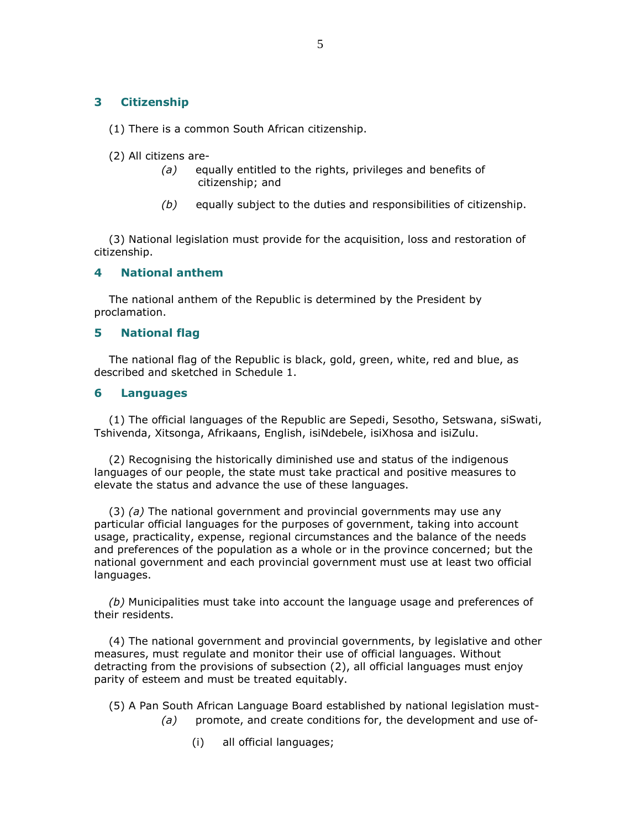# 3 Citizenship

(1) There is a common South African citizenship.

- (2) All citizens are-
	- (a) equally entitled to the rights, privileges and benefits of citizenship; and
	- $(b)$  equally subject to the duties and responsibilities of citizenship.

 (3) National legislation must provide for the acquisition, loss and restoration of citizenship.

### 4 National anthem

 The national anthem of the Republic is determined by the President by proclamation.

#### 5 National flag

 The national flag of the Republic is black, gold, green, white, red and blue, as described and sketched in Schedule 1.

#### 6 Languages

 (1) The official languages of the Republic are Sepedi, Sesotho, Setswana, siSwati, Tshivenda, Xitsonga, Afrikaans, English, isiNdebele, isiXhosa and isiZulu.

 (2) Recognising the historically diminished use and status of the indigenous languages of our people, the state must take practical and positive measures to elevate the status and advance the use of these languages.

(3) (a) The national government and provincial governments may use any particular official languages for the purposes of government, taking into account usage, practicality, expense, regional circumstances and the balance of the needs and preferences of the population as a whole or in the province concerned; but the national government and each provincial government must use at least two official languages.

 (b) Municipalities must take into account the language usage and preferences of their residents.

 (4) The national government and provincial governments, by legislative and other measures, must regulate and monitor their use of official languages. Without detracting from the provisions of subsection (2), all official languages must enjoy parity of esteem and must be treated equitably.

- (5) A Pan South African Language Board established by national legislation must-  $(a)$  promote, and create conditions for, the development and use of-
	- (i) all official languages;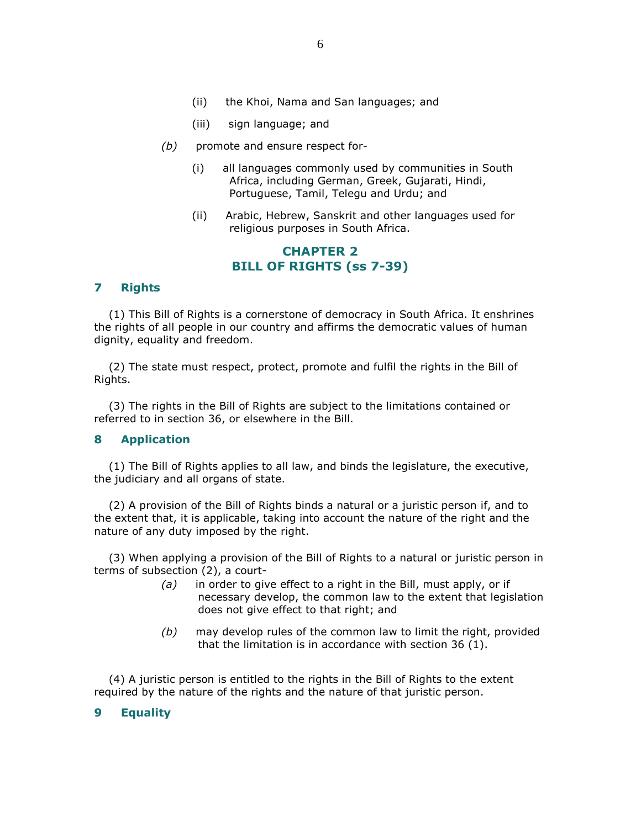- (ii) the Khoi, Nama and San languages; and
- (iii) sign language; and
- (b) promote and ensure respect for-
	- (i) all languages commonly used by communities in South Africa, including German, Greek, Gujarati, Hindi, Portuguese, Tamil, Telegu and Urdu; and
	- (ii) Arabic, Hebrew, Sanskrit and other languages used for religious purposes in South Africa.

# CHAPTER 2 BILL OF RIGHTS (ss 7-39)

#### 7 Rights

 (1) This Bill of Rights is a cornerstone of democracy in South Africa. It enshrines the rights of all people in our country and affirms the democratic values of human dignity, equality and freedom.

 (2) The state must respect, protect, promote and fulfil the rights in the Bill of Rights.

 (3) The rights in the Bill of Rights are subject to the limitations contained or referred to in section 36, or elsewhere in the Bill.

#### 8 Application

 (1) The Bill of Rights applies to all law, and binds the legislature, the executive, the judiciary and all organs of state.

 (2) A provision of the Bill of Rights binds a natural or a juristic person if, and to the extent that, it is applicable, taking into account the nature of the right and the nature of any duty imposed by the right.

 (3) When applying a provision of the Bill of Rights to a natural or juristic person in terms of subsection (2), a court-

- $(a)$  in order to give effect to a right in the Bill, must apply, or if necessary develop, the common law to the extent that legislation does not give effect to that right; and
- $(b)$  may develop rules of the common law to limit the right, provided that the limitation is in accordance with section 36 (1).

 (4) A juristic person is entitled to the rights in the Bill of Rights to the extent required by the nature of the rights and the nature of that juristic person.

### 9 Equality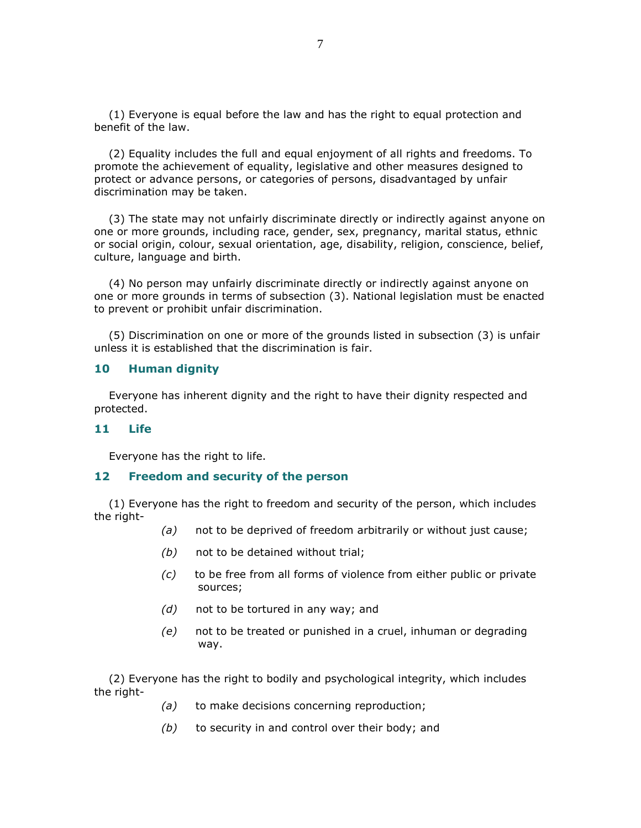(1) Everyone is equal before the law and has the right to equal protection and benefit of the law.

 (2) Equality includes the full and equal enjoyment of all rights and freedoms. To promote the achievement of equality, legislative and other measures designed to protect or advance persons, or categories of persons, disadvantaged by unfair discrimination may be taken.

 (3) The state may not unfairly discriminate directly or indirectly against anyone on one or more grounds, including race, gender, sex, pregnancy, marital status, ethnic or social origin, colour, sexual orientation, age, disability, religion, conscience, belief, culture, language and birth.

 (4) No person may unfairly discriminate directly or indirectly against anyone on one or more grounds in terms of subsection (3). National legislation must be enacted to prevent or prohibit unfair discrimination.

 (5) Discrimination on one or more of the grounds listed in subsection (3) is unfair unless it is established that the discrimination is fair.

#### 10 Human dignity

 Everyone has inherent dignity and the right to have their dignity respected and protected.

#### 11 Life

Everyone has the right to life.

#### 12 Freedom and security of the person

 (1) Everyone has the right to freedom and security of the person, which includes the right-

- (a) not to be deprived of freedom arbitrarily or without just cause;
- (b) not to be detained without trial;
- (c) to be free from all forms of violence from either public or private sources;
- (d) not to be tortured in any way; and
- (e) not to be treated or punished in a cruel, inhuman or degrading way.

 (2) Everyone has the right to bodily and psychological integrity, which includes the right-

- (a) to make decisions concerning reproduction;
- $(b)$  to security in and control over their body; and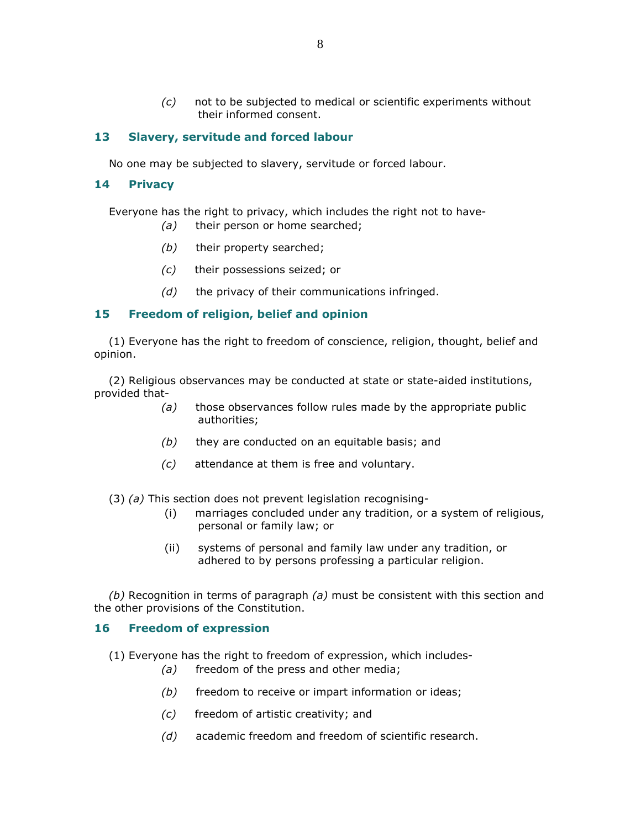(c) not to be subjected to medical or scientific experiments without their informed consent.

## 13 Slavery, servitude and forced labour

No one may be subjected to slavery, servitude or forced labour.

### 14 Privacy

Everyone has the right to privacy, which includes the right not to have-

- (a) their person or home searched;
- (b) their property searched;
- (c) their possessions seized; or
- $(d)$  the privacy of their communications infringed.

## 15 Freedom of religion, belief and opinion

 (1) Everyone has the right to freedom of conscience, religion, thought, belief and opinion.

 (2) Religious observances may be conducted at state or state-aided institutions, provided that-

- (a) those observances follow rules made by the appropriate public authorities;
- $(b)$  they are conducted on an equitable basis; and
- (c) attendance at them is free and voluntary.
- (3) (a) This section does not prevent legislation recognising-
	- (i) marriages concluded under any tradition, or a system of religious, personal or family law; or
	- (ii) systems of personal and family law under any tradition, or adhered to by persons professing a particular religion.

(b) Recognition in terms of paragraph (a) must be consistent with this section and the other provisions of the Constitution.

### 16 Freedom of expression

(1) Everyone has the right to freedom of expression, which includes-

- (a) freedom of the press and other media;
- (b) freedom to receive or impart information or ideas;
- (c) freedom of artistic creativity; and
- (d) academic freedom and freedom of scientific research.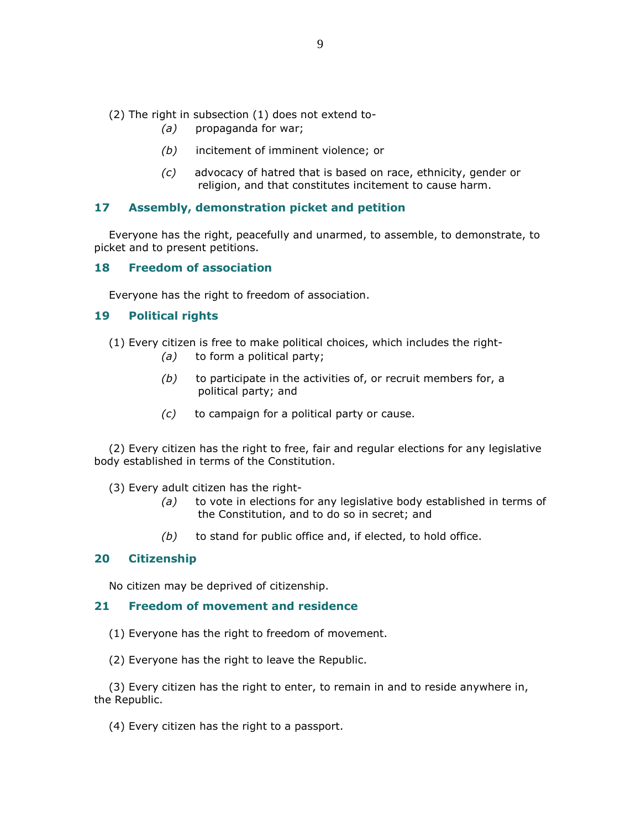- (2) The right in subsection (1) does not extend to-
	- (a) propaganda for war;
	- (b) incitement of imminent violence; or
	- (c) advocacy of hatred that is based on race, ethnicity, gender or religion, and that constitutes incitement to cause harm.

## 17 Assembly, demonstration picket and petition

 Everyone has the right, peacefully and unarmed, to assemble, to demonstrate, to picket and to present petitions.

## 18 Freedom of association

Everyone has the right to freedom of association.

## 19 Political rights

- (1) Every citizen is free to make political choices, which includes the right-
	- (a) to form a political party;
	- $(b)$  to participate in the activities of, or recruit members for, a political party; and
	- (c) to campaign for a political party or cause.

 (2) Every citizen has the right to free, fair and regular elections for any legislative body established in terms of the Constitution.

(3) Every adult citizen has the right-

- $(a)$  to vote in elections for any legislative body established in terms of the Constitution, and to do so in secret; and
- $(b)$  to stand for public office and, if elected, to hold office.

### 20 Citizenship

No citizen may be deprived of citizenship.

### 21 Freedom of movement and residence

- (1) Everyone has the right to freedom of movement.
- (2) Everyone has the right to leave the Republic.

 (3) Every citizen has the right to enter, to remain in and to reside anywhere in, the Republic.

(4) Every citizen has the right to a passport.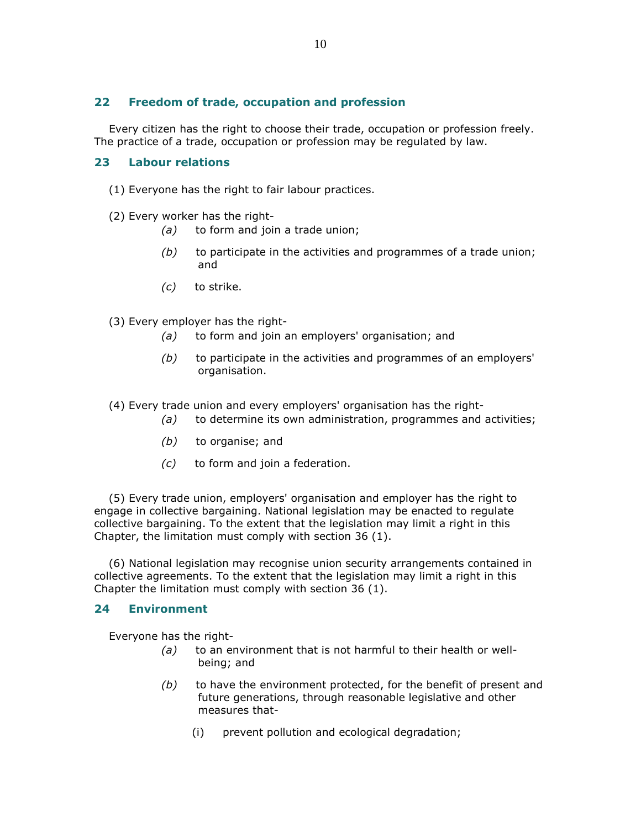# 22 Freedom of trade, occupation and profession

 Every citizen has the right to choose their trade, occupation or profession freely. The practice of a trade, occupation or profession may be regulated by law.

### 23 Labour relations

- (1) Everyone has the right to fair labour practices.
- (2) Every worker has the right-
	- (a) to form and join a trade union;
	- $(b)$  to participate in the activities and programmes of a trade union; and
	- (c) to strike.

(3) Every employer has the right-

- (a) to form and join an employers' organisation; and
- $(b)$  to participate in the activities and programmes of an employers' organisation.
- (4) Every trade union and every employers' organisation has the right-
	- $(a)$  to determine its own administration, programmes and activities;
	- (b) to organise; and
	- (c) to form and join a federation.

 (5) Every trade union, employers' organisation and employer has the right to engage in collective bargaining. National legislation may be enacted to regulate collective bargaining. To the extent that the legislation may limit a right in this Chapter, the limitation must comply with section 36 (1).

 (6) National legislation may recognise union security arrangements contained in collective agreements. To the extent that the legislation may limit a right in this Chapter the limitation must comply with section 36 (1).

### 24 Environment

Everyone has the right-

- $(a)$  to an environment that is not harmful to their health or wellbeing; and
- $(b)$  to have the environment protected, for the benefit of present and future generations, through reasonable legislative and other measures that-
	- (i) prevent pollution and ecological degradation;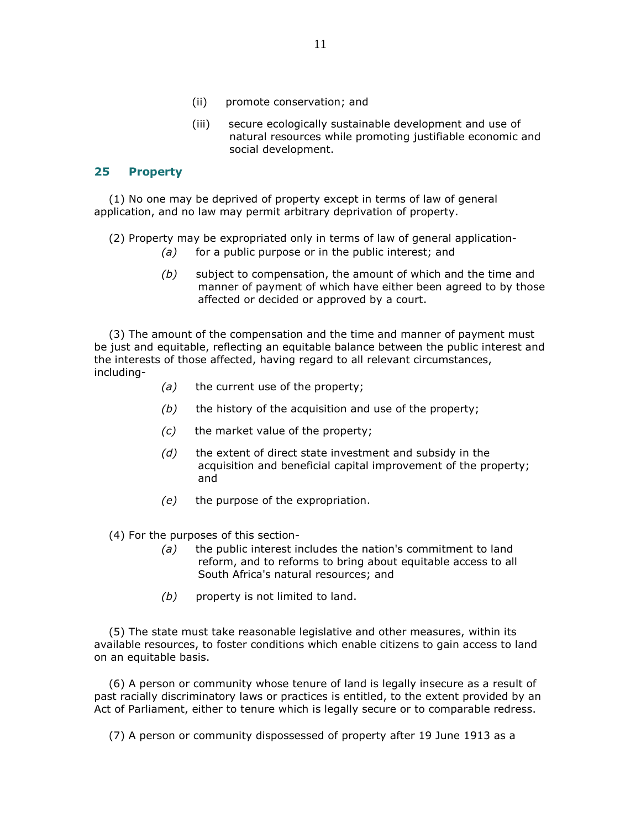- (ii) promote conservation; and
- (iii) secure ecologically sustainable development and use of natural resources while promoting justifiable economic and social development.

## 25 Property

 (1) No one may be deprived of property except in terms of law of general application, and no law may permit arbitrary deprivation of property.

(2) Property may be expropriated only in terms of law of general application-

- $(a)$  for a public purpose or in the public interest; and
- (b) subject to compensation, the amount of which and the time and manner of payment of which have either been agreed to by those affected or decided or approved by a court.

 (3) The amount of the compensation and the time and manner of payment must be just and equitable, reflecting an equitable balance between the public interest and the interests of those affected, having regard to all relevant circumstances, including-

- $(a)$  the current use of the property;
- $(b)$  the history of the acquisition and use of the property;
- (c) the market value of the property;
- $(d)$  the extent of direct state investment and subsidy in the acquisition and beneficial capital improvement of the property; and
- (e) the purpose of the expropriation.

(4) For the purposes of this section-

- (a) the public interest includes the nation's commitment to land reform, and to reforms to bring about equitable access to all South Africa's natural resources; and
- $(b)$  property is not limited to land.

 (5) The state must take reasonable legislative and other measures, within its available resources, to foster conditions which enable citizens to gain access to land on an equitable basis.

 (6) A person or community whose tenure of land is legally insecure as a result of past racially discriminatory laws or practices is entitled, to the extent provided by an Act of Parliament, either to tenure which is legally secure or to comparable redress.

(7) A person or community dispossessed of property after 19 June 1913 as a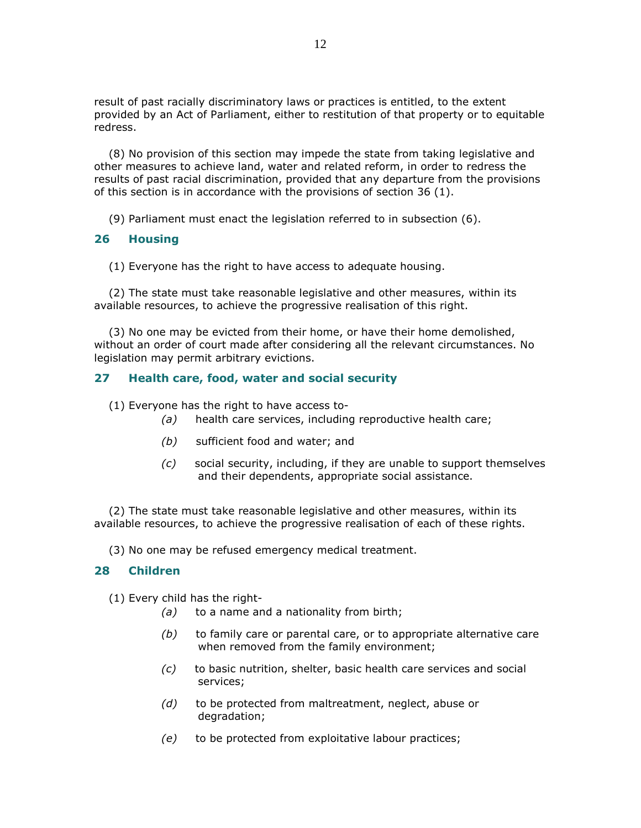result of past racially discriminatory laws or practices is entitled, to the extent provided by an Act of Parliament, either to restitution of that property or to equitable redress.

 (8) No provision of this section may impede the state from taking legislative and other measures to achieve land, water and related reform, in order to redress the results of past racial discrimination, provided that any departure from the provisions of this section is in accordance with the provisions of section 36 (1).

(9) Parliament must enact the legislation referred to in subsection (6).

## 26 Housing

(1) Everyone has the right to have access to adequate housing.

 (2) The state must take reasonable legislative and other measures, within its available resources, to achieve the progressive realisation of this right.

 (3) No one may be evicted from their home, or have their home demolished, without an order of court made after considering all the relevant circumstances. No legislation may permit arbitrary evictions.

## 27 Health care, food, water and social security

(1) Everyone has the right to have access to-

- $(a)$  health care services, including reproductive health care;
- (b) sufficient food and water; and
- $(c)$  social security, including, if they are unable to support themselves and their dependents, appropriate social assistance.

 (2) The state must take reasonable legislative and other measures, within its available resources, to achieve the progressive realisation of each of these rights.

(3) No one may be refused emergency medical treatment.

## 28 Children

(1) Every child has the right-

- $(a)$  to a name and a nationality from birth;
- $(b)$  to family care or parental care, or to appropriate alternative care when removed from the family environment;
- $(c)$  to basic nutrition, shelter, basic health care services and social services;
- (d) to be protected from maltreatment, neglect, abuse or degradation;
- (e) to be protected from exploitative labour practices;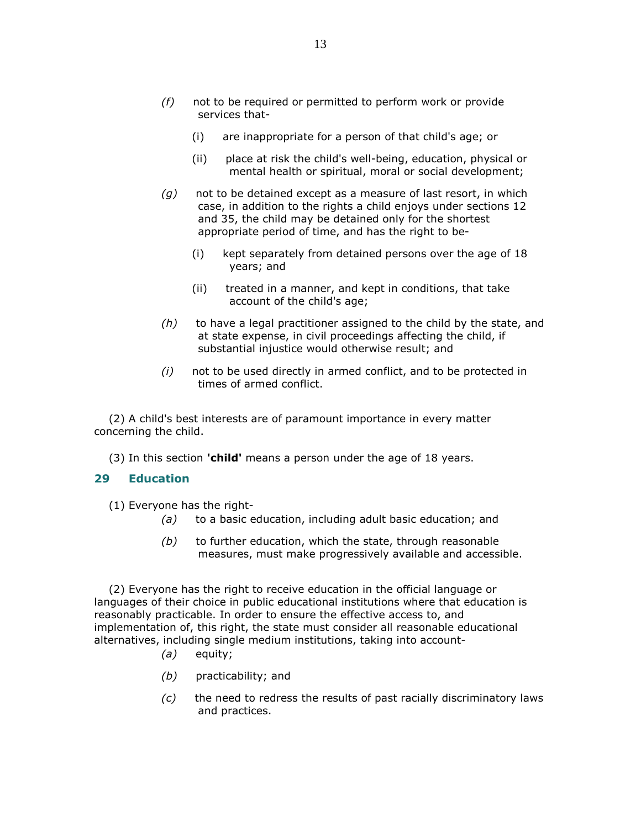- $(f)$  not to be required or permitted to perform work or provide services that-
	- (i) are inappropriate for a person of that child's age; or
	- (ii) place at risk the child's well-being, education, physical or mental health or spiritual, moral or social development;
- $(g)$  not to be detained except as a measure of last resort, in which case, in addition to the rights a child enjoys under sections 12 and 35, the child may be detained only for the shortest appropriate period of time, and has the right to be-
	- (i) kept separately from detained persons over the age of 18 years; and
	- (ii) treated in a manner, and kept in conditions, that take account of the child's age;
- $(h)$  to have a legal practitioner assigned to the child by the state, and at state expense, in civil proceedings affecting the child, if substantial injustice would otherwise result; and
- $(i)$  not to be used directly in armed conflict, and to be protected in times of armed conflict.

 (2) A child's best interests are of paramount importance in every matter concerning the child.

(3) In this section **'child'** means a person under the age of 18 years.

### 29 Education

(1) Everyone has the right-

- (a) to a basic education, including adult basic education; and
- $(b)$  to further education, which the state, through reasonable measures, must make progressively available and accessible.

 (2) Everyone has the right to receive education in the official language or languages of their choice in public educational institutions where that education is reasonably practicable. In order to ensure the effective access to, and implementation of, this right, the state must consider all reasonable educational alternatives, including single medium institutions, taking into account-

- (a) equity;
- (b) practicability; and
- $(c)$  the need to redress the results of past racially discriminatory laws and practices.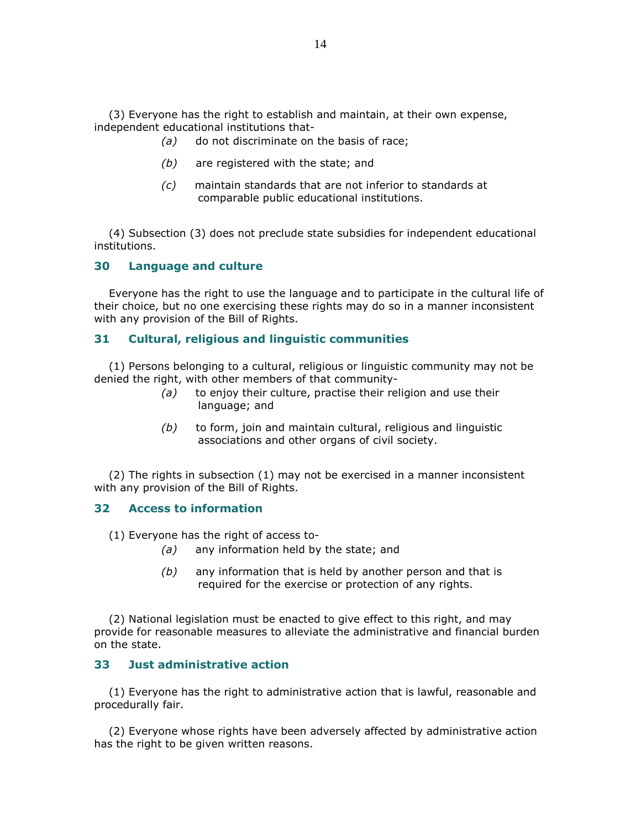(3) Everyone has the right to establish and maintain, at their own expense, independent educational institutions that-

- (a) do not discriminate on the basis of race;
- (b) are registered with the state; and
- (c) maintain standards that are not inferior to standards at comparable public educational institutions.

 (4) Subsection (3) does not preclude state subsidies for independent educational institutions.

### 30 Language and culture

 Everyone has the right to use the language and to participate in the cultural life of their choice, but no one exercising these rights may do so in a manner inconsistent with any provision of the Bill of Rights.

### 31 Cultural, religious and linguistic communities

 (1) Persons belonging to a cultural, religious or linguistic community may not be denied the right, with other members of that community-

- (a) to enjoy their culture, practise their religion and use their language; and
- $(b)$  to form, join and maintain cultural, religious and linguistic associations and other organs of civil society.

 (2) The rights in subsection (1) may not be exercised in a manner inconsistent with any provision of the Bill of Rights.

#### 32 Access to information

(1) Everyone has the right of access to-

- (a) any information held by the state; and
- $(b)$  any information that is held by another person and that is required for the exercise or protection of any rights.

 (2) National legislation must be enacted to give effect to this right, and may provide for reasonable measures to alleviate the administrative and financial burden on the state.

#### 33 Just administrative action

 (1) Everyone has the right to administrative action that is lawful, reasonable and procedurally fair.

 (2) Everyone whose rights have been adversely affected by administrative action has the right to be given written reasons.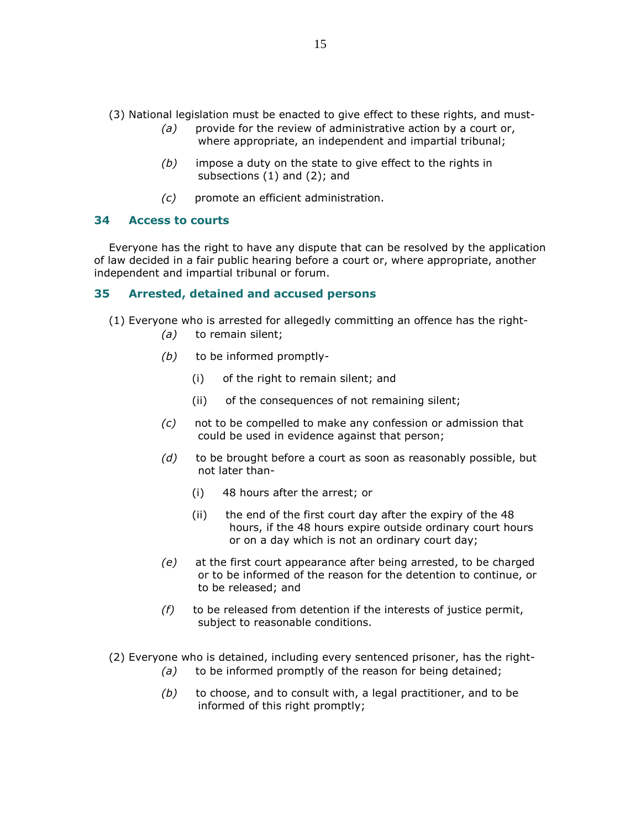- (3) National legislation must be enacted to give effect to these rights, and must-
	- $(a)$  provide for the review of administrative action by a court or, where appropriate, an independent and impartial tribunal;
	- $(b)$  impose a duty on the state to give effect to the rights in subsections (1) and (2); and
	- (c) promote an efficient administration.

#### 34 Access to courts

 Everyone has the right to have any dispute that can be resolved by the application of law decided in a fair public hearing before a court or, where appropriate, another independent and impartial tribunal or forum.

#### 35 Arrested, detained and accused persons

- (1) Everyone who is arrested for allegedly committing an offence has the right-
	- (a) to remain silent;
	- (b) to be informed promptly-
		- (i) of the right to remain silent; and
		- (ii) of the consequences of not remaining silent;
	- (c) not to be compelled to make any confession or admission that could be used in evidence against that person;
	- $(d)$  to be brought before a court as soon as reasonably possible, but not later than-
		- (i) 48 hours after the arrest; or
		- (ii) the end of the first court day after the expiry of the 48 hours, if the 48 hours expire outside ordinary court hours or on a day which is not an ordinary court day;
	- (e) at the first court appearance after being arrested, to be charged or to be informed of the reason for the detention to continue, or to be released; and
	- $(f)$  to be released from detention if the interests of justice permit, subject to reasonable conditions.
- (2) Everyone who is detained, including every sentenced prisoner, has the right- (a) to be informed promptly of the reason for being detained;
	- $(b)$  to choose, and to consult with, a legal practitioner, and to be informed of this right promptly;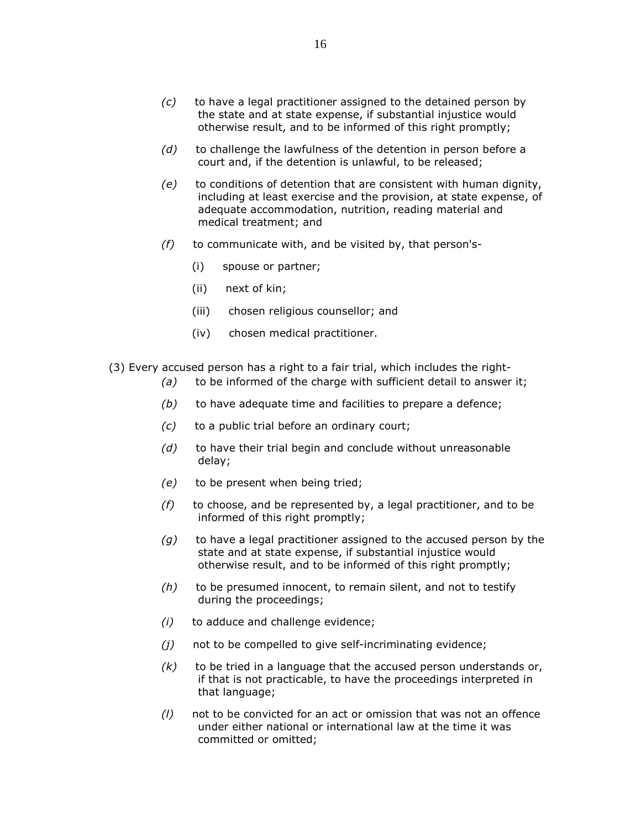- $(c)$  to have a legal practitioner assigned to the detained person by the state and at state expense, if substantial injustice would otherwise result, and to be informed of this right promptly;
- $(d)$  to challenge the lawfulness of the detention in person before a court and, if the detention is unlawful, to be released;
- $(e)$  to conditions of detention that are consistent with human dignity, including at least exercise and the provision, at state expense, of adequate accommodation, nutrition, reading material and medical treatment; and
- $(f)$  to communicate with, and be visited by, that person's-
	- (i) spouse or partner;
	- (ii) next of kin;
	- (iii) chosen religious counsellor; and
	- (iv) chosen medical practitioner.
- (3) Every accused person has a right to a fair trial, which includes the right-
	- (a) to be informed of the charge with sufficient detail to answer it;
	- $(b)$  to have adequate time and facilities to prepare a defence;
	- (c) to a public trial before an ordinary court;
	- $(d)$  to have their trial begin and conclude without unreasonable delay;
	- (e) to be present when being tried;
	- $(f)$  to choose, and be represented by, a legal practitioner, and to be informed of this right promptly;
	- $(q)$  to have a legal practitioner assigned to the accused person by the state and at state expense, if substantial injustice would otherwise result, and to be informed of this right promptly;
	- $(h)$  to be presumed innocent, to remain silent, and not to testify during the proceedings;
	- (i) to adduce and challenge evidence;
	- $(i)$  not to be compelled to give self-incriminating evidence;
	- $(k)$  to be tried in a language that the accused person understands or, if that is not practicable, to have the proceedings interpreted in that language;
	- (l) not to be convicted for an act or omission that was not an offence under either national or international law at the time it was committed or omitted;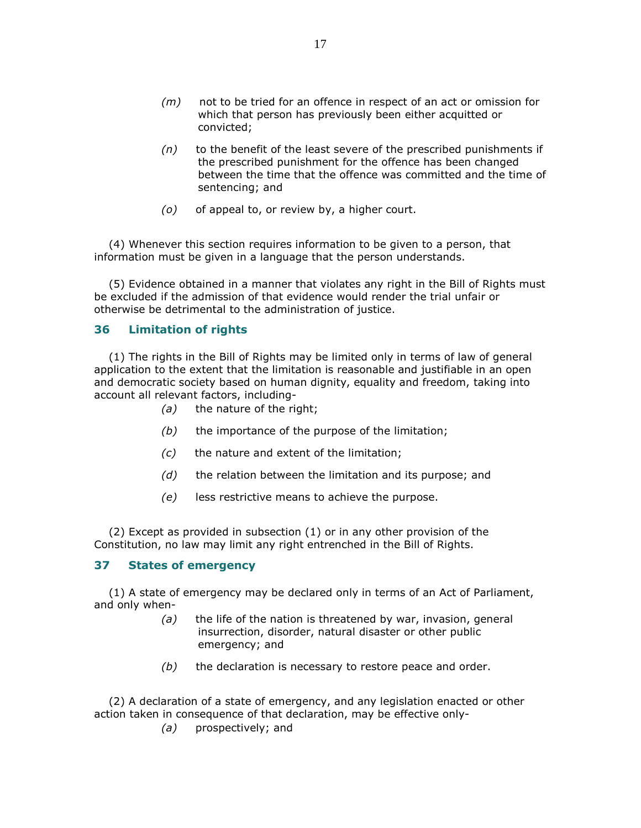- $(m)$  not to be tried for an offence in respect of an act or omission for which that person has previously been either acquitted or convicted;
- $(n)$  to the benefit of the least severe of the prescribed punishments if the prescribed punishment for the offence has been changed between the time that the offence was committed and the time of sentencing; and
- (o) of appeal to, or review by, a higher court.

 (4) Whenever this section requires information to be given to a person, that information must be given in a language that the person understands.

 (5) Evidence obtained in a manner that violates any right in the Bill of Rights must be excluded if the admission of that evidence would render the trial unfair or otherwise be detrimental to the administration of justice.

### 36 Limitation of rights

 (1) The rights in the Bill of Rights may be limited only in terms of law of general application to the extent that the limitation is reasonable and justifiable in an open and democratic society based on human dignity, equality and freedom, taking into account all relevant factors, including-

- (a) the nature of the right;
- $(b)$  the importance of the purpose of the limitation;
- (c) the nature and extent of the limitation;
- $(d)$  the relation between the limitation and its purpose; and
- (e) less restrictive means to achieve the purpose.

 (2) Except as provided in subsection (1) or in any other provision of the Constitution, no law may limit any right entrenched in the Bill of Rights.

### 37 States of emergency

 (1) A state of emergency may be declared only in terms of an Act of Parliament, and only when-

- $(a)$  the life of the nation is threatened by war, invasion, general insurrection, disorder, natural disaster or other public emergency; and
- $(b)$  the declaration is necessary to restore peace and order.

 (2) A declaration of a state of emergency, and any legislation enacted or other action taken in consequence of that declaration, may be effective only-

(a) prospectively; and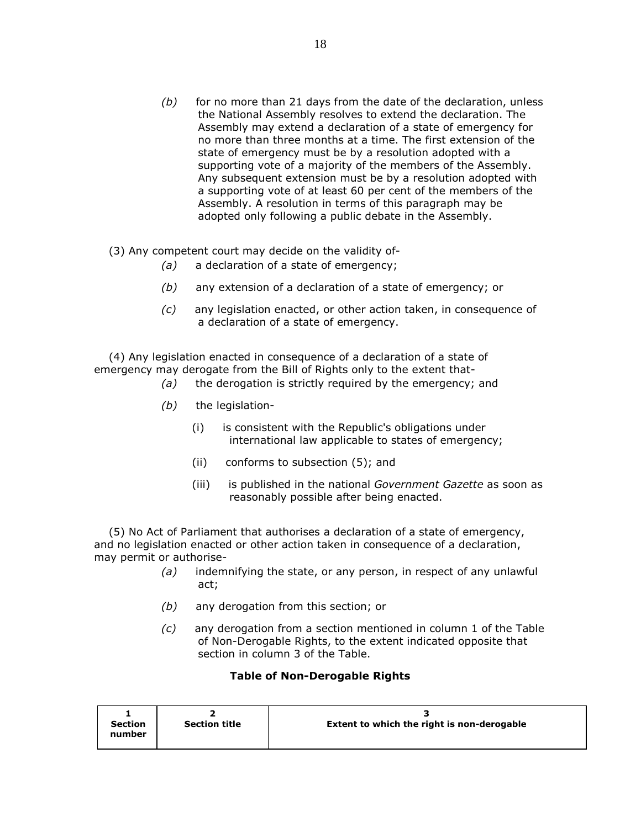$(b)$  for no more than 21 days from the date of the declaration, unless the National Assembly resolves to extend the declaration. The Assembly may extend a declaration of a state of emergency for no more than three months at a time. The first extension of the state of emergency must be by a resolution adopted with a supporting vote of a majority of the members of the Assembly. Any subsequent extension must be by a resolution adopted with a supporting vote of at least 60 per cent of the members of the Assembly. A resolution in terms of this paragraph may be adopted only following a public debate in the Assembly.

(3) Any competent court may decide on the validity of-

- (a) a declaration of a state of emergency;
- (b) any extension of a declaration of a state of emergency; or
- $(c)$  any legislation enacted, or other action taken, in consequence of a declaration of a state of emergency.

 (4) Any legislation enacted in consequence of a declaration of a state of emergency may derogate from the Bill of Rights only to the extent that-

- $(a)$  the derogation is strictly required by the emergency; and
- $(b)$  the legislation-
	- (i) is consistent with the Republic's obligations under international law applicable to states of emergency;
	- (ii) conforms to subsection (5); and
	- (iii) is published in the national Government Gazette as soon as reasonably possible after being enacted.

 (5) No Act of Parliament that authorises a declaration of a state of emergency, and no legislation enacted or other action taken in consequence of a declaration, may permit or authorise-

- $(a)$  indemnifying the state, or any person, in respect of any unlawful act;
- (b) any derogation from this section; or
- $(c)$  any derogation from a section mentioned in column 1 of the Table of Non-Derogable Rights, to the extent indicated opposite that section in column 3 of the Table.

### Table of Non-Derogable Rights

| <b>Extent to which the right is non-derogable</b><br><b>Section</b><br><b>Section title</b><br>number |
|-------------------------------------------------------------------------------------------------------|
|-------------------------------------------------------------------------------------------------------|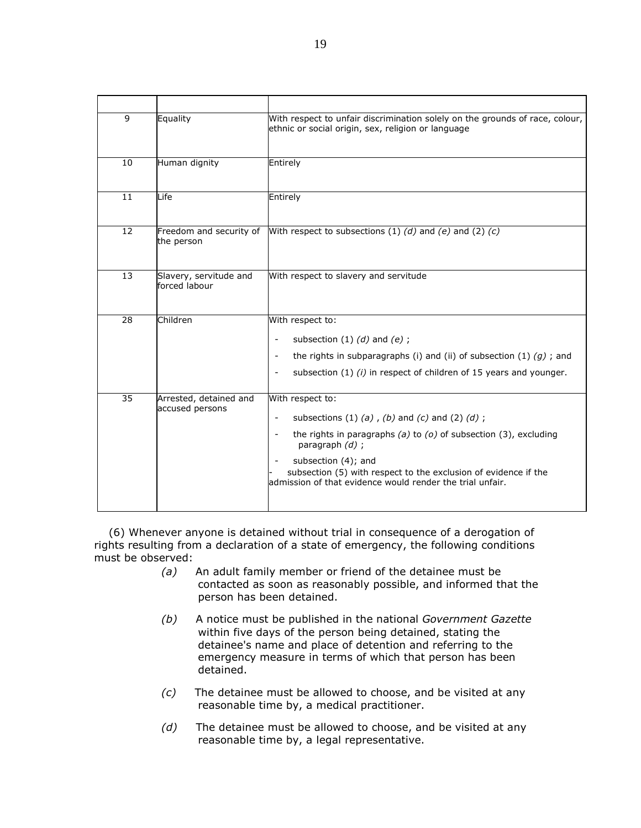| 9  | Equality                                  | With respect to unfair discrimination solely on the grounds of race, colour,<br>ethnic or social origin, sex, religion or language                                                                                                                                                                                                                                               |
|----|-------------------------------------------|----------------------------------------------------------------------------------------------------------------------------------------------------------------------------------------------------------------------------------------------------------------------------------------------------------------------------------------------------------------------------------|
| 10 | Human dignity                             | Entirely                                                                                                                                                                                                                                                                                                                                                                         |
| 11 | Life                                      | Entirely                                                                                                                                                                                                                                                                                                                                                                         |
| 12 | Freedom and security of<br>the person     | With respect to subsections $(1)$ $(d)$ and $(e)$ and $(2)$ $(c)$                                                                                                                                                                                                                                                                                                                |
| 13 | Slavery, servitude and<br>forced labour   | With respect to slavery and servitude                                                                                                                                                                                                                                                                                                                                            |
| 28 | Children                                  | With respect to:<br>subsection $(1)$ $(d)$ and $(e)$ ;<br>the rights in subparagraphs (i) and (ii) of subsection $(1)$ $(q)$ ; and<br>$\blacksquare$<br>subsection (1) (i) in respect of children of 15 years and younger.                                                                                                                                                       |
| 35 | Arrested, detained and<br>accused persons | With respect to:<br>subsections $(1)$ $(a)$ , $(b)$ and $(c)$ and $(2)$ $(d)$ ;<br>$\overline{\phantom{a}}$<br>the rights in paragraphs (a) to (o) of subsection $(3)$ , excluding<br>$\blacksquare$<br>paragraph $(d)$ ;<br>subsection (4); and<br>subsection (5) with respect to the exclusion of evidence if the<br>admission of that evidence would render the trial unfair. |

 (6) Whenever anyone is detained without trial in consequence of a derogation of rights resulting from a declaration of a state of emergency, the following conditions must be observed:

- (a) An adult family member or friend of the detainee must be contacted as soon as reasonably possible, and informed that the person has been detained.
- $(b)$  A notice must be published in the national Government Gazette within five days of the person being detained, stating the detainee's name and place of detention and referring to the emergency measure in terms of which that person has been detained.
- $(c)$  The detainee must be allowed to choose, and be visited at any reasonable time by, a medical practitioner.
- $(d)$  The detainee must be allowed to choose, and be visited at any reasonable time by, a legal representative.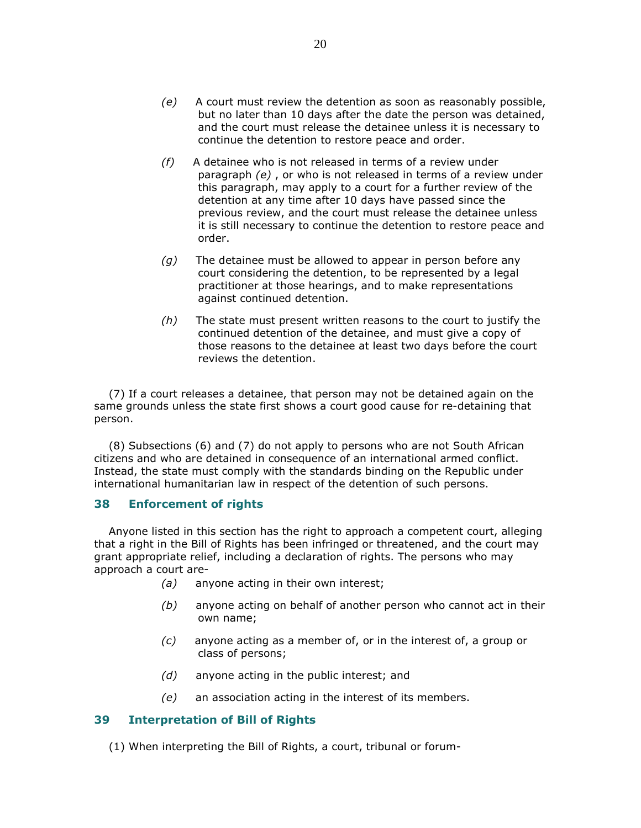- $(e)$  A court must review the detention as soon as reasonably possible, but no later than 10 days after the date the person was detained, and the court must release the detainee unless it is necessary to continue the detention to restore peace and order.
- $(f)$  A detainee who is not released in terms of a review under paragraph (e) , or who is not released in terms of a review under this paragraph, may apply to a court for a further review of the detention at any time after 10 days have passed since the previous review, and the court must release the detainee unless it is still necessary to continue the detention to restore peace and order.
- $(q)$  The detainee must be allowed to appear in person before any court considering the detention, to be represented by a legal practitioner at those hearings, and to make representations against continued detention.
- $(h)$  The state must present written reasons to the court to justify the continued detention of the detainee, and must give a copy of those reasons to the detainee at least two days before the court reviews the detention.

 (7) If a court releases a detainee, that person may not be detained again on the same grounds unless the state first shows a court good cause for re-detaining that person.

 (8) Subsections (6) and (7) do not apply to persons who are not South African citizens and who are detained in consequence of an international armed conflict. Instead, the state must comply with the standards binding on the Republic under international humanitarian law in respect of the detention of such persons.

### 38 Enforcement of rights

 Anyone listed in this section has the right to approach a competent court, alleging that a right in the Bill of Rights has been infringed or threatened, and the court may grant appropriate relief, including a declaration of rights. The persons who may approach a court are-

- (a) anyone acting in their own interest;
- $(b)$  anyone acting on behalf of another person who cannot act in their own name;
- $(c)$  anyone acting as a member of, or in the interest of, a group or class of persons;
- (d) anyone acting in the public interest; and
- (e) an association acting in the interest of its members.

### 39 Interpretation of Bill of Rights

(1) When interpreting the Bill of Rights, a court, tribunal or forum-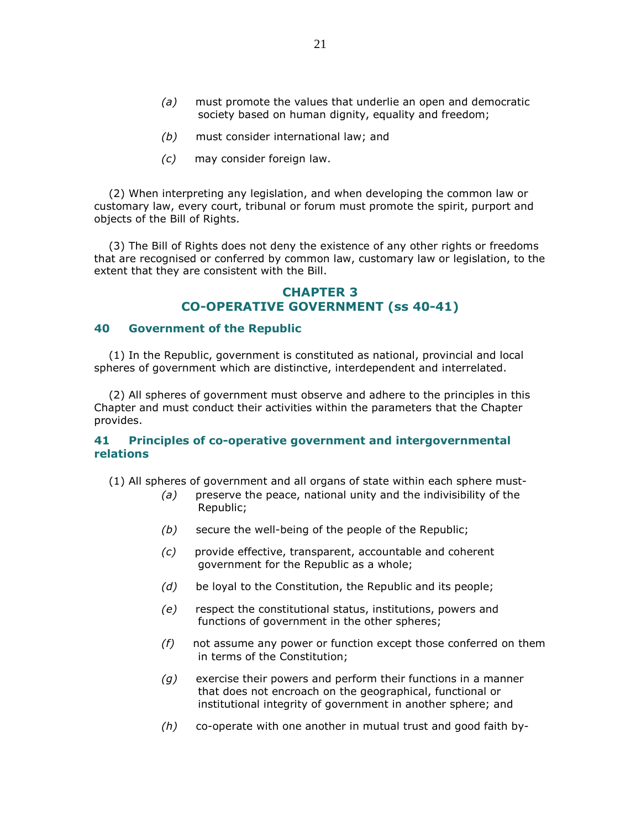- (a) must promote the values that underlie an open and democratic society based on human dignity, equality and freedom;
- (b) must consider international law; and
- (c) may consider foreign law.

 (2) When interpreting any legislation, and when developing the common law or customary law, every court, tribunal or forum must promote the spirit, purport and objects of the Bill of Rights.

 (3) The Bill of Rights does not deny the existence of any other rights or freedoms that are recognised or conferred by common law, customary law or legislation, to the extent that they are consistent with the Bill.

# CHAPTER 3 CO-OPERATIVE GOVERNMENT (ss 40-41)

### 40 Government of the Republic

 (1) In the Republic, government is constituted as national, provincial and local spheres of government which are distinctive, interdependent and interrelated.

 (2) All spheres of government must observe and adhere to the principles in this Chapter and must conduct their activities within the parameters that the Chapter provides.

#### 41 Principles of co-operative government and intergovernmental relations

(1) All spheres of government and all organs of state within each sphere must-

- (a) preserve the peace, national unity and the indivisibility of the Republic;
- (b) secure the well-being of the people of the Republic;
- (c) provide effective, transparent, accountable and coherent government for the Republic as a whole;
- $(d)$  be loyal to the Constitution, the Republic and its people;
- (e) respect the constitutional status, institutions, powers and functions of government in the other spheres;
- $(f)$  not assume any power or function except those conferred on them in terms of the Constitution;
- $(q)$  exercise their powers and perform their functions in a manner that does not encroach on the geographical, functional or institutional integrity of government in another sphere; and
- $(h)$  co-operate with one another in mutual trust and good faith by-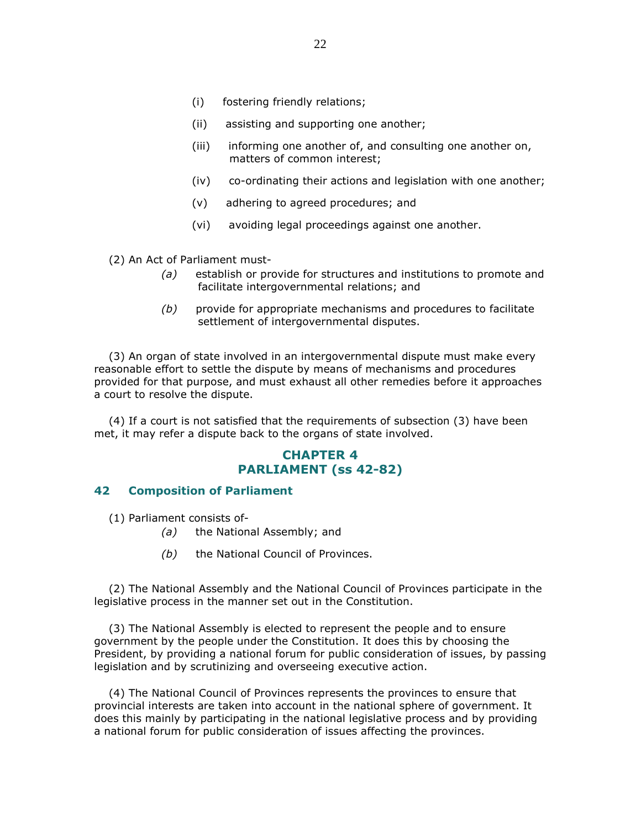- (i) fostering friendly relations;
- (ii) assisting and supporting one another;
- (iii) informing one another of, and consulting one another on, matters of common interest;
- (iv) co-ordinating their actions and legislation with one another;
- (v) adhering to agreed procedures; and
- (vi) avoiding legal proceedings against one another.

(2) An Act of Parliament must-

- (a) establish or provide for structures and institutions to promote and facilitate intergovernmental relations; and
- (b) provide for appropriate mechanisms and procedures to facilitate settlement of intergovernmental disputes.

 (3) An organ of state involved in an intergovernmental dispute must make every reasonable effort to settle the dispute by means of mechanisms and procedures provided for that purpose, and must exhaust all other remedies before it approaches a court to resolve the dispute.

 (4) If a court is not satisfied that the requirements of subsection (3) have been met, it may refer a dispute back to the organs of state involved.

## CHAPTER 4 PARLIAMENT (ss 42-82)

### 42 Composition of Parliament

(1) Parliament consists of-

- (a) the National Assembly; and
- (b) the National Council of Provinces.

 (2) The National Assembly and the National Council of Provinces participate in the legislative process in the manner set out in the Constitution.

 (3) The National Assembly is elected to represent the people and to ensure government by the people under the Constitution. It does this by choosing the President, by providing a national forum for public consideration of issues, by passing legislation and by scrutinizing and overseeing executive action.

 (4) The National Council of Provinces represents the provinces to ensure that provincial interests are taken into account in the national sphere of government. It does this mainly by participating in the national legislative process and by providing a national forum for public consideration of issues affecting the provinces.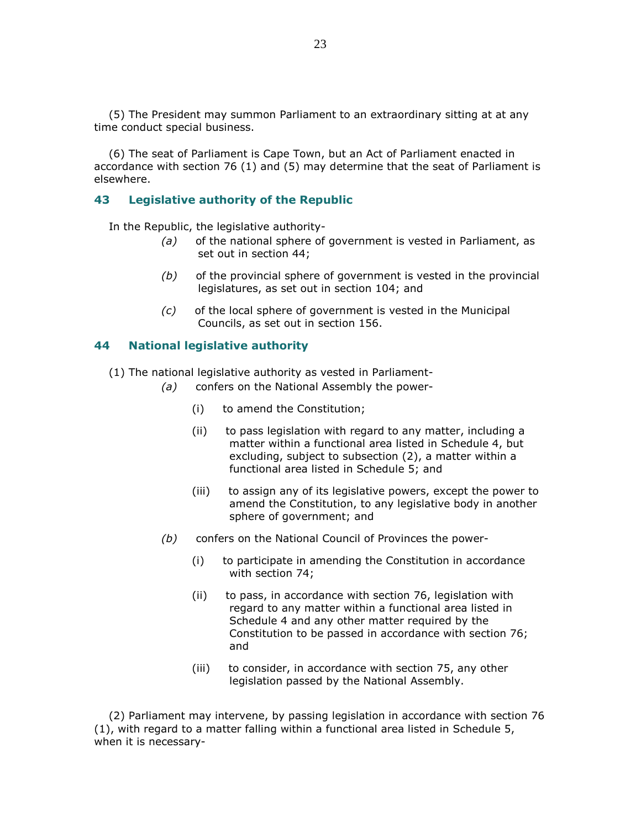(5) The President may summon Parliament to an extraordinary sitting at at any time conduct special business.

 (6) The seat of Parliament is Cape Town, but an Act of Parliament enacted in accordance with section 76 (1) and (5) may determine that the seat of Parliament is elsewhere.

#### 43 Legislative authority of the Republic

In the Republic, the legislative authority-

- (a) of the national sphere of government is vested in Parliament, as set out in section 44;
- (b) of the provincial sphere of government is vested in the provincial legislatures, as set out in section 104; and
- (c) of the local sphere of government is vested in the Municipal Councils, as set out in section 156.

### 44 National legislative authority

(1) The national legislative authority as vested in Parliament-

- (a) confers on the National Assembly the power-
	- (i) to amend the Constitution;
	- (ii) to pass legislation with regard to any matter, including a matter within a functional area listed in Schedule 4, but excluding, subject to subsection (2), a matter within a functional area listed in Schedule 5; and
	- (iii) to assign any of its legislative powers, except the power to amend the Constitution, to any legislative body in another sphere of government; and
- (b) confers on the National Council of Provinces the power-
	- (i) to participate in amending the Constitution in accordance with section 74;
	- (ii) to pass, in accordance with section 76, legislation with regard to any matter within a functional area listed in Schedule 4 and any other matter required by the Constitution to be passed in accordance with section 76; and
	- (iii) to consider, in accordance with section 75, any other legislation passed by the National Assembly.

 (2) Parliament may intervene, by passing legislation in accordance with section 76 (1), with regard to a matter falling within a functional area listed in Schedule 5, when it is necessary-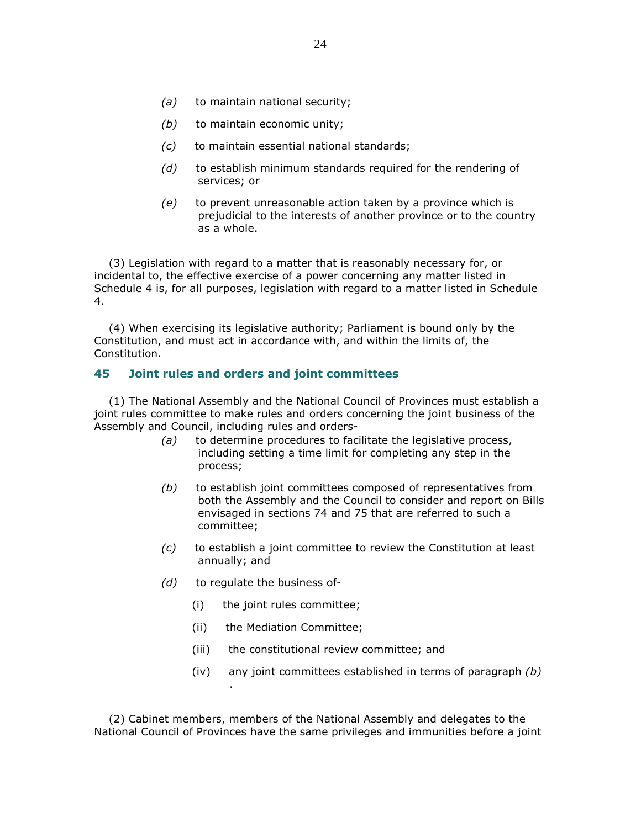- (a) to maintain national security;
- (b) to maintain economic unity;
- $(c)$  to maintain essential national standards;
- (d) to establish minimum standards required for the rendering of services; or
- (e) to prevent unreasonable action taken by a province which is prejudicial to the interests of another province or to the country as a whole.

 (3) Legislation with regard to a matter that is reasonably necessary for, or incidental to, the effective exercise of a power concerning any matter listed in Schedule 4 is, for all purposes, legislation with regard to a matter listed in Schedule 4.

 (4) When exercising its legislative authority; Parliament is bound only by the Constitution, and must act in accordance with, and within the limits of, the Constitution.

## 45 Joint rules and orders and joint committees

 (1) The National Assembly and the National Council of Provinces must establish a joint rules committee to make rules and orders concerning the joint business of the Assembly and Council, including rules and orders-

- $(a)$  to determine procedures to facilitate the legislative process, including setting a time limit for completing any step in the process;
- $(b)$  to establish joint committees composed of representatives from both the Assembly and the Council to consider and report on Bills envisaged in sections 74 and 75 that are referred to such a committee;
- (c) to establish a joint committee to review the Constitution at least annually; and
- $(d)$  to regulate the business of-

.

- (i) the joint rules committee;
- (ii) the Mediation Committee;
- (iii) the constitutional review committee; and
- (iv) any joint committees established in terms of paragraph  $(b)$

 (2) Cabinet members, members of the National Assembly and delegates to the National Council of Provinces have the same privileges and immunities before a joint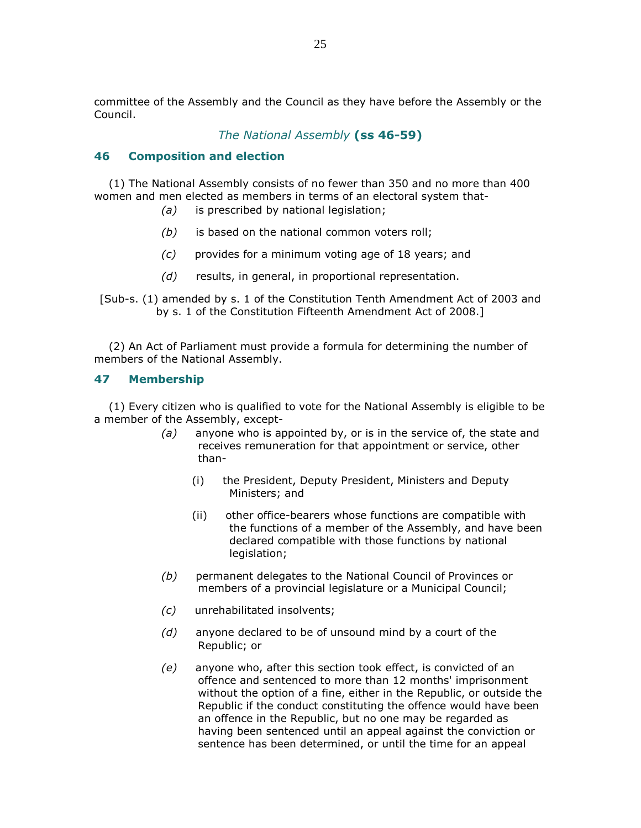committee of the Assembly and the Council as they have before the Assembly or the Council.

## The National Assembly (ss 46-59)

### 46 Composition and election

 (1) The National Assembly consists of no fewer than 350 and no more than 400 women and men elected as members in terms of an electoral system that-

- (a) is prescribed by national legislation;
- $(b)$  is based on the national common voters roll;
- (c) provides for a minimum voting age of 18 years; and
- (d) results, in general, in proportional representation.

[Sub-s. (1) amended by s. 1 of the Constitution Tenth Amendment Act of 2003 and by s. 1 of the Constitution Fifteenth Amendment Act of 2008.]

 (2) An Act of Parliament must provide a formula for determining the number of members of the National Assembly.

### 47 Membership

 (1) Every citizen who is qualified to vote for the National Assembly is eligible to be a member of the Assembly, except-

- $(a)$  anyone who is appointed by, or is in the service of, the state and receives remuneration for that appointment or service, other than-
	- (i) the President, Deputy President, Ministers and Deputy Ministers; and
	- (ii) other office-bearers whose functions are compatible with the functions of a member of the Assembly, and have been declared compatible with those functions by national legislation;
- (b) permanent delegates to the National Council of Provinces or members of a provincial legislature or a Municipal Council;
- (c) unrehabilitated insolvents;
- $(d)$  anyone declared to be of unsound mind by a court of the Republic; or
- (e) anyone who, after this section took effect, is convicted of an offence and sentenced to more than 12 months' imprisonment without the option of a fine, either in the Republic, or outside the Republic if the conduct constituting the offence would have been an offence in the Republic, but no one may be regarded as having been sentenced until an appeal against the conviction or sentence has been determined, or until the time for an appeal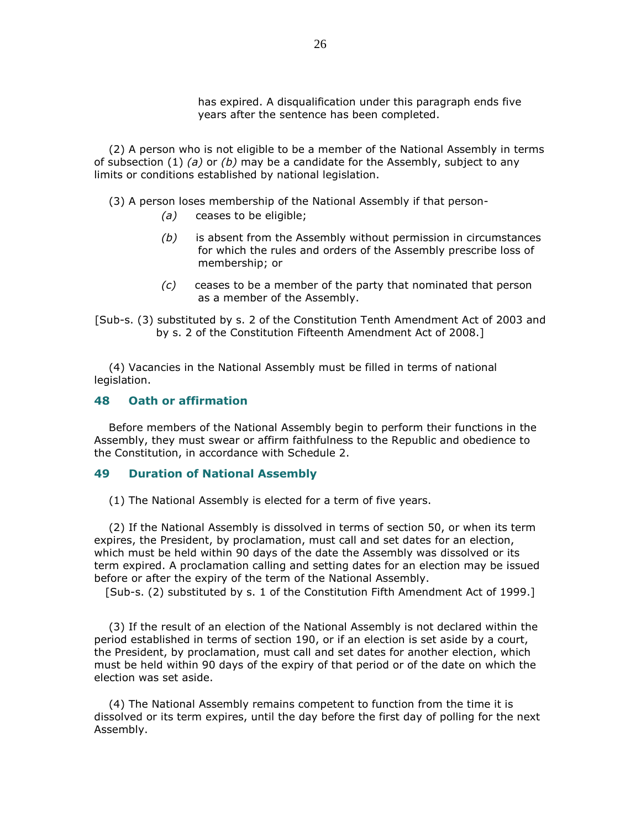has expired. A disqualification under this paragraph ends five years after the sentence has been completed.

 (2) A person who is not eligible to be a member of the National Assembly in terms of subsection (1) (a) or (b) may be a candidate for the Assembly, subject to any limits or conditions established by national legislation.

- (3) A person loses membership of the National Assembly if that person-
	- (a) ceases to be eligible;
	- $(b)$  is absent from the Assembly without permission in circumstances for which the rules and orders of the Assembly prescribe loss of membership; or
	- (c) ceases to be a member of the party that nominated that person as a member of the Assembly.

[Sub-s. (3) substituted by s. 2 of the Constitution Tenth Amendment Act of 2003 and by s. 2 of the Constitution Fifteenth Amendment Act of 2008.]

 (4) Vacancies in the National Assembly must be filled in terms of national legislation.

### 48 Oath or affirmation

 Before members of the National Assembly begin to perform their functions in the Assembly, they must swear or affirm faithfulness to the Republic and obedience to the Constitution, in accordance with Schedule 2.

#### 49 Duration of National Assembly

(1) The National Assembly is elected for a term of five years.

 (2) If the National Assembly is dissolved in terms of section 50, or when its term expires, the President, by proclamation, must call and set dates for an election, which must be held within 90 days of the date the Assembly was dissolved or its term expired. A proclamation calling and setting dates for an election may be issued before or after the expiry of the term of the National Assembly.

[Sub-s. (2) substituted by s. 1 of the Constitution Fifth Amendment Act of 1999.]

 (3) If the result of an election of the National Assembly is not declared within the period established in terms of section 190, or if an election is set aside by a court, the President, by proclamation, must call and set dates for another election, which must be held within 90 days of the expiry of that period or of the date on which the election was set aside.

 (4) The National Assembly remains competent to function from the time it is dissolved or its term expires, until the day before the first day of polling for the next Assembly.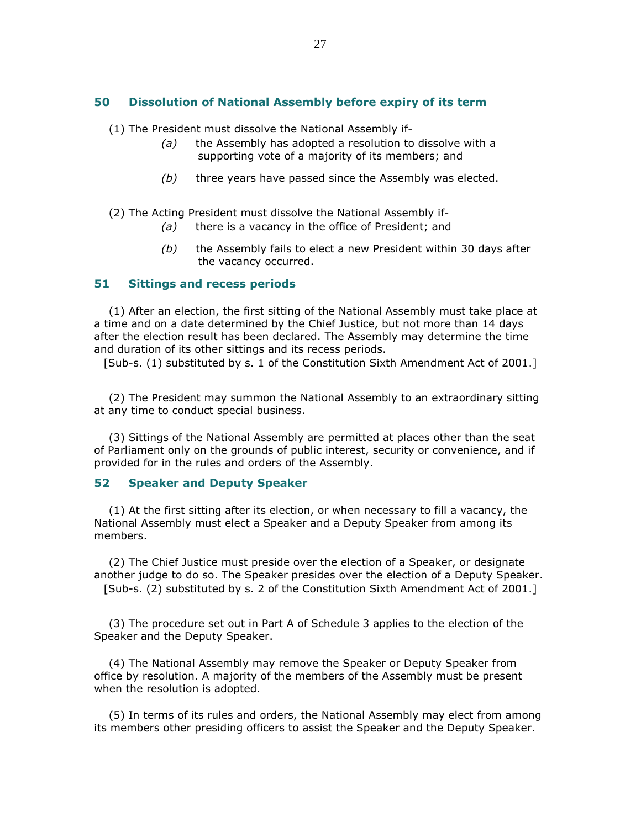### 50 Dissolution of National Assembly before expiry of its term

(1) The President must dissolve the National Assembly if-

- (a) the Assembly has adopted a resolution to dissolve with a supporting vote of a majority of its members; and
- $(b)$  three years have passed since the Assembly was elected.

(2) The Acting President must dissolve the National Assembly if-

- $(a)$  there is a vacancy in the office of President; and
- $(b)$  the Assembly fails to elect a new President within 30 days after the vacancy occurred.

#### 51 Sittings and recess periods

 (1) After an election, the first sitting of the National Assembly must take place at a time and on a date determined by the Chief Justice, but not more than 14 days after the election result has been declared. The Assembly may determine the time and duration of its other sittings and its recess periods.

[Sub-s. (1) substituted by s. 1 of the Constitution Sixth Amendment Act of 2001.]

 (2) The President may summon the National Assembly to an extraordinary sitting at any time to conduct special business.

 (3) Sittings of the National Assembly are permitted at places other than the seat of Parliament only on the grounds of public interest, security or convenience, and if provided for in the rules and orders of the Assembly.

### 52 Speaker and Deputy Speaker

 (1) At the first sitting after its election, or when necessary to fill a vacancy, the National Assembly must elect a Speaker and a Deputy Speaker from among its members.

 (2) The Chief Justice must preside over the election of a Speaker, or designate another judge to do so. The Speaker presides over the election of a Deputy Speaker. [Sub-s. (2) substituted by s. 2 of the Constitution Sixth Amendment Act of 2001.]

 (3) The procedure set out in Part A of Schedule 3 applies to the election of the Speaker and the Deputy Speaker.

 (4) The National Assembly may remove the Speaker or Deputy Speaker from office by resolution. A majority of the members of the Assembly must be present when the resolution is adopted.

 (5) In terms of its rules and orders, the National Assembly may elect from among its members other presiding officers to assist the Speaker and the Deputy Speaker.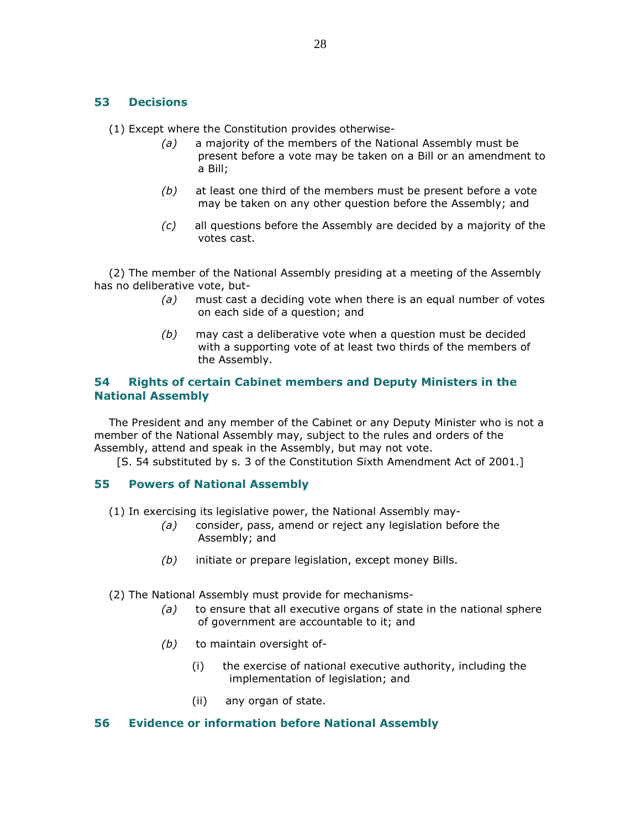## 53 Decisions

(1) Except where the Constitution provides otherwise-

- (a) a majority of the members of the National Assembly must be present before a vote may be taken on a Bill or an amendment to a Bill;
- $(b)$  at least one third of the members must be present before a vote may be taken on any other question before the Assembly; and
- (c) all questions before the Assembly are decided by a majority of the votes cast.

 (2) The member of the National Assembly presiding at a meeting of the Assembly has no deliberative vote, but-

- $(a)$  must cast a deciding vote when there is an equal number of votes on each side of a question; and
- $(b)$  may cast a deliberative vote when a question must be decided with a supporting vote of at least two thirds of the members of the Assembly.

## 54 Rights of certain Cabinet members and Deputy Ministers in the National Assembly

 The President and any member of the Cabinet or any Deputy Minister who is not a member of the National Assembly may, subject to the rules and orders of the Assembly, attend and speak in the Assembly, but may not vote.

[S. 54 substituted by s. 3 of the Constitution Sixth Amendment Act of 2001.]

### 55 Powers of National Assembly

- (1) In exercising its legislative power, the National Assembly may-
	- (a) consider, pass, amend or reject any legislation before the Assembly; and
	- $(b)$  initiate or prepare legislation, except money Bills.

#### (2) The National Assembly must provide for mechanisms-

- $(a)$  to ensure that all executive organs of state in the national sphere of government are accountable to it; and
- (b) to maintain oversight of-
	- (i) the exercise of national executive authority, including the implementation of legislation; and
	- (ii) any organ of state.

#### 56 Evidence or information before National Assembly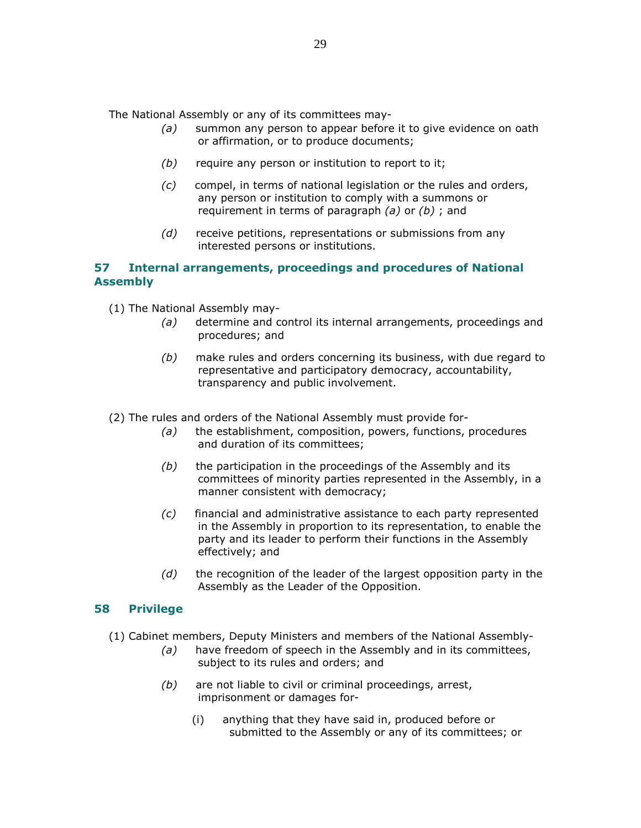The National Assembly or any of its committees may-

- (a) summon any person to appear before it to give evidence on oath or affirmation, or to produce documents;
- $(b)$  require any person or institution to report to it;
- $(c)$  compel, in terms of national legislation or the rules and orders, any person or institution to comply with a summons or requirement in terms of paragraph  $(a)$  or  $(b)$ ; and
- $(d)$  receive petitions, representations or submissions from any interested persons or institutions.

## 57 Internal arrangements, proceedings and procedures of National **Assembly**

- (1) The National Assembly may-
	- (a) determine and control its internal arrangements, proceedings and procedures; and
	- (b) make rules and orders concerning its business, with due regard to representative and participatory democracy, accountability, transparency and public involvement.
- (2) The rules and orders of the National Assembly must provide for-
	- (a) the establishment, composition, powers, functions, procedures and duration of its committees;
	- $(b)$  the participation in the proceedings of the Assembly and its committees of minority parties represented in the Assembly, in a manner consistent with democracy;
	- (c) financial and administrative assistance to each party represented in the Assembly in proportion to its representation, to enable the party and its leader to perform their functions in the Assembly effectively; and
	- $(d)$  the recognition of the leader of the largest opposition party in the Assembly as the Leader of the Opposition.

### 58 Privilege

- (1) Cabinet members, Deputy Ministers and members of the National Assembly-
	- (a) have freedom of speech in the Assembly and in its committees, subject to its rules and orders; and
	- (b) are not liable to civil or criminal proceedings, arrest, imprisonment or damages for-
		- (i) anything that they have said in, produced before or submitted to the Assembly or any of its committees; or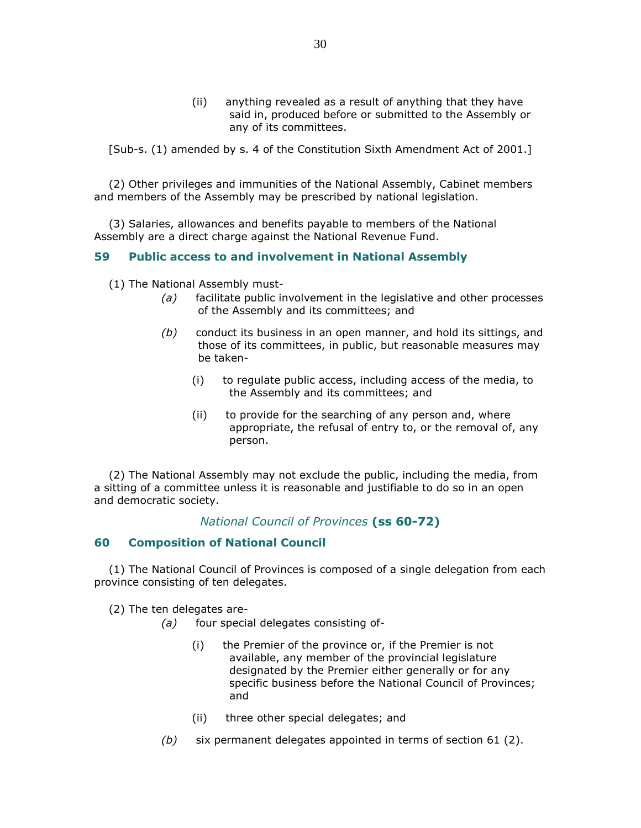(ii) anything revealed as a result of anything that they have said in, produced before or submitted to the Assembly or any of its committees.

[Sub-s. (1) amended by s. 4 of the Constitution Sixth Amendment Act of 2001.]

 (2) Other privileges and immunities of the National Assembly, Cabinet members and members of the Assembly may be prescribed by national legislation.

 (3) Salaries, allowances and benefits payable to members of the National Assembly are a direct charge against the National Revenue Fund.

### 59 Public access to and involvement in National Assembly

(1) The National Assembly must-

- (a) facilitate public involvement in the legislative and other processes of the Assembly and its committees; and
- $(b)$  conduct its business in an open manner, and hold its sittings, and those of its committees, in public, but reasonable measures may be taken-
	- (i) to regulate public access, including access of the media, to the Assembly and its committees; and
	- (ii) to provide for the searching of any person and, where appropriate, the refusal of entry to, or the removal of, any person.

 (2) The National Assembly may not exclude the public, including the media, from a sitting of a committee unless it is reasonable and justifiable to do so in an open and democratic society.

National Council of Provinces (ss 60-72)

### 60 Composition of National Council

 (1) The National Council of Provinces is composed of a single delegation from each province consisting of ten delegates.

(2) The ten delegates are-

- $(a)$  four special delegates consisting of-
	- (i) the Premier of the province or, if the Premier is not available, any member of the provincial legislature designated by the Premier either generally or for any specific business before the National Council of Provinces; and
	- (ii) three other special delegates; and
- $(b)$  six permanent delegates appointed in terms of section 61 (2).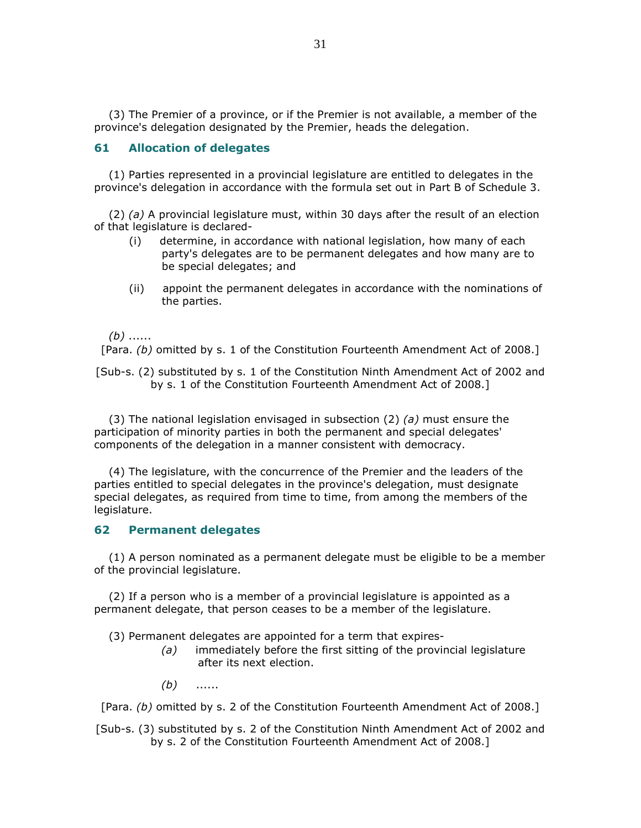(3) The Premier of a province, or if the Premier is not available, a member of the province's delegation designated by the Premier, heads the delegation.

#### 61 Allocation of delegates

 (1) Parties represented in a provincial legislature are entitled to delegates in the province's delegation in accordance with the formula set out in Part B of Schedule 3.

 $(2)$  (a) A provincial legislature must, within 30 days after the result of an election of that legislature is declared-

- (i) determine, in accordance with national legislation, how many of each party's delegates are to be permanent delegates and how many are to be special delegates; and
- (ii) appoint the permanent delegates in accordance with the nominations of the parties.

 $(b)$  ......

[Para. (b) omitted by s. 1 of the Constitution Fourteenth Amendment Act of 2008.]

[Sub-s. (2) substituted by s. 1 of the Constitution Ninth Amendment Act of 2002 and by s. 1 of the Constitution Fourteenth Amendment Act of 2008.]

(3) The national legislation envisaged in subsection (2) (a) must ensure the participation of minority parties in both the permanent and special delegates' components of the delegation in a manner consistent with democracy.

 (4) The legislature, with the concurrence of the Premier and the leaders of the parties entitled to special delegates in the province's delegation, must designate special delegates, as required from time to time, from among the members of the legislature.

### 62 Permanent delegates

 (1) A person nominated as a permanent delegate must be eligible to be a member of the provincial legislature.

 (2) If a person who is a member of a provincial legislature is appointed as a permanent delegate, that person ceases to be a member of the legislature.

(3) Permanent delegates are appointed for a term that expires-

- (a) immediately before the first sitting of the provincial legislature after its next election.
- $(b)$  ......

```
[Para. (b) omitted by s. 2 of the Constitution Fourteenth Amendment Act of 2008.]
```
[Sub-s. (3) substituted by s. 2 of the Constitution Ninth Amendment Act of 2002 and by s. 2 of the Constitution Fourteenth Amendment Act of 2008.]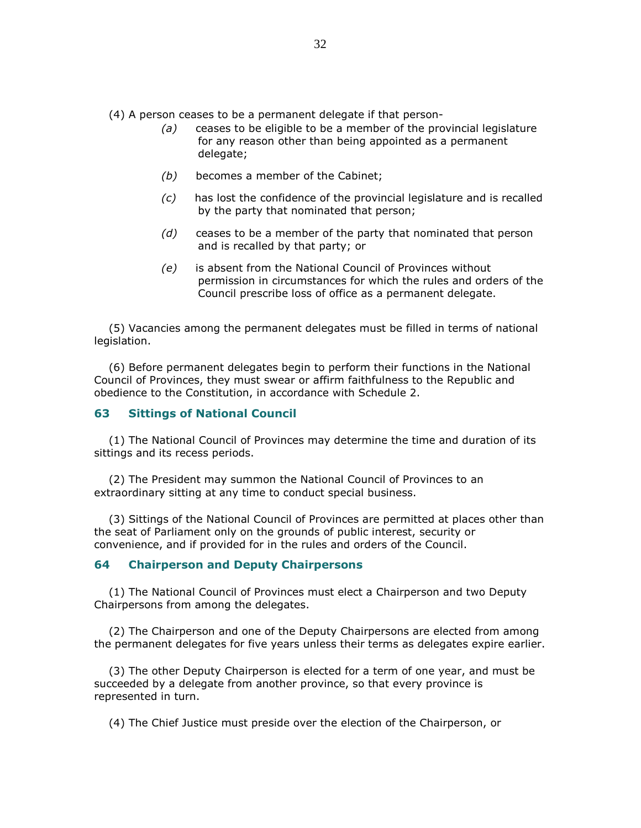(4) A person ceases to be a permanent delegate if that person-

- (a) ceases to be eligible to be a member of the provincial legislature for any reason other than being appointed as a permanent delegate;
- (b) becomes a member of the Cabinet;
- $(c)$  has lost the confidence of the provincial legislature and is recalled by the party that nominated that person;
- $(d)$  ceases to be a member of the party that nominated that person and is recalled by that party; or
- (e) is absent from the National Council of Provinces without permission in circumstances for which the rules and orders of the Council prescribe loss of office as a permanent delegate.

 (5) Vacancies among the permanent delegates must be filled in terms of national legislation.

 (6) Before permanent delegates begin to perform their functions in the National Council of Provinces, they must swear or affirm faithfulness to the Republic and obedience to the Constitution, in accordance with Schedule 2.

### 63 Sittings of National Council

 (1) The National Council of Provinces may determine the time and duration of its sittings and its recess periods.

 (2) The President may summon the National Council of Provinces to an extraordinary sitting at any time to conduct special business.

 (3) Sittings of the National Council of Provinces are permitted at places other than the seat of Parliament only on the grounds of public interest, security or convenience, and if provided for in the rules and orders of the Council.

#### 64 Chairperson and Deputy Chairpersons

 (1) The National Council of Provinces must elect a Chairperson and two Deputy Chairpersons from among the delegates.

 (2) The Chairperson and one of the Deputy Chairpersons are elected from among the permanent delegates for five years unless their terms as delegates expire earlier.

 (3) The other Deputy Chairperson is elected for a term of one year, and must be succeeded by a delegate from another province, so that every province is represented in turn.

(4) The Chief Justice must preside over the election of the Chairperson, or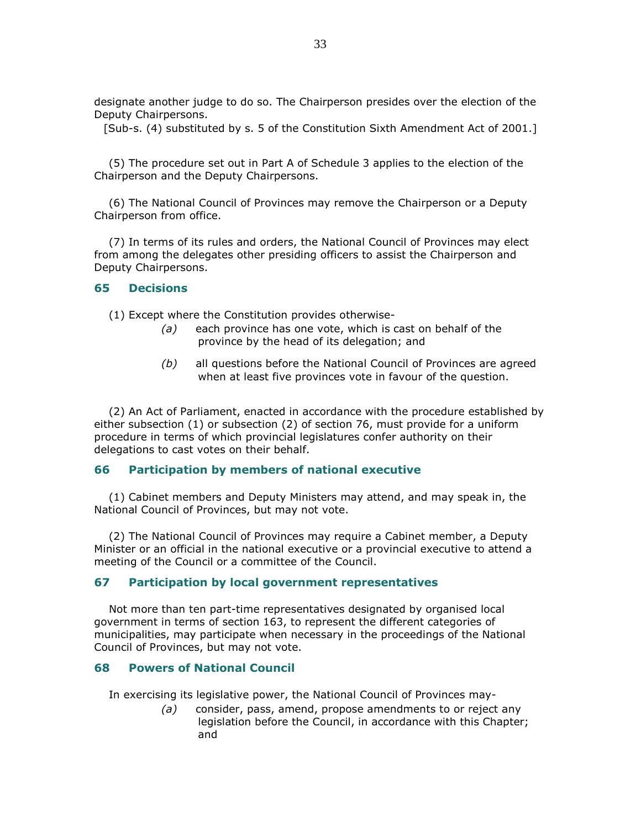designate another judge to do so. The Chairperson presides over the election of the Deputy Chairpersons.

[Sub-s. (4) substituted by s. 5 of the Constitution Sixth Amendment Act of 2001.]

 (5) The procedure set out in Part A of Schedule 3 applies to the election of the Chairperson and the Deputy Chairpersons.

 (6) The National Council of Provinces may remove the Chairperson or a Deputy Chairperson from office.

 (7) In terms of its rules and orders, the National Council of Provinces may elect from among the delegates other presiding officers to assist the Chairperson and Deputy Chairpersons.

#### 65 Decisions

(1) Except where the Constitution provides otherwise-

- $(a)$  each province has one vote, which is cast on behalf of the province by the head of its delegation; and
- $(b)$  all questions before the National Council of Provinces are agreed when at least five provinces vote in favour of the question.

 (2) An Act of Parliament, enacted in accordance with the procedure established by either subsection (1) or subsection (2) of section 76, must provide for a uniform procedure in terms of which provincial legislatures confer authority on their delegations to cast votes on their behalf.

#### 66 Participation by members of national executive

 (1) Cabinet members and Deputy Ministers may attend, and may speak in, the National Council of Provinces, but may not vote.

 (2) The National Council of Provinces may require a Cabinet member, a Deputy Minister or an official in the national executive or a provincial executive to attend a meeting of the Council or a committee of the Council.

#### 67 Participation by local government representatives

 Not more than ten part-time representatives designated by organised local government in terms of section 163, to represent the different categories of municipalities, may participate when necessary in the proceedings of the National Council of Provinces, but may not vote.

#### 68 Powers of National Council

In exercising its legislative power, the National Council of Provinces may-

(a) consider, pass, amend, propose amendments to or reject any legislation before the Council, in accordance with this Chapter; and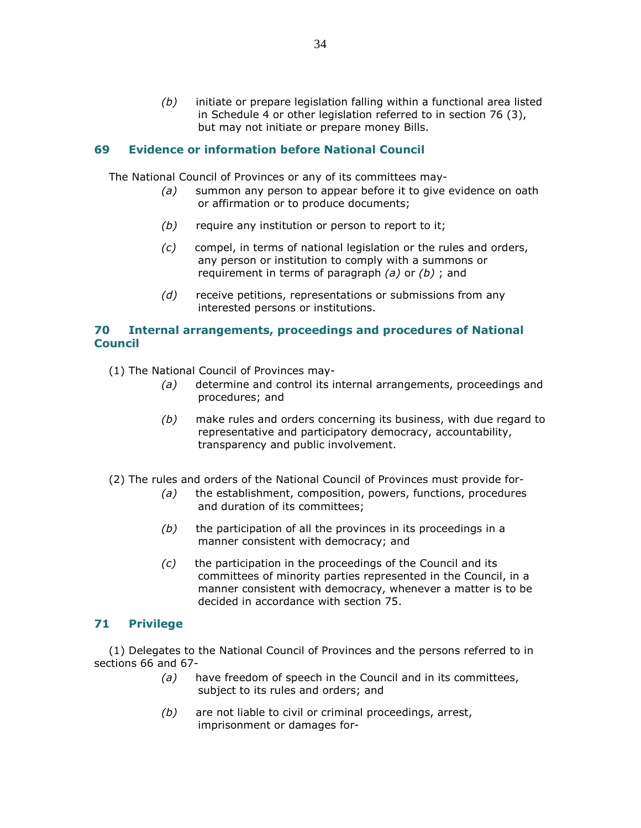$(b)$  initiate or prepare legislation falling within a functional area listed in Schedule 4 or other legislation referred to in section 76 (3), but may not initiate or prepare money Bills.

# 69 Evidence or information before National Council

The National Council of Provinces or any of its committees may-

- (a) summon any person to appear before it to give evidence on oath or affirmation or to produce documents;
- $(b)$  require any institution or person to report to it;
- $(c)$  compel, in terms of national legislation or the rules and orders, any person or institution to comply with a summons or requirement in terms of paragraph  $(a)$  or  $(b)$ ; and
- $(d)$  receive petitions, representations or submissions from any interested persons or institutions.

### 70 Internal arrangements, proceedings and procedures of National Council

(1) The National Council of Provinces may-

- (a) determine and control its internal arrangements, proceedings and procedures; and
- $(b)$  make rules and orders concerning its business, with due regard to representative and participatory democracy, accountability, transparency and public involvement.
- (2) The rules and orders of the National Council of Provinces must provide for-
	- $(a)$  the establishment, composition, powers, functions, procedures and duration of its committees;
	- $(b)$  the participation of all the provinces in its proceedings in a manner consistent with democracy; and
	- (c) the participation in the proceedings of the Council and its committees of minority parties represented in the Council, in a manner consistent with democracy, whenever a matter is to be decided in accordance with section 75.

# 71 Privilege

 (1) Delegates to the National Council of Provinces and the persons referred to in sections 66 and 67-

- (a) have freedom of speech in the Council and in its committees, subject to its rules and orders; and
- $(b)$  are not liable to civil or criminal proceedings, arrest, imprisonment or damages for-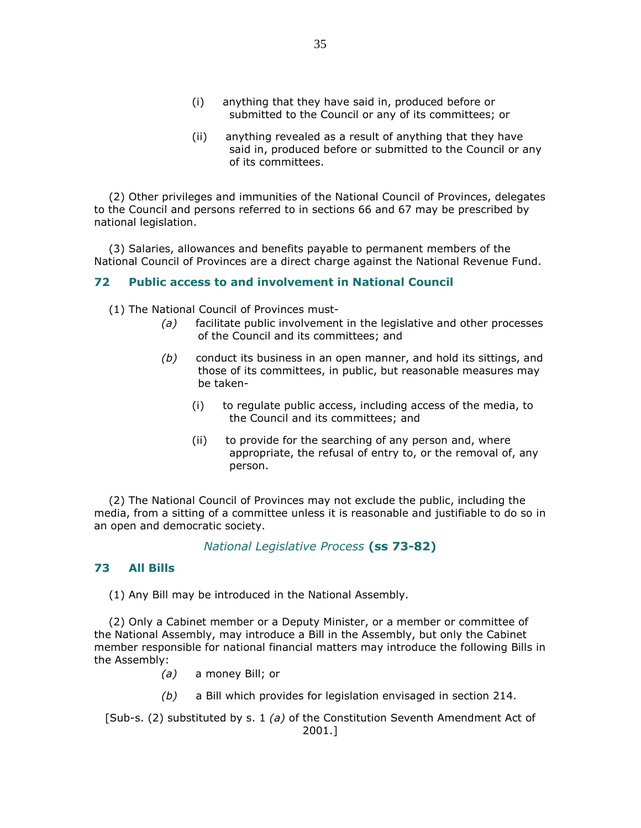- (i) anything that they have said in, produced before or submitted to the Council or any of its committees; or
- (ii) anything revealed as a result of anything that they have said in, produced before or submitted to the Council or any of its committees.

 (2) Other privileges and immunities of the National Council of Provinces, delegates to the Council and persons referred to in sections 66 and 67 may be prescribed by national legislation.

 (3) Salaries, allowances and benefits payable to permanent members of the National Council of Provinces are a direct charge against the National Revenue Fund.

#### 72 Public access to and involvement in National Council

(1) The National Council of Provinces must-

- (a) facilitate public involvement in the legislative and other processes of the Council and its committees; and
- $(b)$  conduct its business in an open manner, and hold its sittings, and those of its committees, in public, but reasonable measures may be taken-
	- (i) to regulate public access, including access of the media, to the Council and its committees; and
	- (ii) to provide for the searching of any person and, where appropriate, the refusal of entry to, or the removal of, any person.

 (2) The National Council of Provinces may not exclude the public, including the media, from a sitting of a committee unless it is reasonable and justifiable to do so in an open and democratic society.

### National Legislative Process (ss 73-82)

#### 73 All Bills

(1) Any Bill may be introduced in the National Assembly.

 (2) Only a Cabinet member or a Deputy Minister, or a member or committee of the National Assembly, may introduce a Bill in the Assembly, but only the Cabinet member responsible for national financial matters may introduce the following Bills in the Assembly:

- (a) a money Bill; or
- (b) a Bill which provides for legislation envisaged in section 214.

[Sub-s. (2) substituted by s. 1 (a) of the Constitution Seventh Amendment Act of 2001.]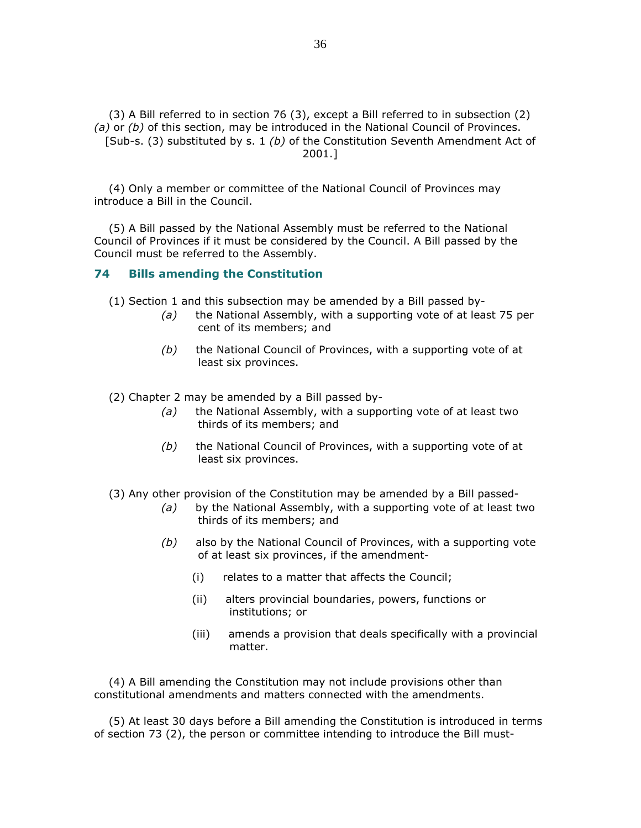(3) A Bill referred to in section 76 (3), except a Bill referred to in subsection (2) (a) or  $(b)$  of this section, may be introduced in the National Council of Provinces. [Sub-s. (3) substituted by s. 1 (b) of the Constitution Seventh Amendment Act of 2001.]

 (4) Only a member or committee of the National Council of Provinces may introduce a Bill in the Council.

 (5) A Bill passed by the National Assembly must be referred to the National Council of Provinces if it must be considered by the Council. A Bill passed by the Council must be referred to the Assembly.

#### 74 Bills amending the Constitution

(1) Section 1 and this subsection may be amended by a Bill passed by-

- $(a)$  the National Assembly, with a supporting vote of at least 75 per cent of its members; and
- $(b)$  the National Council of Provinces, with a supporting vote of at least six provinces.

(2) Chapter 2 may be amended by a Bill passed by-

- $(a)$  the National Assembly, with a supporting vote of at least two thirds of its members; and
- $(b)$  the National Council of Provinces, with a supporting vote of at least six provinces.
- (3) Any other provision of the Constitution may be amended by a Bill passed-
	- (a) by the National Assembly, with a supporting vote of at least two thirds of its members; and
	- $(b)$  also by the National Council of Provinces, with a supporting vote of at least six provinces, if the amendment-
		- (i) relates to a matter that affects the Council;
		- (ii) alters provincial boundaries, powers, functions or institutions; or
		- (iii) amends a provision that deals specifically with a provincial matter.

 (4) A Bill amending the Constitution may not include provisions other than constitutional amendments and matters connected with the amendments.

 (5) At least 30 days before a Bill amending the Constitution is introduced in terms of section 73 (2), the person or committee intending to introduce the Bill must-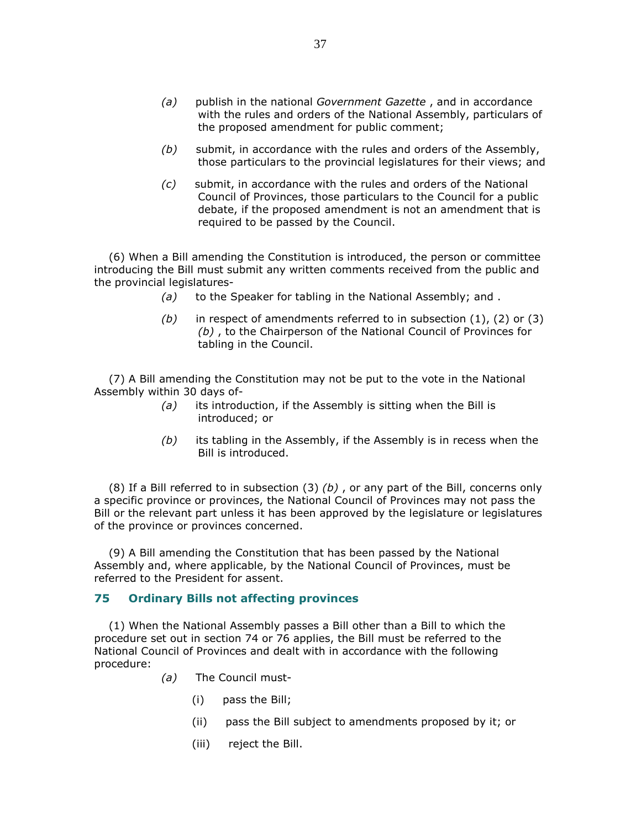- $(a)$  publish in the national Government Gazette, and in accordance with the rules and orders of the National Assembly, particulars of the proposed amendment for public comment;
- $(b)$  submit, in accordance with the rules and orders of the Assembly, those particulars to the provincial legislatures for their views; and
- (c) submit, in accordance with the rules and orders of the National Council of Provinces, those particulars to the Council for a public debate, if the proposed amendment is not an amendment that is required to be passed by the Council.

 (6) When a Bill amending the Constitution is introduced, the person or committee introducing the Bill must submit any written comments received from the public and the provincial legislatures-

- $(a)$  to the Speaker for tabling in the National Assembly; and .
- (b) in respect of amendments referred to in subsection  $(1)$ ,  $(2)$  or  $(3)$ (b) , to the Chairperson of the National Council of Provinces for tabling in the Council.

 (7) A Bill amending the Constitution may not be put to the vote in the National Assembly within 30 days of-

- $(a)$  its introduction, if the Assembly is sitting when the Bill is introduced; or
- $(b)$  its tabling in the Assembly, if the Assembly is in recess when the Bill is introduced.

(8) If a Bill referred to in subsection (3)  $(b)$  , or any part of the Bill, concerns only a specific province or provinces, the National Council of Provinces may not pass the Bill or the relevant part unless it has been approved by the legislature or legislatures of the province or provinces concerned.

 (9) A Bill amending the Constitution that has been passed by the National Assembly and, where applicable, by the National Council of Provinces, must be referred to the President for assent.

## 75 Ordinary Bills not affecting provinces

 (1) When the National Assembly passes a Bill other than a Bill to which the procedure set out in section 74 or 76 applies, the Bill must be referred to the National Council of Provinces and dealt with in accordance with the following procedure:

- (a) The Council must-
	- (i) pass the Bill;
	- (ii) pass the Bill subject to amendments proposed by it; or
	- (iii) reject the Bill.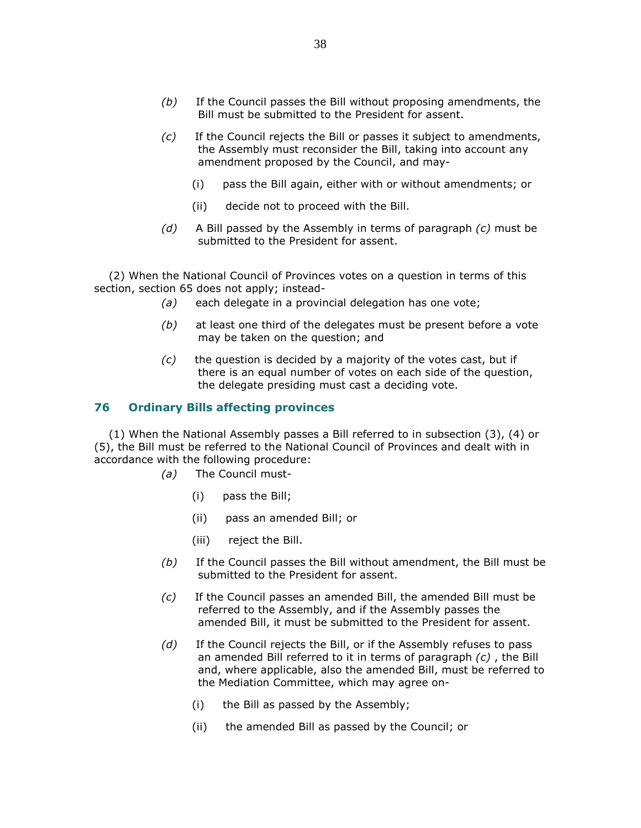- $(b)$  If the Council passes the Bill without proposing amendments, the Bill must be submitted to the President for assent.
- (c) If the Council rejects the Bill or passes it subject to amendments, the Assembly must reconsider the Bill, taking into account any amendment proposed by the Council, and may-
	- (i) pass the Bill again, either with or without amendments; or
	- (ii) decide not to proceed with the Bill.
- (d) A Bill passed by the Assembly in terms of paragraph  $(c)$  must be submitted to the President for assent.

 (2) When the National Council of Provinces votes on a question in terms of this section, section 65 does not apply; instead-

- (a) each delegate in a provincial delegation has one vote;
- $(b)$  at least one third of the delegates must be present before a vote may be taken on the question; and
- $(c)$  the question is decided by a majority of the votes cast, but if there is an equal number of votes on each side of the question, the delegate presiding must cast a deciding vote.

## 76 Ordinary Bills affecting provinces

 (1) When the National Assembly passes a Bill referred to in subsection (3), (4) or (5), the Bill must be referred to the National Council of Provinces and dealt with in accordance with the following procedure:

- (a) The Council must-
	- (i) pass the Bill;
	- (ii) pass an amended Bill; or
	- (iii) reject the Bill.
- $(b)$  If the Council passes the Bill without amendment, the Bill must be submitted to the President for assent.
- (c) If the Council passes an amended Bill, the amended Bill must be referred to the Assembly, and if the Assembly passes the amended Bill, it must be submitted to the President for assent.
- (d) If the Council rejects the Bill, or if the Assembly refuses to pass an amended Bill referred to it in terms of paragraph  $(c)$ , the Bill and, where applicable, also the amended Bill, must be referred to the Mediation Committee, which may agree on-
	- (i) the Bill as passed by the Assembly;
	- (ii) the amended Bill as passed by the Council; or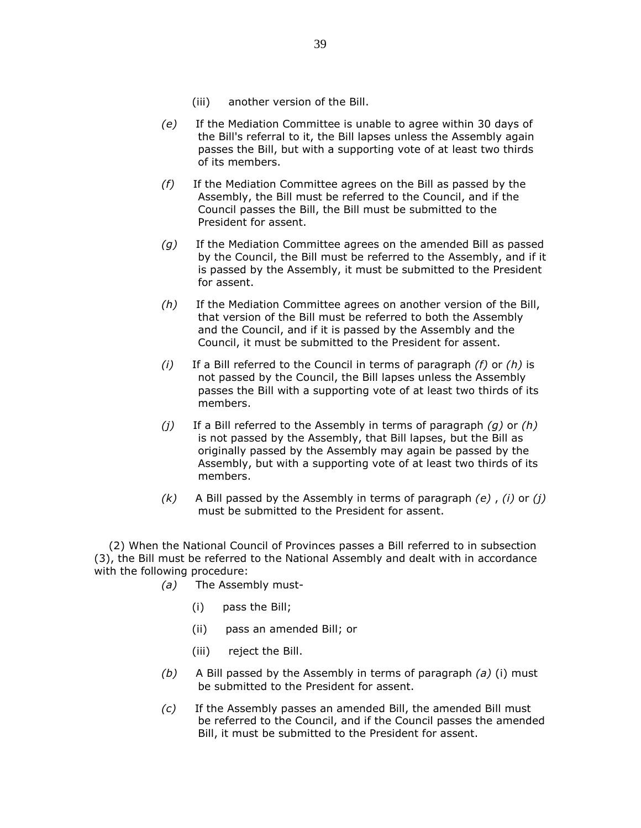- (iii) another version of the Bill.
- (e) If the Mediation Committee is unable to agree within 30 days of the Bill's referral to it, the Bill lapses unless the Assembly again passes the Bill, but with a supporting vote of at least two thirds of its members.
- $(f)$  If the Mediation Committee agrees on the Bill as passed by the Assembly, the Bill must be referred to the Council, and if the Council passes the Bill, the Bill must be submitted to the President for assent.
- $(q)$  If the Mediation Committee agrees on the amended Bill as passed by the Council, the Bill must be referred to the Assembly, and if it is passed by the Assembly, it must be submitted to the President for assent.
- (h) If the Mediation Committee agrees on another version of the Bill, that version of the Bill must be referred to both the Assembly and the Council, and if it is passed by the Assembly and the Council, it must be submitted to the President for assent.
- (i) If a Bill referred to the Council in terms of paragraph  $(f)$  or  $(h)$  is not passed by the Council, the Bill lapses unless the Assembly passes the Bill with a supporting vote of at least two thirds of its members.
- (j) If a Bill referred to the Assembly in terms of paragraph  $(g)$  or  $(h)$ is not passed by the Assembly, that Bill lapses, but the Bill as originally passed by the Assembly may again be passed by the Assembly, but with a supporting vote of at least two thirds of its members.
- $(k)$  A Bill passed by the Assembly in terms of paragraph  $(e)$ ,  $(i)$  or  $(j)$ must be submitted to the President for assent.

 (2) When the National Council of Provinces passes a Bill referred to in subsection (3), the Bill must be referred to the National Assembly and dealt with in accordance with the following procedure:

- (a) The Assembly must-
	- (i) pass the Bill;
	- (ii) pass an amended Bill; or
	- (iii) reject the Bill.
- (b) A Bill passed by the Assembly in terms of paragraph  $(a)$  (i) must be submitted to the President for assent.
- (c) If the Assembly passes an amended Bill, the amended Bill must be referred to the Council, and if the Council passes the amended Bill, it must be submitted to the President for assent.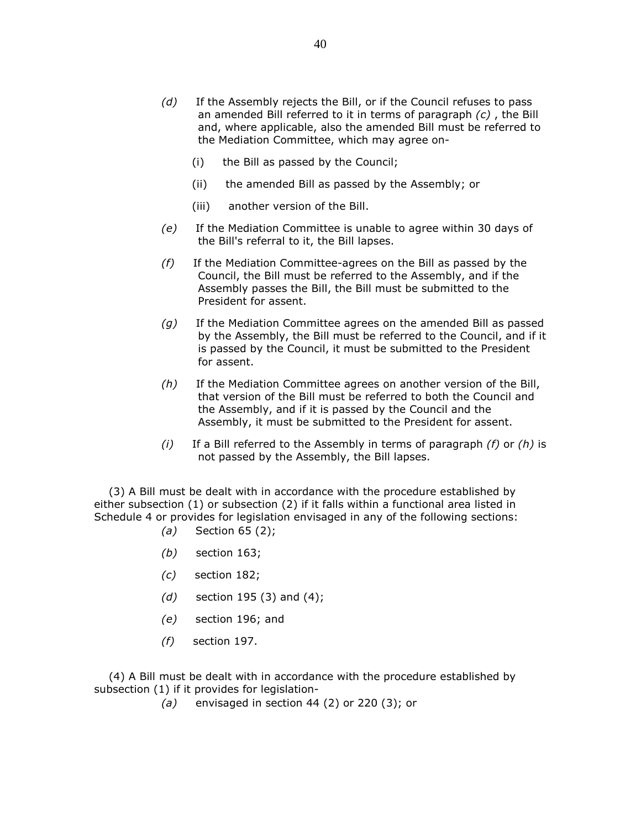- (d) If the Assembly rejects the Bill, or if the Council refuses to pass an amended Bill referred to it in terms of paragraph  $(c)$ , the Bill and, where applicable, also the amended Bill must be referred to the Mediation Committee, which may agree on-
	- (i) the Bill as passed by the Council;
	- (ii) the amended Bill as passed by the Assembly; or
	- (iii) another version of the Bill.
- (e) If the Mediation Committee is unable to agree within 30 days of the Bill's referral to it, the Bill lapses.
- $(f)$  If the Mediation Committee-agrees on the Bill as passed by the Council, the Bill must be referred to the Assembly, and if the Assembly passes the Bill, the Bill must be submitted to the President for assent.
- $(g)$  If the Mediation Committee agrees on the amended Bill as passed by the Assembly, the Bill must be referred to the Council, and if it is passed by the Council, it must be submitted to the President for assent.
- (h) If the Mediation Committee agrees on another version of the Bill, that version of the Bill must be referred to both the Council and the Assembly, and if it is passed by the Council and the Assembly, it must be submitted to the President for assent.
- (i) If a Bill referred to the Assembly in terms of paragraph  $(f)$  or  $(h)$  is not passed by the Assembly, the Bill lapses.

 (3) A Bill must be dealt with in accordance with the procedure established by either subsection (1) or subsection (2) if it falls within a functional area listed in Schedule 4 or provides for legislation envisaged in any of the following sections:

- (a) Section 65 (2);
- $(b)$  section 163;
- (c) section 182;
- (d) section 195 (3) and  $(4)$ ;
- (e) section 196; and
- $(f)$  section 197.

 (4) A Bill must be dealt with in accordance with the procedure established by subsection (1) if it provides for legislation-

(a) envisaged in section 44 (2) or 220 (3); or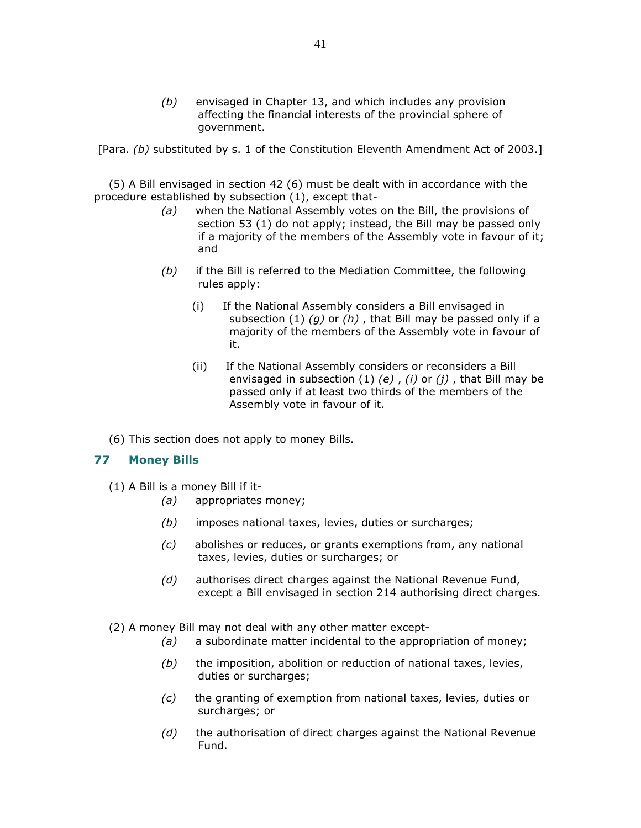(b) envisaged in Chapter 13, and which includes any provision affecting the financial interests of the provincial sphere of government.

[Para. (b) substituted by s. 1 of the Constitution Eleventh Amendment Act of 2003.]

 (5) A Bill envisaged in section 42 (6) must be dealt with in accordance with the procedure established by subsection (1), except that-

- (a) when the National Assembly votes on the Bill, the provisions of section 53 (1) do not apply; instead, the Bill may be passed only if a majority of the members of the Assembly vote in favour of it; and
- $(b)$  if the Bill is referred to the Mediation Committee, the following rules apply:
	- (i) If the National Assembly considers a Bill envisaged in subsection (1)  $(g)$  or (h), that Bill may be passed only if a majority of the members of the Assembly vote in favour of it.
	- (ii) If the National Assembly considers or reconsiders a Bill envisaged in subsection (1) (e), (i) or (j), that Bill may be passed only if at least two thirds of the members of the Assembly vote in favour of it.
- (6) This section does not apply to money Bills.

## 77 Money Bills

- (1) A Bill is a money Bill if it-
	- (a) appropriates money;
	- $(b)$  imposes national taxes, levies, duties or surcharges;
	- (c) abolishes or reduces, or grants exemptions from, any national taxes, levies, duties or surcharges; or
	- (d) authorises direct charges against the National Revenue Fund, except a Bill envisaged in section 214 authorising direct charges.
- (2) A money Bill may not deal with any other matter except-
	- $(a)$  a subordinate matter incidental to the appropriation of money;
	- $(b)$  the imposition, abolition or reduction of national taxes, levies, duties or surcharges;
	- $(c)$  the granting of exemption from national taxes, levies, duties or surcharges; or
	- $(d)$  the authorisation of direct charges against the National Revenue Fund.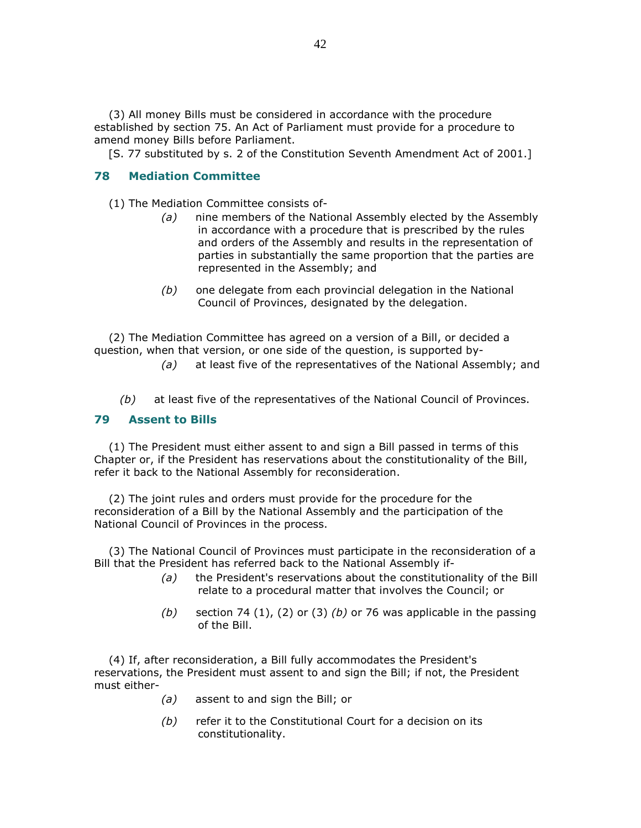(3) All money Bills must be considered in accordance with the procedure established by section 75. An Act of Parliament must provide for a procedure to amend money Bills before Parliament.

[S. 77 substituted by s. 2 of the Constitution Seventh Amendment Act of 2001.]

## 78 Mediation Committee

(1) The Mediation Committee consists of-

- (a) nine members of the National Assembly elected by the Assembly in accordance with a procedure that is prescribed by the rules and orders of the Assembly and results in the representation of parties in substantially the same proportion that the parties are represented in the Assembly; and
- (b) one delegate from each provincial delegation in the National Council of Provinces, designated by the delegation.

 (2) The Mediation Committee has agreed on a version of a Bill, or decided a question, when that version, or one side of the question, is supported by-

- (a) at least five of the representatives of the National Assembly; and
- (b) at least five of the representatives of the National Council of Provinces.

## 79 Assent to Bills

 (1) The President must either assent to and sign a Bill passed in terms of this Chapter or, if the President has reservations about the constitutionality of the Bill, refer it back to the National Assembly for reconsideration.

 (2) The joint rules and orders must provide for the procedure for the reconsideration of a Bill by the National Assembly and the participation of the National Council of Provinces in the process.

 (3) The National Council of Provinces must participate in the reconsideration of a Bill that the President has referred back to the National Assembly if-

- $(a)$  the President's reservations about the constitutionality of the Bill relate to a procedural matter that involves the Council; or
- (b) section 74 (1), (2) or (3) (b) or 76 was applicable in the passing of the Bill.

 (4) If, after reconsideration, a Bill fully accommodates the President's reservations, the President must assent to and sign the Bill; if not, the President must either-

- (a) assent to and sign the Bill; or
- $(b)$  refer it to the Constitutional Court for a decision on its constitutionality.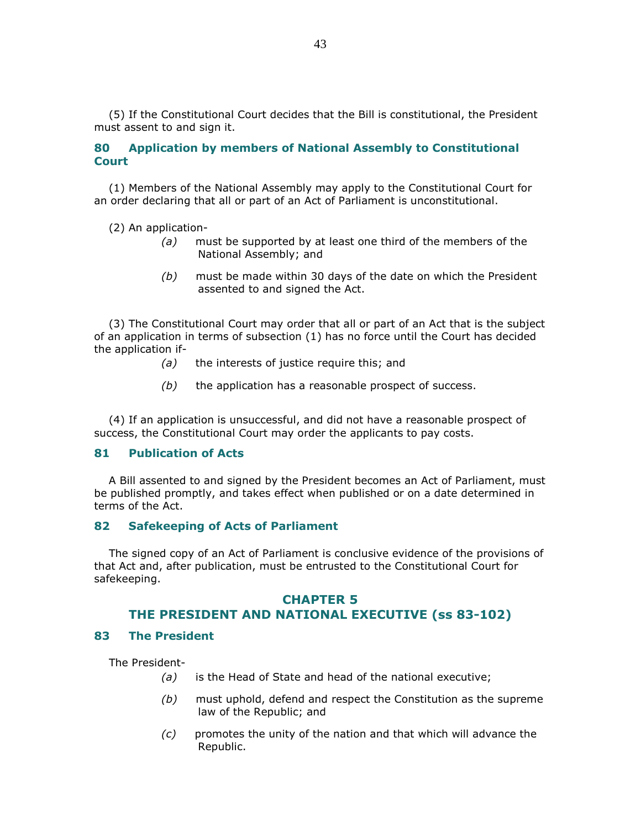(5) If the Constitutional Court decides that the Bill is constitutional, the President must assent to and sign it.

# 80 Application by members of National Assembly to Constitutional **Court**

 (1) Members of the National Assembly may apply to the Constitutional Court for an order declaring that all or part of an Act of Parliament is unconstitutional.

(2) An application-

- (a) must be supported by at least one third of the members of the National Assembly; and
- $(b)$  must be made within 30 days of the date on which the President assented to and signed the Act.

 (3) The Constitutional Court may order that all or part of an Act that is the subject of an application in terms of subsection (1) has no force until the Court has decided the application if-

- (a) the interests of justice require this; and
- $(b)$  the application has a reasonable prospect of success.

 (4) If an application is unsuccessful, and did not have a reasonable prospect of success, the Constitutional Court may order the applicants to pay costs.

### 81 Publication of Acts

 A Bill assented to and signed by the President becomes an Act of Parliament, must be published promptly, and takes effect when published or on a date determined in terms of the Act.

### 82 Safekeeping of Acts of Parliament

 The signed copy of an Act of Parliament is conclusive evidence of the provisions of that Act and, after publication, must be entrusted to the Constitutional Court for safekeeping.

# CHAPTER 5 THE PRESIDENT AND NATIONAL EXECUTIVE (ss 83-102)

### 83 The President

The President-

- (a) is the Head of State and head of the national executive;
- (b) must uphold, defend and respect the Constitution as the supreme law of the Republic; and
- $(c)$  promotes the unity of the nation and that which will advance the Republic.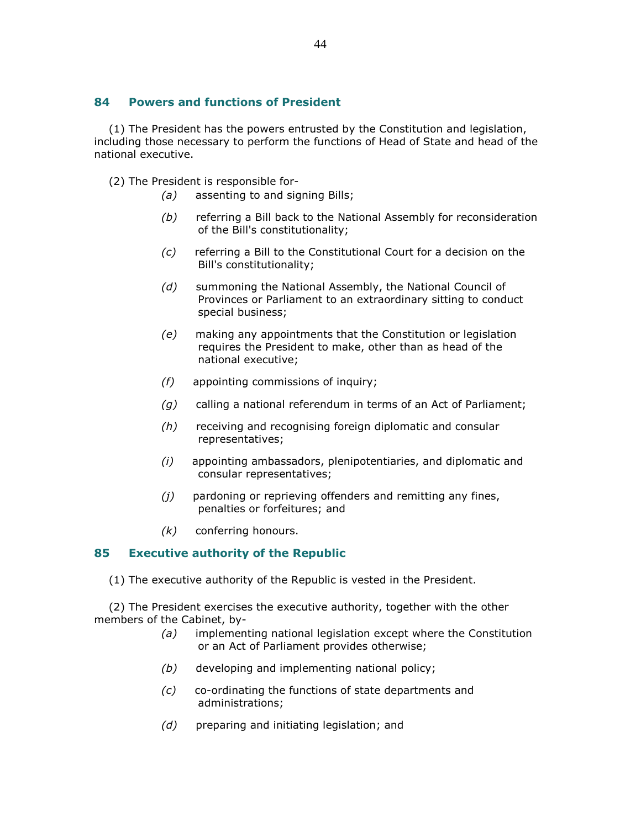# 84 Powers and functions of President

 (1) The President has the powers entrusted by the Constitution and legislation, including those necessary to perform the functions of Head of State and head of the national executive.

(2) The President is responsible for-

- (a) assenting to and signing Bills;
- (b) referring a Bill back to the National Assembly for reconsideration of the Bill's constitutionality;
- (c) referring a Bill to the Constitutional Court for a decision on the Bill's constitutionality;
- (d) summoning the National Assembly, the National Council of Provinces or Parliament to an extraordinary sitting to conduct special business;
- (e) making any appointments that the Constitution or legislation requires the President to make, other than as head of the national executive;
- (f) appointing commissions of inquiry;
- $(q)$  calling a national referendum in terms of an Act of Parliament;
- (h) receiving and recognising foreign diplomatic and consular representatives;
- (i) appointing ambassadors, plenipotentiaries, and diplomatic and consular representatives;
- $(i)$  pardoning or reprieving offenders and remitting any fines, penalties or forfeitures; and
- (k) conferring honours.

## 85 Executive authority of the Republic

(1) The executive authority of the Republic is vested in the President.

 (2) The President exercises the executive authority, together with the other members of the Cabinet, by-

- $(a)$  implementing national legislation except where the Constitution or an Act of Parliament provides otherwise;
- (b) developing and implementing national policy;
- (c) co-ordinating the functions of state departments and administrations;
- (d) preparing and initiating legislation; and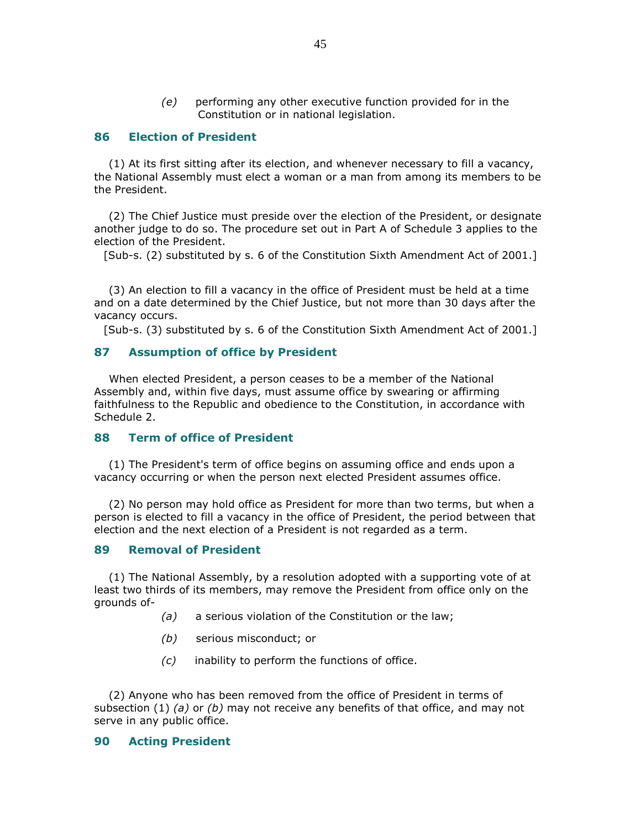(e) performing any other executive function provided for in the Constitution or in national legislation.

## 86 Election of President

 (1) At its first sitting after its election, and whenever necessary to fill a vacancy, the National Assembly must elect a woman or a man from among its members to be the President.

 (2) The Chief Justice must preside over the election of the President, or designate another judge to do so. The procedure set out in Part A of Schedule 3 applies to the election of the President.

[Sub-s. (2) substituted by s. 6 of the Constitution Sixth Amendment Act of 2001.]

 (3) An election to fill a vacancy in the office of President must be held at a time and on a date determined by the Chief Justice, but not more than 30 days after the vacancy occurs.

[Sub-s. (3) substituted by s. 6 of the Constitution Sixth Amendment Act of 2001.]

## 87 Assumption of office by President

 When elected President, a person ceases to be a member of the National Assembly and, within five days, must assume office by swearing or affirming faithfulness to the Republic and obedience to the Constitution, in accordance with Schedule 2.

# 88 Term of office of President

 (1) The President's term of office begins on assuming office and ends upon a vacancy occurring or when the person next elected President assumes office.

 (2) No person may hold office as President for more than two terms, but when a person is elected to fill a vacancy in the office of President, the period between that election and the next election of a President is not regarded as a term.

# 89 Removal of President

 (1) The National Assembly, by a resolution adopted with a supporting vote of at least two thirds of its members, may remove the President from office only on the grounds of-

- (a) a serious violation of the Constitution or the law;
- (b) serious misconduct; or
- (c) inability to perform the functions of office.

 (2) Anyone who has been removed from the office of President in terms of subsection  $(1)$  (a) or (b) may not receive any benefits of that office, and may not serve in any public office.

## 90 Acting President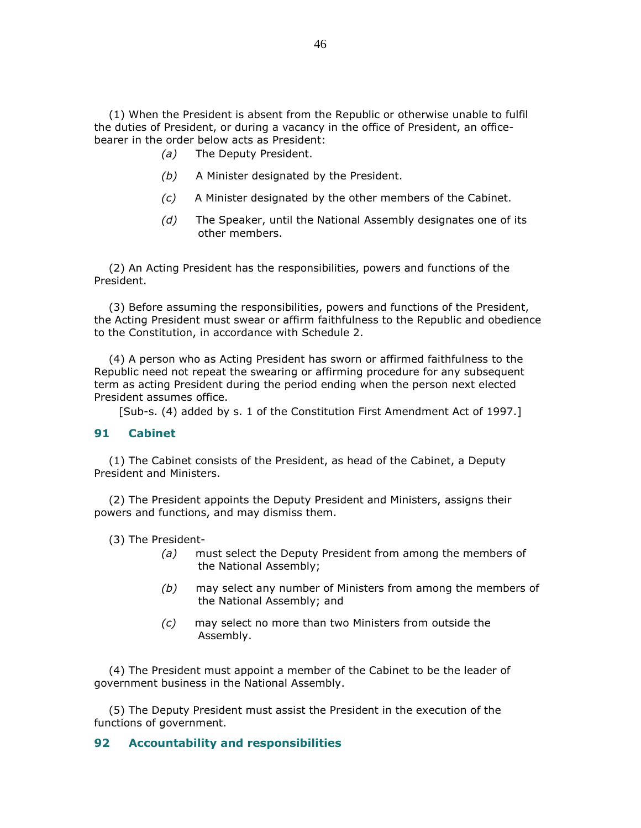(1) When the President is absent from the Republic or otherwise unable to fulfil the duties of President, or during a vacancy in the office of President, an officebearer in the order below acts as President:

- (a) The Deputy President.
- (b) A Minister designated by the President.
- $(c)$  A Minister designated by the other members of the Cabinet.
- $(d)$  The Speaker, until the National Assembly designates one of its other members.

 (2) An Acting President has the responsibilities, powers and functions of the President.

 (3) Before assuming the responsibilities, powers and functions of the President, the Acting President must swear or affirm faithfulness to the Republic and obedience to the Constitution, in accordance with Schedule 2.

 (4) A person who as Acting President has sworn or affirmed faithfulness to the Republic need not repeat the swearing or affirming procedure for any subsequent term as acting President during the period ending when the person next elected President assumes office.

[Sub-s. (4) added by s. 1 of the Constitution First Amendment Act of 1997.]

#### 91 Cabinet

 (1) The Cabinet consists of the President, as head of the Cabinet, a Deputy President and Ministers.

 (2) The President appoints the Deputy President and Ministers, assigns their powers and functions, and may dismiss them.

(3) The President-

- (a) must select the Deputy President from among the members of the National Assembly;
- (b) may select any number of Ministers from among the members of the National Assembly; and
- (c) may select no more than two Ministers from outside the Assembly.

 (4) The President must appoint a member of the Cabinet to be the leader of government business in the National Assembly.

 (5) The Deputy President must assist the President in the execution of the functions of government.

#### 92 Accountability and responsibilities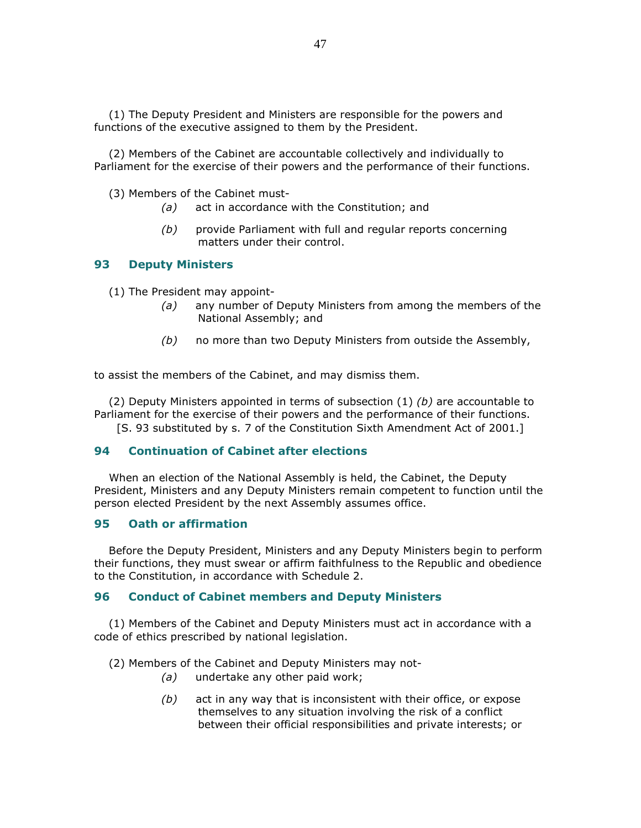(1) The Deputy President and Ministers are responsible for the powers and functions of the executive assigned to them by the President.

 (2) Members of the Cabinet are accountable collectively and individually to Parliament for the exercise of their powers and the performance of their functions.

(3) Members of the Cabinet must-

- (a) act in accordance with the Constitution; and
- $(b)$  provide Parliament with full and regular reports concerning matters under their control.

## 93 Deputy Ministers

(1) The President may appoint-

- (a) any number of Deputy Ministers from among the members of the National Assembly; and
- $(b)$  no more than two Deputy Ministers from outside the Assembly,

to assist the members of the Cabinet, and may dismiss them.

(2) Deputy Ministers appointed in terms of subsection  $(1)$  (b) are accountable to Parliament for the exercise of their powers and the performance of their functions. [S. 93 substituted by s. 7 of the Constitution Sixth Amendment Act of 2001.]

#### 94 Continuation of Cabinet after elections

 When an election of the National Assembly is held, the Cabinet, the Deputy President, Ministers and any Deputy Ministers remain competent to function until the person elected President by the next Assembly assumes office.

### 95 Oath or affirmation

 Before the Deputy President, Ministers and any Deputy Ministers begin to perform their functions, they must swear or affirm faithfulness to the Republic and obedience to the Constitution, in accordance with Schedule 2.

#### 96 Conduct of Cabinet members and Deputy Ministers

 (1) Members of the Cabinet and Deputy Ministers must act in accordance with a code of ethics prescribed by national legislation.

(2) Members of the Cabinet and Deputy Ministers may not-

- (a) undertake any other paid work;
- $(b)$  act in any way that is inconsistent with their office, or expose themselves to any situation involving the risk of a conflict between their official responsibilities and private interests; or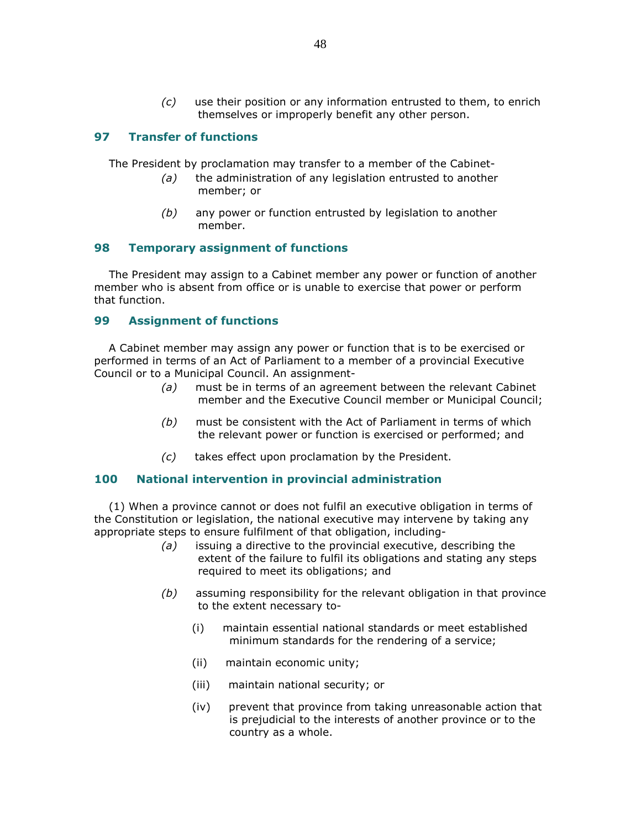$(c)$  use their position or any information entrusted to them, to enrich themselves or improperly benefit any other person.

# 97 Transfer of functions

The President by proclamation may transfer to a member of the Cabinet-

- (a) the administration of any legislation entrusted to another member; or
- $(b)$  any power or function entrusted by legislation to another member.

## 98 Temporary assignment of functions

 The President may assign to a Cabinet member any power or function of another member who is absent from office or is unable to exercise that power or perform that function.

# 99 Assignment of functions

 A Cabinet member may assign any power or function that is to be exercised or performed in terms of an Act of Parliament to a member of a provincial Executive Council or to a Municipal Council. An assignment-

- (a) must be in terms of an agreement between the relevant Cabinet member and the Executive Council member or Municipal Council;
- $(b)$  must be consistent with the Act of Parliament in terms of which the relevant power or function is exercised or performed; and
- (c) takes effect upon proclamation by the President.

## 100 National intervention in provincial administration

 (1) When a province cannot or does not fulfil an executive obligation in terms of the Constitution or legislation, the national executive may intervene by taking any appropriate steps to ensure fulfilment of that obligation, including-

- $(a)$  issuing a directive to the provincial executive, describing the extent of the failure to fulfil its obligations and stating any steps required to meet its obligations; and
- (b) assuming responsibility for the relevant obligation in that province to the extent necessary to-
	- (i) maintain essential national standards or meet established minimum standards for the rendering of a service;
	- (ii) maintain economic unity;
	- (iii) maintain national security; or
	- (iv) prevent that province from taking unreasonable action that is prejudicial to the interests of another province or to the country as a whole.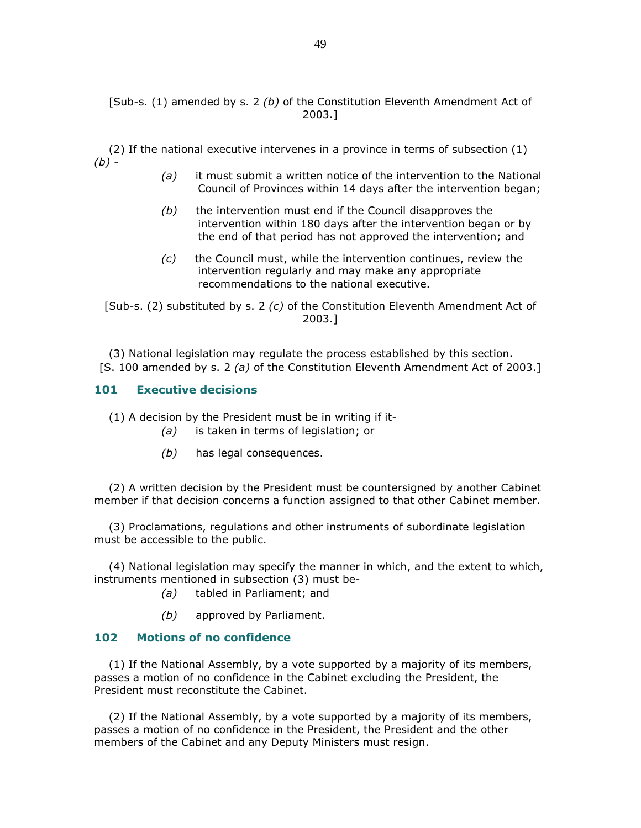[Sub-s. (1) amended by s. 2 (b) of the Constitution Eleventh Amendment Act of 2003.]

 (2) If the national executive intervenes in a province in terms of subsection (1)  $(b)$  -

- $(a)$  it must submit a written notice of the intervention to the National Council of Provinces within 14 days after the intervention began;
- $(b)$  the intervention must end if the Council disapproves the intervention within 180 days after the intervention began or by the end of that period has not approved the intervention; and
- (c) the Council must, while the intervention continues, review the intervention regularly and may make any appropriate recommendations to the national executive.

[Sub-s. (2) substituted by s. 2 (c) of the Constitution Eleventh Amendment Act of 2003.]

 (3) National legislation may regulate the process established by this section. [S. 100 amended by s. 2 (a) of the Constitution Eleventh Amendment Act of 2003.]

## 101 Executive decisions

(1) A decision by the President must be in writing if it-

- (a) is taken in terms of legislation; or
- (b) has legal consequences.

 (2) A written decision by the President must be countersigned by another Cabinet member if that decision concerns a function assigned to that other Cabinet member.

 (3) Proclamations, regulations and other instruments of subordinate legislation must be accessible to the public.

 (4) National legislation may specify the manner in which, and the extent to which, instruments mentioned in subsection (3) must be-

- (a) tabled in Parliament; and
- (b) approved by Parliament.

## 102 Motions of no confidence

 (1) If the National Assembly, by a vote supported by a majority of its members, passes a motion of no confidence in the Cabinet excluding the President, the President must reconstitute the Cabinet.

 (2) If the National Assembly, by a vote supported by a majority of its members, passes a motion of no confidence in the President, the President and the other members of the Cabinet and any Deputy Ministers must resign.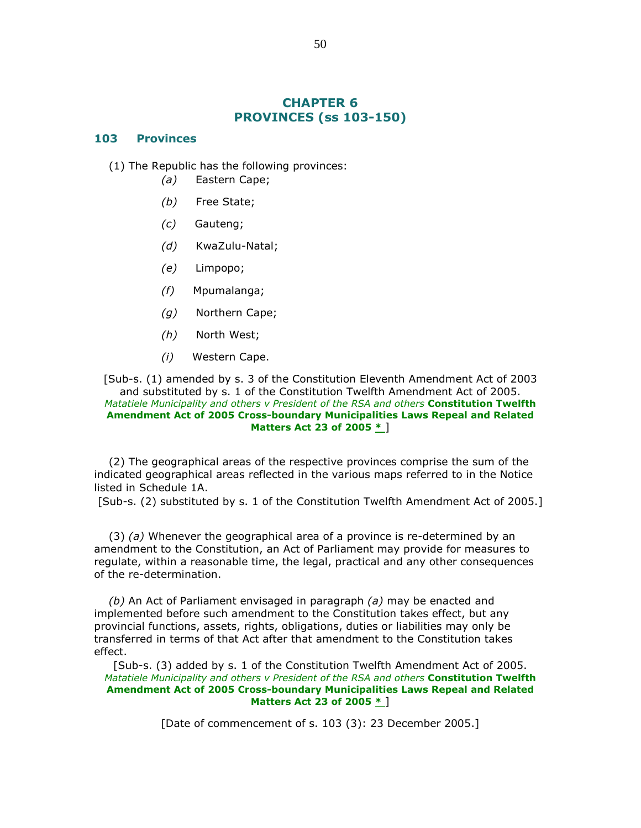# CHAPTER 6 PROVINCES (ss 103-150)

#### 103 Provinces

- (1) The Republic has the following provinces:
	- (a) Eastern Cape;
	- (b) Free State;
	- (c) Gauteng;
	- (d) KwaZulu-Natal;
	- (e) Limpopo;
	- (f) Mpumalanga;
	- (g) Northern Cape;
	- (h) North West;
	- (i) Western Cape.

[Sub-s. (1) amended by s. 3 of the Constitution Eleventh Amendment Act of 2003 and substituted by s. 1 of the Constitution Twelfth Amendment Act of 2005. Matatiele Municipality and others v President of the RSA and others **Constitution Twelfth** Amendment Act of 2005 Cross-boundary Municipalities Laws Repeal and Related Matters Act 23 of 2005 \* ]

 (2) The geographical areas of the respective provinces comprise the sum of the indicated geographical areas reflected in the various maps referred to in the Notice listed in Schedule 1A.

[Sub-s. (2) substituted by s. 1 of the Constitution Twelfth Amendment Act of 2005.]

(3) (a) Whenever the geographical area of a province is re-determined by an amendment to the Constitution, an Act of Parliament may provide for measures to regulate, within a reasonable time, the legal, practical and any other consequences of the re-determination.

(b) An Act of Parliament envisaged in paragraph  $(a)$  may be enacted and implemented before such amendment to the Constitution takes effect, but any provincial functions, assets, rights, obligations, duties or liabilities may only be transferred in terms of that Act after that amendment to the Constitution takes effect.

[Sub-s. (3) added by s. 1 of the Constitution Twelfth Amendment Act of 2005. Matatiele Municipality and others v President of the RSA and others **Constitution Twelfth** Amendment Act of 2005 Cross-boundary Municipalities Laws Repeal and Related Matters Act 23 of 2005 \* ]

[Date of commencement of s. 103 (3): 23 December 2005.]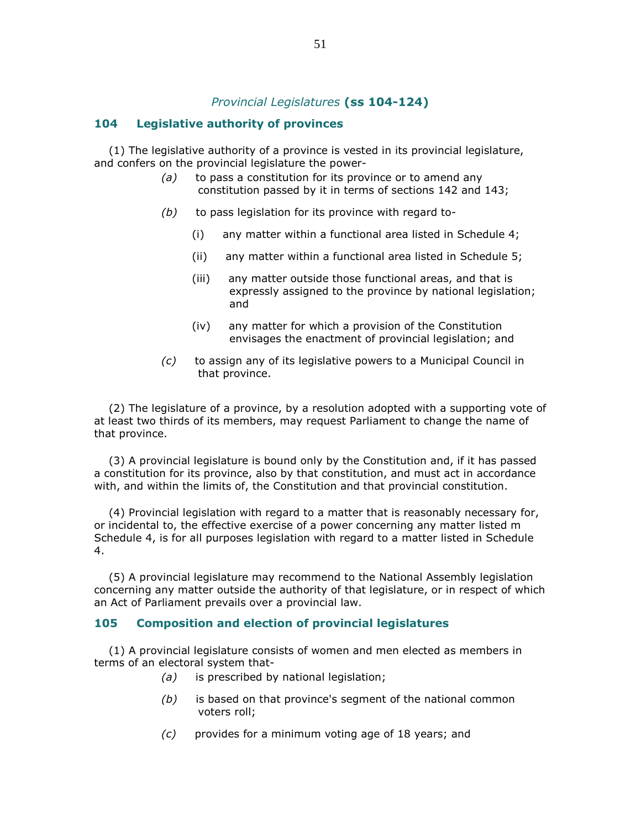# Provincial Legislatures (ss 104-124)

# 104 Legislative authority of provinces

 (1) The legislative authority of a province is vested in its provincial legislature, and confers on the provincial legislature the power-

- $(a)$  to pass a constitution for its province or to amend any constitution passed by it in terms of sections 142 and 143;
- $(b)$  to pass legislation for its province with regard to-
	- (i) any matter within a functional area listed in Schedule 4;
	- (ii) any matter within a functional area listed in Schedule 5;
	- (iii) any matter outside those functional areas, and that is expressly assigned to the province by national legislation; and
	- (iv) any matter for which a provision of the Constitution envisages the enactment of provincial legislation; and
- $(c)$  to assign any of its legislative powers to a Municipal Council in that province.

 (2) The legislature of a province, by a resolution adopted with a supporting vote of at least two thirds of its members, may request Parliament to change the name of that province.

 (3) A provincial legislature is bound only by the Constitution and, if it has passed a constitution for its province, also by that constitution, and must act in accordance with, and within the limits of, the Constitution and that provincial constitution.

 (4) Provincial legislation with regard to a matter that is reasonably necessary for, or incidental to, the effective exercise of a power concerning any matter listed m Schedule 4, is for all purposes legislation with regard to a matter listed in Schedule 4.

 (5) A provincial legislature may recommend to the National Assembly legislation concerning any matter outside the authority of that legislature, or in respect of which an Act of Parliament prevails over a provincial law.

## 105 Composition and election of provincial legislatures

 (1) A provincial legislature consists of women and men elected as members in terms of an electoral system that-

- (a) is prescribed by national legislation;
- (b) is based on that province's segment of the national common voters roll;
- (c) provides for a minimum voting age of 18 years; and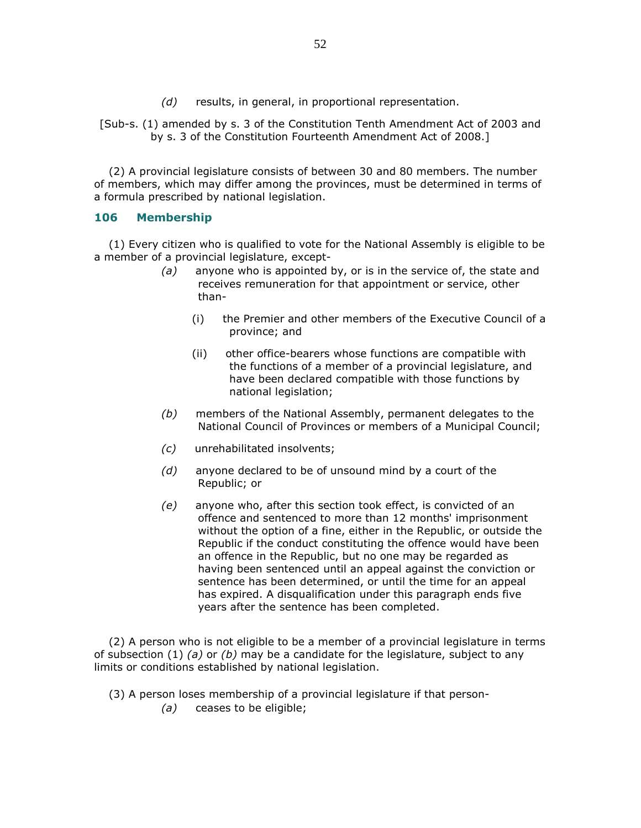$(d)$  results, in general, in proportional representation.

[Sub-s. (1) amended by s. 3 of the Constitution Tenth Amendment Act of 2003 and by s. 3 of the Constitution Fourteenth Amendment Act of 2008.]

 (2) A provincial legislature consists of between 30 and 80 members. The number of members, which may differ among the provinces, must be determined in terms of a formula prescribed by national legislation.

### 106 Membership

 (1) Every citizen who is qualified to vote for the National Assembly is eligible to be a member of a provincial legislature, except-

- $(a)$  anyone who is appointed by, or is in the service of, the state and receives remuneration for that appointment or service, other than-
	- (i) the Premier and other members of the Executive Council of a province; and
	- (ii) other office-bearers whose functions are compatible with the functions of a member of a provincial legislature, and have been declared compatible with those functions by national legislation;
- (b) members of the National Assembly, permanent delegates to the National Council of Provinces or members of a Municipal Council;
- (c) unrehabilitated insolvents;
- $(d)$  anyone declared to be of unsound mind by a court of the Republic; or
- (e) anyone who, after this section took effect, is convicted of an offence and sentenced to more than 12 months' imprisonment without the option of a fine, either in the Republic, or outside the Republic if the conduct constituting the offence would have been an offence in the Republic, but no one may be regarded as having been sentenced until an appeal against the conviction or sentence has been determined, or until the time for an appeal has expired. A disqualification under this paragraph ends five years after the sentence has been completed.

 (2) A person who is not eligible to be a member of a provincial legislature in terms of subsection (1) (a) or (b) may be a candidate for the legislature, subject to any limits or conditions established by national legislation.

- (3) A person loses membership of a provincial legislature if that person-
	- (a) ceases to be eligible;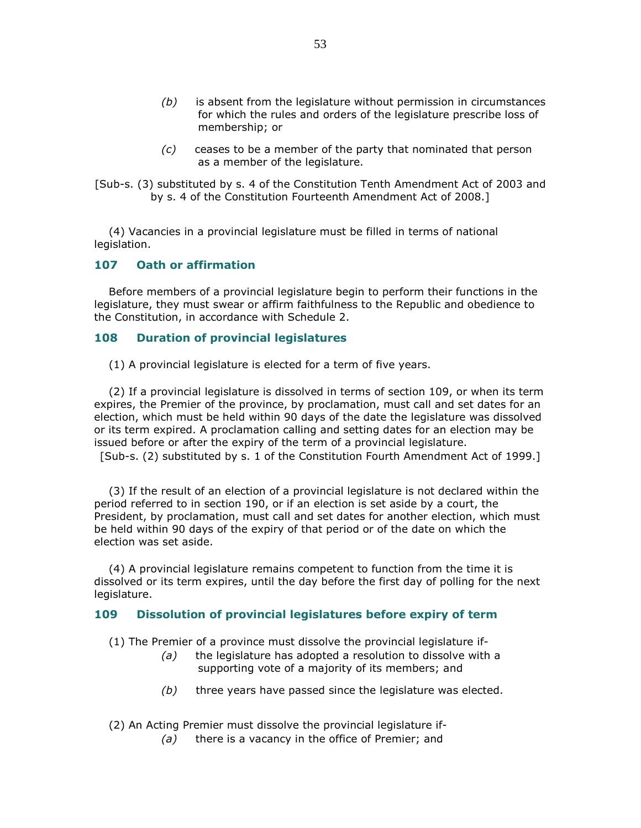- $(b)$  is absent from the legislature without permission in circumstances for which the rules and orders of the legislature prescribe loss of membership; or
- (c) ceases to be a member of the party that nominated that person as a member of the legislature.

[Sub-s. (3) substituted by s. 4 of the Constitution Tenth Amendment Act of 2003 and by s. 4 of the Constitution Fourteenth Amendment Act of 2008.]

 (4) Vacancies in a provincial legislature must be filled in terms of national legislation.

# 107 Oath or affirmation

 Before members of a provincial legislature begin to perform their functions in the legislature, they must swear or affirm faithfulness to the Republic and obedience to the Constitution, in accordance with Schedule 2.

## 108 Duration of provincial legislatures

(1) A provincial legislature is elected for a term of five years.

 (2) If a provincial legislature is dissolved in terms of section 109, or when its term expires, the Premier of the province, by proclamation, must call and set dates for an election, which must be held within 90 days of the date the legislature was dissolved or its term expired. A proclamation calling and setting dates for an election may be issued before or after the expiry of the term of a provincial legislature.

[Sub-s. (2) substituted by s. 1 of the Constitution Fourth Amendment Act of 1999.]

 (3) If the result of an election of a provincial legislature is not declared within the period referred to in section 190, or if an election is set aside by a court, the President, by proclamation, must call and set dates for another election, which must be held within 90 days of the expiry of that period or of the date on which the election was set aside.

 (4) A provincial legislature remains competent to function from the time it is dissolved or its term expires, until the day before the first day of polling for the next legislature.

# 109 Dissolution of provincial legislatures before expiry of term

(1) The Premier of a province must dissolve the provincial legislature if-

- (a) the legislature has adopted a resolution to dissolve with a supporting vote of a majority of its members; and
- $(b)$  three years have passed since the legislature was elected.

(2) An Acting Premier must dissolve the provincial legislature if-

(a) there is a vacancy in the office of Premier; and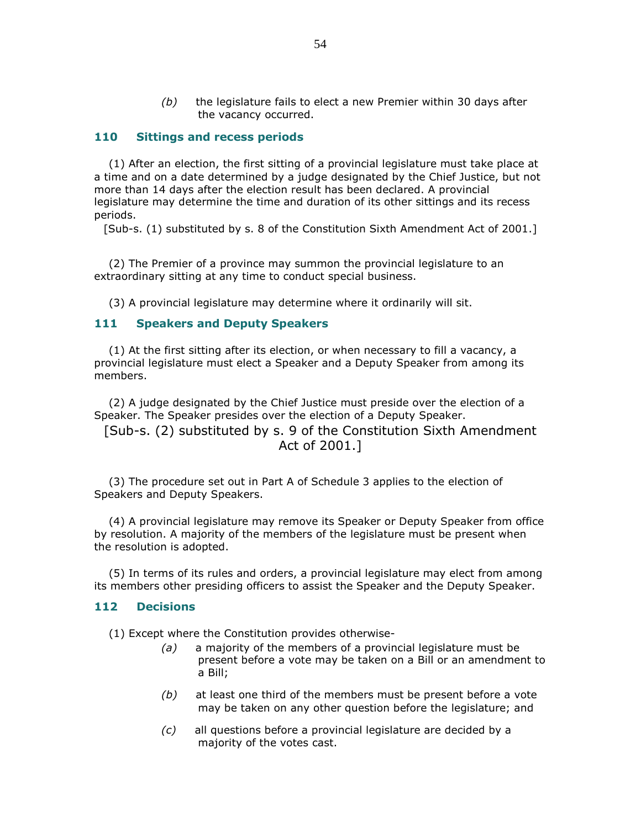$(b)$  the legislature fails to elect a new Premier within 30 days after the vacancy occurred.

## 110 Sittings and recess periods

 (1) After an election, the first sitting of a provincial legislature must take place at a time and on a date determined by a judge designated by the Chief Justice, but not more than 14 days after the election result has been declared. A provincial legislature may determine the time and duration of its other sittings and its recess periods.

[Sub-s. (1) substituted by s. 8 of the Constitution Sixth Amendment Act of 2001.]

 (2) The Premier of a province may summon the provincial legislature to an extraordinary sitting at any time to conduct special business.

(3) A provincial legislature may determine where it ordinarily will sit.

#### 111 Speakers and Deputy Speakers

 (1) At the first sitting after its election, or when necessary to fill a vacancy, a provincial legislature must elect a Speaker and a Deputy Speaker from among its members.

 (2) A judge designated by the Chief Justice must preside over the election of a Speaker. The Speaker presides over the election of a Deputy Speaker.

[Sub-s. (2) substituted by s. 9 of the Constitution Sixth Amendment Act of 2001.]

 (3) The procedure set out in Part A of Schedule 3 applies to the election of Speakers and Deputy Speakers.

 (4) A provincial legislature may remove its Speaker or Deputy Speaker from office by resolution. A majority of the members of the legislature must be present when the resolution is adopted.

 (5) In terms of its rules and orders, a provincial legislature may elect from among its members other presiding officers to assist the Speaker and the Deputy Speaker.

#### 112 Decisions

(1) Except where the Constitution provides otherwise-

- (a) a majority of the members of a provincial legislature must be present before a vote may be taken on a Bill or an amendment to a Bill;
- $(b)$  at least one third of the members must be present before a vote may be taken on any other question before the legislature; and
- (c) all questions before a provincial legislature are decided by a majority of the votes cast.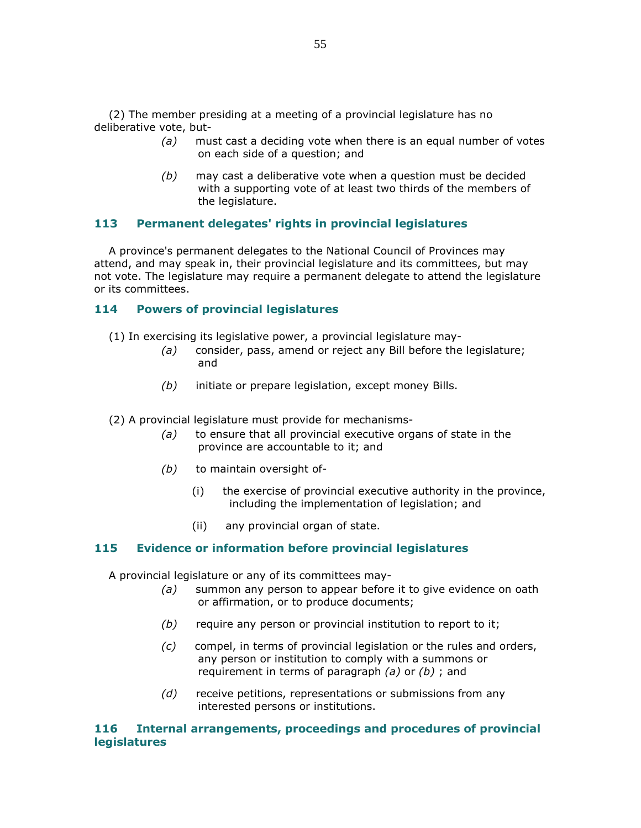(2) The member presiding at a meeting of a provincial legislature has no deliberative vote, but-

- $(a)$  must cast a deciding vote when there is an equal number of votes on each side of a question; and
- $(b)$  may cast a deliberative vote when a question must be decided with a supporting vote of at least two thirds of the members of the legislature.

## 113 Permanent delegates' rights in provincial legislatures

 A province's permanent delegates to the National Council of Provinces may attend, and may speak in, their provincial legislature and its committees, but may not vote. The legislature may require a permanent delegate to attend the legislature or its committees.

### 114 Powers of provincial legislatures

- (1) In exercising its legislative power, a provincial legislature may-
	- (a) consider, pass, amend or reject any Bill before the legislature; and
	- $(b)$  initiate or prepare legislation, except money Bills.

(2) A provincial legislature must provide for mechanisms-

- $(a)$  to ensure that all provincial executive organs of state in the province are accountable to it; and
- (b) to maintain oversight of-
	- (i) the exercise of provincial executive authority in the province, including the implementation of legislation; and
	- (ii) any provincial organ of state.

## 115 Evidence or information before provincial legislatures

A provincial legislature or any of its committees may-

- (a) summon any person to appear before it to give evidence on oath or affirmation, or to produce documents;
- $(b)$  require any person or provincial institution to report to it;
- (c) compel, in terms of provincial legislation or the rules and orders, any person or institution to comply with a summons or requirement in terms of paragraph  $(a)$  or  $(b)$ ; and
- $(d)$  receive petitions, representations or submissions from any interested persons or institutions.

#### 116 Internal arrangements, proceedings and procedures of provincial legislatures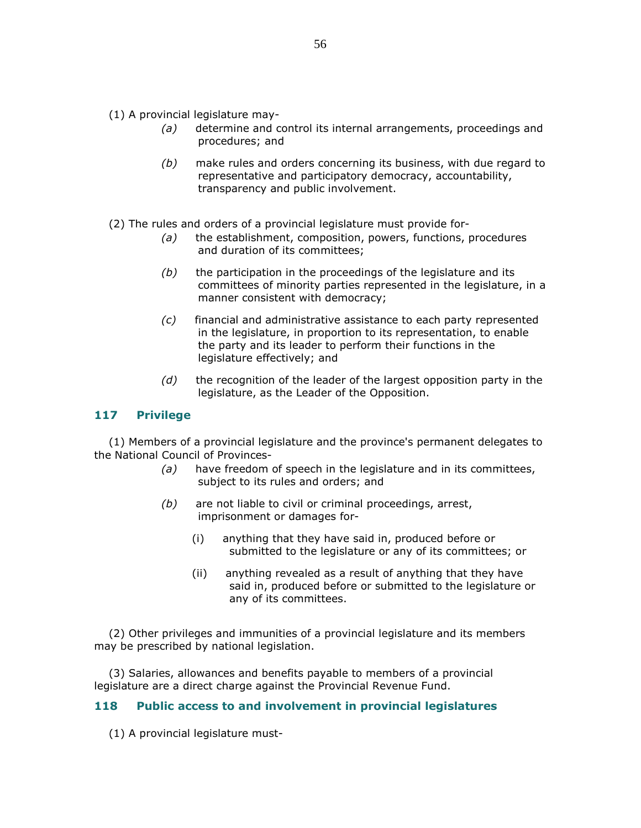- (1) A provincial legislature may-
	- (a) determine and control its internal arrangements, proceedings and procedures; and
	- $(b)$  make rules and orders concerning its business, with due regard to representative and participatory democracy, accountability, transparency and public involvement.
- (2) The rules and orders of a provincial legislature must provide for-
	- $(a)$  the establishment, composition, powers, functions, procedures and duration of its committees;
	- $(b)$  the participation in the proceedings of the legislature and its committees of minority parties represented in the legislature, in a manner consistent with democracy;
	- $(c)$  financial and administrative assistance to each party represented in the legislature, in proportion to its representation, to enable the party and its leader to perform their functions in the legislature effectively; and
	- $(d)$  the recognition of the leader of the largest opposition party in the legislature, as the Leader of the Opposition.

## 117 Privilege

 (1) Members of a provincial legislature and the province's permanent delegates to the National Council of Provinces-

- $(a)$  have freedom of speech in the legislature and in its committees, subject to its rules and orders; and
- (b) are not liable to civil or criminal proceedings, arrest, imprisonment or damages for-
	- (i) anything that they have said in, produced before or submitted to the legislature or any of its committees; or
	- (ii) anything revealed as a result of anything that they have said in, produced before or submitted to the legislature or any of its committees.

 (2) Other privileges and immunities of a provincial legislature and its members may be prescribed by national legislation.

 (3) Salaries, allowances and benefits payable to members of a provincial legislature are a direct charge against the Provincial Revenue Fund.

## 118 Public access to and involvement in provincial legislatures

(1) A provincial legislature must-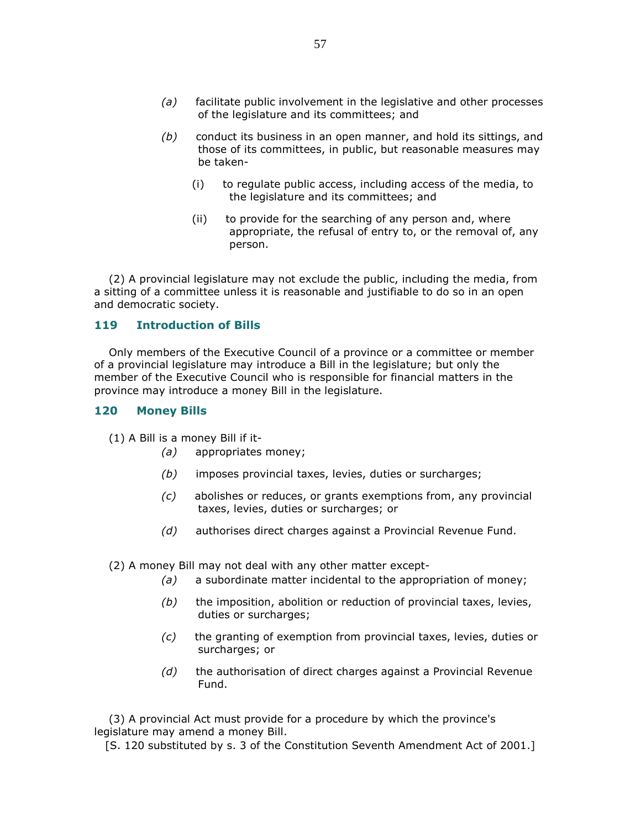- (a) facilitate public involvement in the legislative and other processes of the legislature and its committees; and
- $(b)$  conduct its business in an open manner, and hold its sittings, and those of its committees, in public, but reasonable measures may be taken-
	- (i) to regulate public access, including access of the media, to the legislature and its committees; and
	- (ii) to provide for the searching of any person and, where appropriate, the refusal of entry to, or the removal of, any person.

 (2) A provincial legislature may not exclude the public, including the media, from a sitting of a committee unless it is reasonable and justifiable to do so in an open and democratic society.

### 119 Introduction of Bills

 Only members of the Executive Council of a province or a committee or member of a provincial legislature may introduce a Bill in the legislature; but only the member of the Executive Council who is responsible for financial matters in the province may introduce a money Bill in the legislature.

#### 120 Money Bills

(1) A Bill is a money Bill if it-

- (a) appropriates money;
- $(b)$  imposes provincial taxes, levies, duties or surcharges;
- $(c)$  abolishes or reduces, or grants exemptions from, any provincial taxes, levies, duties or surcharges; or
- (d) authorises direct charges against a Provincial Revenue Fund.

(2) A money Bill may not deal with any other matter except-

- (a) a subordinate matter incidental to the appropriation of money;
- $(b)$  the imposition, abolition or reduction of provincial taxes, levies, duties or surcharges;
- (c) the granting of exemption from provincial taxes, levies, duties or surcharges; or
- $(d)$  the authorisation of direct charges against a Provincial Revenue Fund.

 (3) A provincial Act must provide for a procedure by which the province's legislature may amend a money Bill.

[S. 120 substituted by s. 3 of the Constitution Seventh Amendment Act of 2001.]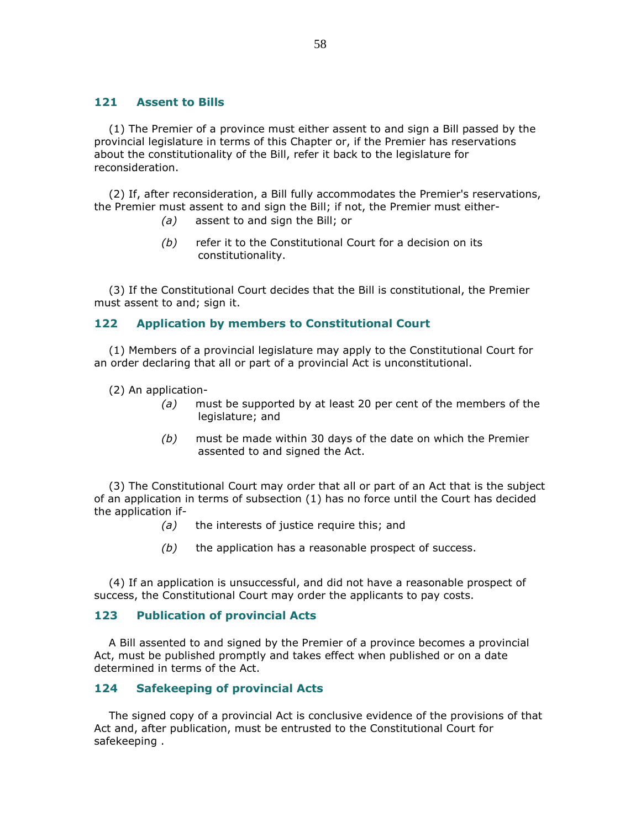### 121 Assent to Bills

 (1) The Premier of a province must either assent to and sign a Bill passed by the provincial legislature in terms of this Chapter or, if the Premier has reservations about the constitutionality of the Bill, refer it back to the legislature for reconsideration.

 (2) If, after reconsideration, a Bill fully accommodates the Premier's reservations, the Premier must assent to and sign the Bill; if not, the Premier must either-

- (a) assent to and sign the Bill; or
- $(b)$  refer it to the Constitutional Court for a decision on its constitutionality.

 (3) If the Constitutional Court decides that the Bill is constitutional, the Premier must assent to and; sign it.

## 122 Application by members to Constitutional Court

 (1) Members of a provincial legislature may apply to the Constitutional Court for an order declaring that all or part of a provincial Act is unconstitutional.

(2) An application-

- (a) must be supported by at least 20 per cent of the members of the legislature; and
- $(b)$  must be made within 30 days of the date on which the Premier assented to and signed the Act.

 (3) The Constitutional Court may order that all or part of an Act that is the subject of an application in terms of subsection (1) has no force until the Court has decided the application if-

- (a) the interests of justice require this; and
- $(b)$  the application has a reasonable prospect of success.

 (4) If an application is unsuccessful, and did not have a reasonable prospect of success, the Constitutional Court may order the applicants to pay costs.

#### 123 Publication of provincial Acts

 A Bill assented to and signed by the Premier of a province becomes a provincial Act, must be published promptly and takes effect when published or on a date determined in terms of the Act.

#### 124 Safekeeping of provincial Acts

 The signed copy of a provincial Act is conclusive evidence of the provisions of that Act and, after publication, must be entrusted to the Constitutional Court for safekeeping .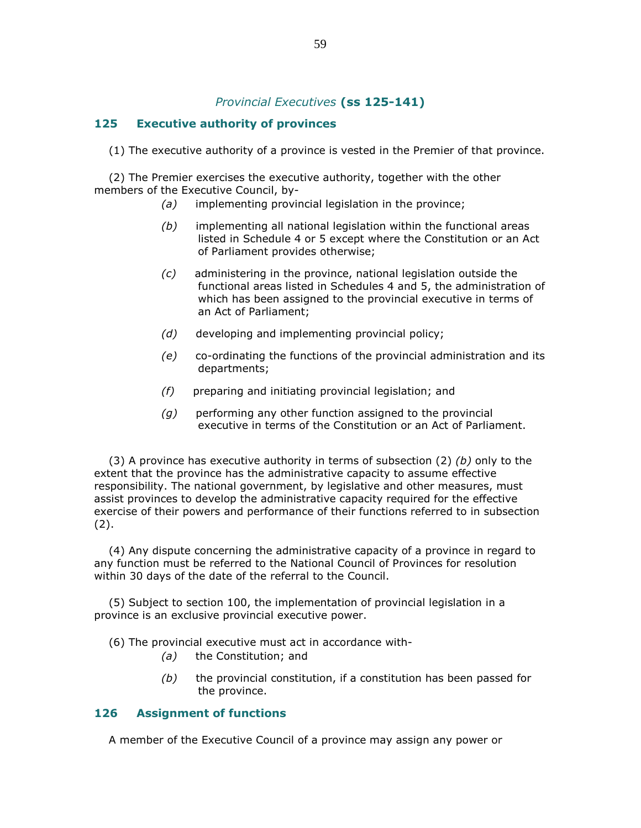# Provincial Executives (ss 125-141)

# 125 Executive authority of provinces

(1) The executive authority of a province is vested in the Premier of that province.

 (2) The Premier exercises the executive authority, together with the other members of the Executive Council, by-

- (a) implementing provincial legislation in the province;
- $(b)$  implementing all national legislation within the functional areas listed in Schedule 4 or 5 except where the Constitution or an Act of Parliament provides otherwise;
- (c) administering in the province, national legislation outside the functional areas listed in Schedules 4 and 5, the administration of which has been assigned to the provincial executive in terms of an Act of Parliament;
- (d) developing and implementing provincial policy;
- (e) co-ordinating the functions of the provincial administration and its departments;
- $(f)$  preparing and initiating provincial legislation; and
- $(g)$  performing any other function assigned to the provincial executive in terms of the Constitution or an Act of Parliament.

(3) A province has executive authority in terms of subsection (2)  $(b)$  only to the extent that the province has the administrative capacity to assume effective responsibility. The national government, by legislative and other measures, must assist provinces to develop the administrative capacity required for the effective exercise of their powers and performance of their functions referred to in subsection (2).

 (4) Any dispute concerning the administrative capacity of a province in regard to any function must be referred to the National Council of Provinces for resolution within 30 days of the date of the referral to the Council.

 (5) Subject to section 100, the implementation of provincial legislation in a province is an exclusive provincial executive power.

(6) The provincial executive must act in accordance with-

- (a) the Constitution; and
- $(b)$  the provincial constitution, if a constitution has been passed for the province.

## 126 Assignment of functions

A member of the Executive Council of a province may assign any power or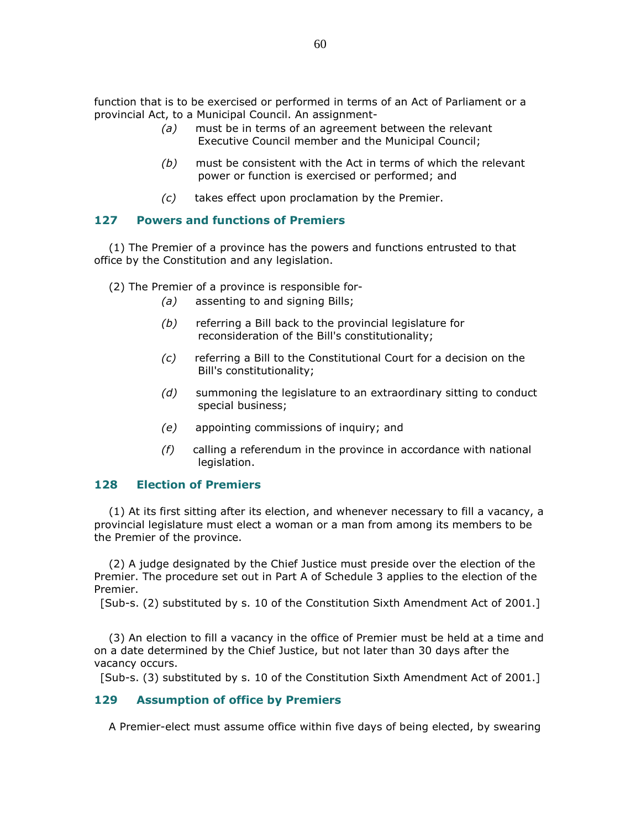function that is to be exercised or performed in terms of an Act of Parliament or a provincial Act, to a Municipal Council. An assignment-

- (a) must be in terms of an agreement between the relevant Executive Council member and the Municipal Council;
- $(b)$  must be consistent with the Act in terms of which the relevant power or function is exercised or performed; and
- (c) takes effect upon proclamation by the Premier.

### 127 Powers and functions of Premiers

 (1) The Premier of a province has the powers and functions entrusted to that office by the Constitution and any legislation.

(2) The Premier of a province is responsible for-

- (a) assenting to and signing Bills;
- (b) referring a Bill back to the provincial legislature for reconsideration of the Bill's constitutionality;
- (c) referring a Bill to the Constitutional Court for a decision on the Bill's constitutionality;
- $(d)$  summoning the legislature to an extraordinary sitting to conduct special business;
- (e) appointing commissions of inquiry; and
- $(f)$  calling a referendum in the province in accordance with national legislation.

# 128 Election of Premiers

 (1) At its first sitting after its election, and whenever necessary to fill a vacancy, a provincial legislature must elect a woman or a man from among its members to be the Premier of the province.

 (2) A judge designated by the Chief Justice must preside over the election of the Premier. The procedure set out in Part A of Schedule 3 applies to the election of the Premier.

[Sub-s. (2) substituted by s. 10 of the Constitution Sixth Amendment Act of 2001.]

 (3) An election to fill a vacancy in the office of Premier must be held at a time and on a date determined by the Chief Justice, but not later than 30 days after the vacancy occurs.

[Sub-s. (3) substituted by s. 10 of the Constitution Sixth Amendment Act of 2001.]

#### 129 Assumption of office by Premiers

A Premier-elect must assume office within five days of being elected, by swearing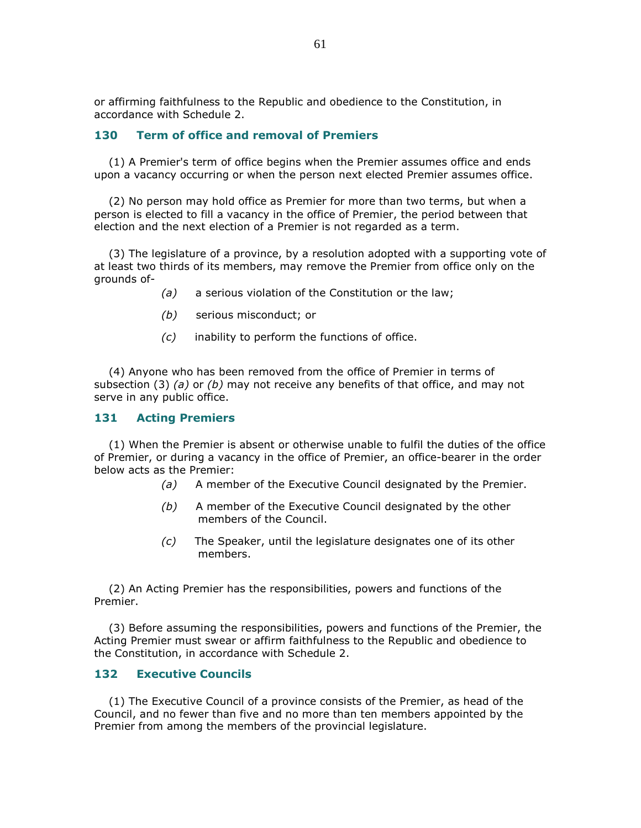or affirming faithfulness to the Republic and obedience to the Constitution, in accordance with Schedule 2.

## 130 Term of office and removal of Premiers

 (1) A Premier's term of office begins when the Premier assumes office and ends upon a vacancy occurring or when the person next elected Premier assumes office.

 (2) No person may hold office as Premier for more than two terms, but when a person is elected to fill a vacancy in the office of Premier, the period between that election and the next election of a Premier is not regarded as a term.

 (3) The legislature of a province, by a resolution adopted with a supporting vote of at least two thirds of its members, may remove the Premier from office only on the grounds of-

- (a) a serious violation of the Constitution or the law;
- (b) serious misconduct; or
- (c) inability to perform the functions of office.

 (4) Anyone who has been removed from the office of Premier in terms of subsection (3) (a) or (b) may not receive any benefits of that office, and may not serve in any public office.

#### 131 Acting Premiers

 (1) When the Premier is absent or otherwise unable to fulfil the duties of the office of Premier, or during a vacancy in the office of Premier, an office-bearer in the order below acts as the Premier:

- $(a)$  A member of the Executive Council designated by the Premier.
- (b) A member of the Executive Council designated by the other members of the Council.
- (c) The Speaker, until the legislature designates one of its other members.

 (2) An Acting Premier has the responsibilities, powers and functions of the Premier.

 (3) Before assuming the responsibilities, powers and functions of the Premier, the Acting Premier must swear or affirm faithfulness to the Republic and obedience to the Constitution, in accordance with Schedule 2.

### 132 Executive Councils

 (1) The Executive Council of a province consists of the Premier, as head of the Council, and no fewer than five and no more than ten members appointed by the Premier from among the members of the provincial legislature.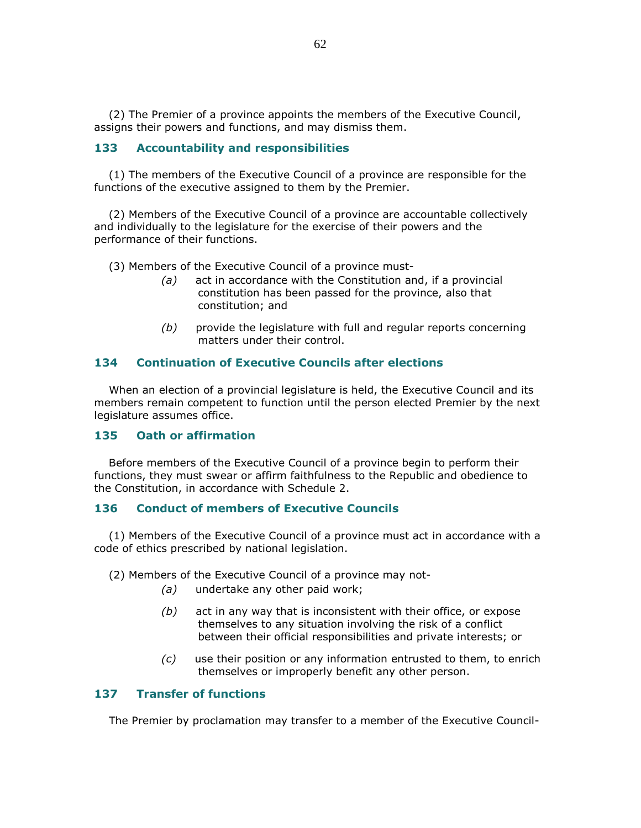(2) The Premier of a province appoints the members of the Executive Council, assigns their powers and functions, and may dismiss them.

## 133 Accountability and responsibilities

 (1) The members of the Executive Council of a province are responsible for the functions of the executive assigned to them by the Premier.

 (2) Members of the Executive Council of a province are accountable collectively and individually to the legislature for the exercise of their powers and the performance of their functions.

(3) Members of the Executive Council of a province must-

- (a) act in accordance with the Constitution and, if a provincial constitution has been passed for the province, also that constitution; and
- $(b)$  provide the legislature with full and regular reports concerning matters under their control.

## 134 Continuation of Executive Councils after elections

 When an election of a provincial legislature is held, the Executive Council and its members remain competent to function until the person elected Premier by the next legislature assumes office.

## 135 Oath or affirmation

 Before members of the Executive Council of a province begin to perform their functions, they must swear or affirm faithfulness to the Republic and obedience to the Constitution, in accordance with Schedule 2.

### 136 Conduct of members of Executive Councils

 (1) Members of the Executive Council of a province must act in accordance with a code of ethics prescribed by national legislation.

- (2) Members of the Executive Council of a province may not-
	- (a) undertake any other paid work;
	- $(b)$  act in any way that is inconsistent with their office, or expose themselves to any situation involving the risk of a conflict between their official responsibilities and private interests; or
	- $(c)$  use their position or any information entrusted to them, to enrich themselves or improperly benefit any other person.

### 137 Transfer of functions

The Premier by proclamation may transfer to a member of the Executive Council-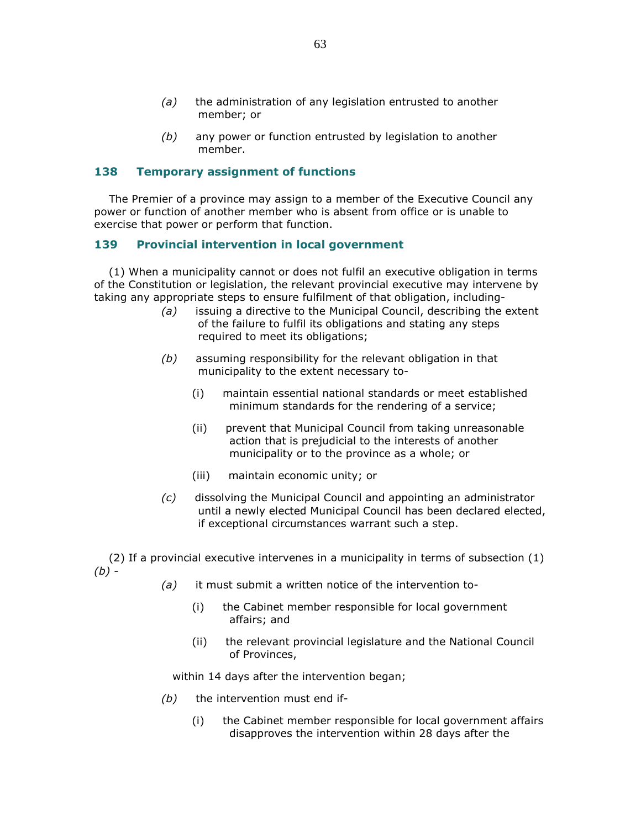- $(a)$  the administration of any legislation entrusted to another member; or
- $(b)$  any power or function entrusted by legislation to another member.

### 138 Temporary assignment of functions

 The Premier of a province may assign to a member of the Executive Council any power or function of another member who is absent from office or is unable to exercise that power or perform that function.

## 139 Provincial intervention in local government

 (1) When a municipality cannot or does not fulfil an executive obligation in terms of the Constitution or legislation, the relevant provincial executive may intervene by taking any appropriate steps to ensure fulfilment of that obligation, including-

- (a) issuing a directive to the Municipal Council, describing the extent of the failure to fulfil its obligations and stating any steps required to meet its obligations;
- $(b)$  assuming responsibility for the relevant obligation in that municipality to the extent necessary to-
	- (i) maintain essential national standards or meet established minimum standards for the rendering of a service;
	- (ii) prevent that Municipal Council from taking unreasonable action that is prejudicial to the interests of another municipality or to the province as a whole; or
	- (iii) maintain economic unity; or
- (c) dissolving the Municipal Council and appointing an administrator until a newly elected Municipal Council has been declared elected, if exceptional circumstances warrant such a step.

 (2) If a provincial executive intervenes in a municipality in terms of subsection (1)  $(b)$  -

- $(a)$  it must submit a written notice of the intervention to-
	- (i) the Cabinet member responsible for local government affairs; and
	- (ii) the relevant provincial legislature and the National Council of Provinces,

within 14 days after the intervention began;

- $(b)$  the intervention must end if-
	- (i) the Cabinet member responsible for local government affairs disapproves the intervention within 28 days after the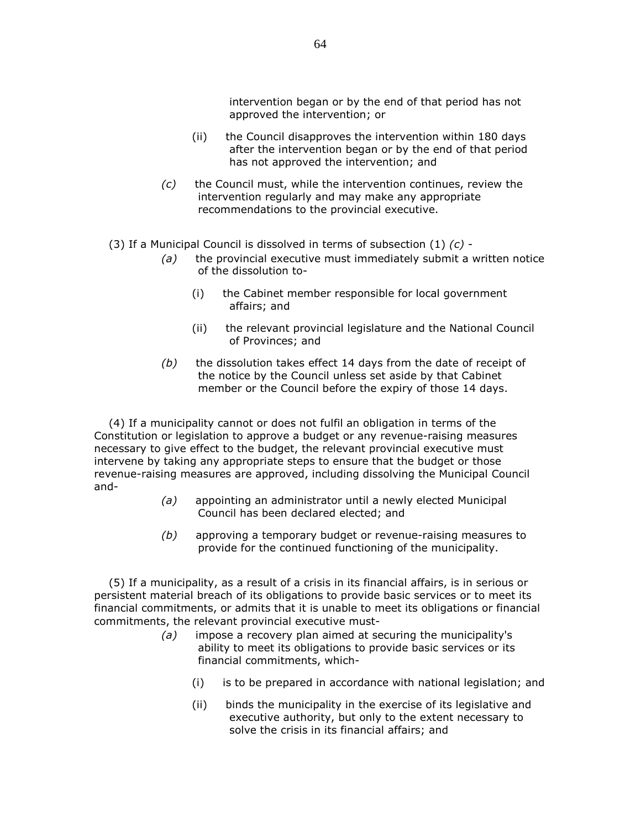intervention began or by the end of that period has not approved the intervention; or

- (ii) the Council disapproves the intervention within 180 days after the intervention began or by the end of that period has not approved the intervention; and
- (c) the Council must, while the intervention continues, review the intervention regularly and may make any appropriate recommendations to the provincial executive.

#### (3) If a Municipal Council is dissolved in terms of subsection  $(1)$  (c) -

- $(a)$  the provincial executive must immediately submit a written notice of the dissolution to-
	- (i) the Cabinet member responsible for local government affairs; and
	- (ii) the relevant provincial legislature and the National Council of Provinces; and
- $(b)$  the dissolution takes effect 14 days from the date of receipt of the notice by the Council unless set aside by that Cabinet member or the Council before the expiry of those 14 days.

 (4) If a municipality cannot or does not fulfil an obligation in terms of the Constitution or legislation to approve a budget or any revenue-raising measures necessary to give effect to the budget, the relevant provincial executive must intervene by taking any appropriate steps to ensure that the budget or those revenue-raising measures are approved, including dissolving the Municipal Council and-

- (a) appointing an administrator until a newly elected Municipal Council has been declared elected; and
- (b) approving a temporary budget or revenue-raising measures to provide for the continued functioning of the municipality.

 (5) If a municipality, as a result of a crisis in its financial affairs, is in serious or persistent material breach of its obligations to provide basic services or to meet its financial commitments, or admits that it is unable to meet its obligations or financial commitments, the relevant provincial executive must-

- (a) impose a recovery plan aimed at securing the municipality's ability to meet its obligations to provide basic services or its financial commitments, which-
	- (i) is to be prepared in accordance with national legislation; and
	- (ii) binds the municipality in the exercise of its legislative and executive authority, but only to the extent necessary to solve the crisis in its financial affairs; and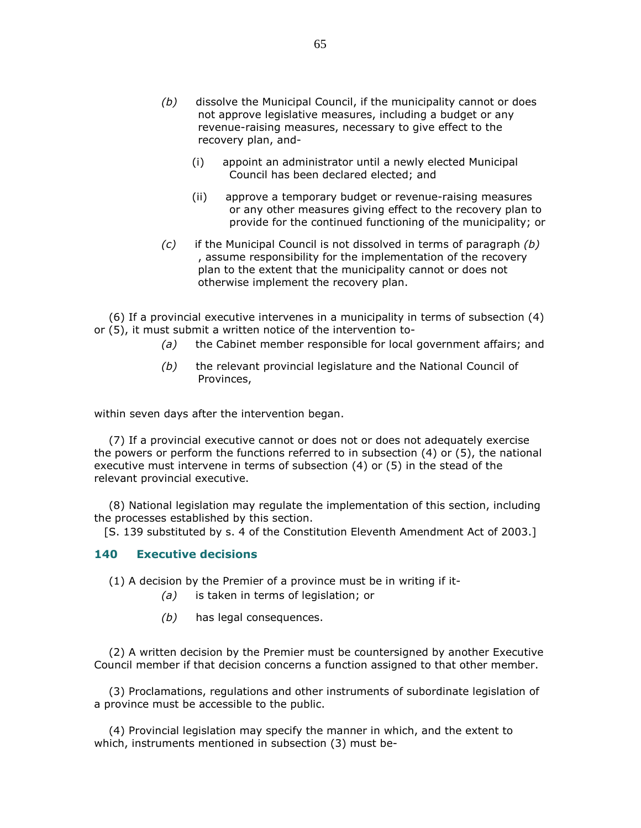- $(b)$  dissolve the Municipal Council, if the municipality cannot or does not approve legislative measures, including a budget or any revenue-raising measures, necessary to give effect to the recovery plan, and-
	- (i) appoint an administrator until a newly elected Municipal Council has been declared elected; and
	- (ii) approve a temporary budget or revenue-raising measures or any other measures giving effect to the recovery plan to provide for the continued functioning of the municipality; or
- $(c)$  if the Municipal Council is not dissolved in terms of paragraph  $(b)$ , assume responsibility for the implementation of the recovery plan to the extent that the municipality cannot or does not otherwise implement the recovery plan.

 (6) If a provincial executive intervenes in a municipality in terms of subsection (4) or (5), it must submit a written notice of the intervention to-

- (a) the Cabinet member responsible for local government affairs; and
- (b) the relevant provincial legislature and the National Council of Provinces,

within seven days after the intervention began.

 (7) If a provincial executive cannot or does not or does not adequately exercise the powers or perform the functions referred to in subsection (4) or (5), the national executive must intervene in terms of subsection (4) or (5) in the stead of the relevant provincial executive.

 (8) National legislation may regulate the implementation of this section, including the processes established by this section.

[S. 139 substituted by s. 4 of the Constitution Eleventh Amendment Act of 2003.]

## 140 Executive decisions

(1) A decision by the Premier of a province must be in writing if it-

- (a) is taken in terms of legislation; or
- (b) has legal consequences.

 (2) A written decision by the Premier must be countersigned by another Executive Council member if that decision concerns a function assigned to that other member.

 (3) Proclamations, regulations and other instruments of subordinate legislation of a province must be accessible to the public.

 (4) Provincial legislation may specify the manner in which, and the extent to which, instruments mentioned in subsection (3) must be-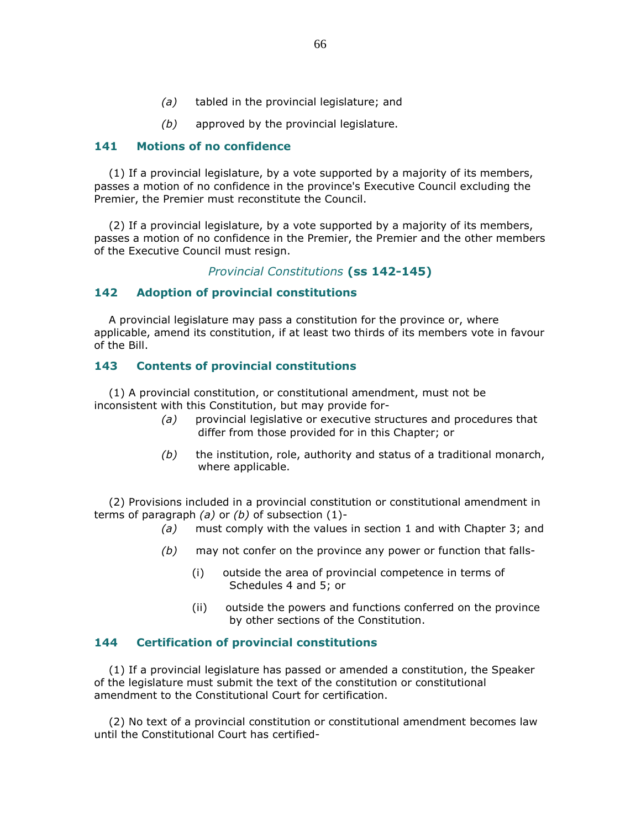- (a) tabled in the provincial legislature; and
- $(b)$  approved by the provincial legislature.

## 141 Motions of no confidence

 (1) If a provincial legislature, by a vote supported by a majority of its members, passes a motion of no confidence in the province's Executive Council excluding the Premier, the Premier must reconstitute the Council.

 (2) If a provincial legislature, by a vote supported by a majority of its members, passes a motion of no confidence in the Premier, the Premier and the other members of the Executive Council must resign.

## Provincial Constitutions (ss 142-145)

## 142 Adoption of provincial constitutions

 A provincial legislature may pass a constitution for the province or, where applicable, amend its constitution, if at least two thirds of its members vote in favour of the Bill.

### 143 Contents of provincial constitutions

 (1) A provincial constitution, or constitutional amendment, must not be inconsistent with this Constitution, but may provide for-

- (a) provincial legislative or executive structures and procedures that differ from those provided for in this Chapter; or
- $(b)$  the institution, role, authority and status of a traditional monarch, where applicable.

 (2) Provisions included in a provincial constitution or constitutional amendment in terms of paragraph (a) or (b) of subsection  $(1)$ -

- (a) must comply with the values in section 1 and with Chapter 3; and
- $(b)$  may not confer on the province any power or function that falls-
	- (i) outside the area of provincial competence in terms of Schedules 4 and 5; or
	- (ii) outside the powers and functions conferred on the province by other sections of the Constitution.

#### 144 Certification of provincial constitutions

 (1) If a provincial legislature has passed or amended a constitution, the Speaker of the legislature must submit the text of the constitution or constitutional amendment to the Constitutional Court for certification.

 (2) No text of a provincial constitution or constitutional amendment becomes law until the Constitutional Court has certified-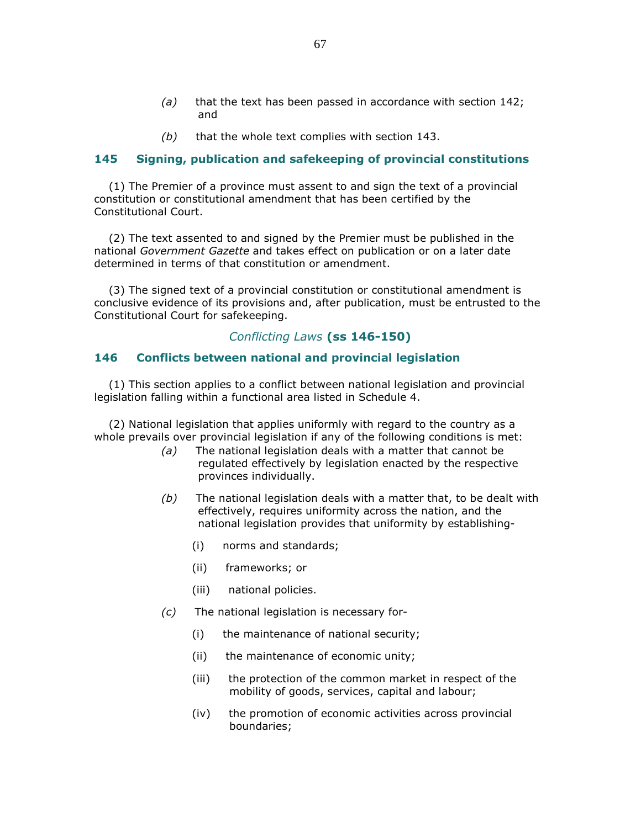- $(a)$  that the text has been passed in accordance with section 142; and
- $(b)$  that the whole text complies with section 143.

### 145 Signing, publication and safekeeping of provincial constitutions

 (1) The Premier of a province must assent to and sign the text of a provincial constitution or constitutional amendment that has been certified by the Constitutional Court.

 (2) The text assented to and signed by the Premier must be published in the national Government Gazette and takes effect on publication or on a later date determined in terms of that constitution or amendment.

 (3) The signed text of a provincial constitution or constitutional amendment is conclusive evidence of its provisions and, after publication, must be entrusted to the Constitutional Court for safekeeping.

# Conflicting Laws (ss 146-150)

### 146 Conflicts between national and provincial legislation

 (1) This section applies to a conflict between national legislation and provincial legislation falling within a functional area listed in Schedule 4.

 (2) National legislation that applies uniformly with regard to the country as a whole prevails over provincial legislation if any of the following conditions is met:

- $(a)$  The national legislation deals with a matter that cannot be regulated effectively by legislation enacted by the respective provinces individually.
- $(b)$  The national legislation deals with a matter that, to be dealt with effectively, requires uniformity across the nation, and the national legislation provides that uniformity by establishing-
	- (i) norms and standards;
	- (ii) frameworks; or
	- (iii) national policies.
- $(c)$  The national legislation is necessary for-
	- (i) the maintenance of national security;
	- (ii) the maintenance of economic unity;
	- (iii) the protection of the common market in respect of the mobility of goods, services, capital and labour;
	- (iv) the promotion of economic activities across provincial boundaries;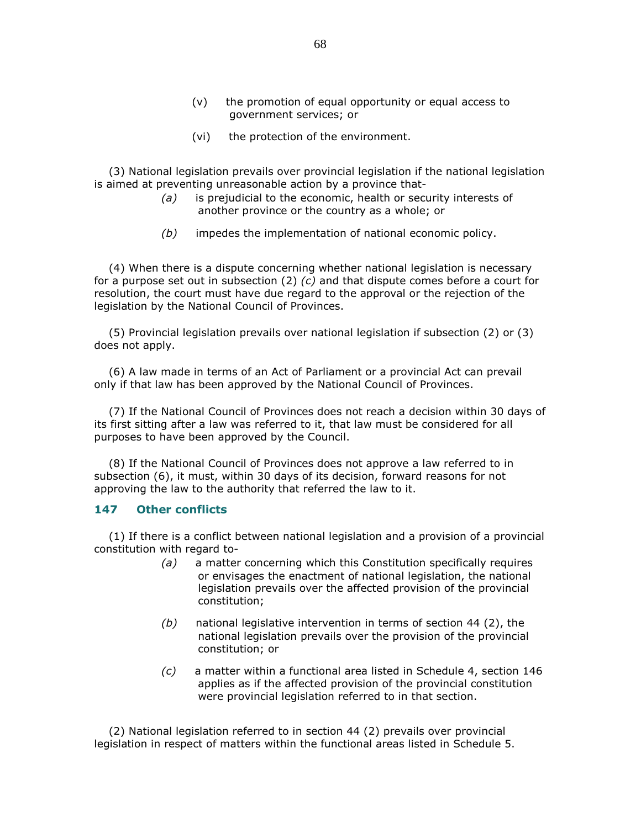- (v) the promotion of equal opportunity or equal access to government services; or
- (vi) the protection of the environment.

 (3) National legislation prevails over provincial legislation if the national legislation is aimed at preventing unreasonable action by a province that-

- $(a)$  is prejudicial to the economic, health or security interests of another province or the country as a whole; or
- (b) impedes the implementation of national economic policy.

 (4) When there is a dispute concerning whether national legislation is necessary for a purpose set out in subsection (2)  $(c)$  and that dispute comes before a court for resolution, the court must have due regard to the approval or the rejection of the legislation by the National Council of Provinces.

 (5) Provincial legislation prevails over national legislation if subsection (2) or (3) does not apply.

 (6) A law made in terms of an Act of Parliament or a provincial Act can prevail only if that law has been approved by the National Council of Provinces.

 (7) If the National Council of Provinces does not reach a decision within 30 days of its first sitting after a law was referred to it, that law must be considered for all purposes to have been approved by the Council.

 (8) If the National Council of Provinces does not approve a law referred to in subsection (6), it must, within 30 days of its decision, forward reasons for not approving the law to the authority that referred the law to it.

### 147 Other conflicts

 (1) If there is a conflict between national legislation and a provision of a provincial constitution with regard to-

- (a) a matter concerning which this Constitution specifically requires or envisages the enactment of national legislation, the national legislation prevails over the affected provision of the provincial constitution;
- (b) national legislative intervention in terms of section 44 (2), the national legislation prevails over the provision of the provincial constitution; or
- (c) a matter within a functional area listed in Schedule 4, section 146 applies as if the affected provision of the provincial constitution were provincial legislation referred to in that section.

 (2) National legislation referred to in section 44 (2) prevails over provincial legislation in respect of matters within the functional areas listed in Schedule 5.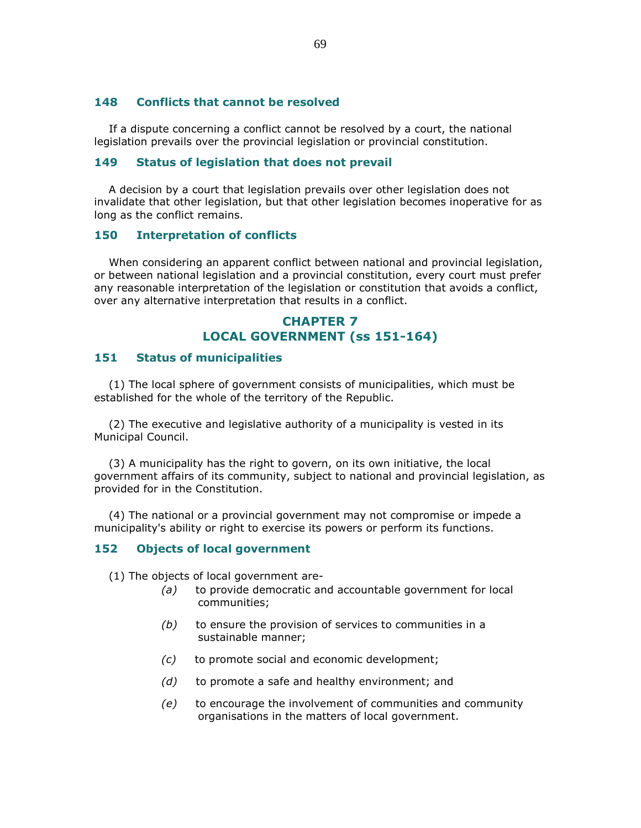148 Conflicts that cannot be resolved

 If a dispute concerning a conflict cannot be resolved by a court, the national legislation prevails over the provincial legislation or provincial constitution.

# 149 Status of legislation that does not prevail

 A decision by a court that legislation prevails over other legislation does not invalidate that other legislation, but that other legislation becomes inoperative for as long as the conflict remains.

# 150 Interpretation of conflicts

 When considering an apparent conflict between national and provincial legislation, or between national legislation and a provincial constitution, every court must prefer any reasonable interpretation of the legislation or constitution that avoids a conflict, over any alternative interpretation that results in a conflict.

# CHAPTER 7 LOCAL GOVERNMENT (ss 151-164)

# 151 Status of municipalities

 (1) The local sphere of government consists of municipalities, which must be established for the whole of the territory of the Republic.

 (2) The executive and legislative authority of a municipality is vested in its Municipal Council.

 (3) A municipality has the right to govern, on its own initiative, the local government affairs of its community, subject to national and provincial legislation, as provided for in the Constitution.

 (4) The national or a provincial government may not compromise or impede a municipality's ability or right to exercise its powers or perform its functions.

# 152 Objects of local government

(1) The objects of local government are-

- (a) to provide democratic and accountable government for local communities;
- $(b)$  to ensure the provision of services to communities in a sustainable manner;
- (c) to promote social and economic development;
- $(d)$  to promote a safe and healthy environment; and
- (e) to encourage the involvement of communities and community organisations in the matters of local government.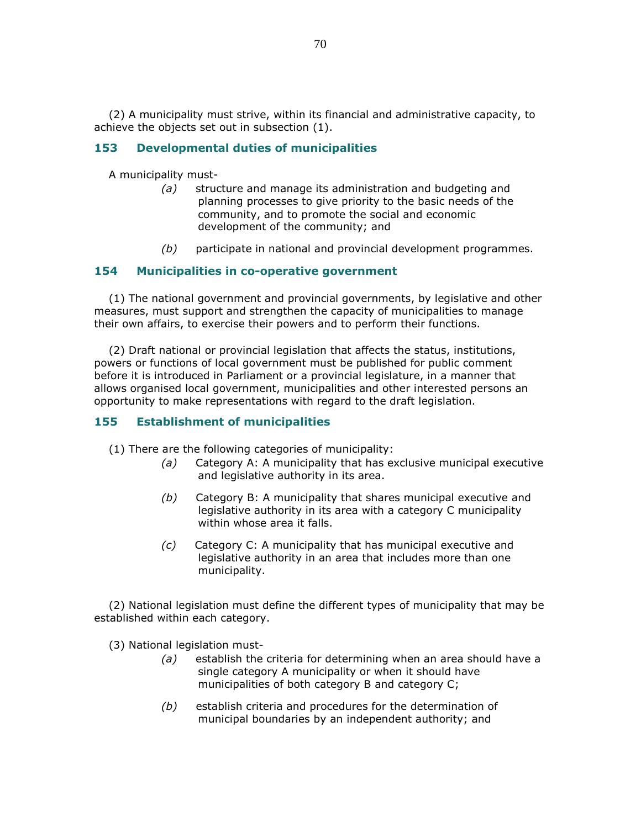(2) A municipality must strive, within its financial and administrative capacity, to achieve the objects set out in subsection (1).

# 153 Developmental duties of municipalities

A municipality must-

- (a) structure and manage its administration and budgeting and planning processes to give priority to the basic needs of the community, and to promote the social and economic development of the community; and
- (b) participate in national and provincial development programmes.

## 154 Municipalities in co-operative government

 (1) The national government and provincial governments, by legislative and other measures, must support and strengthen the capacity of municipalities to manage their own affairs, to exercise their powers and to perform their functions.

 (2) Draft national or provincial legislation that affects the status, institutions, powers or functions of local government must be published for public comment before it is introduced in Parliament or a provincial legislature, in a manner that allows organised local government, municipalities and other interested persons an opportunity to make representations with regard to the draft legislation.

## 155 Establishment of municipalities

(1) There are the following categories of municipality:

- (a) Category A: A municipality that has exclusive municipal executive and legislative authority in its area.
- (b) Category B: A municipality that shares municipal executive and legislative authority in its area with a category C municipality within whose area it falls.
- (c) Category C: A municipality that has municipal executive and legislative authority in an area that includes more than one municipality.

 (2) National legislation must define the different types of municipality that may be established within each category.

(3) National legislation must-

- (a) establish the criteria for determining when an area should have a single category A municipality or when it should have municipalities of both category B and category C;
- (b) establish criteria and procedures for the determination of municipal boundaries by an independent authority; and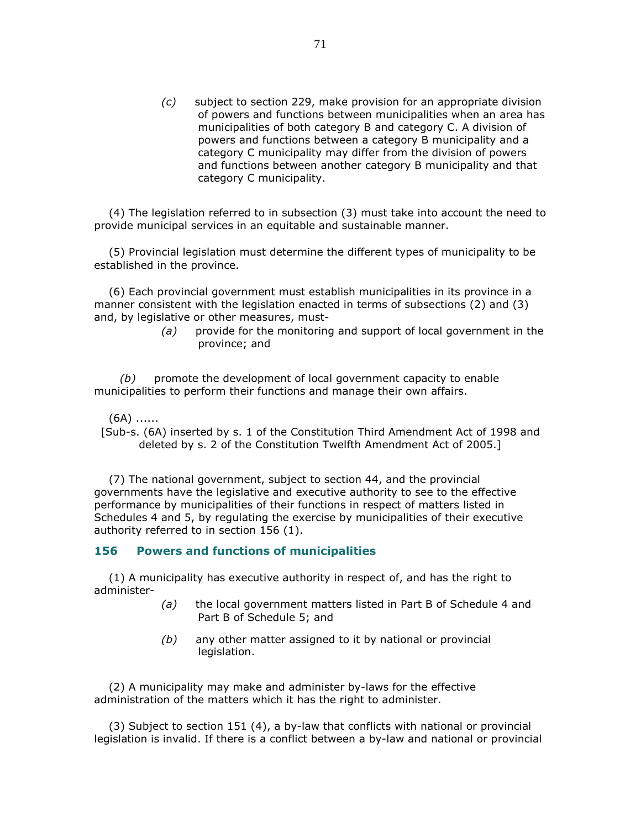(c) subject to section 229, make provision for an appropriate division of powers and functions between municipalities when an area has municipalities of both category B and category C. A division of powers and functions between a category B municipality and a category C municipality may differ from the division of powers and functions between another category B municipality and that category C municipality.

 (4) The legislation referred to in subsection (3) must take into account the need to provide municipal services in an equitable and sustainable manner.

 (5) Provincial legislation must determine the different types of municipality to be established in the province.

 (6) Each provincial government must establish municipalities in its province in a manner consistent with the legislation enacted in terms of subsections (2) and (3) and, by legislative or other measures, must-

> $(a)$  provide for the monitoring and support of local government in the province; and

 $(b)$  promote the development of local government capacity to enable municipalities to perform their functions and manage their own affairs.

(6A) ......

[Sub-s. (6A) inserted by s. 1 of the Constitution Third Amendment Act of 1998 and deleted by s. 2 of the Constitution Twelfth Amendment Act of 2005.]

 (7) The national government, subject to section 44, and the provincial governments have the legislative and executive authority to see to the effective performance by municipalities of their functions in respect of matters listed in Schedules 4 and 5, by regulating the exercise by municipalities of their executive authority referred to in section 156 (1).

## 156 Powers and functions of municipalities

 (1) A municipality has executive authority in respect of, and has the right to administer-

- $(a)$  the local government matters listed in Part B of Schedule 4 and Part B of Schedule 5; and
- $(b)$  any other matter assigned to it by national or provincial legislation.

 (2) A municipality may make and administer by-laws for the effective administration of the matters which it has the right to administer.

 (3) Subject to section 151 (4), a by-law that conflicts with national or provincial legislation is invalid. If there is a conflict between a by-law and national or provincial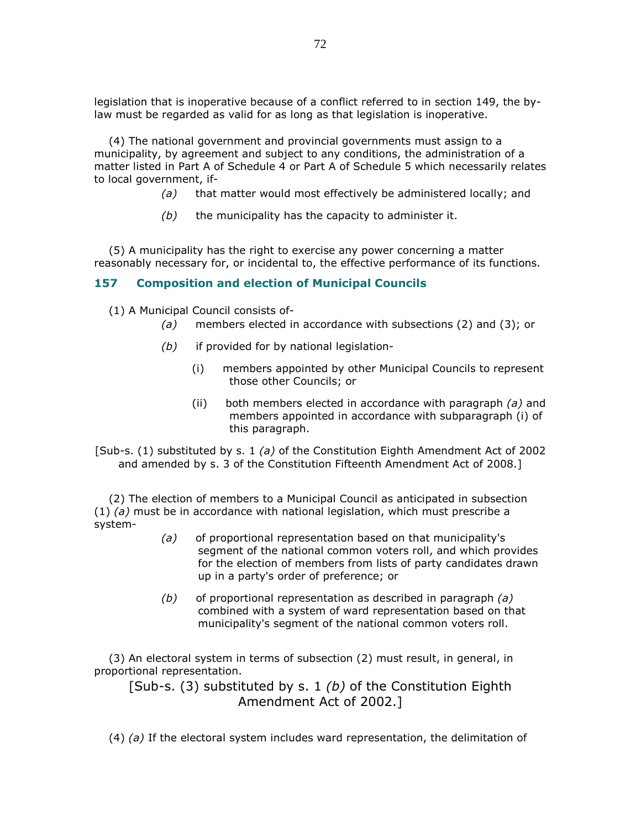legislation that is inoperative because of a conflict referred to in section 149, the bylaw must be regarded as valid for as long as that legislation is inoperative.

 (4) The national government and provincial governments must assign to a municipality, by agreement and subject to any conditions, the administration of a matter listed in Part A of Schedule 4 or Part A of Schedule 5 which necessarily relates to local government, if-

- $(a)$  that matter would most effectively be administered locally; and
- $(b)$  the municipality has the capacity to administer it.

 (5) A municipality has the right to exercise any power concerning a matter reasonably necessary for, or incidental to, the effective performance of its functions.

## 157 Composition and election of Municipal Councils

(1) A Municipal Council consists of-

- (a) members elected in accordance with subsections (2) and (3); or
- $(b)$  if provided for by national legislation-
	- (i) members appointed by other Municipal Councils to represent those other Councils; or
	- (ii) both members elected in accordance with paragraph  $(a)$  and members appointed in accordance with subparagraph (i) of this paragraph.

[Sub-s. (1) substituted by s. 1 (a) of the Constitution Eighth Amendment Act of 2002 and amended by s. 3 of the Constitution Fifteenth Amendment Act of 2008.]

 (2) The election of members to a Municipal Council as anticipated in subsection (1) (a) must be in accordance with national legislation, which must prescribe a system-

- (a) of proportional representation based on that municipality's segment of the national common voters roll, and which provides for the election of members from lists of party candidates drawn up in a party's order of preference; or
- $(b)$  of proportional representation as described in paragraph  $(a)$ combined with a system of ward representation based on that municipality's segment of the national common voters roll.

 (3) An electoral system in terms of subsection (2) must result, in general, in proportional representation.

[Sub-s. (3) substituted by s. 1 (b) of the Constitution Eighth Amendment Act of 2002.]

(4) (a) If the electoral system includes ward representation, the delimitation of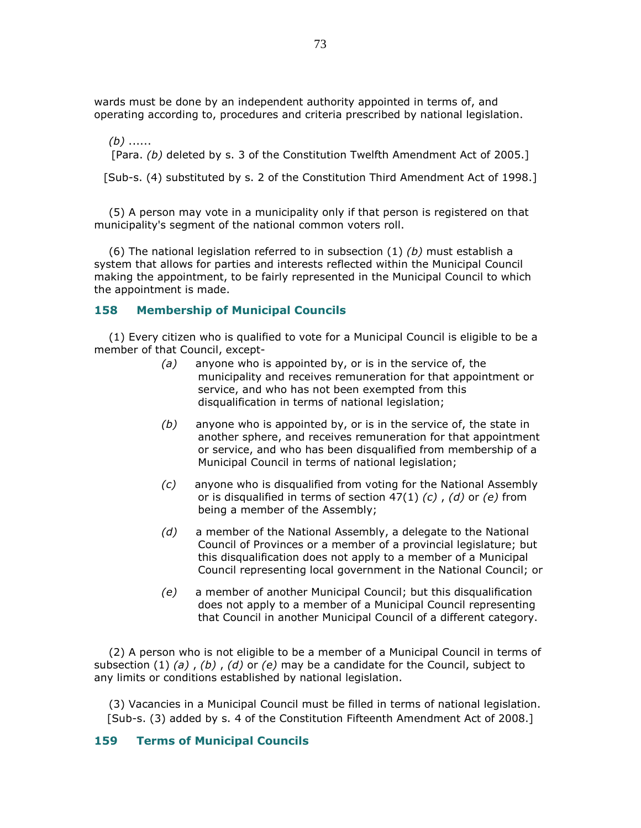wards must be done by an independent authority appointed in terms of, and operating according to, procedures and criteria prescribed by national legislation.

 $(b)$  ...... [Para. (b) deleted by s. 3 of the Constitution Twelfth Amendment Act of 2005.]

[Sub-s. (4) substituted by s. 2 of the Constitution Third Amendment Act of 1998.]

 (5) A person may vote in a municipality only if that person is registered on that municipality's segment of the national common voters roll.

(6) The national legislation referred to in subsection (1) (b) must establish a system that allows for parties and interests reflected within the Municipal Council making the appointment, to be fairly represented in the Municipal Council to which the appointment is made.

### 158 Membership of Municipal Councils

 (1) Every citizen who is qualified to vote for a Municipal Council is eligible to be a member of that Council, except-

- $(a)$  anyone who is appointed by, or is in the service of, the municipality and receives remuneration for that appointment or service, and who has not been exempted from this disqualification in terms of national legislation;
- $(b)$  anyone who is appointed by, or is in the service of, the state in another sphere, and receives remuneration for that appointment or service, and who has been disqualified from membership of a Municipal Council in terms of national legislation;
- (c) anyone who is disqualified from voting for the National Assembly or is disqualified in terms of section 47(1)  $(c)$ ,  $(d)$  or  $(e)$  from being a member of the Assembly;
- $(d)$  a member of the National Assembly, a delegate to the National Council of Provinces or a member of a provincial legislature; but this disqualification does not apply to a member of a Municipal Council representing local government in the National Council; or
- (e) a member of another Municipal Council; but this disqualification does not apply to a member of a Municipal Council representing that Council in another Municipal Council of a different category.

 (2) A person who is not eligible to be a member of a Municipal Council in terms of subsection  $(1)$  (a),  $(b)$ ,  $(d)$  or  $(e)$  may be a candidate for the Council, subject to any limits or conditions established by national legislation.

 (3) Vacancies in a Municipal Council must be filled in terms of national legislation. [Sub-s. (3) added by s. 4 of the Constitution Fifteenth Amendment Act of 2008.]

### 159 Terms of Municipal Councils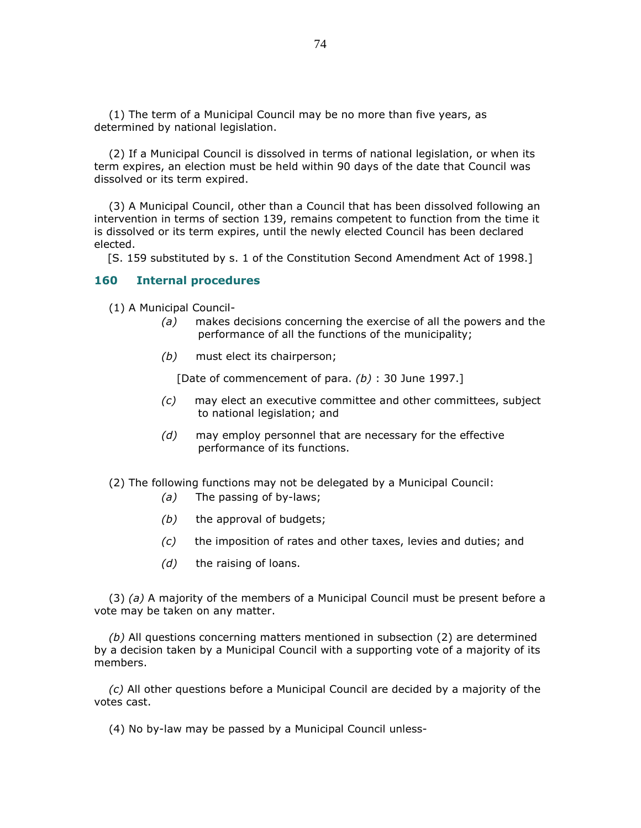(1) The term of a Municipal Council may be no more than five years, as determined by national legislation.

 (2) If a Municipal Council is dissolved in terms of national legislation, or when its term expires, an election must be held within 90 days of the date that Council was dissolved or its term expired.

 (3) A Municipal Council, other than a Council that has been dissolved following an intervention in terms of section 139, remains competent to function from the time it is dissolved or its term expires, until the newly elected Council has been declared elected.

[S. 159 substituted by s. 1 of the Constitution Second Amendment Act of 1998.]

#### 160 Internal procedures

(1) A Municipal Council-

- (a) makes decisions concerning the exercise of all the powers and the performance of all the functions of the municipality;
- (b) must elect its chairperson;

[Date of commencement of para.  $(b)$  : 30 June 1997.]

- (c) may elect an executive committee and other committees, subject to national legislation; and
- $(d)$  may employ personnel that are necessary for the effective performance of its functions.
- (2) The following functions may not be delegated by a Municipal Council:
	- (a) The passing of by-laws;
	- $(b)$  the approval of budgets;
	- $(c)$  the imposition of rates and other taxes, levies and duties; and
	- $(d)$  the raising of loans.

 $(3)$  (a) A majority of the members of a Municipal Council must be present before a vote may be taken on any matter.

 (b) All questions concerning matters mentioned in subsection (2) are determined by a decision taken by a Municipal Council with a supporting vote of a majority of its members.

 (c) All other questions before a Municipal Council are decided by a majority of the votes cast.

(4) No by-law may be passed by a Municipal Council unless-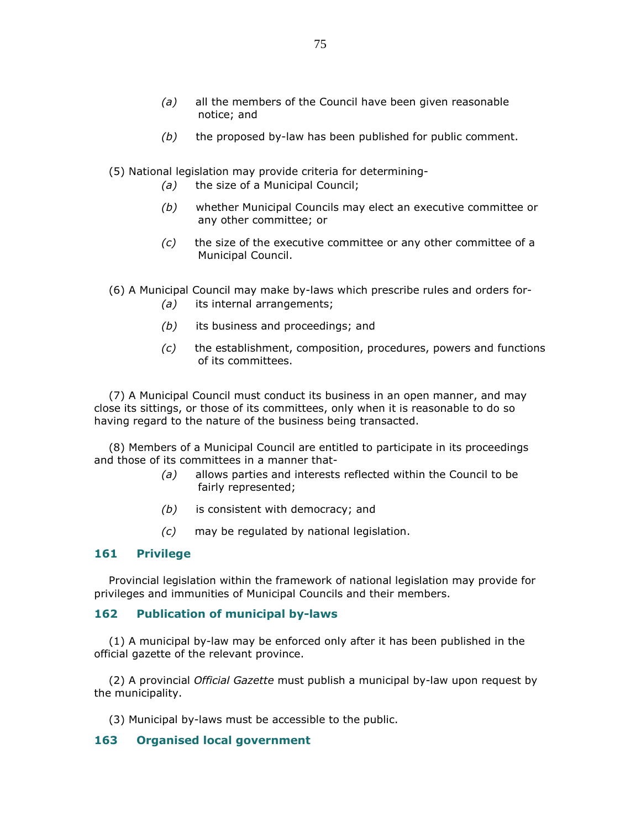- (a) all the members of the Council have been given reasonable notice; and
- $(b)$  the proposed by-law has been published for public comment.
- (5) National legislation may provide criteria for determining-
	- (a) the size of a Municipal Council;
	- (b) whether Municipal Councils may elect an executive committee or any other committee; or
	- $(c)$  the size of the executive committee or any other committee of a Municipal Council.
- (6) A Municipal Council may make by-laws which prescribe rules and orders for- (a) its internal arrangements;
	- $(b)$  its business and proceedings; and
	- $(c)$  the establishment, composition, procedures, powers and functions of its committees.

 (7) A Municipal Council must conduct its business in an open manner, and may close its sittings, or those of its committees, only when it is reasonable to do so having regard to the nature of the business being transacted.

 (8) Members of a Municipal Council are entitled to participate in its proceedings and those of its committees in a manner that-

- $(a)$  allows parties and interests reflected within the Council to be fairly represented;
- (b) is consistent with democracy; and
- (c) may be regulated by national legislation.

### 161 Privilege

 Provincial legislation within the framework of national legislation may provide for privileges and immunities of Municipal Councils and their members.

#### 162 Publication of municipal by-laws

 (1) A municipal by-law may be enforced only after it has been published in the official gazette of the relevant province.

 (2) A provincial Official Gazette must publish a municipal by-law upon request by the municipality.

(3) Municipal by-laws must be accessible to the public.

### 163 Organised local government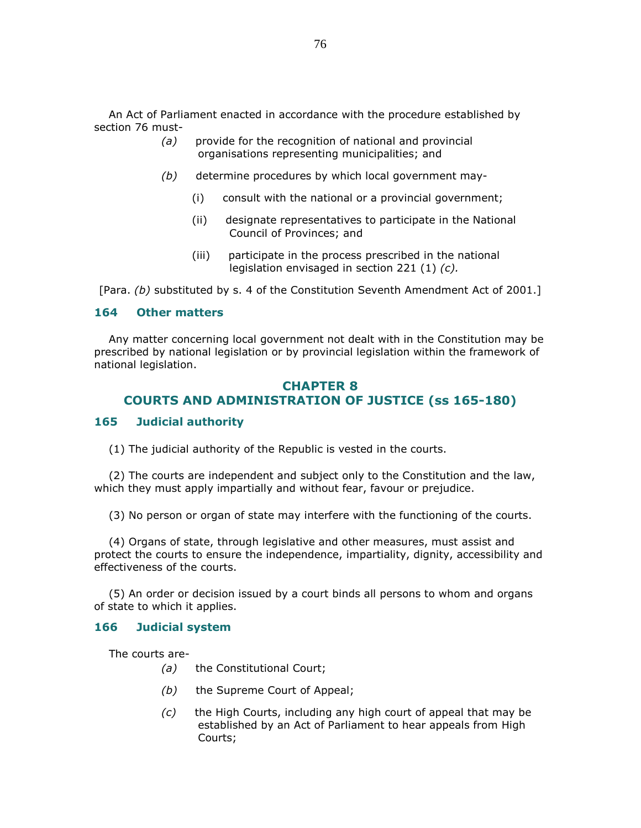An Act of Parliament enacted in accordance with the procedure established by section 76 must-

- (a) provide for the recognition of national and provincial organisations representing municipalities; and
- (b) determine procedures by which local government may-
	- (i) consult with the national or a provincial government;
	- (ii) designate representatives to participate in the National Council of Provinces; and
	- (iii) participate in the process prescribed in the national legislation envisaged in section 221 (1) (c).

[Para. (b) substituted by s. 4 of the Constitution Seventh Amendment Act of 2001.]

### 164 Other matters

 Any matter concerning local government not dealt with in the Constitution may be prescribed by national legislation or by provincial legislation within the framework of national legislation.

## CHAPTER 8 COURTS AND ADMINISTRATION OF JUSTICE (ss 165-180)

#### 165 Judicial authority

(1) The judicial authority of the Republic is vested in the courts.

 (2) The courts are independent and subject only to the Constitution and the law, which they must apply impartially and without fear, favour or prejudice.

(3) No person or organ of state may interfere with the functioning of the courts.

 (4) Organs of state, through legislative and other measures, must assist and protect the courts to ensure the independence, impartiality, dignity, accessibility and effectiveness of the courts.

 (5) An order or decision issued by a court binds all persons to whom and organs of state to which it applies.

### 166 Judicial system

The courts are-

- (a) the Constitutional Court;
- (b) the Supreme Court of Appeal;
- (c) the High Courts, including any high court of appeal that may be established by an Act of Parliament to hear appeals from High Courts;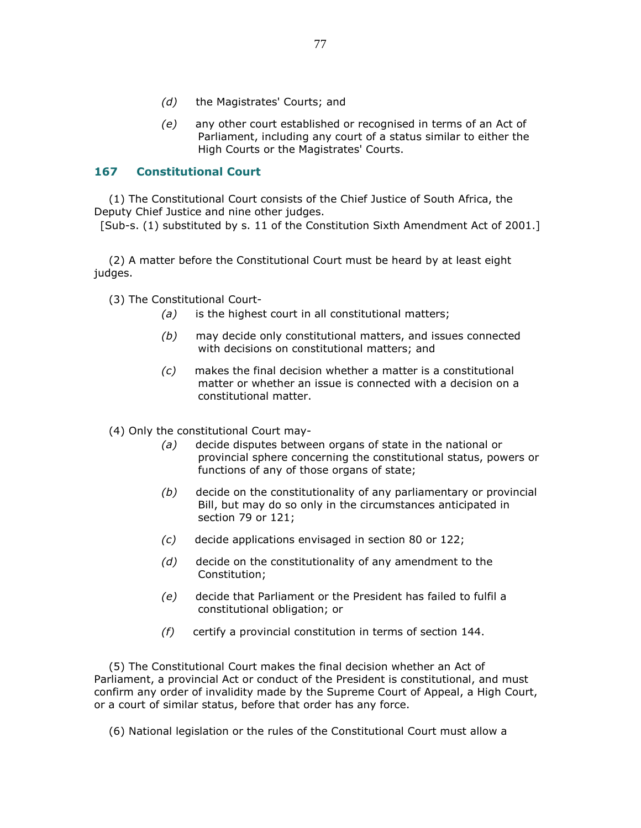- (d) the Magistrates' Courts; and
- (e) any other court established or recognised in terms of an Act of Parliament, including any court of a status similar to either the High Courts or the Magistrates' Courts.

## 167 Constitutional Court

 (1) The Constitutional Court consists of the Chief Justice of South Africa, the Deputy Chief Justice and nine other judges.

[Sub-s. (1) substituted by s. 11 of the Constitution Sixth Amendment Act of 2001.]

 (2) A matter before the Constitutional Court must be heard by at least eight judges.

(3) The Constitutional Court-

- (a) is the highest court in all constitutional matters;
- (b) may decide only constitutional matters, and issues connected with decisions on constitutional matters; and
- (c) makes the final decision whether a matter is a constitutional matter or whether an issue is connected with a decision on a constitutional matter.

(4) Only the constitutional Court may-

- (a) decide disputes between organs of state in the national or provincial sphere concerning the constitutional status, powers or functions of any of those organs of state;
- $(b)$  decide on the constitutionality of any parliamentary or provincial Bill, but may do so only in the circumstances anticipated in section 79 or 121;
- (c) decide applications envisaged in section 80 or 122;
- $(d)$  decide on the constitutionality of any amendment to the Constitution;
- (e) decide that Parliament or the President has failed to fulfil a constitutional obligation; or
- (f) certify a provincial constitution in terms of section 144.

 (5) The Constitutional Court makes the final decision whether an Act of Parliament, a provincial Act or conduct of the President is constitutional, and must confirm any order of invalidity made by the Supreme Court of Appeal, a High Court, or a court of similar status, before that order has any force.

(6) National legislation or the rules of the Constitutional Court must allow a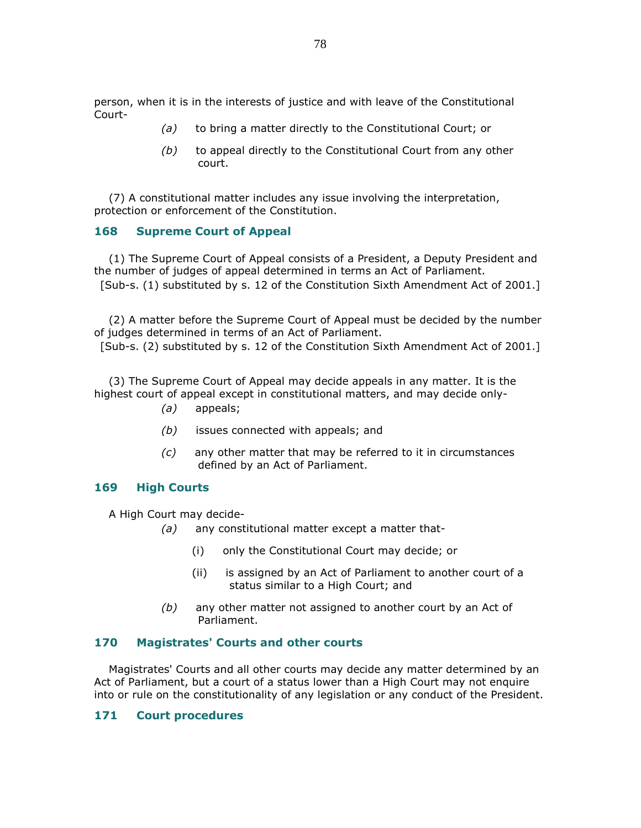person, when it is in the interests of justice and with leave of the Constitutional Court-

- (a) to bring a matter directly to the Constitutional Court; or
- $(b)$  to appeal directly to the Constitutional Court from any other court.

 (7) A constitutional matter includes any issue involving the interpretation, protection or enforcement of the Constitution.

### 168 Supreme Court of Appeal

 (1) The Supreme Court of Appeal consists of a President, a Deputy President and the number of judges of appeal determined in terms an Act of Parliament. [Sub-s. (1) substituted by s. 12 of the Constitution Sixth Amendment Act of 2001.]

 (2) A matter before the Supreme Court of Appeal must be decided by the number of judges determined in terms of an Act of Parliament.

[Sub-s. (2) substituted by s. 12 of the Constitution Sixth Amendment Act of 2001.]

 (3) The Supreme Court of Appeal may decide appeals in any matter. It is the highest court of appeal except in constitutional matters, and may decide only- (a) appeals;

- (b) issues connected with appeals; and
- $(c)$  any other matter that may be referred to it in circumstances defined by an Act of Parliament.

### 169 High Courts

A High Court may decide-

- $(a)$  any constitutional matter except a matter that-
	- (i) only the Constitutional Court may decide; or
	- (ii) is assigned by an Act of Parliament to another court of a status similar to a High Court; and
- $(b)$  any other matter not assigned to another court by an Act of Parliament.

#### 170 Magistrates' Courts and other courts

 Magistrates' Courts and all other courts may decide any matter determined by an Act of Parliament, but a court of a status lower than a High Court may not enquire into or rule on the constitutionality of any legislation or any conduct of the President.

### 171 Court procedures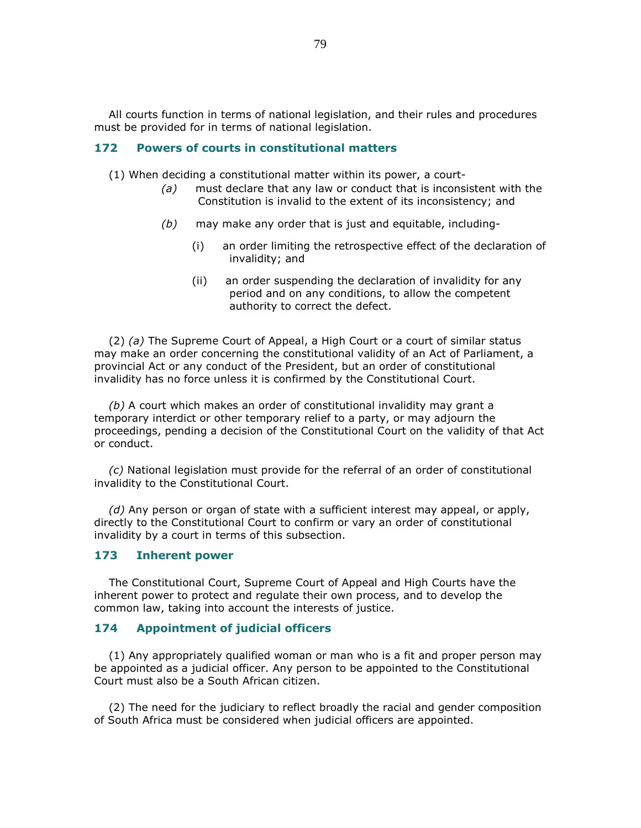All courts function in terms of national legislation, and their rules and procedures must be provided for in terms of national legislation.

### 172 Powers of courts in constitutional matters

(1) When deciding a constitutional matter within its power, a court-

- (a) must declare that any law or conduct that is inconsistent with the Constitution is invalid to the extent of its inconsistency; and
- $(b)$  may make any order that is just and equitable, including-
	- (i) an order limiting the retrospective effect of the declaration of invalidity; and
	- (ii) an order suspending the declaration of invalidity for any period and on any conditions, to allow the competent authority to correct the defect.

 (2) (a) The Supreme Court of Appeal, a High Court or a court of similar status may make an order concerning the constitutional validity of an Act of Parliament, a provincial Act or any conduct of the President, but an order of constitutional invalidity has no force unless it is confirmed by the Constitutional Court.

 (b) A court which makes an order of constitutional invalidity may grant a temporary interdict or other temporary relief to a party, or may adjourn the proceedings, pending a decision of the Constitutional Court on the validity of that Act or conduct.

 (c) National legislation must provide for the referral of an order of constitutional invalidity to the Constitutional Court.

 $(d)$  Any person or organ of state with a sufficient interest may appeal, or apply, directly to the Constitutional Court to confirm or vary an order of constitutional invalidity by a court in terms of this subsection.

#### 173 Inherent power

 The Constitutional Court, Supreme Court of Appeal and High Courts have the inherent power to protect and regulate their own process, and to develop the common law, taking into account the interests of justice.

#### 174 Appointment of judicial officers

 (1) Any appropriately qualified woman or man who is a fit and proper person may be appointed as a judicial officer. Any person to be appointed to the Constitutional Court must also be a South African citizen.

 (2) The need for the judiciary to reflect broadly the racial and gender composition of South Africa must be considered when judicial officers are appointed.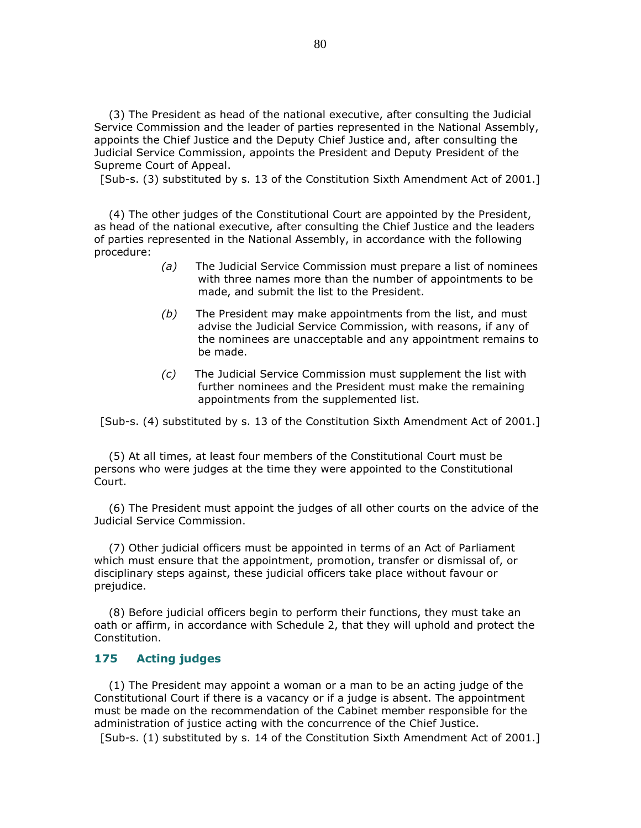(3) The President as head of the national executive, after consulting the Judicial Service Commission and the leader of parties represented in the National Assembly, appoints the Chief Justice and the Deputy Chief Justice and, after consulting the Judicial Service Commission, appoints the President and Deputy President of the Supreme Court of Appeal.

[Sub-s. (3) substituted by s. 13 of the Constitution Sixth Amendment Act of 2001.]

 (4) The other judges of the Constitutional Court are appointed by the President, as head of the national executive, after consulting the Chief Justice and the leaders of parties represented in the National Assembly, in accordance with the following procedure:

- (a) The Judicial Service Commission must prepare a list of nominees with three names more than the number of appointments to be made, and submit the list to the President.
- $(b)$  The President may make appointments from the list, and must advise the Judicial Service Commission, with reasons, if any of the nominees are unacceptable and any appointment remains to be made.
- (c) The Judicial Service Commission must supplement the list with further nominees and the President must make the remaining appointments from the supplemented list.

[Sub-s. (4) substituted by s. 13 of the Constitution Sixth Amendment Act of 2001.]

 (5) At all times, at least four members of the Constitutional Court must be persons who were judges at the time they were appointed to the Constitutional Court.

 (6) The President must appoint the judges of all other courts on the advice of the Judicial Service Commission.

 (7) Other judicial officers must be appointed in terms of an Act of Parliament which must ensure that the appointment, promotion, transfer or dismissal of, or disciplinary steps against, these judicial officers take place without favour or prejudice.

 (8) Before judicial officers begin to perform their functions, they must take an oath or affirm, in accordance with Schedule 2, that they will uphold and protect the Constitution.

## 175 Acting judges

 (1) The President may appoint a woman or a man to be an acting judge of the Constitutional Court if there is a vacancy or if a judge is absent. The appointment must be made on the recommendation of the Cabinet member responsible for the administration of justice acting with the concurrence of the Chief Justice.

[Sub-s. (1) substituted by s. 14 of the Constitution Sixth Amendment Act of 2001.]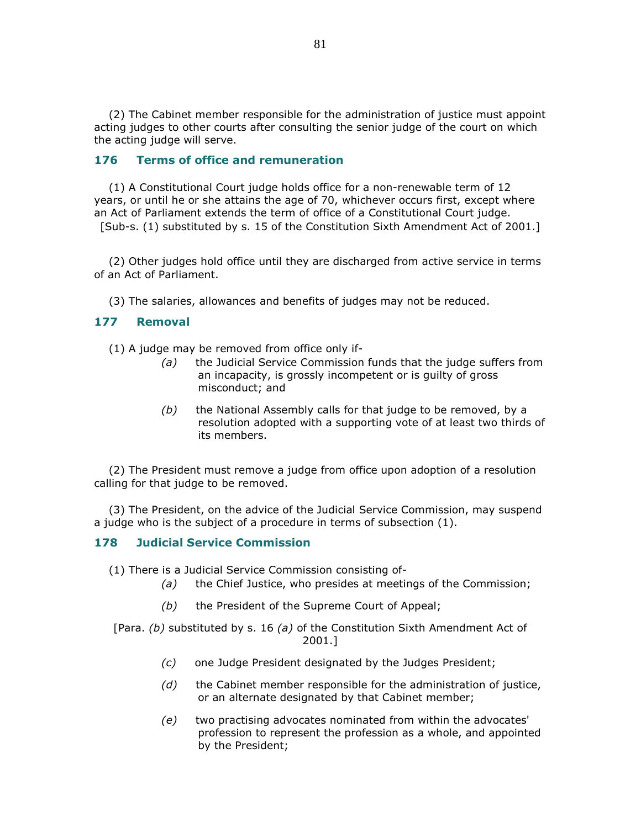(2) The Cabinet member responsible for the administration of justice must appoint acting judges to other courts after consulting the senior judge of the court on which the acting judge will serve.

## 176 Terms of office and remuneration

 (1) A Constitutional Court judge holds office for a non-renewable term of 12 years, or until he or she attains the age of 70, whichever occurs first, except where an Act of Parliament extends the term of office of a Constitutional Court judge. [Sub-s. (1) substituted by s. 15 of the Constitution Sixth Amendment Act of 2001.]

 (2) Other judges hold office until they are discharged from active service in terms of an Act of Parliament.

(3) The salaries, allowances and benefits of judges may not be reduced.

# 177 Removal

(1) A judge may be removed from office only if-

- (a) the Judicial Service Commission funds that the judge suffers from an incapacity, is grossly incompetent or is guilty of gross misconduct; and
- $(b)$  the National Assembly calls for that judge to be removed, by a resolution adopted with a supporting vote of at least two thirds of its members.

 (2) The President must remove a judge from office upon adoption of a resolution calling for that judge to be removed.

 (3) The President, on the advice of the Judicial Service Commission, may suspend a judge who is the subject of a procedure in terms of subsection (1).

# 178 Judicial Service Commission

(1) There is a Judicial Service Commission consisting of-

- $(a)$  the Chief Justice, who presides at meetings of the Commission;
- (b) the President of the Supreme Court of Appeal;

[Para. (b) substituted by s. 16 (a) of the Constitution Sixth Amendment Act of 2001.]

- (c) one Judge President designated by the Judges President;
- $(d)$  the Cabinet member responsible for the administration of justice, or an alternate designated by that Cabinet member;
- (e) two practising advocates nominated from within the advocates' profession to represent the profession as a whole, and appointed by the President;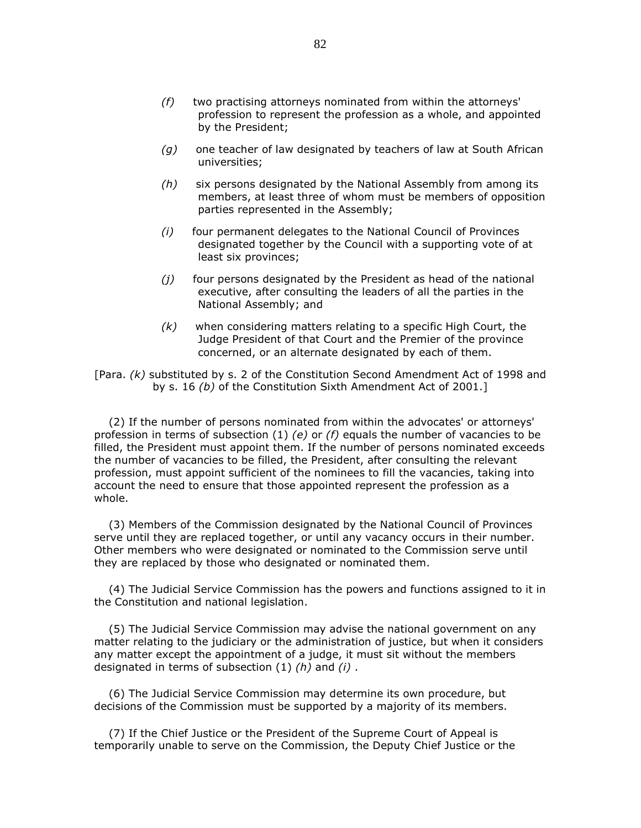- $(f)$  two practising attorneys nominated from within the attorneys' profession to represent the profession as a whole, and appointed by the President;
- $(g)$  one teacher of law designated by teachers of law at South African universities;
- (h) six persons designated by the National Assembly from among its members, at least three of whom must be members of opposition parties represented in the Assembly;
- (i) four permanent delegates to the National Council of Provinces designated together by the Council with a supporting vote of at least six provinces;
- $(j)$  four persons designated by the President as head of the national executive, after consulting the leaders of all the parties in the National Assembly; and
- $(k)$  when considering matters relating to a specific High Court, the Judge President of that Court and the Premier of the province concerned, or an alternate designated by each of them.

[Para. (k) substituted by s. 2 of the Constitution Second Amendment Act of 1998 and by s. 16 (b) of the Constitution Sixth Amendment Act of 2001.]

 (2) If the number of persons nominated from within the advocates' or attorneys' profession in terms of subsection  $(1)$  (e) or (f) equals the number of vacancies to be filled, the President must appoint them. If the number of persons nominated exceeds the number of vacancies to be filled, the President, after consulting the relevant profession, must appoint sufficient of the nominees to fill the vacancies, taking into account the need to ensure that those appointed represent the profession as a whole.

 (3) Members of the Commission designated by the National Council of Provinces serve until they are replaced together, or until any vacancy occurs in their number. Other members who were designated or nominated to the Commission serve until they are replaced by those who designated or nominated them.

 (4) The Judicial Service Commission has the powers and functions assigned to it in the Constitution and national legislation.

 (5) The Judicial Service Commission may advise the national government on any matter relating to the judiciary or the administration of justice, but when it considers any matter except the appointment of a judge, it must sit without the members designated in terms of subsection  $(1)$   $(h)$  and  $(i)$ .

 (6) The Judicial Service Commission may determine its own procedure, but decisions of the Commission must be supported by a majority of its members.

 (7) If the Chief Justice or the President of the Supreme Court of Appeal is temporarily unable to serve on the Commission, the Deputy Chief Justice or the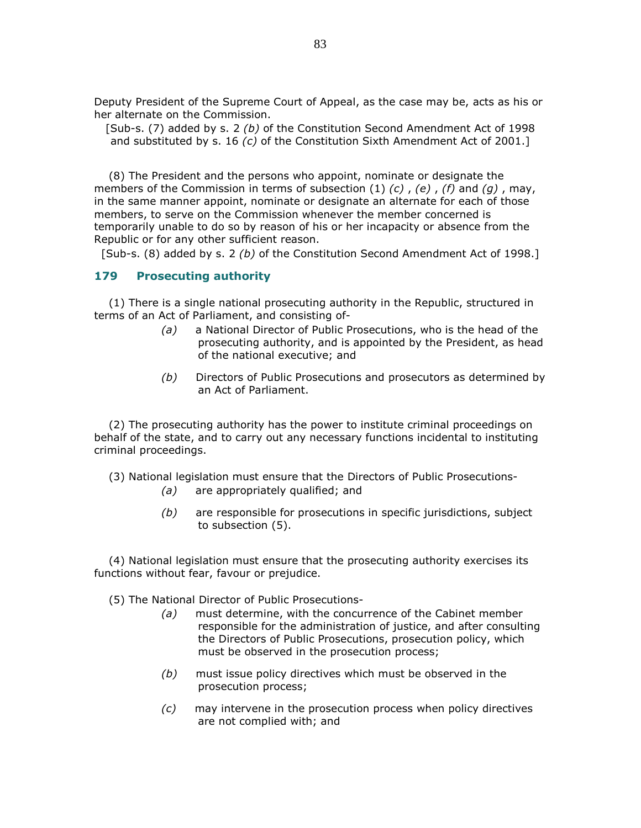Deputy President of the Supreme Court of Appeal, as the case may be, acts as his or her alternate on the Commission.

[Sub-s. (7) added by s. 2 (b) of the Constitution Second Amendment Act of 1998 and substituted by s. 16 (c) of the Constitution Sixth Amendment Act of 2001.]

 (8) The President and the persons who appoint, nominate or designate the members of the Commission in terms of subsection (1) (c), (e), (f) and (g), may, in the same manner appoint, nominate or designate an alternate for each of those members, to serve on the Commission whenever the member concerned is temporarily unable to do so by reason of his or her incapacity or absence from the Republic or for any other sufficient reason.

[Sub-s. (8) added by s. 2 (b) of the Constitution Second Amendment Act of 1998.]

## 179 Prosecuting authority

 (1) There is a single national prosecuting authority in the Republic, structured in terms of an Act of Parliament, and consisting of-

- (a) a National Director of Public Prosecutions, who is the head of the prosecuting authority, and is appointed by the President, as head of the national executive; and
- (b) Directors of Public Prosecutions and prosecutors as determined by an Act of Parliament.

 (2) The prosecuting authority has the power to institute criminal proceedings on behalf of the state, and to carry out any necessary functions incidental to instituting criminal proceedings.

- (3) National legislation must ensure that the Directors of Public Prosecutions-
	- (a) are appropriately qualified; and
	- $(b)$  are responsible for prosecutions in specific jurisdictions, subject to subsection (5).

 (4) National legislation must ensure that the prosecuting authority exercises its functions without fear, favour or prejudice.

(5) The National Director of Public Prosecutions-

- (a) must determine, with the concurrence of the Cabinet member responsible for the administration of justice, and after consulting the Directors of Public Prosecutions, prosecution policy, which must be observed in the prosecution process;
- $(b)$  must issue policy directives which must be observed in the prosecution process;
- (c) may intervene in the prosecution process when policy directives are not complied with; and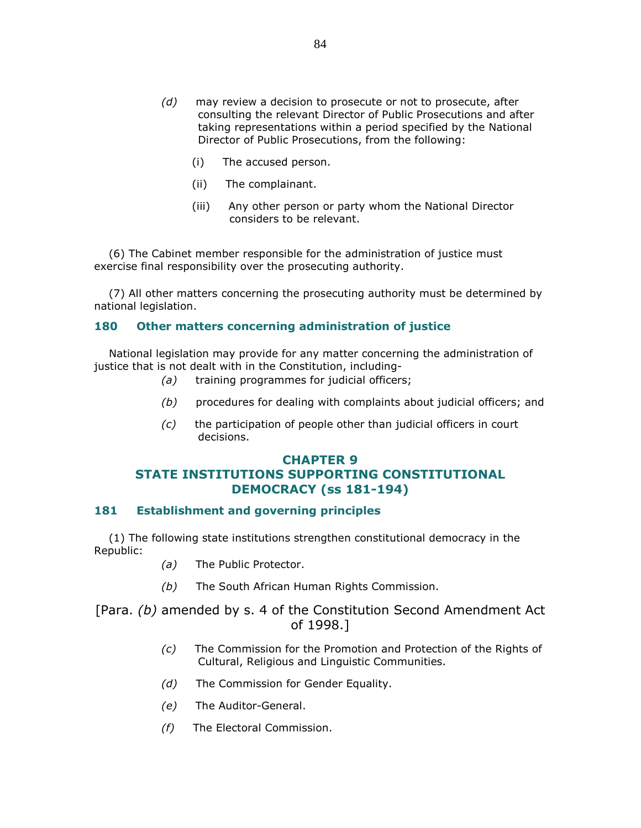- $(d)$  may review a decision to prosecute or not to prosecute, after consulting the relevant Director of Public Prosecutions and after taking representations within a period specified by the National Director of Public Prosecutions, from the following:
	- (i) The accused person.
	- (ii) The complainant.
	- (iii) Any other person or party whom the National Director considers to be relevant.

 (6) The Cabinet member responsible for the administration of justice must exercise final responsibility over the prosecuting authority.

 (7) All other matters concerning the prosecuting authority must be determined by national legislation.

### 180 Other matters concerning administration of justice

 National legislation may provide for any matter concerning the administration of justice that is not dealt with in the Constitution, including-

- (a) training programmes for judicial officers;
- (b) procedures for dealing with complaints about judicial officers; and
- $(c)$  the participation of people other than judicial officers in court decisions.

# CHAPTER 9 STATE INSTITUTIONS SUPPORTING CONSTITUTIONAL DEMOCRACY (ss 181-194)

### 181 Establishment and governing principles

 (1) The following state institutions strengthen constitutional democracy in the Republic:

- (a) The Public Protector.
- (b) The South African Human Rights Commission.

## [Para. (b) amended by s. 4 of the Constitution Second Amendment Act of 1998.]

- (c) The Commission for the Promotion and Protection of the Rights of Cultural, Religious and Linguistic Communities.
- (d) The Commission for Gender Equality.
- (e) The Auditor-General.
- (f) The Electoral Commission.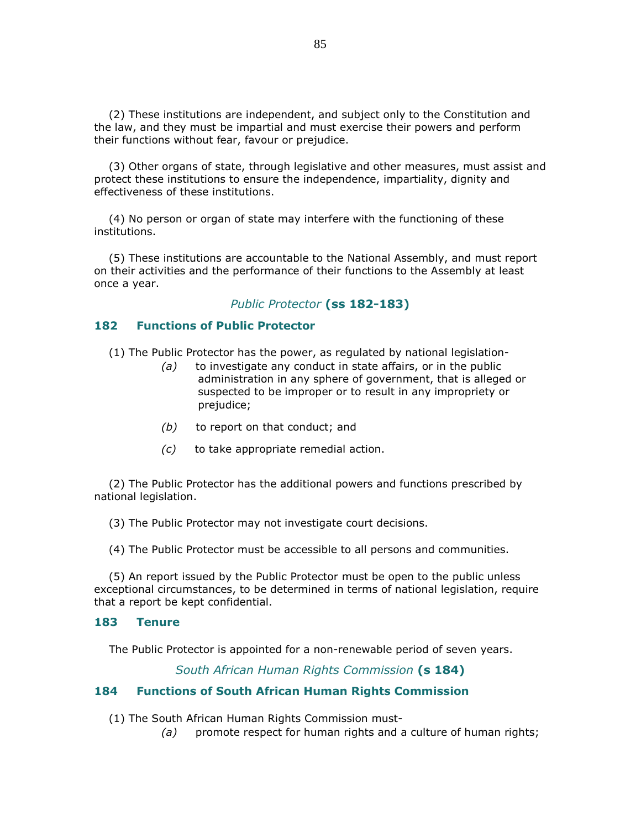(2) These institutions are independent, and subject only to the Constitution and the law, and they must be impartial and must exercise their powers and perform their functions without fear, favour or prejudice.

 (3) Other organs of state, through legislative and other measures, must assist and protect these institutions to ensure the independence, impartiality, dignity and effectiveness of these institutions.

 (4) No person or organ of state may interfere with the functioning of these institutions.

 (5) These institutions are accountable to the National Assembly, and must report on their activities and the performance of their functions to the Assembly at least once a year.

# Public Protector (ss 182-183)

### 182 Functions of Public Protector

(1) The Public Protector has the power, as regulated by national legislation-

- $(a)$  to investigate any conduct in state affairs, or in the public administration in any sphere of government, that is alleged or suspected to be improper or to result in any impropriety or prejudice;
- (b) to report on that conduct; and
- (c) to take appropriate remedial action.

 (2) The Public Protector has the additional powers and functions prescribed by national legislation.

(3) The Public Protector may not investigate court decisions.

(4) The Public Protector must be accessible to all persons and communities.

 (5) An report issued by the Public Protector must be open to the public unless exceptional circumstances, to be determined in terms of national legislation, require that a report be kept confidential.

#### 183 Tenure

The Public Protector is appointed for a non-renewable period of seven years.

#### South African Human Rights Commission (s 184)

#### 184 Functions of South African Human Rights Commission

(1) The South African Human Rights Commission must-

(a) promote respect for human rights and a culture of human rights;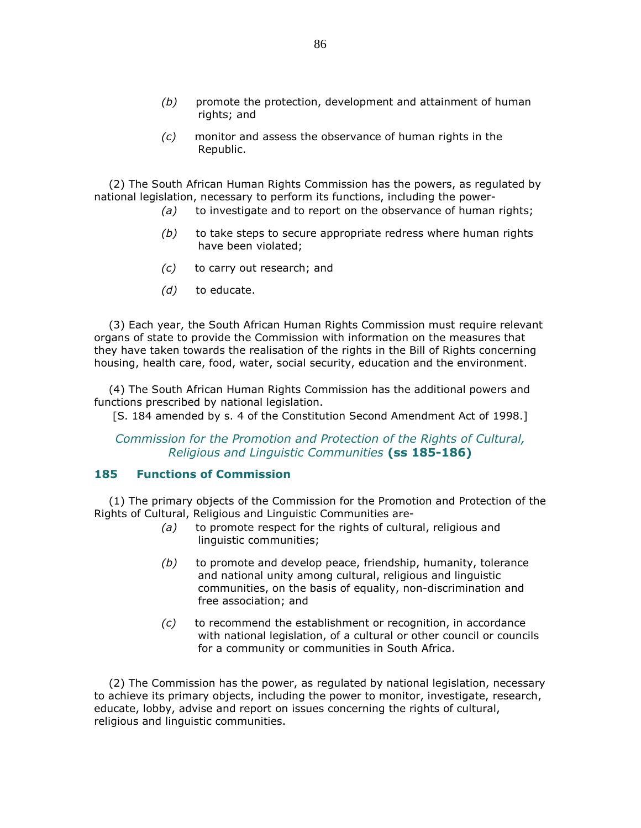- (b) promote the protection, development and attainment of human rights; and
- (c) monitor and assess the observance of human rights in the Republic.

 (2) The South African Human Rights Commission has the powers, as regulated by national legislation, necessary to perform its functions, including the power-

- $(a)$  to investigate and to report on the observance of human rights;
- $(b)$  to take steps to secure appropriate redress where human rights have been violated;
- (c) to carry out research; and
- $(d)$  to educate.

 (3) Each year, the South African Human Rights Commission must require relevant organs of state to provide the Commission with information on the measures that they have taken towards the realisation of the rights in the Bill of Rights concerning housing, health care, food, water, social security, education and the environment.

 (4) The South African Human Rights Commission has the additional powers and functions prescribed by national legislation.

[S. 184 amended by s. 4 of the Constitution Second Amendment Act of 1998.]

# Commission for the Promotion and Protection of the Rights of Cultural, Religious and Linguistic Communities (ss 185-186)

## 185 Functions of Commission

 (1) The primary objects of the Commission for the Promotion and Protection of the Rights of Cultural, Religious and Linguistic Communities are-

- (a) to promote respect for the rights of cultural, religious and linguistic communities;
- $(b)$  to promote and develop peace, friendship, humanity, tolerance and national unity among cultural, religious and linguistic communities, on the basis of equality, non-discrimination and free association; and
- $(c)$  to recommend the establishment or recognition, in accordance with national legislation, of a cultural or other council or councils for a community or communities in South Africa.

 (2) The Commission has the power, as regulated by national legislation, necessary to achieve its primary objects, including the power to monitor, investigate, research, educate, lobby, advise and report on issues concerning the rights of cultural, religious and linguistic communities.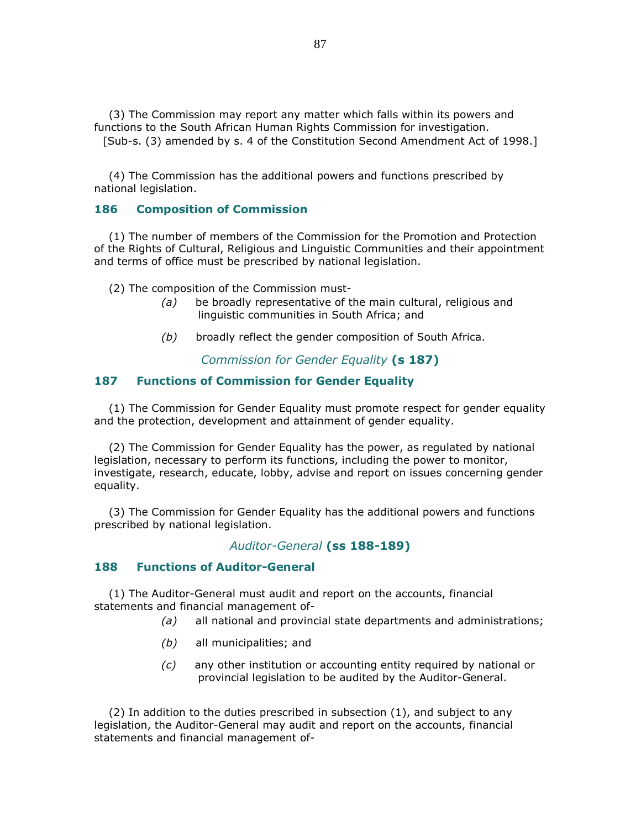(3) The Commission may report any matter which falls within its powers and functions to the South African Human Rights Commission for investigation. [Sub-s. (3) amended by s. 4 of the Constitution Second Amendment Act of 1998.]

 (4) The Commission has the additional powers and functions prescribed by national legislation.

### 186 Composition of Commission

 (1) The number of members of the Commission for the Promotion and Protection of the Rights of Cultural, Religious and Linguistic Communities and their appointment and terms of office must be prescribed by national legislation.

(2) The composition of the Commission must-

- (a) be broadly representative of the main cultural, religious and linguistic communities in South Africa; and
- (b) broadly reflect the gender composition of South Africa.

### Commission for Gender Equality (s 187)

### 187 Functions of Commission for Gender Equality

 (1) The Commission for Gender Equality must promote respect for gender equality and the protection, development and attainment of gender equality.

 (2) The Commission for Gender Equality has the power, as regulated by national legislation, necessary to perform its functions, including the power to monitor, investigate, research, educate, lobby, advise and report on issues concerning gender equality.

 (3) The Commission for Gender Equality has the additional powers and functions prescribed by national legislation.

### Auditor-General (ss 188-189)

### 188 Functions of Auditor-General

 (1) The Auditor-General must audit and report on the accounts, financial statements and financial management of-

- (a) all national and provincial state departments and administrations;
- (b) all municipalities; and
- (c) any other institution or accounting entity required by national or provincial legislation to be audited by the Auditor-General.

 (2) In addition to the duties prescribed in subsection (1), and subject to any legislation, the Auditor-General may audit and report on the accounts, financial statements and financial management of-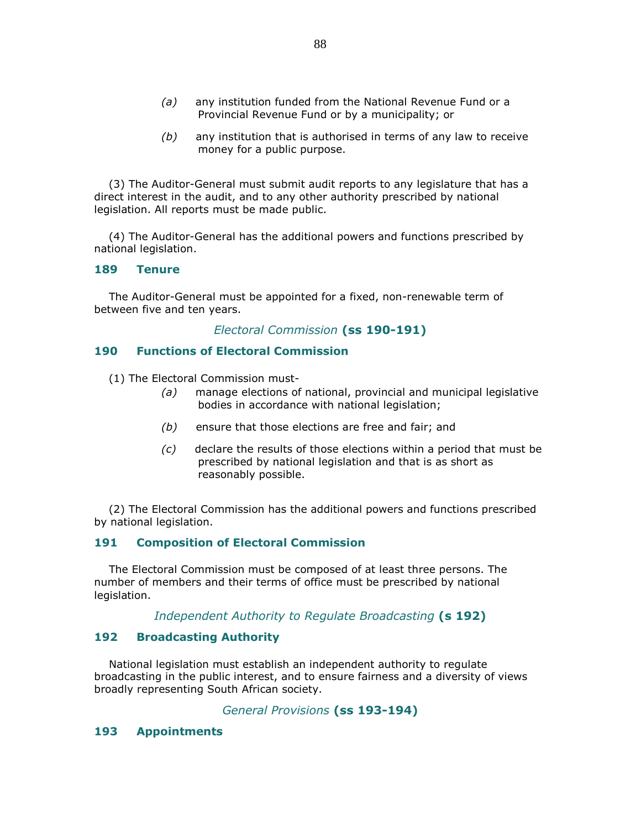- (a) any institution funded from the National Revenue Fund or a Provincial Revenue Fund or by a municipality; or
- $(b)$  any institution that is authorised in terms of any law to receive money for a public purpose.

 (3) The Auditor-General must submit audit reports to any legislature that has a direct interest in the audit, and to any other authority prescribed by national legislation. All reports must be made public.

 (4) The Auditor-General has the additional powers and functions prescribed by national legislation.

### 189 Tenure

 The Auditor-General must be appointed for a fixed, non-renewable term of between five and ten years.

Electoral Commission (ss 190-191)

#### 190 Functions of Electoral Commission

- (1) The Electoral Commission must-
	- (a) manage elections of national, provincial and municipal legislative bodies in accordance with national legislation;
	- (b) ensure that those elections are free and fair; and
	- $(c)$  declare the results of those elections within a period that must be prescribed by national legislation and that is as short as reasonably possible.

 (2) The Electoral Commission has the additional powers and functions prescribed by national legislation.

### 191 Composition of Electoral Commission

 The Electoral Commission must be composed of at least three persons. The number of members and their terms of office must be prescribed by national legislation.

Independent Authority to Regulate Broadcasting (s 192)

## 192 Broadcasting Authority

 National legislation must establish an independent authority to regulate broadcasting in the public interest, and to ensure fairness and a diversity of views broadly representing South African society.

General Provisions (ss 193-194)

#### 193 Appointments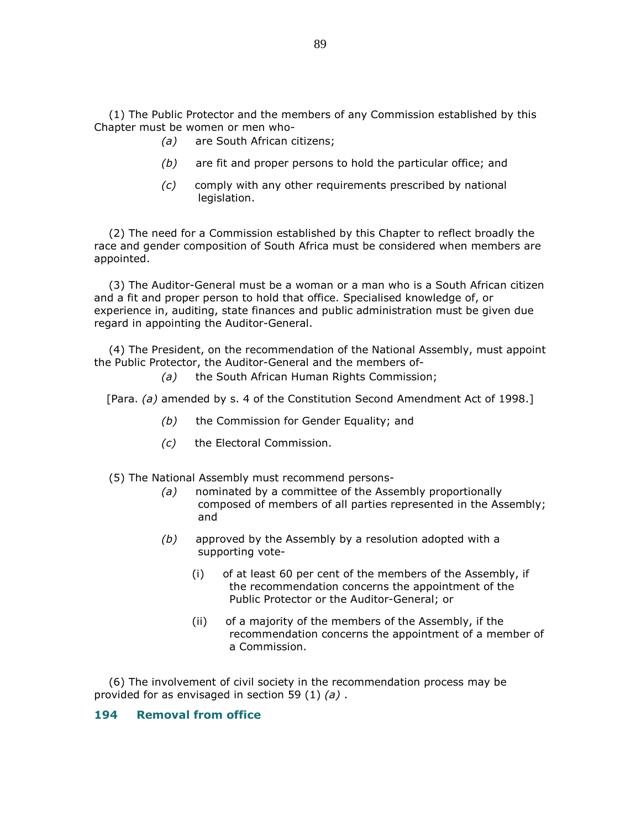(1) The Public Protector and the members of any Commission established by this Chapter must be women or men who-

- (a) are South African citizens;
- $(b)$  are fit and proper persons to hold the particular office; and
- (c) comply with any other requirements prescribed by national legislation.

 (2) The need for a Commission established by this Chapter to reflect broadly the race and gender composition of South Africa must be considered when members are appointed.

 (3) The Auditor-General must be a woman or a man who is a South African citizen and a fit and proper person to hold that office. Specialised knowledge of, or experience in, auditing, state finances and public administration must be given due regard in appointing the Auditor-General.

 (4) The President, on the recommendation of the National Assembly, must appoint the Public Protector, the Auditor-General and the members of-

(a) the South African Human Rights Commission;

[Para. (a) amended by s. 4 of the Constitution Second Amendment Act of 1998.]

- $(b)$  the Commission for Gender Equality; and
- (c) the Electoral Commission.
- (5) The National Assembly must recommend persons-
	- (a) nominated by a committee of the Assembly proportionally composed of members of all parties represented in the Assembly; and
	- (b) approved by the Assembly by a resolution adopted with a supporting vote-
		- (i) of at least 60 per cent of the members of the Assembly, if the recommendation concerns the appointment of the Public Protector or the Auditor-General; or
		- (ii) of a majority of the members of the Assembly, if the recommendation concerns the appointment of a member of a Commission.

 (6) The involvement of civil society in the recommendation process may be provided for as envisaged in section 59  $(1)$   $(a)$ .

### 194 Removal from office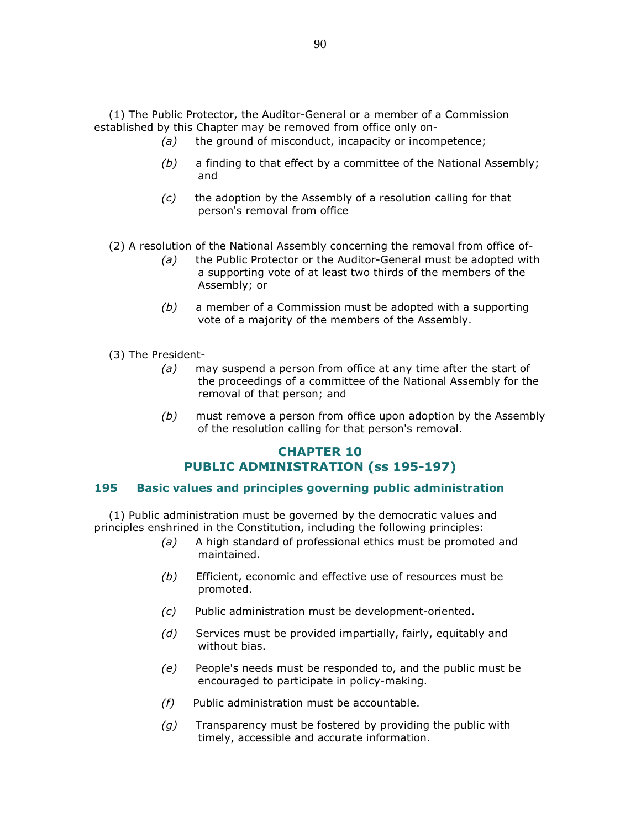(1) The Public Protector, the Auditor-General or a member of a Commission established by this Chapter may be removed from office only on-

- $(a)$  the ground of misconduct, incapacity or incompetence;
- $(b)$  a finding to that effect by a committee of the National Assembly; and
- $(c)$  the adoption by the Assembly of a resolution calling for that person's removal from office
- (2) A resolution of the National Assembly concerning the removal from office of-
	- (a) the Public Protector or the Auditor-General must be adopted with a supporting vote of at least two thirds of the members of the Assembly; or
	- $(b)$  a member of a Commission must be adopted with a supporting vote of a majority of the members of the Assembly.
- (3) The President-
	- $(a)$  may suspend a person from office at any time after the start of the proceedings of a committee of the National Assembly for the removal of that person; and
	- $(b)$  must remove a person from office upon adoption by the Assembly of the resolution calling for that person's removal.

# CHAPTER 10 PUBLIC ADMINISTRATION (ss 195-197)

#### 195 Basic values and principles governing public administration

 (1) Public administration must be governed by the democratic values and principles enshrined in the Constitution, including the following principles:

- (a) A high standard of professional ethics must be promoted and maintained.
- (b) Efficient, economic and effective use of resources must be promoted.
- (c) Public administration must be development-oriented.
- (d) Services must be provided impartially, fairly, equitably and without bias.
- (e) People's needs must be responded to, and the public must be encouraged to participate in policy-making.
- (f) Public administration must be accountable.
- $(q)$  Transparency must be fostered by providing the public with timely, accessible and accurate information.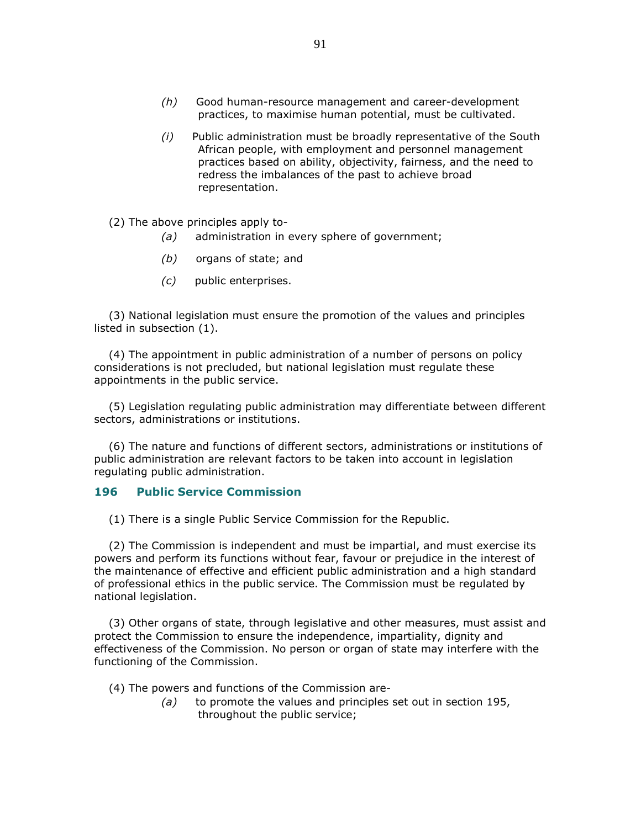- (h) Good human-resource management and career-development practices, to maximise human potential, must be cultivated.
- (i) Public administration must be broadly representative of the South African people, with employment and personnel management practices based on ability, objectivity, fairness, and the need to redress the imbalances of the past to achieve broad representation.

(2) The above principles apply to-

- (a) administration in every sphere of government;
- (b) organs of state; and
- (c) public enterprises.

 (3) National legislation must ensure the promotion of the values and principles listed in subsection (1).

 (4) The appointment in public administration of a number of persons on policy considerations is not precluded, but national legislation must regulate these appointments in the public service.

 (5) Legislation regulating public administration may differentiate between different sectors, administrations or institutions.

 (6) The nature and functions of different sectors, administrations or institutions of public administration are relevant factors to be taken into account in legislation regulating public administration.

#### 196 Public Service Commission

(1) There is a single Public Service Commission for the Republic.

 (2) The Commission is independent and must be impartial, and must exercise its powers and perform its functions without fear, favour or prejudice in the interest of the maintenance of effective and efficient public administration and a high standard of professional ethics in the public service. The Commission must be regulated by national legislation.

 (3) Other organs of state, through legislative and other measures, must assist and protect the Commission to ensure the independence, impartiality, dignity and effectiveness of the Commission. No person or organ of state may interfere with the functioning of the Commission.

(4) The powers and functions of the Commission are-

(a) to promote the values and principles set out in section 195, throughout the public service;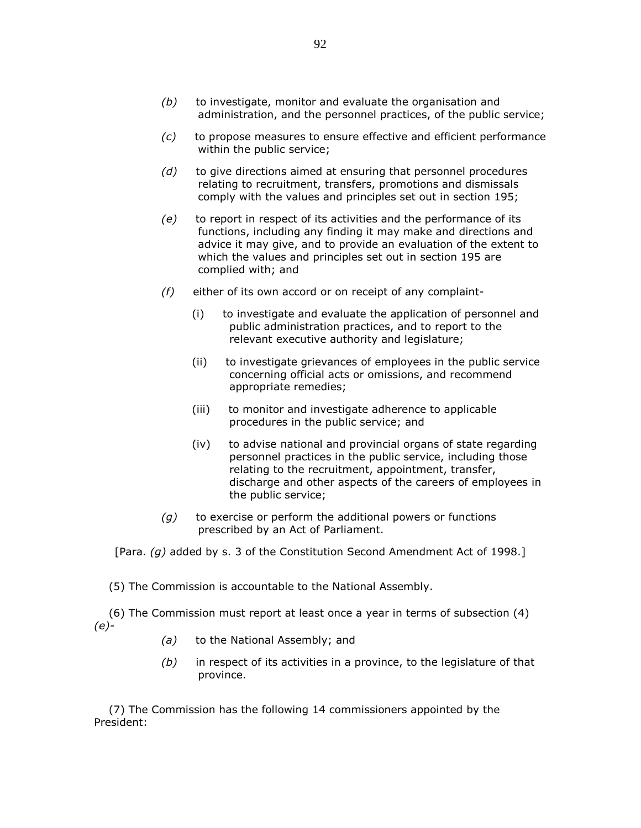- $(b)$  to investigate, monitor and evaluate the organisation and administration, and the personnel practices, of the public service;
- (c) to propose measures to ensure effective and efficient performance within the public service;
- $(d)$  to give directions aimed at ensuring that personnel procedures relating to recruitment, transfers, promotions and dismissals comply with the values and principles set out in section 195;
- (e) to report in respect of its activities and the performance of its functions, including any finding it may make and directions and advice it may give, and to provide an evaluation of the extent to which the values and principles set out in section 195 are complied with; and
- $(f)$  either of its own accord or on receipt of any complaint-
	- (i) to investigate and evaluate the application of personnel and public administration practices, and to report to the relevant executive authority and legislature;
	- (ii) to investigate grievances of employees in the public service concerning official acts or omissions, and recommend appropriate remedies;
	- (iii) to monitor and investigate adherence to applicable procedures in the public service; and
	- (iv) to advise national and provincial organs of state regarding personnel practices in the public service, including those relating to the recruitment, appointment, transfer, discharge and other aspects of the careers of employees in the public service;
- $(g)$  to exercise or perform the additional powers or functions prescribed by an Act of Parliament.

[Para. (g) added by s. 3 of the Constitution Second Amendment Act of 1998.]

(5) The Commission is accountable to the National Assembly.

 (6) The Commission must report at least once a year in terms of subsection (4) (e)-

- (a) to the National Assembly; and
- $(b)$  in respect of its activities in a province, to the legislature of that province.

 (7) The Commission has the following 14 commissioners appointed by the President: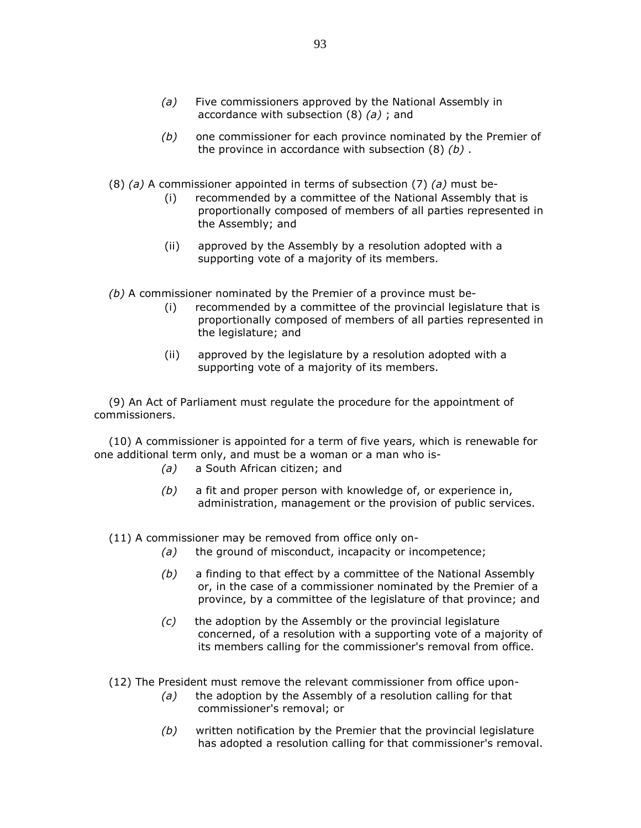- (a) Five commissioners approved by the National Assembly in accordance with subsection  $(8)$   $(a)$ ; and
- (b) one commissioner for each province nominated by the Premier of the province in accordance with subsection  $(8)$   $(b)$ .
- (8) (a) A commissioner appointed in terms of subsection (7) (a) must be-
	- (i) recommended by a committee of the National Assembly that is proportionally composed of members of all parties represented in the Assembly; and
	- (ii) approved by the Assembly by a resolution adopted with a supporting vote of a majority of its members.
- (b) A commissioner nominated by the Premier of a province must be-
	- (i) recommended by a committee of the provincial legislature that is proportionally composed of members of all parties represented in the legislature; and
	- (ii) approved by the legislature by a resolution adopted with a supporting vote of a majority of its members.

 (9) An Act of Parliament must regulate the procedure for the appointment of commissioners.

 (10) A commissioner is appointed for a term of five years, which is renewable for one additional term only, and must be a woman or a man who is-

- (a) a South African citizen; and
- $(b)$  a fit and proper person with knowledge of, or experience in, administration, management or the provision of public services.
- (11) A commissioner may be removed from office only on-
	- $(a)$  the ground of misconduct, incapacity or incompetence;
	- $(b)$  a finding to that effect by a committee of the National Assembly or, in the case of a commissioner nominated by the Premier of a province, by a committee of the legislature of that province; and
	- (c) the adoption by the Assembly or the provincial legislature concerned, of a resolution with a supporting vote of a majority of its members calling for the commissioner's removal from office.
- (12) The President must remove the relevant commissioner from office upon-
	- $(a)$  the adoption by the Assembly of a resolution calling for that commissioner's removal; or
	- (b) written notification by the Premier that the provincial legislature has adopted a resolution calling for that commissioner's removal.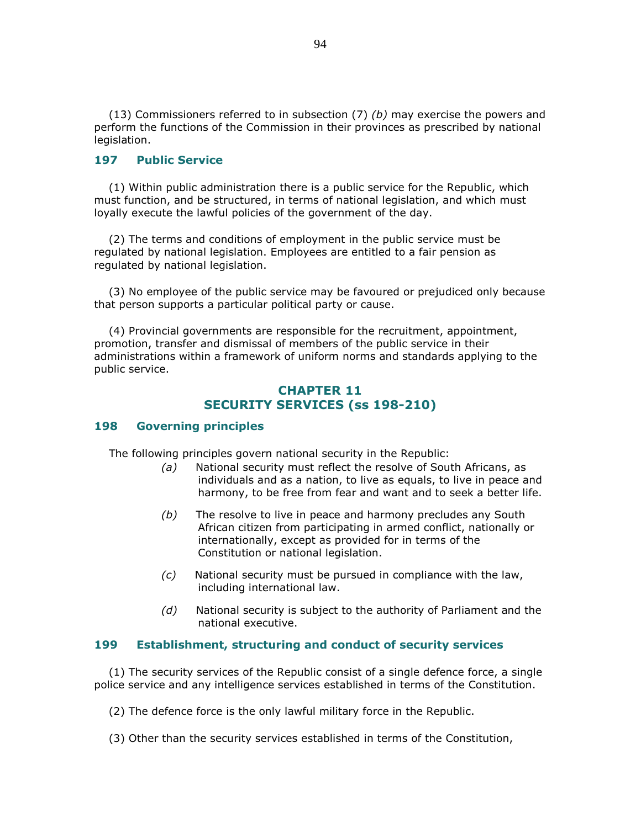(13) Commissioners referred to in subsection (7) (b) may exercise the powers and perform the functions of the Commission in their provinces as prescribed by national legislation.

### 197 Public Service

 (1) Within public administration there is a public service for the Republic, which must function, and be structured, in terms of national legislation, and which must loyally execute the lawful policies of the government of the day.

 (2) The terms and conditions of employment in the public service must be regulated by national legislation. Employees are entitled to a fair pension as regulated by national legislation.

 (3) No employee of the public service may be favoured or prejudiced only because that person supports a particular political party or cause.

 (4) Provincial governments are responsible for the recruitment, appointment, promotion, transfer and dismissal of members of the public service in their administrations within a framework of uniform norms and standards applying to the public service.

# CHAPTER 11 SECURITY SERVICES (ss 198-210)

#### 198 Governing principles

The following principles govern national security in the Republic:

- (a) National security must reflect the resolve of South Africans, as individuals and as a nation, to live as equals, to live in peace and harmony, to be free from fear and want and to seek a better life.
- $(b)$  The resolve to live in peace and harmony precludes any South African citizen from participating in armed conflict, nationally or internationally, except as provided for in terms of the Constitution or national legislation.
- (c) National security must be pursued in compliance with the law, including international law.
- (d) National security is subject to the authority of Parliament and the national executive.

### 199 Establishment, structuring and conduct of security services

 (1) The security services of the Republic consist of a single defence force, a single police service and any intelligence services established in terms of the Constitution.

- (2) The defence force is the only lawful military force in the Republic.
- (3) Other than the security services established in terms of the Constitution,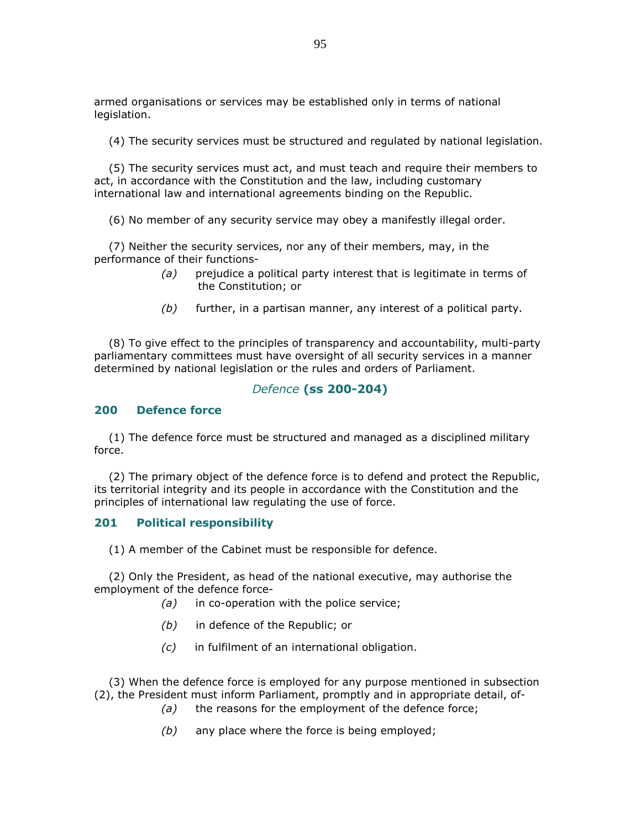armed organisations or services may be established only in terms of national legislation.

(4) The security services must be structured and regulated by national legislation.

 (5) The security services must act, and must teach and require their members to act, in accordance with the Constitution and the law, including customary international law and international agreements binding on the Republic.

(6) No member of any security service may obey a manifestly illegal order.

 (7) Neither the security services, nor any of their members, may, in the performance of their functions-

- (a) prejudice a political party interest that is legitimate in terms of the Constitution; or
- $(b)$  further, in a partisan manner, any interest of a political party.

 (8) To give effect to the principles of transparency and accountability, multi-party parliamentary committees must have oversight of all security services in a manner determined by national legislation or the rules and orders of Parliament.

# Defence (ss 200-204)

## 200 Defence force

 (1) The defence force must be structured and managed as a disciplined military force.

 (2) The primary object of the defence force is to defend and protect the Republic, its territorial integrity and its people in accordance with the Constitution and the principles of international law regulating the use of force.

# 201 Political responsibility

(1) A member of the Cabinet must be responsible for defence.

 (2) Only the President, as head of the national executive, may authorise the employment of the defence force-

- (a) in co-operation with the police service;
- (b) in defence of the Republic; or
- (c) in fulfilment of an international obligation.

 (3) When the defence force is employed for any purpose mentioned in subsection (2), the President must inform Parliament, promptly and in appropriate detail, of-

- $(a)$  the reasons for the employment of the defence force;
- $(b)$  any place where the force is being employed;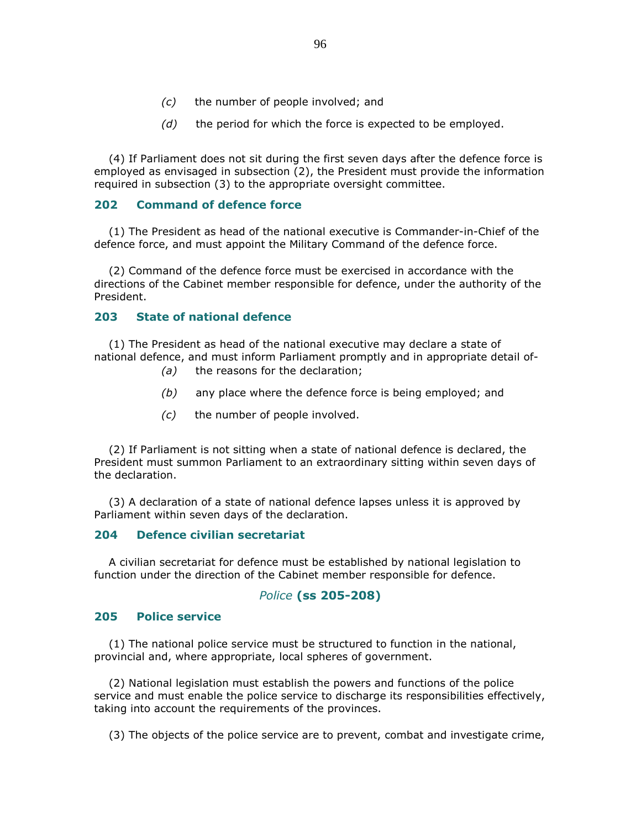- (c) the number of people involved; and
- $(d)$  the period for which the force is expected to be employed.

 (4) If Parliament does not sit during the first seven days after the defence force is employed as envisaged in subsection (2), the President must provide the information required in subsection (3) to the appropriate oversight committee.

## 202 Command of defence force

 (1) The President as head of the national executive is Commander-in-Chief of the defence force, and must appoint the Military Command of the defence force.

 (2) Command of the defence force must be exercised in accordance with the directions of the Cabinet member responsible for defence, under the authority of the President.

# 203 State of national defence

 (1) The President as head of the national executive may declare a state of national defence, and must inform Parliament promptly and in appropriate detail of-

- (a) the reasons for the declaration;
- $(b)$  any place where the defence force is being employed; and
- (c) the number of people involved.

 (2) If Parliament is not sitting when a state of national defence is declared, the President must summon Parliament to an extraordinary sitting within seven days of the declaration.

 (3) A declaration of a state of national defence lapses unless it is approved by Parliament within seven days of the declaration.

### 204 Defence civilian secretariat

 A civilian secretariat for defence must be established by national legislation to function under the direction of the Cabinet member responsible for defence.

### Police (ss 205-208)

# 205 Police service

 (1) The national police service must be structured to function in the national, provincial and, where appropriate, local spheres of government.

 (2) National legislation must establish the powers and functions of the police service and must enable the police service to discharge its responsibilities effectively, taking into account the requirements of the provinces.

(3) The objects of the police service are to prevent, combat and investigate crime,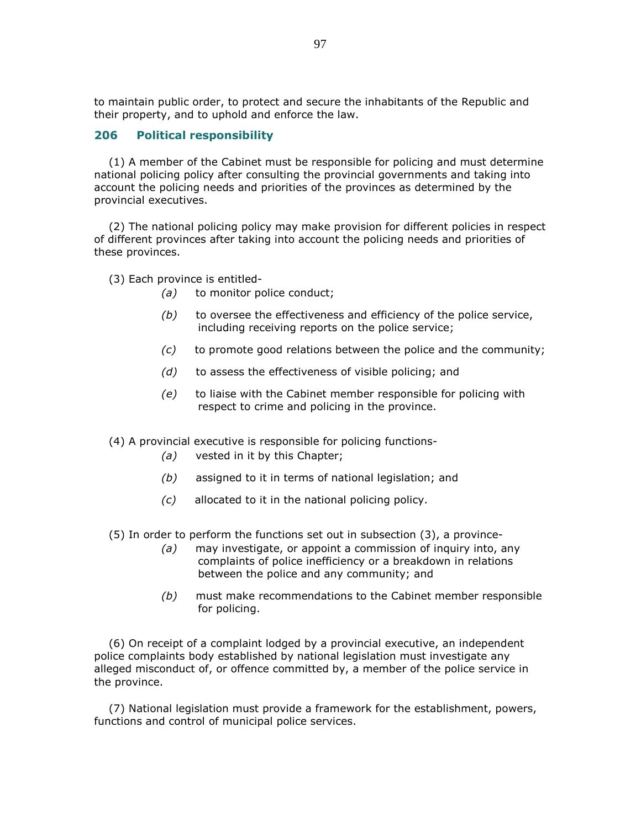to maintain public order, to protect and secure the inhabitants of the Republic and their property, and to uphold and enforce the law.

## 206 Political responsibility

 (1) A member of the Cabinet must be responsible for policing and must determine national policing policy after consulting the provincial governments and taking into account the policing needs and priorities of the provinces as determined by the provincial executives.

 (2) The national policing policy may make provision for different policies in respect of different provinces after taking into account the policing needs and priorities of these provinces.

(3) Each province is entitled-

- (a) to monitor police conduct;
- $(b)$  to oversee the effectiveness and efficiency of the police service, including receiving reports on the police service;
- $(c)$  to promote good relations between the police and the community;
- $(d)$  to assess the effectiveness of visible policing; and
- $(e)$  to liaise with the Cabinet member responsible for policing with respect to crime and policing in the province.

(4) A provincial executive is responsible for policing functions-

- (a) vested in it by this Chapter;
- (b) assigned to it in terms of national legislation; and
- (c) allocated to it in the national policing policy.

(5) In order to perform the functions set out in subsection (3), a province-

- (a) may investigate, or appoint a commission of inquiry into, any complaints of police inefficiency or a breakdown in relations between the police and any community; and
- (b) must make recommendations to the Cabinet member responsible for policing.

 (6) On receipt of a complaint lodged by a provincial executive, an independent police complaints body established by national legislation must investigate any alleged misconduct of, or offence committed by, a member of the police service in the province.

 (7) National legislation must provide a framework for the establishment, powers, functions and control of municipal police services.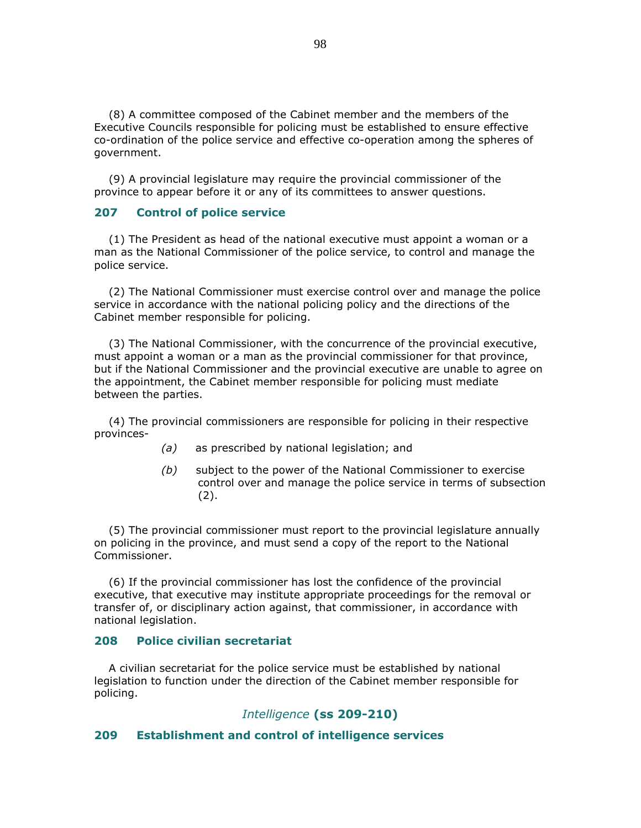(8) A committee composed of the Cabinet member and the members of the Executive Councils responsible for policing must be established to ensure effective co-ordination of the police service and effective co-operation among the spheres of government.

 (9) A provincial legislature may require the provincial commissioner of the province to appear before it or any of its committees to answer questions.

### 207 Control of police service

 (1) The President as head of the national executive must appoint a woman or a man as the National Commissioner of the police service, to control and manage the police service.

 (2) The National Commissioner must exercise control over and manage the police service in accordance with the national policing policy and the directions of the Cabinet member responsible for policing.

 (3) The National Commissioner, with the concurrence of the provincial executive, must appoint a woman or a man as the provincial commissioner for that province, but if the National Commissioner and the provincial executive are unable to agree on the appointment, the Cabinet member responsible for policing must mediate between the parties.

 (4) The provincial commissioners are responsible for policing in their respective provinces-

- (a) as prescribed by national legislation; and
- (b) subject to the power of the National Commissioner to exercise control over and manage the police service in terms of subsection (2).

 (5) The provincial commissioner must report to the provincial legislature annually on policing in the province, and must send a copy of the report to the National Commissioner.

 (6) If the provincial commissioner has lost the confidence of the provincial executive, that executive may institute appropriate proceedings for the removal or transfer of, or disciplinary action against, that commissioner, in accordance with national legislation.

### 208 Police civilian secretariat

 A civilian secretariat for the police service must be established by national legislation to function under the direction of the Cabinet member responsible for policing.

# Intelligence (ss 209-210)

#### 209 Establishment and control of intelligence services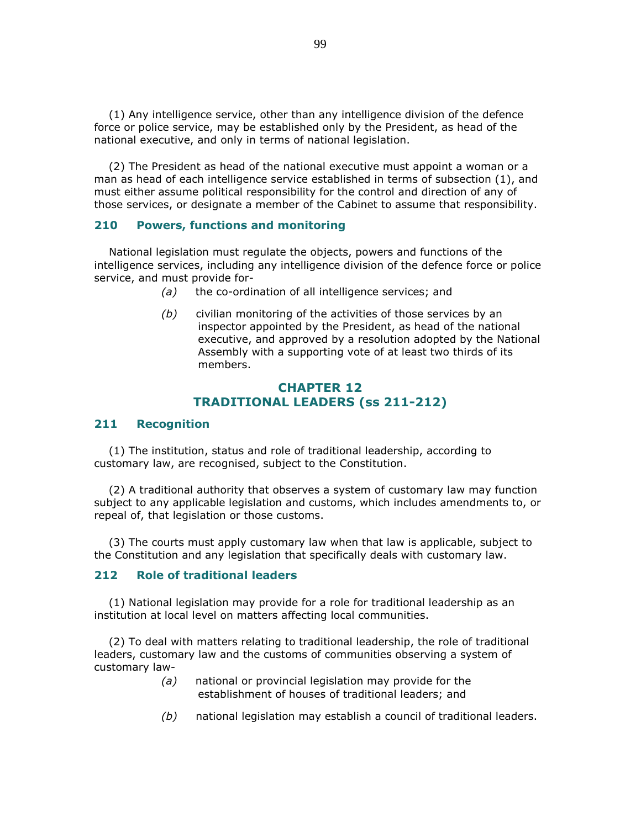(1) Any intelligence service, other than any intelligence division of the defence force or police service, may be established only by the President, as head of the national executive, and only in terms of national legislation.

 (2) The President as head of the national executive must appoint a woman or a man as head of each intelligence service established in terms of subsection (1), and must either assume political responsibility for the control and direction of any of those services, or designate a member of the Cabinet to assume that responsibility.

### 210 Powers, functions and monitoring

 National legislation must regulate the objects, powers and functions of the intelligence services, including any intelligence division of the defence force or police service, and must provide for-

- (a) the co-ordination of all intelligence services; and
- (b) civilian monitoring of the activities of those services by an inspector appointed by the President, as head of the national executive, and approved by a resolution adopted by the National Assembly with a supporting vote of at least two thirds of its members.

# CHAPTER 12 TRADITIONAL LEADERS (ss 211-212)

#### 211 Recognition

 (1) The institution, status and role of traditional leadership, according to customary law, are recognised, subject to the Constitution.

 (2) A traditional authority that observes a system of customary law may function subject to any applicable legislation and customs, which includes amendments to, or repeal of, that legislation or those customs.

 (3) The courts must apply customary law when that law is applicable, subject to the Constitution and any legislation that specifically deals with customary law.

# 212 Role of traditional leaders

 (1) National legislation may provide for a role for traditional leadership as an institution at local level on matters affecting local communities.

 (2) To deal with matters relating to traditional leadership, the role of traditional leaders, customary law and the customs of communities observing a system of customary law-

- (a) national or provincial legislation may provide for the establishment of houses of traditional leaders; and
- (b) national legislation may establish a council of traditional leaders.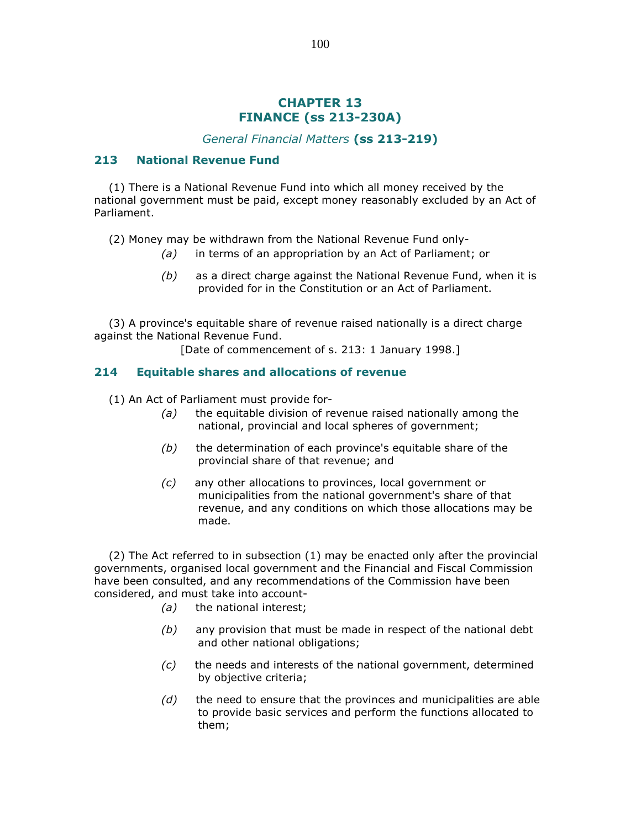# CHAPTER 13 FINANCE (ss 213-230A)

General Financial Matters (ss 213-219)

## 213 National Revenue Fund

 (1) There is a National Revenue Fund into which all money received by the national government must be paid, except money reasonably excluded by an Act of Parliament.

(2) Money may be withdrawn from the National Revenue Fund only-

- (a) in terms of an appropriation by an Act of Parliament; or
- $(b)$  as a direct charge against the National Revenue Fund, when it is provided for in the Constitution or an Act of Parliament.

 (3) A province's equitable share of revenue raised nationally is a direct charge against the National Revenue Fund.

[Date of commencement of s. 213: 1 January 1998.]

# 214 Equitable shares and allocations of revenue

(1) An Act of Parliament must provide for-

- $(a)$  the equitable division of revenue raised nationally among the national, provincial and local spheres of government;
- $(b)$  the determination of each province's equitable share of the provincial share of that revenue; and
- (c) any other allocations to provinces, local government or municipalities from the national government's share of that revenue, and any conditions on which those allocations may be made.

 (2) The Act referred to in subsection (1) may be enacted only after the provincial governments, organised local government and the Financial and Fiscal Commission have been consulted, and any recommendations of the Commission have been considered, and must take into account-

- (a) the national interest;
- $(b)$  any provision that must be made in respect of the national debt and other national obligations;
- $(c)$  the needs and interests of the national government, determined by objective criteria;
- $(d)$  the need to ensure that the provinces and municipalities are able to provide basic services and perform the functions allocated to them;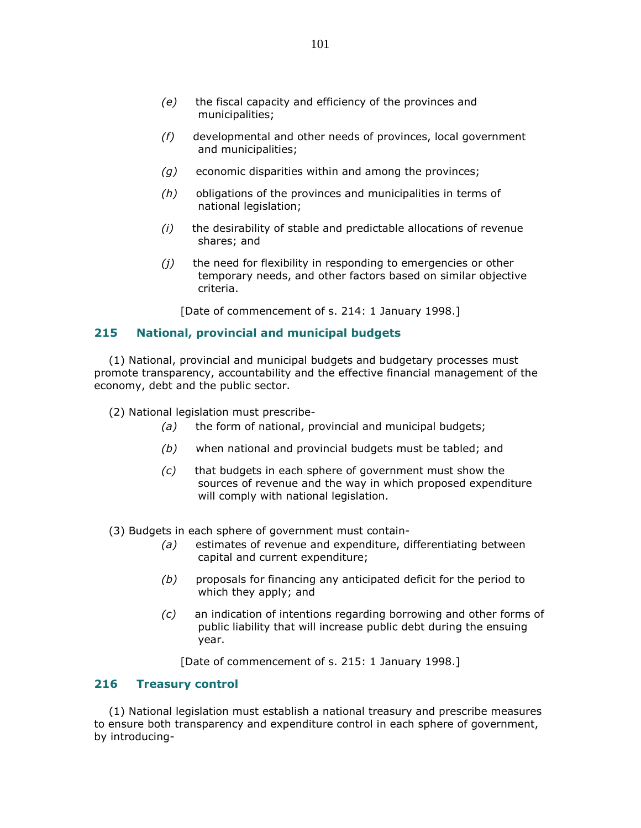- (e) the fiscal capacity and efficiency of the provinces and municipalities;
- (f) developmental and other needs of provinces, local government and municipalities;
- $(g)$  economic disparities within and among the provinces;
- (h) obligations of the provinces and municipalities in terms of national legislation;
- (i) the desirability of stable and predictable allocations of revenue shares; and
- $(i)$  the need for flexibility in responding to emergencies or other temporary needs, and other factors based on similar objective criteria.

[Date of commencement of s. 214: 1 January 1998.]

### 215 National, provincial and municipal budgets

 (1) National, provincial and municipal budgets and budgetary processes must promote transparency, accountability and the effective financial management of the economy, debt and the public sector.

(2) National legislation must prescribe-

- (a) the form of national, provincial and municipal budgets;
- $(b)$  when national and provincial budgets must be tabled; and
- (c) that budgets in each sphere of government must show the sources of revenue and the way in which proposed expenditure will comply with national legislation.

(3) Budgets in each sphere of government must contain-

- (a) estimates of revenue and expenditure, differentiating between capital and current expenditure;
- (b) proposals for financing any anticipated deficit for the period to which they apply; and
- (c) an indication of intentions regarding borrowing and other forms of public liability that will increase public debt during the ensuing year.

[Date of commencement of s. 215: 1 January 1998.]

## 216 Treasury control

 (1) National legislation must establish a national treasury and prescribe measures to ensure both transparency and expenditure control in each sphere of government, by introducing-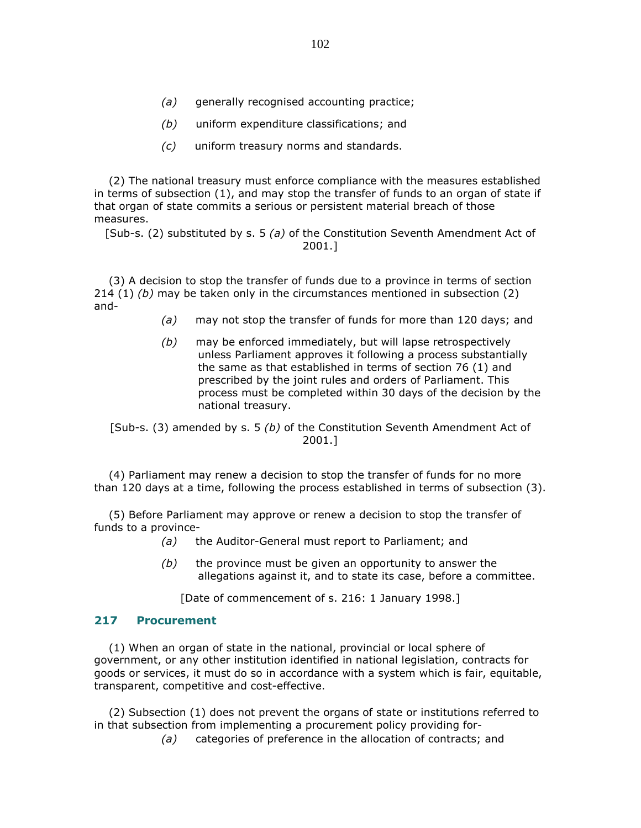- (a) generally recognised accounting practice;
- (b) uniform expenditure classifications; and
- (c) uniform treasury norms and standards.

 (2) The national treasury must enforce compliance with the measures established in terms of subsection (1), and may stop the transfer of funds to an organ of state if that organ of state commits a serious or persistent material breach of those measures.

[Sub-s. (2) substituted by s. 5 (a) of the Constitution Seventh Amendment Act of 2001.]

 (3) A decision to stop the transfer of funds due to a province in terms of section 214 (1) (b) may be taken only in the circumstances mentioned in subsection (2) and-

- (a) may not stop the transfer of funds for more than 120 days; and
- $(b)$  may be enforced immediately, but will lapse retrospectively unless Parliament approves it following a process substantially the same as that established in terms of section 76 (1) and prescribed by the joint rules and orders of Parliament. This process must be completed within 30 days of the decision by the national treasury.

[Sub-s. (3) amended by s. 5 (b) of the Constitution Seventh Amendment Act of 2001.]

 (4) Parliament may renew a decision to stop the transfer of funds for no more than 120 days at a time, following the process established in terms of subsection (3).

 (5) Before Parliament may approve or renew a decision to stop the transfer of funds to a province-

- (a) the Auditor-General must report to Parliament; and
- $(b)$  the province must be given an opportunity to answer the allegations against it, and to state its case, before a committee.

[Date of commencement of s. 216: 1 January 1998.]

### 217 Procurement

 (1) When an organ of state in the national, provincial or local sphere of government, or any other institution identified in national legislation, contracts for goods or services, it must do so in accordance with a system which is fair, equitable, transparent, competitive and cost-effective.

 (2) Subsection (1) does not prevent the organs of state or institutions referred to in that subsection from implementing a procurement policy providing for-

(a) categories of preference in the allocation of contracts; and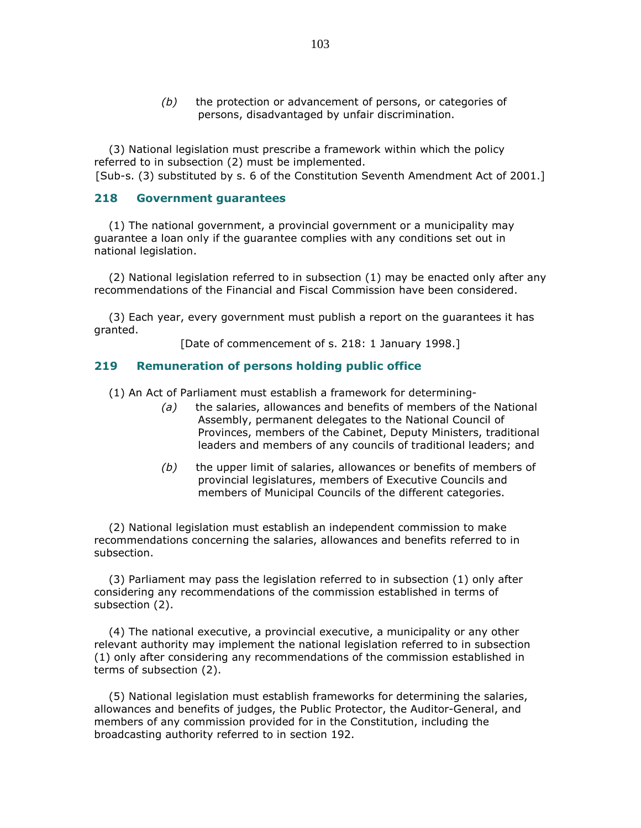$(b)$  the protection or advancement of persons, or categories of persons, disadvantaged by unfair discrimination.

 (3) National legislation must prescribe a framework within which the policy referred to in subsection (2) must be implemented. [Sub-s. (3) substituted by s. 6 of the Constitution Seventh Amendment Act of 2001.]

### 218 Government guarantees

 (1) The national government, a provincial government or a municipality may guarantee a loan only if the guarantee complies with any conditions set out in national legislation.

 (2) National legislation referred to in subsection (1) may be enacted only after any recommendations of the Financial and Fiscal Commission have been considered.

 (3) Each year, every government must publish a report on the guarantees it has granted.

[Date of commencement of s. 218: 1 January 1998.]

### 219 Remuneration of persons holding public office

(1) An Act of Parliament must establish a framework for determining-

- $(a)$  the salaries, allowances and benefits of members of the National Assembly, permanent delegates to the National Council of Provinces, members of the Cabinet, Deputy Ministers, traditional leaders and members of any councils of traditional leaders; and
- $(b)$  the upper limit of salaries, allowances or benefits of members of provincial legislatures, members of Executive Councils and members of Municipal Councils of the different categories.

 (2) National legislation must establish an independent commission to make recommendations concerning the salaries, allowances and benefits referred to in subsection.

 (3) Parliament may pass the legislation referred to in subsection (1) only after considering any recommendations of the commission established in terms of subsection (2).

 (4) The national executive, a provincial executive, a municipality or any other relevant authority may implement the national legislation referred to in subsection (1) only after considering any recommendations of the commission established in terms of subsection (2).

 (5) National legislation must establish frameworks for determining the salaries, allowances and benefits of judges, the Public Protector, the Auditor-General, and members of any commission provided for in the Constitution, including the broadcasting authority referred to in section 192.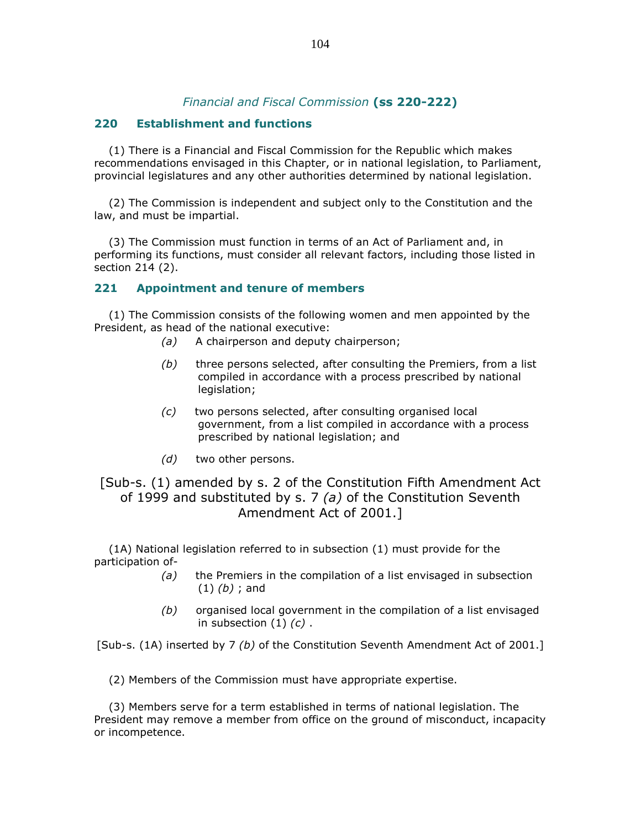# Financial and Fiscal Commission (ss 220-222)

### 220 Establishment and functions

 (1) There is a Financial and Fiscal Commission for the Republic which makes recommendations envisaged in this Chapter, or in national legislation, to Parliament, provincial legislatures and any other authorities determined by national legislation.

 (2) The Commission is independent and subject only to the Constitution and the law, and must be impartial.

 (3) The Commission must function in terms of an Act of Parliament and, in performing its functions, must consider all relevant factors, including those listed in section 214 (2).

### 221 Appointment and tenure of members

 (1) The Commission consists of the following women and men appointed by the President, as head of the national executive:

- (a) A chairperson and deputy chairperson;
- $(b)$  three persons selected, after consulting the Premiers, from a list compiled in accordance with a process prescribed by national legislation;
- (c) two persons selected, after consulting organised local government, from a list compiled in accordance with a process prescribed by national legislation; and
- (d) two other persons.

# [Sub-s. (1) amended by s. 2 of the Constitution Fifth Amendment Act of 1999 and substituted by s. 7 (a) of the Constitution Seventh Amendment Act of 2001.]

 (1A) National legislation referred to in subsection (1) must provide for the participation of-

- $(a)$  the Premiers in the compilation of a list envisaged in subsection  $(1)$   $(b)$  ; and
- (b) organised local government in the compilation of a list envisaged in subsection  $(1)$   $(c)$ .

[Sub-s. (1A) inserted by 7 (b) of the Constitution Seventh Amendment Act of 2001.]

(2) Members of the Commission must have appropriate expertise.

 (3) Members serve for a term established in terms of national legislation. The President may remove a member from office on the ground of misconduct, incapacity or incompetence.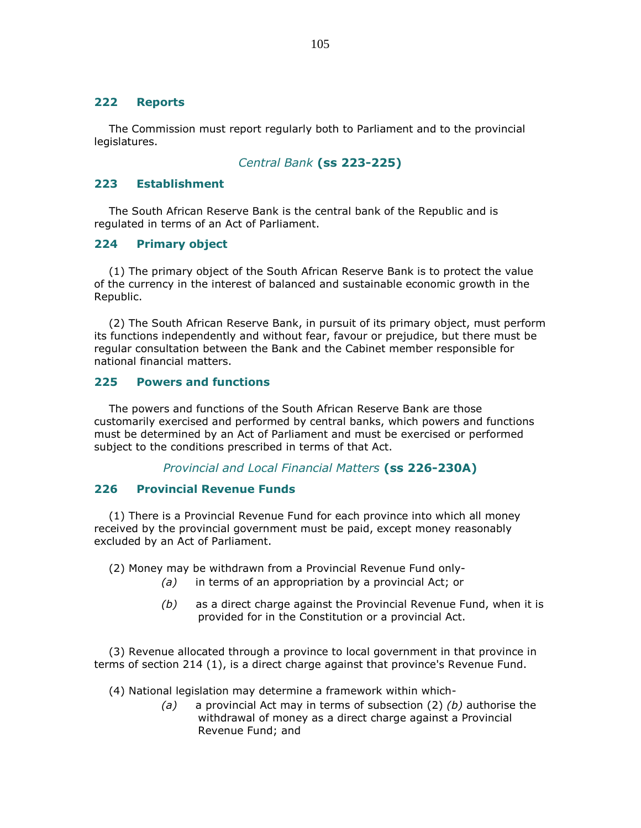## 222 Reports

 The Commission must report regularly both to Parliament and to the provincial legislatures.

## Central Bank (ss 223-225)

## 223 Establishment

 The South African Reserve Bank is the central bank of the Republic and is regulated in terms of an Act of Parliament.

## 224 Primary object

 (1) The primary object of the South African Reserve Bank is to protect the value of the currency in the interest of balanced and sustainable economic growth in the Republic.

 (2) The South African Reserve Bank, in pursuit of its primary object, must perform its functions independently and without fear, favour or prejudice, but there must be regular consultation between the Bank and the Cabinet member responsible for national financial matters.

# 225 Powers and functions

 The powers and functions of the South African Reserve Bank are those customarily exercised and performed by central banks, which powers and functions must be determined by an Act of Parliament and must be exercised or performed subject to the conditions prescribed in terms of that Act.

# Provincial and Local Financial Matters (SS 226-230A)

# 226 Provincial Revenue Funds

 (1) There is a Provincial Revenue Fund for each province into which all money received by the provincial government must be paid, except money reasonably excluded by an Act of Parliament.

(2) Money may be withdrawn from a Provincial Revenue Fund only-

- (a) in terms of an appropriation by a provincial Act; or
- $(b)$  as a direct charge against the Provincial Revenue Fund, when it is provided for in the Constitution or a provincial Act.

 (3) Revenue allocated through a province to local government in that province in terms of section 214 (1), is a direct charge against that province's Revenue Fund.

(4) National legislation may determine a framework within which-

(a) a provincial Act may in terms of subsection (2) (b) authorise the withdrawal of money as a direct charge against a Provincial Revenue Fund; and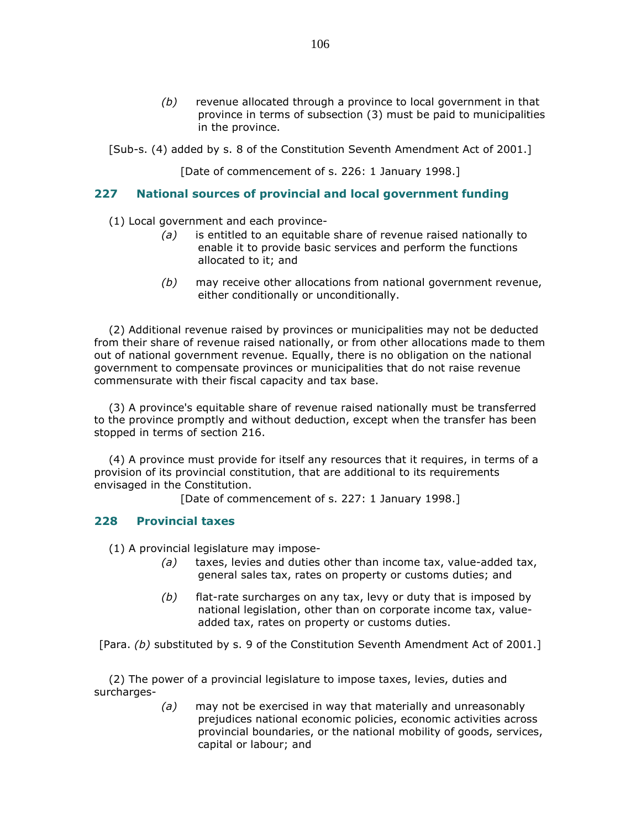$(b)$  revenue allocated through a province to local government in that province in terms of subsection (3) must be paid to municipalities in the province.

[Sub-s. (4) added by s. 8 of the Constitution Seventh Amendment Act of 2001.]

[Date of commencement of s. 226: 1 January 1998.]

## 227 National sources of provincial and local government funding

- (1) Local government and each province-
	- $(a)$  is entitled to an equitable share of revenue raised nationally to enable it to provide basic services and perform the functions allocated to it; and
	- $(b)$  may receive other allocations from national government revenue, either conditionally or unconditionally.

 (2) Additional revenue raised by provinces or municipalities may not be deducted from their share of revenue raised nationally, or from other allocations made to them out of national government revenue. Equally, there is no obligation on the national government to compensate provinces or municipalities that do not raise revenue commensurate with their fiscal capacity and tax base.

 (3) A province's equitable share of revenue raised nationally must be transferred to the province promptly and without deduction, except when the transfer has been stopped in terms of section 216.

 (4) A province must provide for itself any resources that it requires, in terms of a provision of its provincial constitution, that are additional to its requirements envisaged in the Constitution.

[Date of commencement of s. 227: 1 January 1998.]

# 228 Provincial taxes

(1) A provincial legislature may impose-

- $(a)$  taxes, levies and duties other than income tax, value-added tax, general sales tax, rates on property or customs duties; and
- $(b)$  flat-rate surcharges on any tax, levy or duty that is imposed by national legislation, other than on corporate income tax, valueadded tax, rates on property or customs duties.

[Para. (b) substituted by s. 9 of the Constitution Seventh Amendment Act of 2001.]

 (2) The power of a provincial legislature to impose taxes, levies, duties and surcharges-

> $(a)$  may not be exercised in way that materially and unreasonably prejudices national economic policies, economic activities across provincial boundaries, or the national mobility of goods, services, capital or labour; and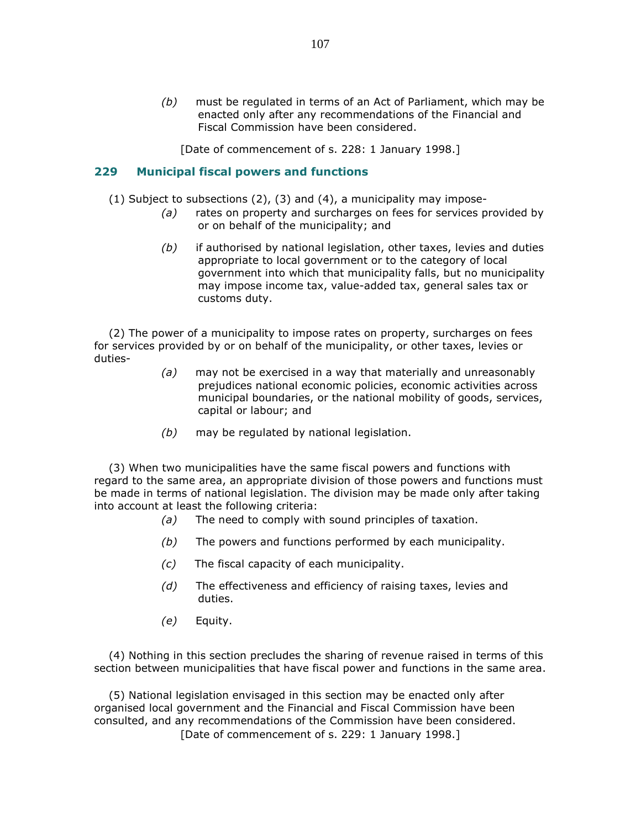(b) must be regulated in terms of an Act of Parliament, which may be enacted only after any recommendations of the Financial and Fiscal Commission have been considered.

[Date of commencement of s. 228: 1 January 1998.]

## 229 Municipal fiscal powers and functions

(1) Subject to subsections (2), (3) and (4), a municipality may impose-

- (a) rates on property and surcharges on fees for services provided by or on behalf of the municipality; and
- $(b)$  if authorised by national legislation, other taxes, levies and duties appropriate to local government or to the category of local government into which that municipality falls, but no municipality may impose income tax, value-added tax, general sales tax or customs duty.

 (2) The power of a municipality to impose rates on property, surcharges on fees for services provided by or on behalf of the municipality, or other taxes, levies or duties-

- $(a)$  may not be exercised in a way that materially and unreasonably prejudices national economic policies, economic activities across municipal boundaries, or the national mobility of goods, services, capital or labour; and
- $(b)$  may be regulated by national legislation.

 (3) When two municipalities have the same fiscal powers and functions with regard to the same area, an appropriate division of those powers and functions must be made in terms of national legislation. The division may be made only after taking into account at least the following criteria:

- (a) The need to comply with sound principles of taxation.
- $(b)$  The powers and functions performed by each municipality.
- (c) The fiscal capacity of each municipality.
- $(d)$  The effectiveness and efficiency of raising taxes, levies and duties.
- (e) Equity.

 (4) Nothing in this section precludes the sharing of revenue raised in terms of this section between municipalities that have fiscal power and functions in the same area.

 (5) National legislation envisaged in this section may be enacted only after organised local government and the Financial and Fiscal Commission have been consulted, and any recommendations of the Commission have been considered. [Date of commencement of s. 229: 1 January 1998.]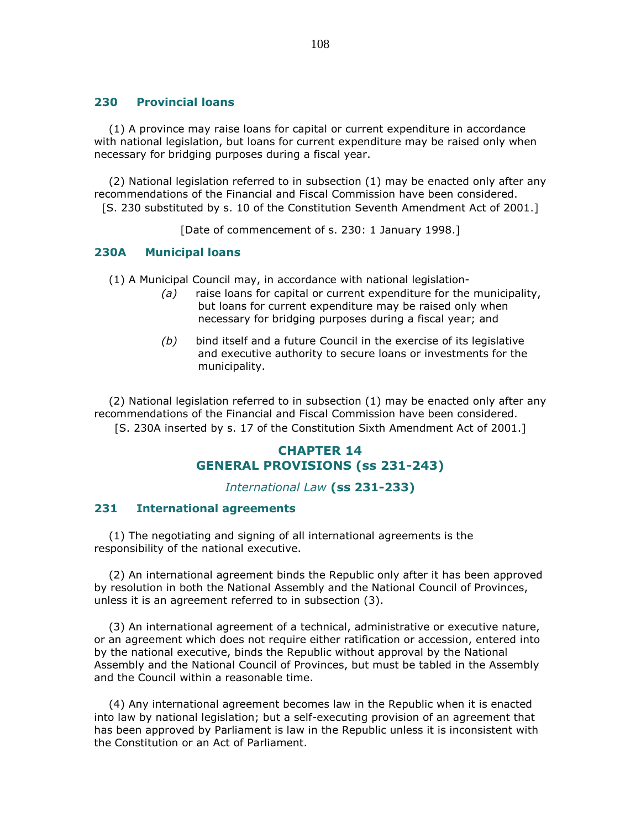### 230 Provincial loans

 (1) A province may raise loans for capital or current expenditure in accordance with national legislation, but loans for current expenditure may be raised only when necessary for bridging purposes during a fiscal year.

 (2) National legislation referred to in subsection (1) may be enacted only after any recommendations of the Financial and Fiscal Commission have been considered. [S. 230 substituted by s. 10 of the Constitution Seventh Amendment Act of 2001.]

[Date of commencement of s. 230: 1 January 1998.]

## 230A Municipal loans

(1) A Municipal Council may, in accordance with national legislation-

- (a) raise loans for capital or current expenditure for the municipality, but loans for current expenditure may be raised only when necessary for bridging purposes during a fiscal year; and
- $(b)$  bind itself and a future Council in the exercise of its legislative and executive authority to secure loans or investments for the municipality.

 (2) National legislation referred to in subsection (1) may be enacted only after any recommendations of the Financial and Fiscal Commission have been considered. [S. 230A inserted by s. 17 of the Constitution Sixth Amendment Act of 2001.]

# CHAPTER 14 GENERAL PROVISIONS (ss 231-243)

International Law (ss 231-233)

## 231 International agreements

 (1) The negotiating and signing of all international agreements is the responsibility of the national executive.

 (2) An international agreement binds the Republic only after it has been approved by resolution in both the National Assembly and the National Council of Provinces, unless it is an agreement referred to in subsection (3).

 (3) An international agreement of a technical, administrative or executive nature, or an agreement which does not require either ratification or accession, entered into by the national executive, binds the Republic without approval by the National Assembly and the National Council of Provinces, but must be tabled in the Assembly and the Council within a reasonable time.

 (4) Any international agreement becomes law in the Republic when it is enacted into law by national legislation; but a self-executing provision of an agreement that has been approved by Parliament is law in the Republic unless it is inconsistent with the Constitution or an Act of Parliament.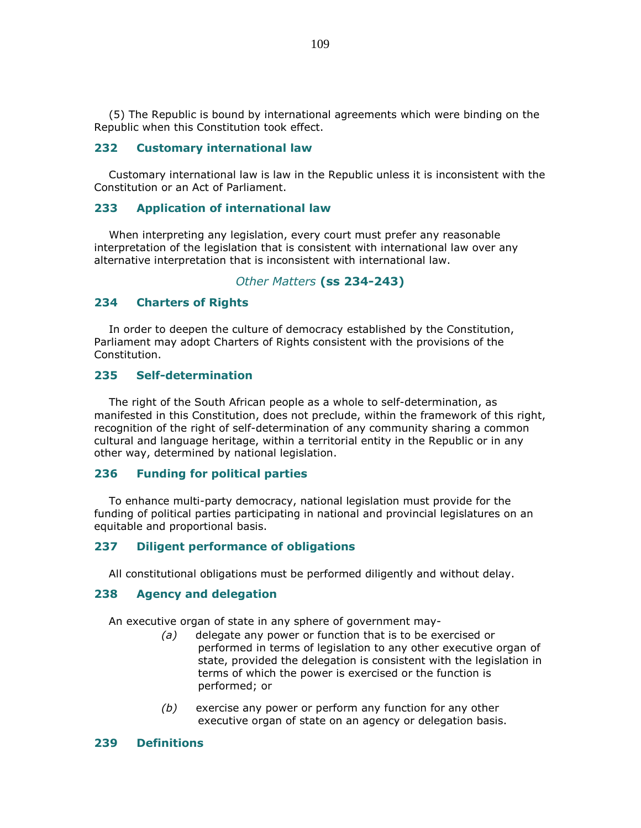(5) The Republic is bound by international agreements which were binding on the Republic when this Constitution took effect.

### 232 Customary international law

 Customary international law is law in the Republic unless it is inconsistent with the Constitution or an Act of Parliament.

### 233 Application of international law

 When interpreting any legislation, every court must prefer any reasonable interpretation of the legislation that is consistent with international law over any alternative interpretation that is inconsistent with international law.

## Other Matters (ss 234-243)

## 234 Charters of Rights

 In order to deepen the culture of democracy established by the Constitution, Parliament may adopt Charters of Rights consistent with the provisions of the Constitution.

## 235 Self-determination

 The right of the South African people as a whole to self-determination, as manifested in this Constitution, does not preclude, within the framework of this right, recognition of the right of self-determination of any community sharing a common cultural and language heritage, within a territorial entity in the Republic or in any other way, determined by national legislation.

## 236 Funding for political parties

 To enhance multi-party democracy, national legislation must provide for the funding of political parties participating in national and provincial legislatures on an equitable and proportional basis.

## 237 Diligent performance of obligations

All constitutional obligations must be performed diligently and without delay.

### 238 Agency and delegation

An executive organ of state in any sphere of government may-

- (a) delegate any power or function that is to be exercised or performed in terms of legislation to any other executive organ of state, provided the delegation is consistent with the legislation in terms of which the power is exercised or the function is performed; or
- $(b)$  exercise any power or perform any function for any other executive organ of state on an agency or delegation basis.

### 239 Definitions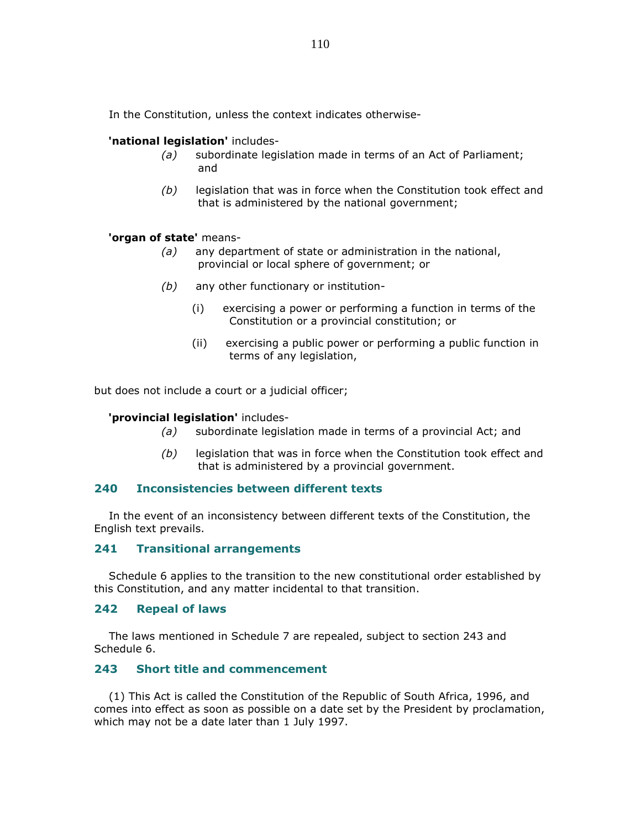In the Constitution, unless the context indicates otherwise-

### 'national legislation' includes-

- (a) subordinate legislation made in terms of an Act of Parliament; and
- (b) legislation that was in force when the Constitution took effect and that is administered by the national government;

### 'organ of state' means-

- (a) any department of state or administration in the national, provincial or local sphere of government; or
- (b) any other functionary or institution-
	- (i) exercising a power or performing a function in terms of the Constitution or a provincial constitution; or
	- (ii) exercising a public power or performing a public function in terms of any legislation,

but does not include a court or a judicial officer;

### 'provincial legislation' includes-

- (a) subordinate legislation made in terms of a provincial Act; and
- (b) legislation that was in force when the Constitution took effect and that is administered by a provincial government.

## 240 Inconsistencies between different texts

 In the event of an inconsistency between different texts of the Constitution, the English text prevails.

## 241 Transitional arrangements

 Schedule 6 applies to the transition to the new constitutional order established by this Constitution, and any matter incidental to that transition.

## 242 Repeal of laws

 The laws mentioned in Schedule 7 are repealed, subject to section 243 and Schedule 6.

## 243 Short title and commencement

 (1) This Act is called the Constitution of the Republic of South Africa, 1996, and comes into effect as soon as possible on a date set by the President by proclamation, which may not be a date later than 1 July 1997.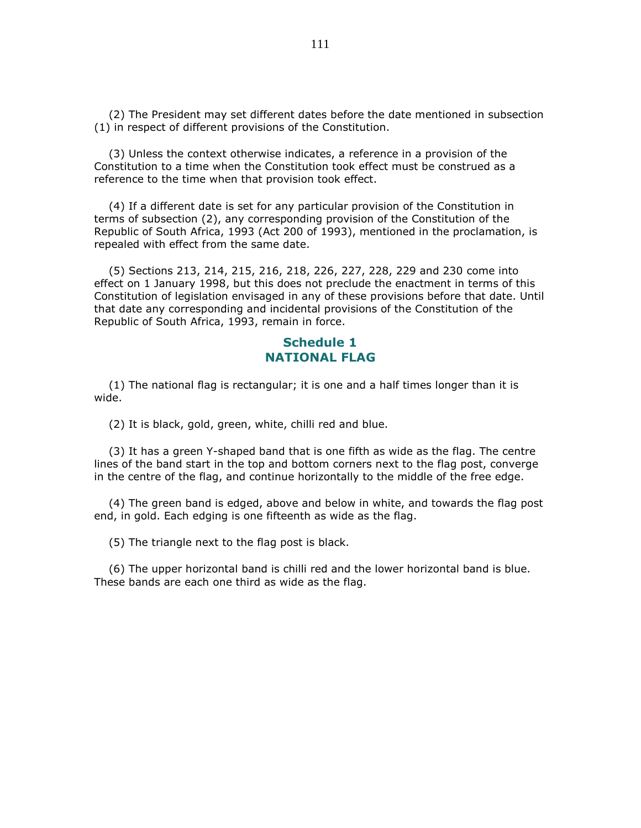(2) The President may set different dates before the date mentioned in subsection (1) in respect of different provisions of the Constitution.

 (3) Unless the context otherwise indicates, a reference in a provision of the Constitution to a time when the Constitution took effect must be construed as a reference to the time when that provision took effect.

 (4) If a different date is set for any particular provision of the Constitution in terms of subsection (2), any corresponding provision of the Constitution of the Republic of South Africa, 1993 (Act 200 of 1993), mentioned in the proclamation, is repealed with effect from the same date.

 (5) Sections 213, 214, 215, 216, 218, 226, 227, 228, 229 and 230 come into effect on 1 January 1998, but this does not preclude the enactment in terms of this Constitution of legislation envisaged in any of these provisions before that date. Until that date any corresponding and incidental provisions of the Constitution of the Republic of South Africa, 1993, remain in force.

# Schedule 1 NATIONAL FLAG

 (1) The national flag is rectangular; it is one and a half times longer than it is wide.

(2) It is black, gold, green, white, chilli red and blue.

 (3) It has a green Y-shaped band that is one fifth as wide as the flag. The centre lines of the band start in the top and bottom corners next to the flag post, converge in the centre of the flag, and continue horizontally to the middle of the free edge.

 (4) The green band is edged, above and below in white, and towards the flag post end, in gold. Each edging is one fifteenth as wide as the flag.

(5) The triangle next to the flag post is black.

 (6) The upper horizontal band is chilli red and the lower horizontal band is blue. These bands are each one third as wide as the flag.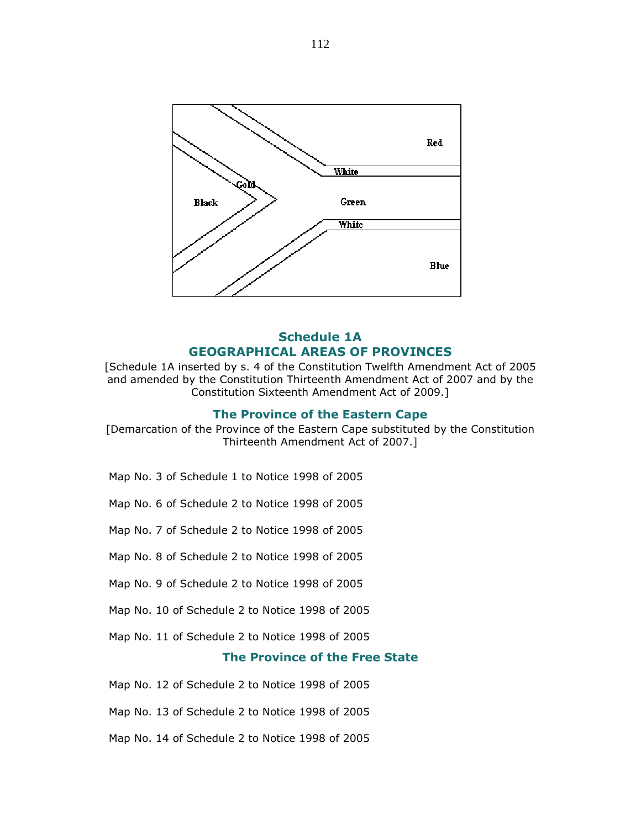

# Schedule 1A GEOGRAPHICAL AREAS OF PROVINCES

[Schedule 1A inserted by s. 4 of the Constitution Twelfth Amendment Act of 2005 and amended by the Constitution Thirteenth Amendment Act of 2007 and by the Constitution Sixteenth Amendment Act of 2009.]

### The Province of the Eastern Cape

[Demarcation of the Province of the Eastern Cape substituted by the Constitution Thirteenth Amendment Act of 2007.]

- Map No. 3 of Schedule 1 to Notice 1998 of 2005
- Map No. 6 of Schedule 2 to Notice 1998 of 2005
- Map No. 7 of Schedule 2 to Notice 1998 of 2005
- Map No. 8 of Schedule 2 to Notice 1998 of 2005
- Map No. 9 of Schedule 2 to Notice 1998 of 2005
- Map No. 10 of Schedule 2 to Notice 1998 of 2005
- Map No. 11 of Schedule 2 to Notice 1998 of 2005

## The Province of the Free State

- Map No. 12 of Schedule 2 to Notice 1998 of 2005
- Map No. 13 of Schedule 2 to Notice 1998 of 2005
- Map No. 14 of Schedule 2 to Notice 1998 of 2005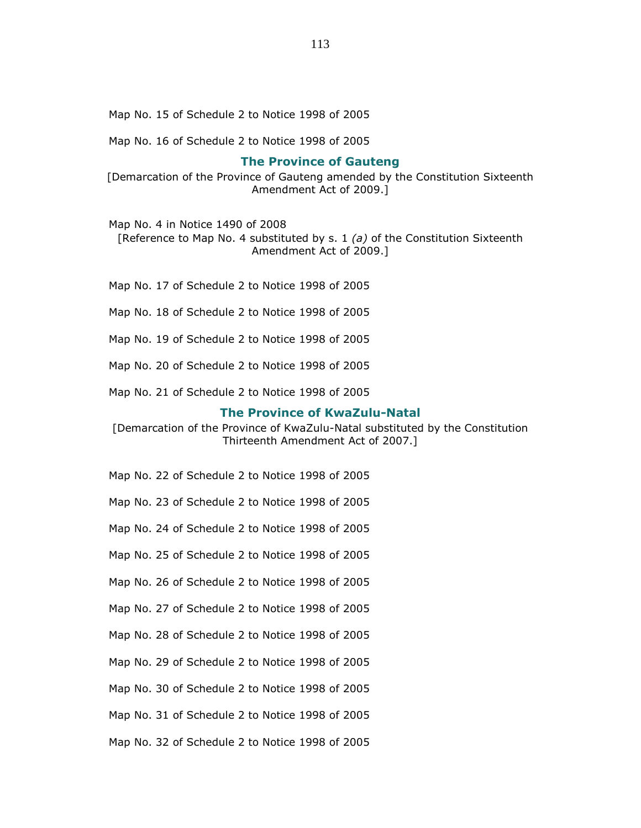Map No. 15 of Schedule 2 to Notice 1998 of 2005

Map No. 16 of Schedule 2 to Notice 1998 of 2005

### The Province of Gauteng

[Demarcation of the Province of Gauteng amended by the Constitution Sixteenth Amendment Act of 2009.]

Map No. 4 in Notice 1490 of 2008

[Reference to Map No. 4 substituted by s. 1 (a) of the Constitution Sixteenth Amendment Act of 2009.]

Map No. 17 of Schedule 2 to Notice 1998 of 2005

Map No. 18 of Schedule 2 to Notice 1998 of 2005

Map No. 19 of Schedule 2 to Notice 1998 of 2005

Map No. 20 of Schedule 2 to Notice 1998 of 2005

Map No. 21 of Schedule 2 to Notice 1998 of 2005

#### The Province of KwaZulu-Natal

[Demarcation of the Province of KwaZulu-Natal substituted by the Constitution Thirteenth Amendment Act of 2007.]

Map No. 22 of Schedule 2 to Notice 1998 of 2005

Map No. 23 of Schedule 2 to Notice 1998 of 2005

Map No. 24 of Schedule 2 to Notice 1998 of 2005

Map No. 25 of Schedule 2 to Notice 1998 of 2005

Map No. 26 of Schedule 2 to Notice 1998 of 2005

Map No. 27 of Schedule 2 to Notice 1998 of 2005

Map No. 28 of Schedule 2 to Notice 1998 of 2005

Map No. 29 of Schedule 2 to Notice 1998 of 2005

Map No. 30 of Schedule 2 to Notice 1998 of 2005

Map No. 31 of Schedule 2 to Notice 1998 of 2005

Map No. 32 of Schedule 2 to Notice 1998 of 2005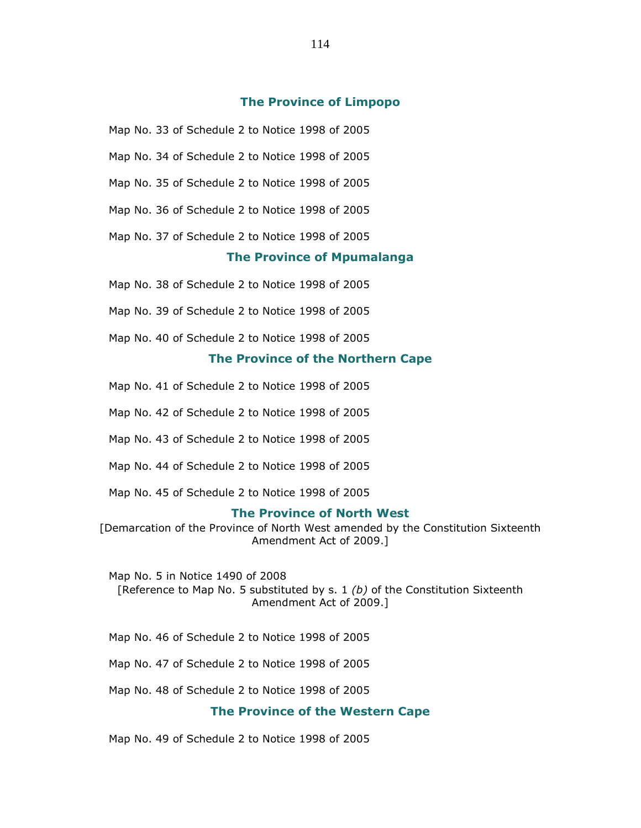### The Province of Limpopo

Map No. 33 of Schedule 2 to Notice 1998 of 2005

Map No. 34 of Schedule 2 to Notice 1998 of 2005

Map No. 35 of Schedule 2 to Notice 1998 of 2005

Map No. 36 of Schedule 2 to Notice 1998 of 2005

Map No. 37 of Schedule 2 to Notice 1998 of 2005

#### The Province of Mpumalanga

Map No. 38 of Schedule 2 to Notice 1998 of 2005

Map No. 39 of Schedule 2 to Notice 1998 of 2005

Map No. 40 of Schedule 2 to Notice 1998 of 2005

#### The Province of the Northern Cape

Map No. 41 of Schedule 2 to Notice 1998 of 2005

Map No. 42 of Schedule 2 to Notice 1998 of 2005

Map No. 43 of Schedule 2 to Notice 1998 of 2005

Map No. 44 of Schedule 2 to Notice 1998 of 2005

Map No. 45 of Schedule 2 to Notice 1998 of 2005

### The Province of North West

[Demarcation of the Province of North West amended by the Constitution Sixteenth Amendment Act of 2009.]

 Map No. 5 in Notice 1490 of 2008 [Reference to Map No. 5 substituted by s. 1 (b) of the Constitution Sixteenth Amendment Act of 2009.]

Map No. 46 of Schedule 2 to Notice 1998 of 2005

Map No. 47 of Schedule 2 to Notice 1998 of 2005

Map No. 48 of Schedule 2 to Notice 1998 of 2005

### The Province of the Western Cape

Map No. 49 of Schedule 2 to Notice 1998 of 2005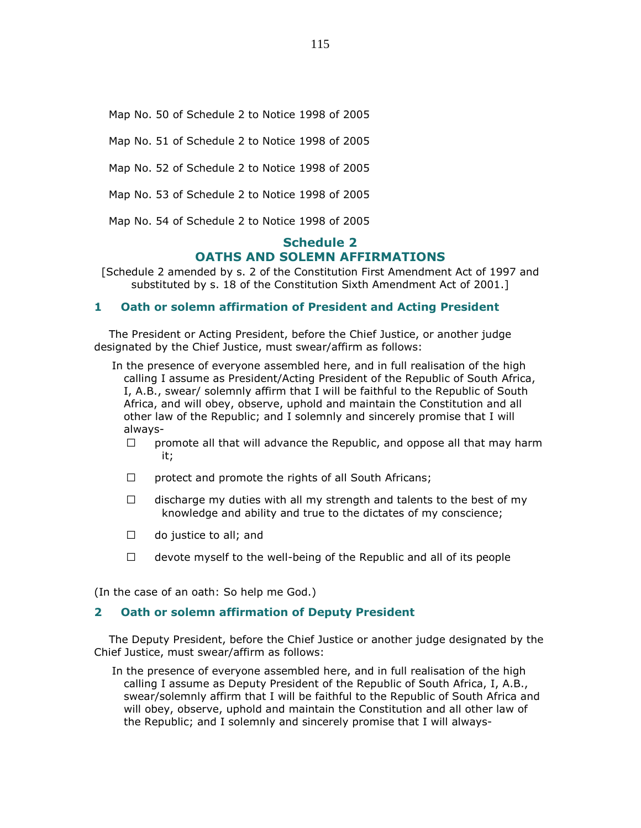Map No. 50 of Schedule 2 to Notice 1998 of 2005

Map No. 51 of Schedule 2 to Notice 1998 of 2005

Map No. 52 of Schedule 2 to Notice 1998 of 2005

Map No. 53 of Schedule 2 to Notice 1998 of 2005

Map No. 54 of Schedule 2 to Notice 1998 of 2005

# Schedule 2 OATHS AND SOLEMN AFFIRMATIONS

[Schedule 2 amended by s. 2 of the Constitution First Amendment Act of 1997 and substituted by s. 18 of the Constitution Sixth Amendment Act of 2001.]

## 1 Oath or solemn affirmation of President and Acting President

 The President or Acting President, before the Chief Justice, or another judge designated by the Chief Justice, must swear/affirm as follows:

- In the presence of everyone assembled here, and in full realisation of the high calling I assume as President/Acting President of the Republic of South Africa, I, A.B., swear/ solemnly affirm that I will be faithful to the Republic of South Africa, and will obey, observe, uphold and maintain the Constitution and all other law of the Republic; and I solemnly and sincerely promise that I will always-
	- K promote all that will advance the Republic, and oppose all that may harm it;
	- K protect and promote the rights of all South Africans;
	- K discharge my duties with all my strength and talents to the best of my knowledge and ability and true to the dictates of my conscience;
	- K do justice to all; and
	- K devote myself to the well-being of the Republic and all of its people

(In the case of an oath: So help me God.)

## 2 Oath or solemn affirmation of Deputy President

 The Deputy President, before the Chief Justice or another judge designated by the Chief Justice, must swear/affirm as follows:

 In the presence of everyone assembled here, and in full realisation of the high calling I assume as Deputy President of the Republic of South Africa, I, A.B., swear/solemnly affirm that I will be faithful to the Republic of South Africa and will obey, observe, uphold and maintain the Constitution and all other law of the Republic; and I solemnly and sincerely promise that I will always-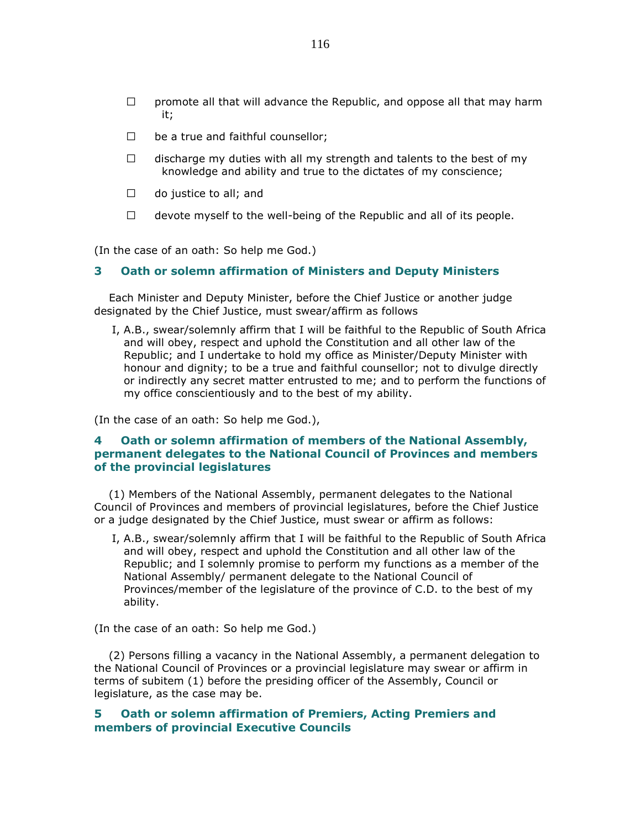- K promote all that will advance the Republic, and oppose all that may harm it;
- K be a true and faithful counsellor;
- K discharge my duties with all my strength and talents to the best of my knowledge and ability and true to the dictates of my conscience;
- K do justice to all; and
- K devote myself to the well-being of the Republic and all of its people.

(In the case of an oath: So help me God.)

## 3 Oath or solemn affirmation of Ministers and Deputy Ministers

 Each Minister and Deputy Minister, before the Chief Justice or another judge designated by the Chief Justice, must swear/affirm as follows

 I, A.B., swear/solemnly affirm that I will be faithful to the Republic of South Africa and will obey, respect and uphold the Constitution and all other law of the Republic; and I undertake to hold my office as Minister/Deputy Minister with honour and dignity; to be a true and faithful counsellor; not to divulge directly or indirectly any secret matter entrusted to me; and to perform the functions of my office conscientiously and to the best of my ability.

(In the case of an oath: So help me God.),

## 4 Oath or solemn affirmation of members of the National Assembly, permanent delegates to the National Council of Provinces and members of the provincial legislatures

 (1) Members of the National Assembly, permanent delegates to the National Council of Provinces and members of provincial legislatures, before the Chief Justice or a judge designated by the Chief Justice, must swear or affirm as follows:

 I, A.B., swear/solemnly affirm that I will be faithful to the Republic of South Africa and will obey, respect and uphold the Constitution and all other law of the Republic; and I solemnly promise to perform my functions as a member of the National Assembly/ permanent delegate to the National Council of Provinces/member of the legislature of the province of C.D. to the best of my ability.

(In the case of an oath: So help me God.)

 (2) Persons filling a vacancy in the National Assembly, a permanent delegation to the National Council of Provinces or a provincial legislature may swear or affirm in terms of subitem (1) before the presiding officer of the Assembly, Council or legislature, as the case may be.

## 5 Oath or solemn affirmation of Premiers, Acting Premiers and members of provincial Executive Councils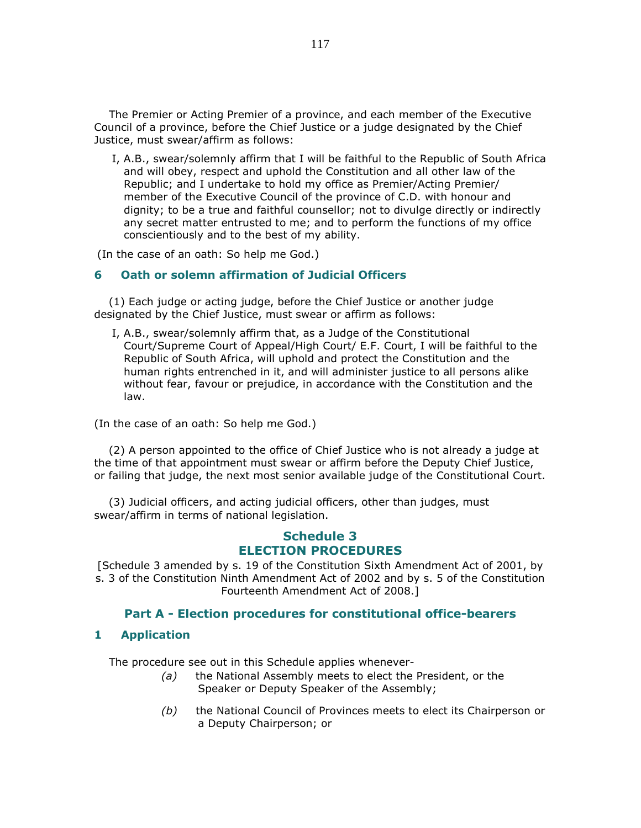The Premier or Acting Premier of a province, and each member of the Executive Council of a province, before the Chief Justice or a judge designated by the Chief Justice, must swear/affirm as follows:

 I, A.B., swear/solemnly affirm that I will be faithful to the Republic of South Africa and will obey, respect and uphold the Constitution and all other law of the Republic; and I undertake to hold my office as Premier/Acting Premier/ member of the Executive Council of the province of C.D. with honour and dignity; to be a true and faithful counsellor; not to divulge directly or indirectly any secret matter entrusted to me; and to perform the functions of my office conscientiously and to the best of my ability.

(In the case of an oath: So help me God.)

# 6 Oath or solemn affirmation of Judicial Officers

 (1) Each judge or acting judge, before the Chief Justice or another judge designated by the Chief Justice, must swear or affirm as follows:

 I, A.B., swear/solemnly affirm that, as a Judge of the Constitutional Court/Supreme Court of Appeal/High Court/ E.F. Court, I will be faithful to the Republic of South Africa, will uphold and protect the Constitution and the human rights entrenched in it, and will administer justice to all persons alike without fear, favour or prejudice, in accordance with the Constitution and the law.

(In the case of an oath: So help me God.)

 (2) A person appointed to the office of Chief Justice who is not already a judge at the time of that appointment must swear or affirm before the Deputy Chief Justice, or failing that judge, the next most senior available judge of the Constitutional Court.

 (3) Judicial officers, and acting judicial officers, other than judges, must swear/affirm in terms of national legislation.

# Schedule 3 ELECTION PROCEDURES

[Schedule 3 amended by s. 19 of the Constitution Sixth Amendment Act of 2001, by s. 3 of the Constitution Ninth Amendment Act of 2002 and by s. 5 of the Constitution Fourteenth Amendment Act of 2008.]

## Part A - Election procedures for constitutional office-bearers

## 1 Application

The procedure see out in this Schedule applies whenever-

- (a) the National Assembly meets to elect the President, or the Speaker or Deputy Speaker of the Assembly;
- (b) the National Council of Provinces meets to elect its Chairperson or a Deputy Chairperson; or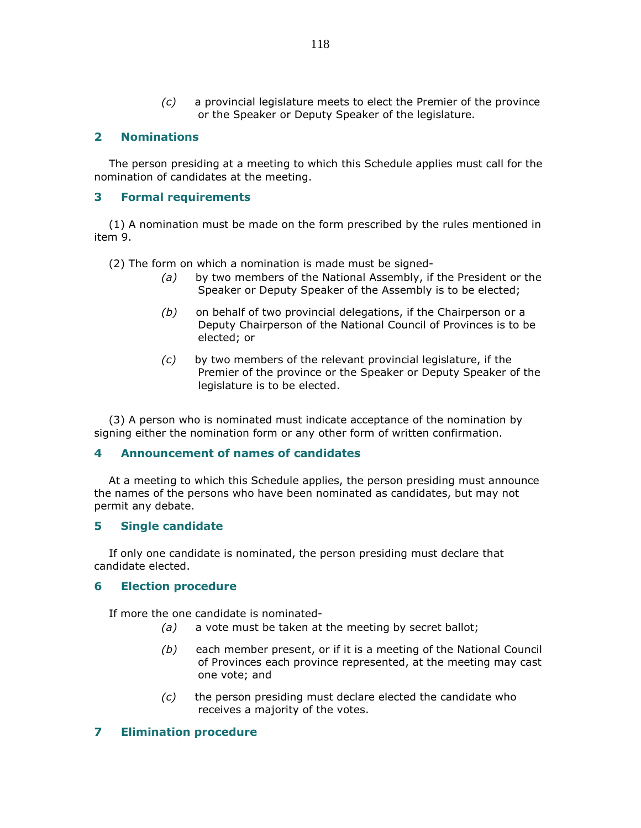(c) a provincial legislature meets to elect the Premier of the province or the Speaker or Deputy Speaker of the legislature.

## 2 Nominations

 The person presiding at a meeting to which this Schedule applies must call for the nomination of candidates at the meeting.

## 3 Formal requirements

 (1) A nomination must be made on the form prescribed by the rules mentioned in item 9.

(2) The form on which a nomination is made must be signed-

- (a) by two members of the National Assembly, if the President or the Speaker or Deputy Speaker of the Assembly is to be elected;
- $(b)$  on behalf of two provincial delegations, if the Chairperson or a Deputy Chairperson of the National Council of Provinces is to be elected; or
- (c) by two members of the relevant provincial legislature, if the Premier of the province or the Speaker or Deputy Speaker of the legislature is to be elected.

 (3) A person who is nominated must indicate acceptance of the nomination by signing either the nomination form or any other form of written confirmation.

## 4 Announcement of names of candidates

 At a meeting to which this Schedule applies, the person presiding must announce the names of the persons who have been nominated as candidates, but may not permit any debate.

## 5 Single candidate

 If only one candidate is nominated, the person presiding must declare that candidate elected.

## 6 Election procedure

If more the one candidate is nominated-

- (a) a vote must be taken at the meeting by secret ballot;
- (b) each member present, or if it is a meeting of the National Council of Provinces each province represented, at the meeting may cast one vote; and
- (c) the person presiding must declare elected the candidate who receives a majority of the votes.

## 7 Elimination procedure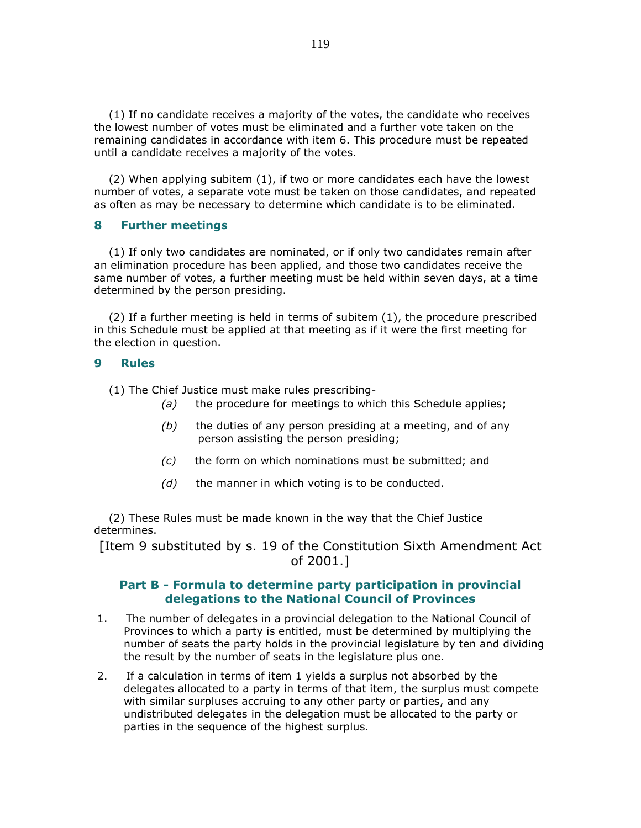(1) If no candidate receives a majority of the votes, the candidate who receives the lowest number of votes must be eliminated and a further vote taken on the remaining candidates in accordance with item 6. This procedure must be repeated until a candidate receives a majority of the votes.

 (2) When applying subitem (1), if two or more candidates each have the lowest number of votes, a separate vote must be taken on those candidates, and repeated as often as may be necessary to determine which candidate is to be eliminated.

## 8 Further meetings

 (1) If only two candidates are nominated, or if only two candidates remain after an elimination procedure has been applied, and those two candidates receive the same number of votes, a further meeting must be held within seven days, at a time determined by the person presiding.

 (2) If a further meeting is held in terms of subitem (1), the procedure prescribed in this Schedule must be applied at that meeting as if it were the first meeting for the election in question.

### 9 Rules

(1) The Chief Justice must make rules prescribing-

- $(a)$  the procedure for meetings to which this Schedule applies;
- $(b)$  the duties of any person presiding at a meeting, and of any person assisting the person presiding;
- $(c)$  the form on which nominations must be submitted; and
- $(d)$  the manner in which voting is to be conducted.

 (2) These Rules must be made known in the way that the Chief Justice determines.

[Item 9 substituted by s. 19 of the Constitution Sixth Amendment Act of 2001.]

### Part B - Formula to determine party participation in provincial delegations to the National Council of Provinces

- 1. The number of delegates in a provincial delegation to the National Council of Provinces to which a party is entitled, must be determined by multiplying the number of seats the party holds in the provincial legislature by ten and dividing the result by the number of seats in the legislature plus one.
- 2. If a calculation in terms of item 1 yields a surplus not absorbed by the delegates allocated to a party in terms of that item, the surplus must compete with similar surpluses accruing to any other party or parties, and any undistributed delegates in the delegation must be allocated to the party or parties in the sequence of the highest surplus.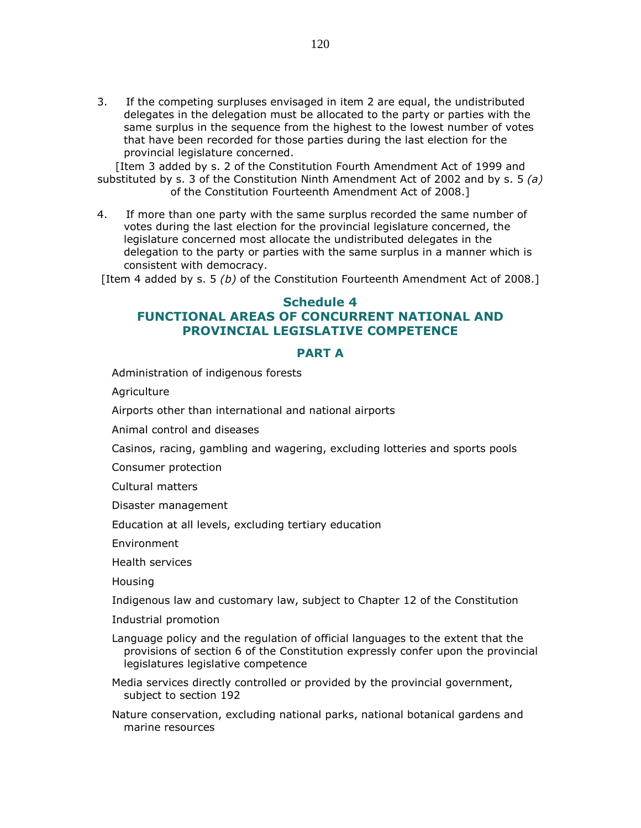3. If the competing surpluses envisaged in item 2 are equal, the undistributed delegates in the delegation must be allocated to the party or parties with the same surplus in the sequence from the highest to the lowest number of votes that have been recorded for those parties during the last election for the provincial legislature concerned.

[Item 3 added by s. 2 of the Constitution Fourth Amendment Act of 1999 and substituted by s. 3 of the Constitution Ninth Amendment Act of 2002 and by s. 5 (a) of the Constitution Fourteenth Amendment Act of 2008.]

4. If more than one party with the same surplus recorded the same number of votes during the last election for the provincial legislature concerned, the legislature concerned most allocate the undistributed delegates in the delegation to the party or parties with the same surplus in a manner which is consistent with democracy.

[Item 4 added by s. 5 (b) of the Constitution Fourteenth Amendment Act of 2008.]

# Schedule 4 FUNCTIONAL AREAS OF CONCURRENT NATIONAL AND PROVINCIAL LEGISLATIVE COMPETENCE

## PART A

Administration of indigenous forests

Agriculture

Airports other than international and national airports

Animal control and diseases

Casinos, racing, gambling and wagering, excluding lotteries and sports pools

Consumer protection

Cultural matters

Disaster management

Education at all levels, excluding tertiary education

Environment

Health services

Housing

Indigenous law and customary law, subject to Chapter 12 of the Constitution

Industrial promotion

- Language policy and the regulation of official languages to the extent that the provisions of section 6 of the Constitution expressly confer upon the provincial legislatures legislative competence
- Media services directly controlled or provided by the provincial government, subject to section 192
- Nature conservation, excluding national parks, national botanical gardens and marine resources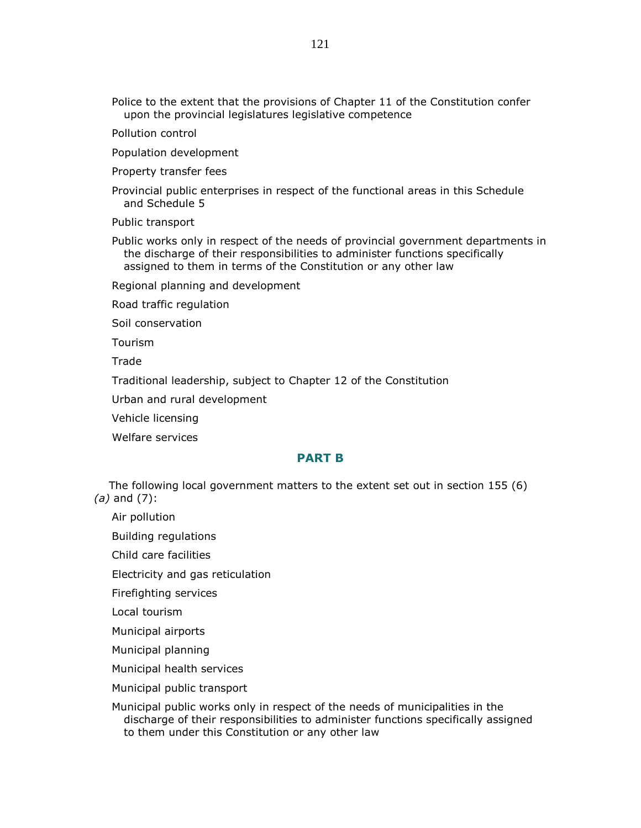Police to the extent that the provisions of Chapter 11 of the Constitution confer upon the provincial legislatures legislative competence

Pollution control

Population development

Property transfer fees

 Provincial public enterprises in respect of the functional areas in this Schedule and Schedule 5

Public transport

 Public works only in respect of the needs of provincial government departments in the discharge of their responsibilities to administer functions specifically assigned to them in terms of the Constitution or any other law

Regional planning and development

Road traffic regulation

Soil conservation

Tourism

**Trade** 

Traditional leadership, subject to Chapter 12 of the Constitution

Urban and rural development

Vehicle licensing

Welfare services

### PART B

 The following local government matters to the extent set out in section 155 (6)  $(a)$  and  $(7)$ :

Air pollution

Building regulations

Child care facilities

Electricity and gas reticulation

Firefighting services

Local tourism

Municipal airports

Municipal planning

Municipal health services

Municipal public transport

 Municipal public works only in respect of the needs of municipalities in the discharge of their responsibilities to administer functions specifically assigned to them under this Constitution or any other law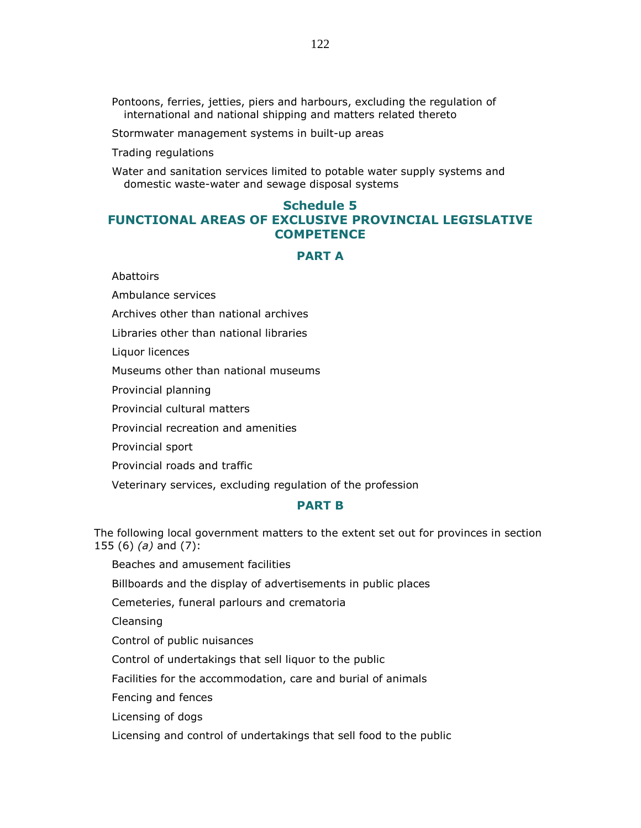Pontoons, ferries, jetties, piers and harbours, excluding the regulation of international and national shipping and matters related thereto

Stormwater management systems in built-up areas

Trading regulations

 Water and sanitation services limited to potable water supply systems and domestic waste-water and sewage disposal systems

# Schedule 5 FUNCTIONAL AREAS OF EXCLUSIVE PROVINCIAL LEGISLATIVE **COMPETENCE**

### PART A

Abattoirs

Ambulance services

Archives other than national archives

Libraries other than national libraries

Liquor licences

Museums other than national museums

Provincial planning

Provincial cultural matters

Provincial recreation and amenities

Provincial sport

Provincial roads and traffic

Veterinary services, excluding regulation of the profession

## PART B

The following local government matters to the extent set out for provinces in section 155 (6) (a) and (7):

Beaches and amusement facilities

Billboards and the display of advertisements in public places

Cemeteries, funeral parlours and crematoria

Cleansing

Control of public nuisances

Control of undertakings that sell liquor to the public

Facilities for the accommodation, care and burial of animals

Fencing and fences

Licensing of dogs

Licensing and control of undertakings that sell food to the public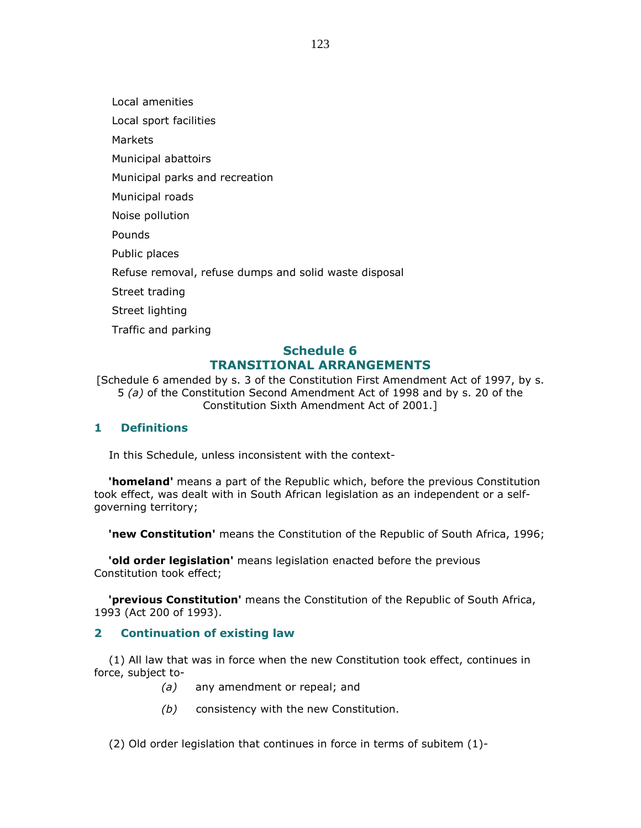Local amenities

Local sport facilities

Markets

Municipal abattoirs

Municipal parks and recreation

Municipal roads

Noise pollution

Pounds

Public places

Refuse removal, refuse dumps and solid waste disposal

Street trading

Street lighting

Traffic and parking

# Schedule 6 TRANSITIONAL ARRANGEMENTS

[Schedule 6 amended by s. 3 of the Constitution First Amendment Act of 1997, by s. 5 (a) of the Constitution Second Amendment Act of 1998 and by s. 20 of the Constitution Sixth Amendment Act of 2001.]

# 1 Definitions

In this Schedule, unless inconsistent with the context-

 'homeland' means a part of the Republic which, before the previous Constitution took effect, was dealt with in South African legislation as an independent or a selfgoverning territory;

'new Constitution' means the Constitution of the Republic of South Africa, 1996;

'old order legislation' means legislation enacted before the previous Constitution took effect;

**'previous Constitution'** means the Constitution of the Republic of South Africa, 1993 (Act 200 of 1993).

# 2 Continuation of existing law

 (1) All law that was in force when the new Constitution took effect, continues in force, subject to-

- (a) any amendment or repeal; and
- $(b)$  consistency with the new Constitution.

(2) Old order legislation that continues in force in terms of subitem (1)-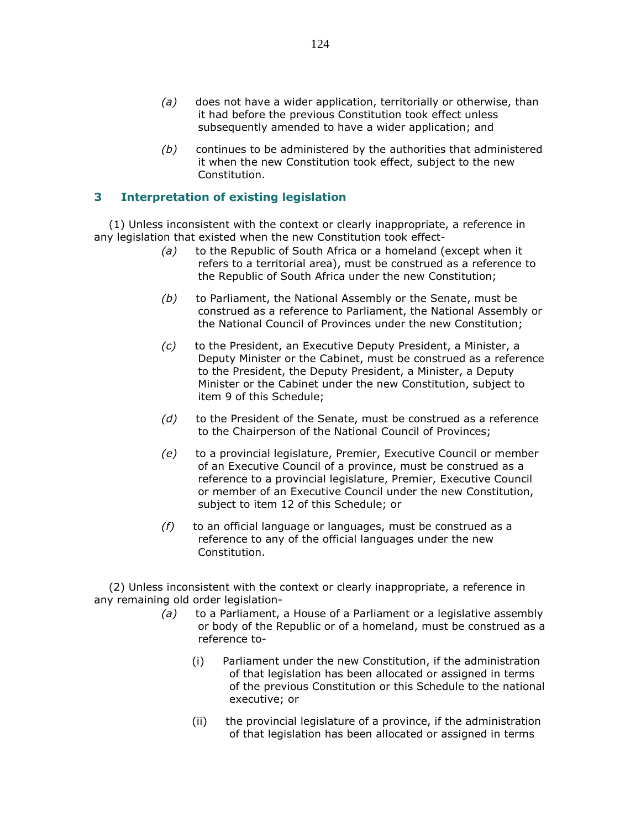- $(a)$  does not have a wider application, territorially or otherwise, than it had before the previous Constitution took effect unless subsequently amended to have a wider application; and
- $(b)$  continues to be administered by the authorities that administered it when the new Constitution took effect, subject to the new Constitution.

# 3 Interpretation of existing legislation

 (1) Unless inconsistent with the context or clearly inappropriate, a reference in any legislation that existed when the new Constitution took effect-

- (a) to the Republic of South Africa or a homeland (except when it refers to a territorial area), must be construed as a reference to the Republic of South Africa under the new Constitution;
- (b) to Parliament, the National Assembly or the Senate, must be construed as a reference to Parliament, the National Assembly or the National Council of Provinces under the new Constitution;
- (c) to the President, an Executive Deputy President, a Minister, a Deputy Minister or the Cabinet, must be construed as a reference to the President, the Deputy President, a Minister, a Deputy Minister or the Cabinet under the new Constitution, subject to item 9 of this Schedule;
- $(d)$  to the President of the Senate, must be construed as a reference to the Chairperson of the National Council of Provinces;
- (e) to a provincial legislature, Premier, Executive Council or member of an Executive Council of a province, must be construed as a reference to a provincial legislature, Premier, Executive Council or member of an Executive Council under the new Constitution, subject to item 12 of this Schedule; or
- $(f)$  to an official language or languages, must be construed as a reference to any of the official languages under the new Constitution.

 (2) Unless inconsistent with the context or clearly inappropriate, a reference in any remaining old order legislation-

- (a) to a Parliament, a House of a Parliament or a legislative assembly or body of the Republic or of a homeland, must be construed as a reference to-
	- (i) Parliament under the new Constitution, if the administration of that legislation has been allocated or assigned in terms of the previous Constitution or this Schedule to the national executive; or
	- (ii) the provincial legislature of a province, if the administration of that legislation has been allocated or assigned in terms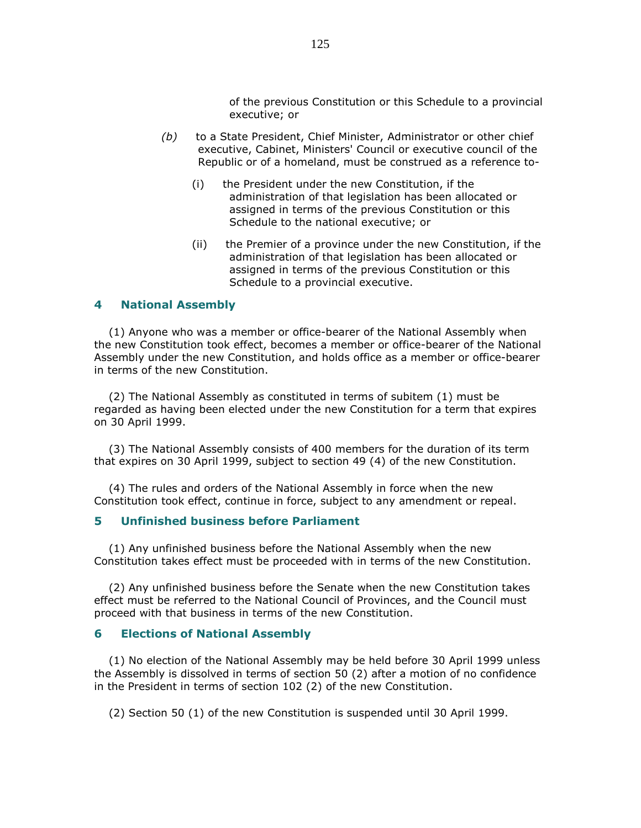of the previous Constitution or this Schedule to a provincial executive; or

- (b) to a State President, Chief Minister, Administrator or other chief executive, Cabinet, Ministers' Council or executive council of the Republic or of a homeland, must be construed as a reference to-
	- (i) the President under the new Constitution, if the administration of that legislation has been allocated or assigned in terms of the previous Constitution or this Schedule to the national executive; or
	- (ii) the Premier of a province under the new Constitution, if the administration of that legislation has been allocated or assigned in terms of the previous Constitution or this Schedule to a provincial executive.

## 4 National Assembly

 (1) Anyone who was a member or office-bearer of the National Assembly when the new Constitution took effect, becomes a member or office-bearer of the National Assembly under the new Constitution, and holds office as a member or office-bearer in terms of the new Constitution.

 (2) The National Assembly as constituted in terms of subitem (1) must be regarded as having been elected under the new Constitution for a term that expires on 30 April 1999.

 (3) The National Assembly consists of 400 members for the duration of its term that expires on 30 April 1999, subject to section 49 (4) of the new Constitution.

 (4) The rules and orders of the National Assembly in force when the new Constitution took effect, continue in force, subject to any amendment or repeal.

### 5 Unfinished business before Parliament

 (1) Any unfinished business before the National Assembly when the new Constitution takes effect must be proceeded with in terms of the new Constitution.

 (2) Any unfinished business before the Senate when the new Constitution takes effect must be referred to the National Council of Provinces, and the Council must proceed with that business in terms of the new Constitution.

### 6 Elections of National Assembly

 (1) No election of the National Assembly may be held before 30 April 1999 unless the Assembly is dissolved in terms of section 50 (2) after a motion of no confidence in the President in terms of section 102 (2) of the new Constitution.

(2) Section 50 (1) of the new Constitution is suspended until 30 April 1999.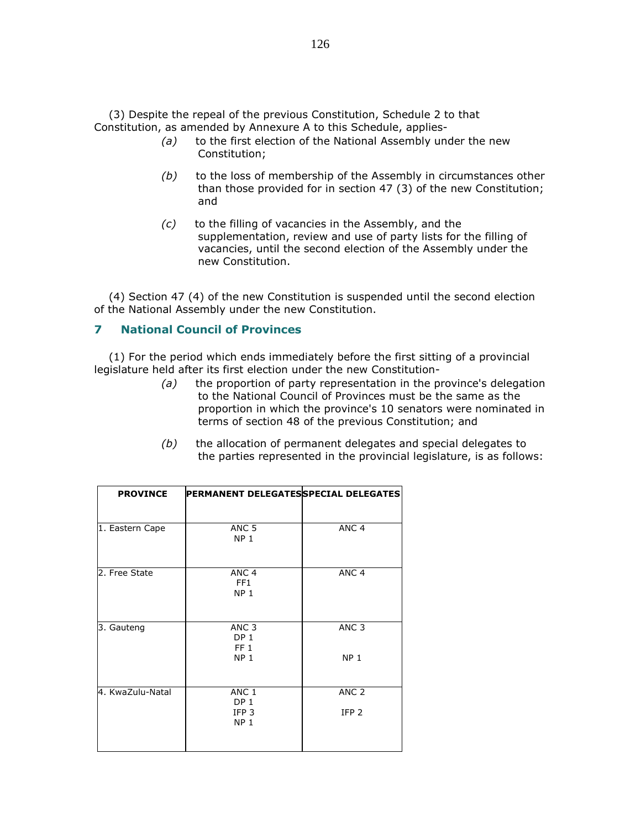(3) Despite the repeal of the previous Constitution, Schedule 2 to that Constitution, as amended by Annexure A to this Schedule, applies-

- $(a)$  to the first election of the National Assembly under the new Constitution;
- $(b)$  to the loss of membership of the Assembly in circumstances other than those provided for in section 47 (3) of the new Constitution; and
- (c) to the filling of vacancies in the Assembly, and the supplementation, review and use of party lists for the filling of vacancies, until the second election of the Assembly under the new Constitution.

 (4) Section 47 (4) of the new Constitution is suspended until the second election of the National Assembly under the new Constitution.

# 7 National Council of Provinces

 (1) For the period which ends immediately before the first sitting of a provincial legislature held after its first election under the new Constitution-

- $(a)$  the proportion of party representation in the province's delegation to the National Council of Provinces must be the same as the proportion in which the province's 10 senators were nominated in terms of section 48 of the previous Constitution; and
- $(b)$  the allocation of permanent delegates and special delegates to the parties represented in the provincial legislature, is as follows:

| <b>PROVINCE</b>  | PERMANENT DELEGATESSPECIAL DELEGATES                                       |                                      |
|------------------|----------------------------------------------------------------------------|--------------------------------------|
| 1. Eastern Cape  | ANC <sub>5</sub>                                                           | ANC <sub>4</sub>                     |
|                  | NP <sub>1</sub>                                                            |                                      |
| 2. Free State    | ANC <sub>4</sub><br>FF1<br>NP <sub>1</sub>                                 | ANC <sub>4</sub>                     |
| 3. Gauteng       | ANC <sub>3</sub><br>DP <sub>1</sub><br>FF <sub>1</sub><br>NP <sub>1</sub>  | ANC <sub>3</sub><br>NP <sub>1</sub>  |
|                  |                                                                            |                                      |
| 4. KwaZulu-Natal | ANC <sub>1</sub><br>DP <sub>1</sub><br>IFP <sub>3</sub><br>NP <sub>1</sub> | ANC <sub>2</sub><br>IFP <sub>2</sub> |
|                  |                                                                            |                                      |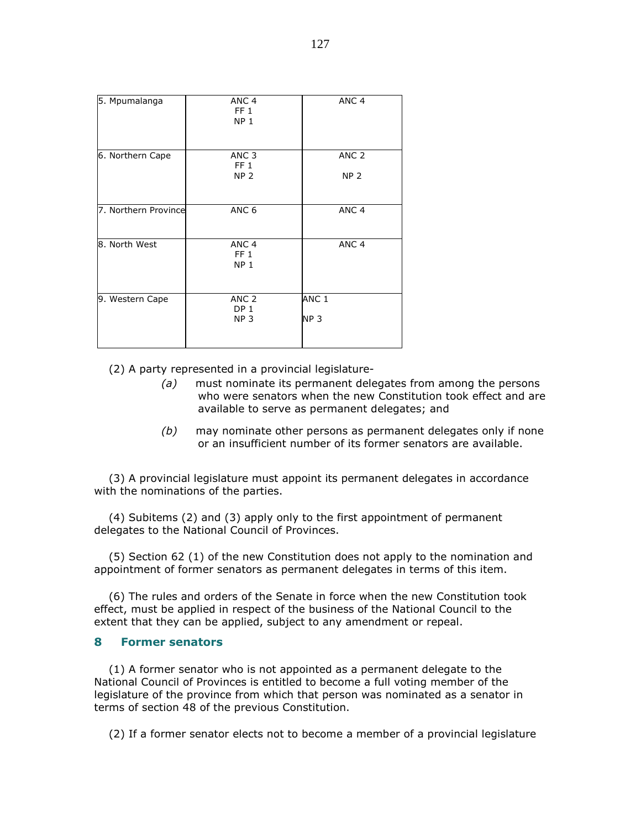| 5. Mpumalanga        | ANC <sub>4</sub><br>FF <sub>1</sub><br>NP <sub>1</sub> | ANC <sub>4</sub>                    |
|----------------------|--------------------------------------------------------|-------------------------------------|
| 6. Northern Cape     | ANC <sub>3</sub><br>FF <sub>1</sub><br><b>NP 2</b>     | ANC <sub>2</sub><br><b>NP 2</b>     |
| 7. Northern Province | ANC <sub>6</sub>                                       | ANC <sub>4</sub>                    |
| 8. North West        | ANC <sub>4</sub><br>FF <sub>1</sub><br>NP <sub>1</sub> | ANC <sub>4</sub>                    |
| 9. Western Cape      | ANC <sub>2</sub><br>DP 1<br>NP <sub>3</sub>            | ANC <sub>1</sub><br>NP <sub>3</sub> |

(2) A party represented in a provincial legislature-

- (a) must nominate its permanent delegates from among the persons who were senators when the new Constitution took effect and are available to serve as permanent delegates; and
- $(b)$  may nominate other persons as permanent delegates only if none or an insufficient number of its former senators are available.

 (3) A provincial legislature must appoint its permanent delegates in accordance with the nominations of the parties.

 (4) Subitems (2) and (3) apply only to the first appointment of permanent delegates to the National Council of Provinces.

 (5) Section 62 (1) of the new Constitution does not apply to the nomination and appointment of former senators as permanent delegates in terms of this item.

 (6) The rules and orders of the Senate in force when the new Constitution took effect, must be applied in respect of the business of the National Council to the extent that they can be applied, subject to any amendment or repeal.

### 8 Former senators

 (1) A former senator who is not appointed as a permanent delegate to the National Council of Provinces is entitled to become a full voting member of the legislature of the province from which that person was nominated as a senator in terms of section 48 of the previous Constitution.

(2) If a former senator elects not to become a member of a provincial legislature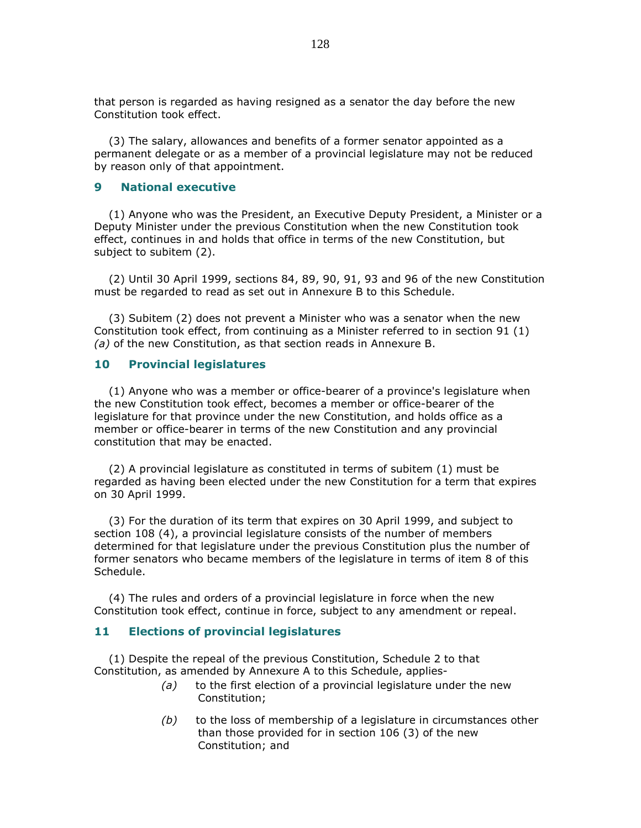that person is regarded as having resigned as a senator the day before the new Constitution took effect.

 (3) The salary, allowances and benefits of a former senator appointed as a permanent delegate or as a member of a provincial legislature may not be reduced by reason only of that appointment.

#### 9 National executive

 (1) Anyone who was the President, an Executive Deputy President, a Minister or a Deputy Minister under the previous Constitution when the new Constitution took effect, continues in and holds that office in terms of the new Constitution, but subject to subitem (2).

 (2) Until 30 April 1999, sections 84, 89, 90, 91, 93 and 96 of the new Constitution must be regarded to read as set out in Annexure B to this Schedule.

 (3) Subitem (2) does not prevent a Minister who was a senator when the new Constitution took effect, from continuing as a Minister referred to in section 91 (1) (a) of the new Constitution, as that section reads in Annexure B.

### 10 Provincial legislatures

 (1) Anyone who was a member or office-bearer of a province's legislature when the new Constitution took effect, becomes a member or office-bearer of the legislature for that province under the new Constitution, and holds office as a member or office-bearer in terms of the new Constitution and any provincial constitution that may be enacted.

 (2) A provincial legislature as constituted in terms of subitem (1) must be regarded as having been elected under the new Constitution for a term that expires on 30 April 1999.

 (3) For the duration of its term that expires on 30 April 1999, and subject to section 108 (4), a provincial legislature consists of the number of members determined for that legislature under the previous Constitution plus the number of former senators who became members of the legislature in terms of item 8 of this Schedule.

 (4) The rules and orders of a provincial legislature in force when the new Constitution took effect, continue in force, subject to any amendment or repeal.

#### 11 Elections of provincial legislatures

 (1) Despite the repeal of the previous Constitution, Schedule 2 to that Constitution, as amended by Annexure A to this Schedule, applies-

- $(a)$  to the first election of a provincial legislature under the new Constitution;
- $(b)$  to the loss of membership of a legislature in circumstances other than those provided for in section 106 (3) of the new Constitution; and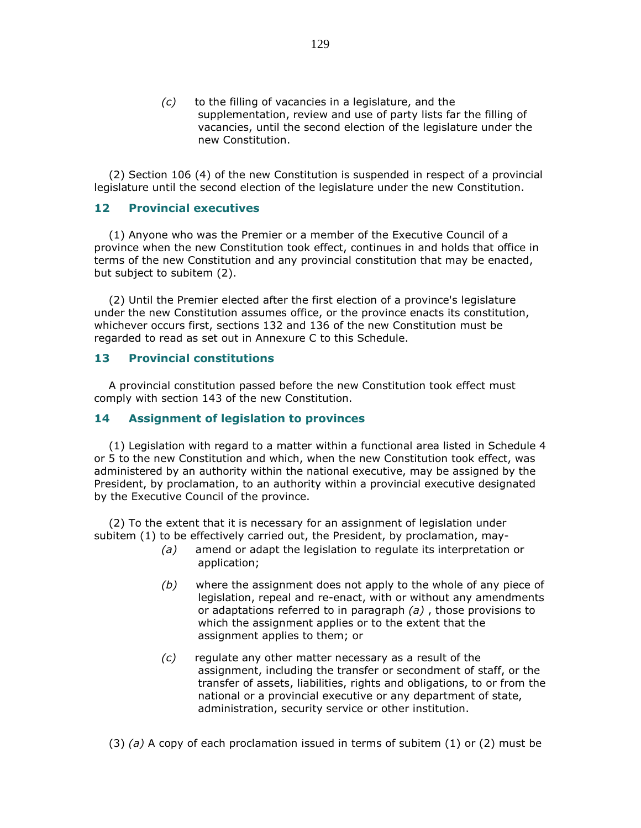$(c)$  to the filling of vacancies in a legislature, and the supplementation, review and use of party lists far the filling of vacancies, until the second election of the legislature under the new Constitution.

 (2) Section 106 (4) of the new Constitution is suspended in respect of a provincial legislature until the second election of the legislature under the new Constitution.

### 12 Provincial executives

 (1) Anyone who was the Premier or a member of the Executive Council of a province when the new Constitution took effect, continues in and holds that office in terms of the new Constitution and any provincial constitution that may be enacted, but subject to subitem (2).

 (2) Until the Premier elected after the first election of a province's legislature under the new Constitution assumes office, or the province enacts its constitution, whichever occurs first, sections 132 and 136 of the new Constitution must be regarded to read as set out in Annexure C to this Schedule.

### 13 Provincial constitutions

 A provincial constitution passed before the new Constitution took effect must comply with section 143 of the new Constitution.

### 14 Assignment of legislation to provinces

 (1) Legislation with regard to a matter within a functional area listed in Schedule 4 or 5 to the new Constitution and which, when the new Constitution took effect, was administered by an authority within the national executive, may be assigned by the President, by proclamation, to an authority within a provincial executive designated by the Executive Council of the province.

 (2) To the extent that it is necessary for an assignment of legislation under subitem (1) to be effectively carried out, the President, by proclamation, may-

- $(a)$  amend or adapt the legislation to regulate its interpretation or application;
- $(b)$  where the assignment does not apply to the whole of any piece of legislation, repeal and re-enact, with or without any amendments or adaptations referred to in paragraph  $(a)$ , those provisions to which the assignment applies or to the extent that the assignment applies to them; or
- (c) regulate any other matter necessary as a result of the assignment, including the transfer or secondment of staff, or the transfer of assets, liabilities, rights and obligations, to or from the national or a provincial executive or any department of state, administration, security service or other institution.

(3) (a) A copy of each proclamation issued in terms of subitem  $(1)$  or  $(2)$  must be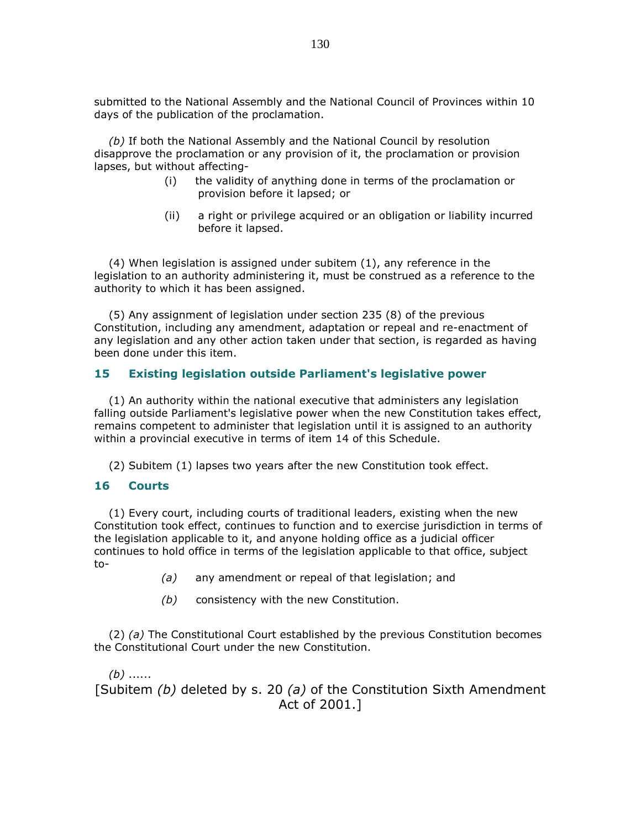submitted to the National Assembly and the National Council of Provinces within 10 days of the publication of the proclamation.

 (b) If both the National Assembly and the National Council by resolution disapprove the proclamation or any provision of it, the proclamation or provision lapses, but without affecting-

- (i) the validity of anything done in terms of the proclamation or provision before it lapsed; or
- (ii) a right or privilege acquired or an obligation or liability incurred before it lapsed.

 (4) When legislation is assigned under subitem (1), any reference in the legislation to an authority administering it, must be construed as a reference to the authority to which it has been assigned.

 (5) Any assignment of legislation under section 235 (8) of the previous Constitution, including any amendment, adaptation or repeal and re-enactment of any legislation and any other action taken under that section, is regarded as having been done under this item.

# 15 Existing legislation outside Parliament's legislative power

 (1) An authority within the national executive that administers any legislation falling outside Parliament's legislative power when the new Constitution takes effect, remains competent to administer that legislation until it is assigned to an authority within a provincial executive in terms of item 14 of this Schedule.

(2) Subitem (1) lapses two years after the new Constitution took effect.

## 16 Courts

 (1) Every court, including courts of traditional leaders, existing when the new Constitution took effect, continues to function and to exercise jurisdiction in terms of the legislation applicable to it, and anyone holding office as a judicial officer continues to hold office in terms of the legislation applicable to that office, subject to-

- (a) any amendment or repeal of that legislation; and
- (b) consistency with the new Constitution.

(2) (a) The Constitutional Court established by the previous Constitution becomes the Constitutional Court under the new Constitution.

# $(b)$  ...... [Subitem  $(b)$  deleted by s. 20 (a) of the Constitution Sixth Amendment Act of 2001.]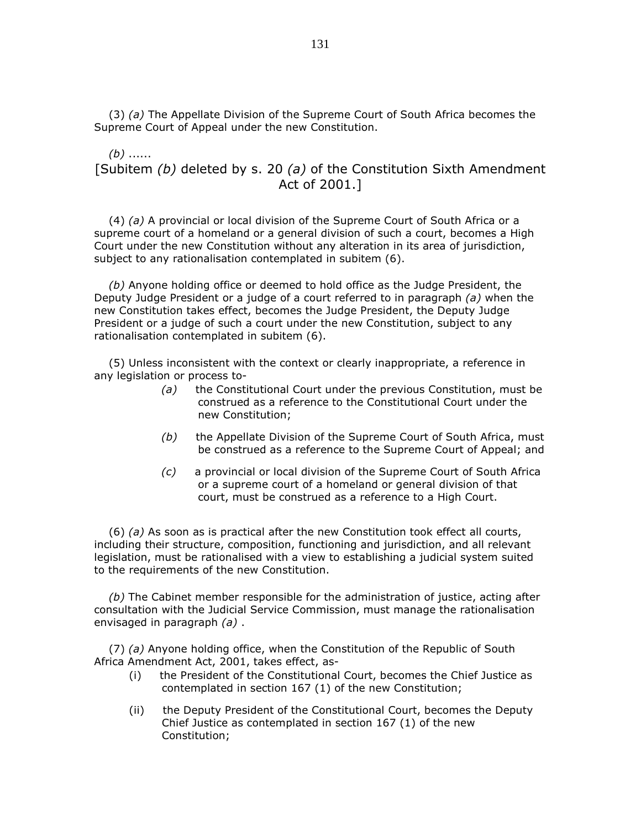(3) (a) The Appellate Division of the Supreme Court of South Africa becomes the Supreme Court of Appeal under the new Constitution.

# $(b)$  ...... [Subitem  $(b)$  deleted by s. 20 (a) of the Constitution Sixth Amendment Act of 2001.]

 (4) (a) A provincial or local division of the Supreme Court of South Africa or a supreme court of a homeland or a general division of such a court, becomes a High Court under the new Constitution without any alteration in its area of jurisdiction, subject to any rationalisation contemplated in subitem (6).

 $(b)$  Anyone holding office or deemed to hold office as the Judge President, the Deputy Judge President or a judge of a court referred to in paragraph  $(a)$  when the new Constitution takes effect, becomes the Judge President, the Deputy Judge President or a judge of such a court under the new Constitution, subject to any rationalisation contemplated in subitem (6).

 (5) Unless inconsistent with the context or clearly inappropriate, a reference in any legislation or process to-

- $(a)$  the Constitutional Court under the previous Constitution, must be construed as a reference to the Constitutional Court under the new Constitution;
- $(b)$  the Appellate Division of the Supreme Court of South Africa, must be construed as a reference to the Supreme Court of Appeal; and
- (c) a provincial or local division of the Supreme Court of South Africa or a supreme court of a homeland or general division of that court, must be construed as a reference to a High Court.

 (6) (a) As soon as is practical after the new Constitution took effect all courts, including their structure, composition, functioning and jurisdiction, and all relevant legislation, must be rationalised with a view to establishing a judicial system suited to the requirements of the new Constitution.

(b) The Cabinet member responsible for the administration of justice, acting after consultation with the Judicial Service Commission, must manage the rationalisation envisaged in paragraph (a) .

 (7) (a) Anyone holding office, when the Constitution of the Republic of South Africa Amendment Act, 2001, takes effect, as-

- (i) the President of the Constitutional Court, becomes the Chief Justice as contemplated in section 167 (1) of the new Constitution;
- (ii) the Deputy President of the Constitutional Court, becomes the Deputy Chief Justice as contemplated in section 167 (1) of the new Constitution;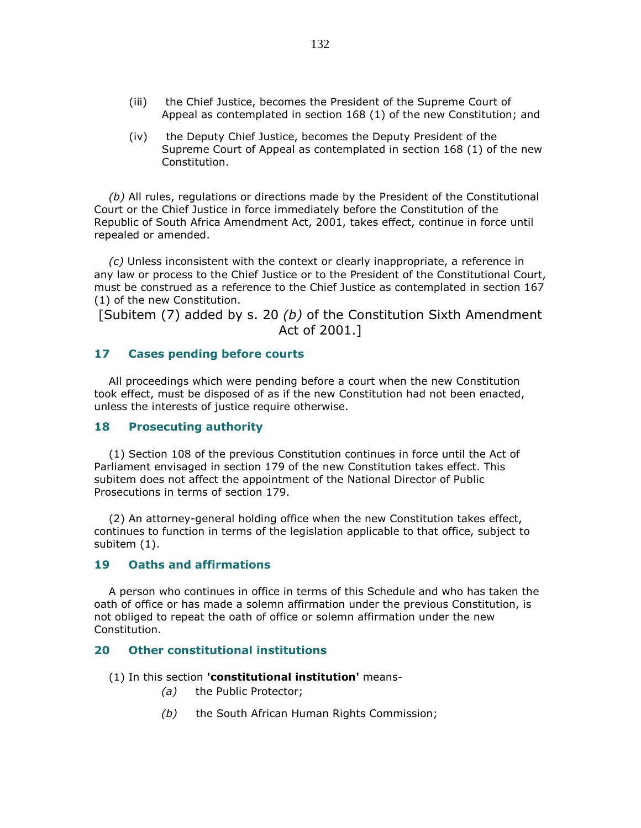- (iii) the Chief Justice, becomes the President of the Supreme Court of Appeal as contemplated in section 168 (1) of the new Constitution; and
- (iv) the Deputy Chief Justice, becomes the Deputy President of the Supreme Court of Appeal as contemplated in section 168 (1) of the new Constitution.

 (b) All rules, regulations or directions made by the President of the Constitutional Court or the Chief Justice in force immediately before the Constitution of the Republic of South Africa Amendment Act, 2001, takes effect, continue in force until repealed or amended.

 $(c)$  Unless inconsistent with the context or clearly inappropriate, a reference in any law or process to the Chief Justice or to the President of the Constitutional Court, must be construed as a reference to the Chief Justice as contemplated in section 167 (1) of the new Constitution.

[Subitem  $(7)$  added by s. 20  $(b)$  of the Constitution Sixth Amendment Act of 2001.]

## 17 Cases pending before courts

 All proceedings which were pending before a court when the new Constitution took effect, must be disposed of as if the new Constitution had not been enacted, unless the interests of justice require otherwise.

## 18 Prosecuting authority

 (1) Section 108 of the previous Constitution continues in force until the Act of Parliament envisaged in section 179 of the new Constitution takes effect. This subitem does not affect the appointment of the National Director of Public Prosecutions in terms of section 179.

 (2) An attorney-general holding office when the new Constitution takes effect, continues to function in terms of the legislation applicable to that office, subject to subitem (1).

## 19 Oaths and affirmations

 A person who continues in office in terms of this Schedule and who has taken the oath of office or has made a solemn affirmation under the previous Constitution, is not obliged to repeat the oath of office or solemn affirmation under the new Constitution.

## 20 Other constitutional institutions

- (1) In this section 'constitutional institution' means-
	- (a) the Public Protector;
	- (b) the South African Human Rights Commission;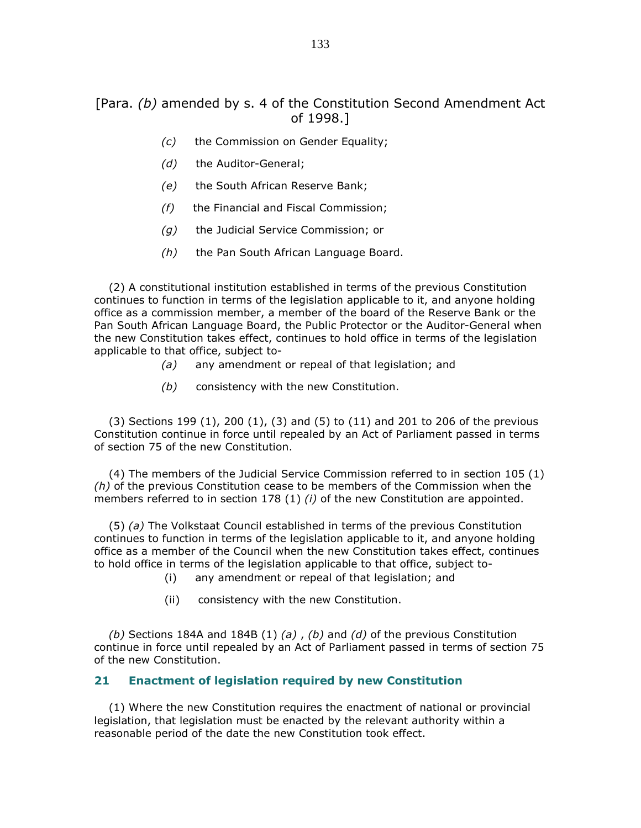# [Para. (b) amended by s. 4 of the Constitution Second Amendment Act of 1998.]

- (c) the Commission on Gender Equality;
- (d) the Auditor-General;
- (e) the South African Reserve Bank;
- (f) the Financial and Fiscal Commission;
- (g) the Judicial Service Commission; or
- (h) the Pan South African Language Board.

 (2) A constitutional institution established in terms of the previous Constitution continues to function in terms of the legislation applicable to it, and anyone holding office as a commission member, a member of the board of the Reserve Bank or the Pan South African Language Board, the Public Protector or the Auditor-General when the new Constitution takes effect, continues to hold office in terms of the legislation applicable to that office, subject to-

- (a) any amendment or repeal of that legislation; and
- $(b)$  consistency with the new Constitution.

 (3) Sections 199 (1), 200 (1), (3) and (5) to (11) and 201 to 206 of the previous Constitution continue in force until repealed by an Act of Parliament passed in terms of section 75 of the new Constitution.

 (4) The members of the Judicial Service Commission referred to in section 105 (1) (h) of the previous Constitution cease to be members of the Commission when the members referred to in section 178 (1)  $(i)$  of the new Constitution are appointed.

 (5) (a) The Volkstaat Council established in terms of the previous Constitution continues to function in terms of the legislation applicable to it, and anyone holding office as a member of the Council when the new Constitution takes effect, continues to hold office in terms of the legislation applicable to that office, subject to-

- (i) any amendment or repeal of that legislation; and
- (ii) consistency with the new Constitution.

(b) Sections 184A and 184B (1) (a), (b) and (d) of the previous Constitution continue in force until repealed by an Act of Parliament passed in terms of section 75 of the new Constitution.

## 21 Enactment of legislation required by new Constitution

 (1) Where the new Constitution requires the enactment of national or provincial legislation, that legislation must be enacted by the relevant authority within a reasonable period of the date the new Constitution took effect.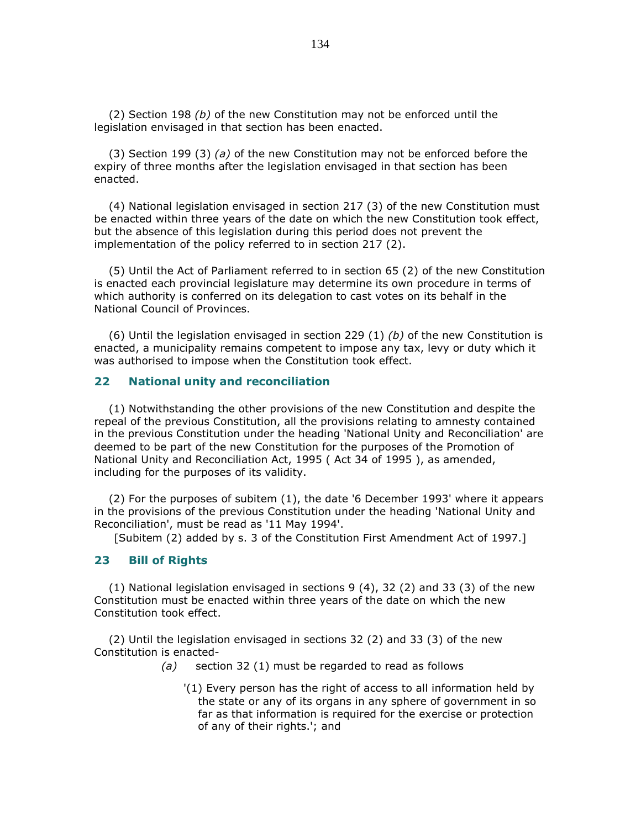(2) Section 198 (b) of the new Constitution may not be enforced until the legislation envisaged in that section has been enacted.

(3) Section 199 (3) (a) of the new Constitution may not be enforced before the expiry of three months after the legislation envisaged in that section has been enacted.

 (4) National legislation envisaged in section 217 (3) of the new Constitution must be enacted within three years of the date on which the new Constitution took effect, but the absence of this legislation during this period does not prevent the implementation of the policy referred to in section 217 (2).

 (5) Until the Act of Parliament referred to in section 65 (2) of the new Constitution is enacted each provincial legislature may determine its own procedure in terms of which authority is conferred on its delegation to cast votes on its behalf in the National Council of Provinces.

(6) Until the legislation envisaged in section 229 (1) (b) of the new Constitution is enacted, a municipality remains competent to impose any tax, levy or duty which it was authorised to impose when the Constitution took effect.

## 22 National unity and reconciliation

 (1) Notwithstanding the other provisions of the new Constitution and despite the repeal of the previous Constitution, all the provisions relating to amnesty contained in the previous Constitution under the heading 'National Unity and Reconciliation' are deemed to be part of the new Constitution for the purposes of the Promotion of National Unity and Reconciliation Act, 1995 ( Act 34 of 1995 ), as amended, including for the purposes of its validity.

 (2) For the purposes of subitem (1), the date '6 December 1993' where it appears in the provisions of the previous Constitution under the heading 'National Unity and Reconciliation', must be read as '11 May 1994'.

[Subitem (2) added by s. 3 of the Constitution First Amendment Act of 1997.]

#### 23 Bill of Rights

 (1) National legislation envisaged in sections 9 (4), 32 (2) and 33 (3) of the new Constitution must be enacted within three years of the date on which the new Constitution took effect.

 (2) Until the legislation envisaged in sections 32 (2) and 33 (3) of the new Constitution is enacted-

- (a) section 32 (1) must be regarded to read as follows
	- '(1) Every person has the right of access to all information held by the state or any of its organs in any sphere of government in so far as that information is required for the exercise or protection of any of their rights.'; and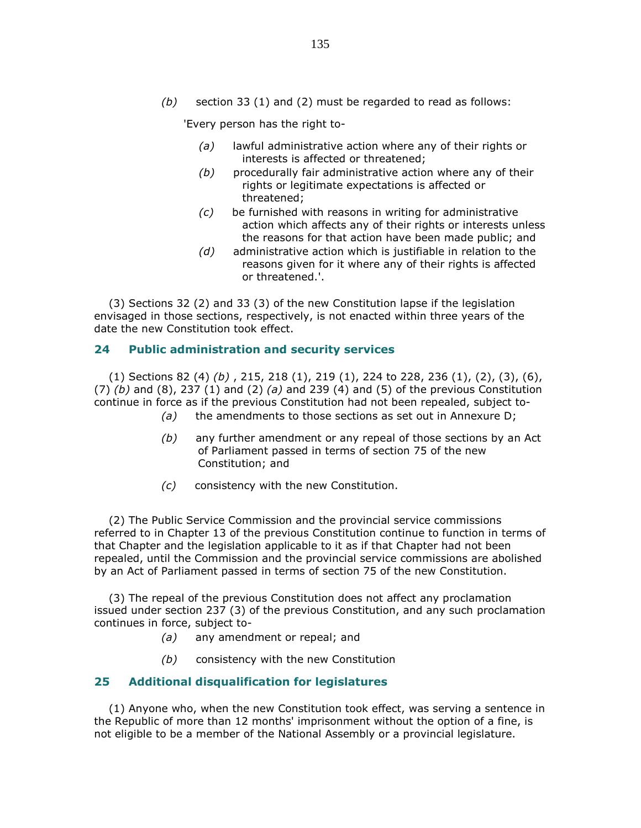$(b)$  section 33 (1) and (2) must be regarded to read as follows:

'Every person has the right to-

- (a) lawful administrative action where any of their rights or interests is affected or threatened;
- $(b)$  procedurally fair administrative action where any of their rights or legitimate expectations is affected or threatened;
- (c) be furnished with reasons in writing for administrative action which affects any of their rights or interests unless the reasons for that action have been made public; and
- $(d)$  administrative action which is justifiable in relation to the reasons given for it where any of their rights is affected or threatened.'.

 (3) Sections 32 (2) and 33 (3) of the new Constitution lapse if the legislation envisaged in those sections, respectively, is not enacted within three years of the date the new Constitution took effect.

## 24 Public administration and security services

 (1) Sections 82 (4) (b) , 215, 218 (1), 219 (1), 224 to 228, 236 (1), (2), (3), (6),  $(7)$  (b) and  $(8)$ , 237  $(1)$  and  $(2)$   $(a)$  and 239  $(4)$  and  $(5)$  of the previous Constitution continue in force as if the previous Constitution had not been repealed, subject to-

- $(a)$  the amendments to those sections as set out in Annexure D;
- $(b)$  any further amendment or any repeal of those sections by an Act of Parliament passed in terms of section 75 of the new Constitution; and
- (c) consistency with the new Constitution.

 (2) The Public Service Commission and the provincial service commissions referred to in Chapter 13 of the previous Constitution continue to function in terms of that Chapter and the legislation applicable to it as if that Chapter had not been repealed, until the Commission and the provincial service commissions are abolished by an Act of Parliament passed in terms of section 75 of the new Constitution.

 (3) The repeal of the previous Constitution does not affect any proclamation issued under section 237 (3) of the previous Constitution, and any such proclamation continues in force, subject to-

- (a) any amendment or repeal; and
- (b) consistency with the new Constitution

# 25 Additional disqualification for legislatures

 (1) Anyone who, when the new Constitution took effect, was serving a sentence in the Republic of more than 12 months' imprisonment without the option of a fine, is not eligible to be a member of the National Assembly or a provincial legislature.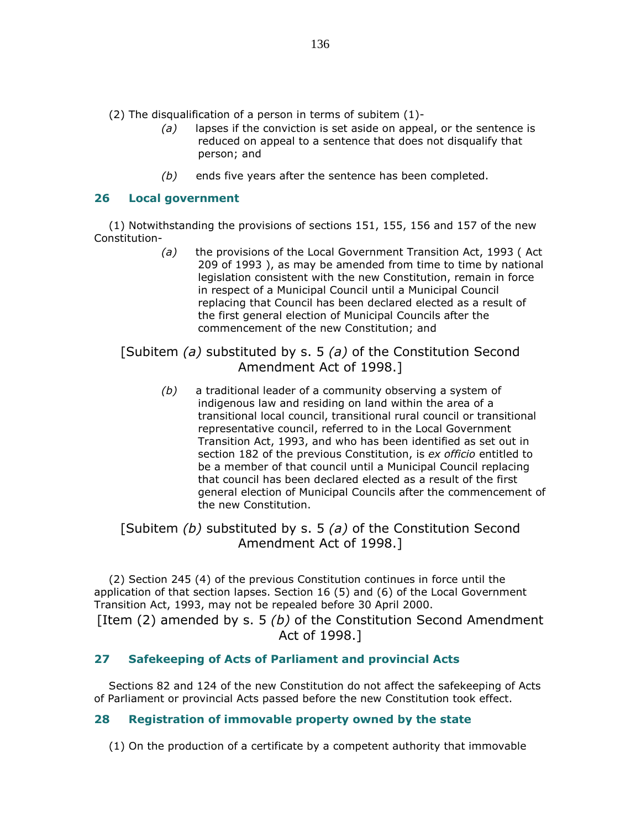(2) The disqualification of a person in terms of subitem (1)-

- $(a)$  lapses if the conviction is set aside on appeal, or the sentence is reduced on appeal to a sentence that does not disqualify that person; and
- $(b)$  ends five years after the sentence has been completed.

# 26 Local government

 (1) Notwithstanding the provisions of sections 151, 155, 156 and 157 of the new Constitution-

> (a) the provisions of the Local Government Transition Act, 1993 ( Act 209 of 1993 ), as may be amended from time to time by national legislation consistent with the new Constitution, remain in force in respect of a Municipal Council until a Municipal Council replacing that Council has been declared elected as a result of the first general election of Municipal Councils after the commencement of the new Constitution; and

# [Subitem (a) substituted by s. 5 (a) of the Constitution Second Amendment Act of 1998.]

 (b) a traditional leader of a community observing a system of indigenous law and residing on land within the area of a transitional local council, transitional rural council or transitional representative council, referred to in the Local Government Transition Act, 1993, and who has been identified as set out in section 182 of the previous Constitution, is ex officio entitled to be a member of that council until a Municipal Council replacing that council has been declared elected as a result of the first general election of Municipal Councils after the commencement of the new Constitution.

# [Subitem  $(b)$  substituted by s. 5  $(a)$  of the Constitution Second Amendment Act of 1998.]

 (2) Section 245 (4) of the previous Constitution continues in force until the application of that section lapses. Section 16 (5) and (6) of the Local Government Transition Act, 1993, may not be repealed before 30 April 2000.

[Item (2) amended by s. 5  $(b)$  of the Constitution Second Amendment Act of 1998.]

# 27 Safekeeping of Acts of Parliament and provincial Acts

 Sections 82 and 124 of the new Constitution do not affect the safekeeping of Acts of Parliament or provincial Acts passed before the new Constitution took effect.

# 28 Registration of immovable property owned by the state

(1) On the production of a certificate by a competent authority that immovable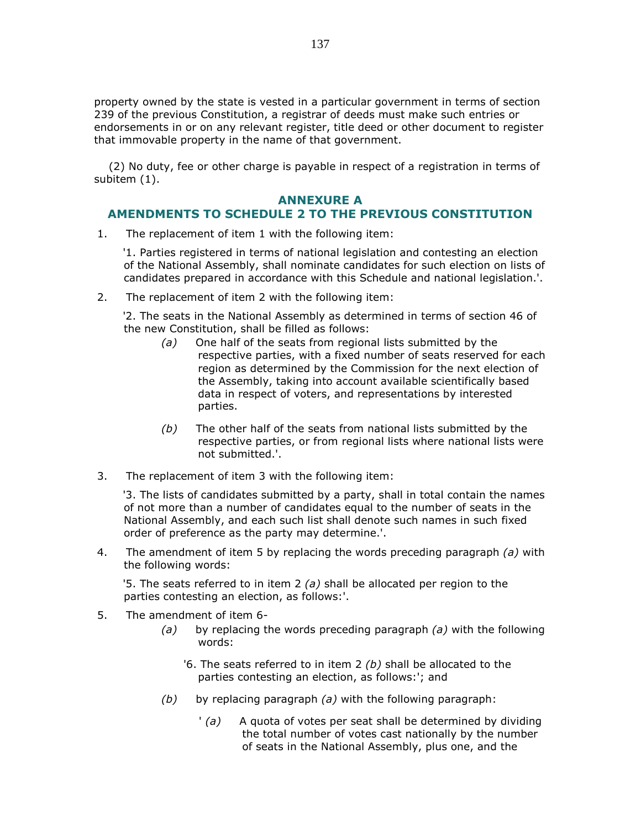property owned by the state is vested in a particular government in terms of section 239 of the previous Constitution, a registrar of deeds must make such entries or endorsements in or on any relevant register, title deed or other document to register that immovable property in the name of that government.

 (2) No duty, fee or other charge is payable in respect of a registration in terms of subitem (1).

### ANNEXURE A

# AMENDMENTS TO SCHEDULE 2 TO THE PREVIOUS CONSTITUTION

1. The replacement of item 1 with the following item:

 '1. Parties registered in terms of national legislation and contesting an election of the National Assembly, shall nominate candidates for such election on lists of candidates prepared in accordance with this Schedule and national legislation.'.

2. The replacement of item 2 with the following item:

 '2. The seats in the National Assembly as determined in terms of section 46 of the new Constitution, shall be filled as follows:

- (a) One half of the seats from regional lists submitted by the respective parties, with a fixed number of seats reserved for each region as determined by the Commission for the next election of the Assembly, taking into account available scientifically based data in respect of voters, and representations by interested parties.
- $(b)$  The other half of the seats from national lists submitted by the respective parties, or from regional lists where national lists were not submitted.'.
- 3. The replacement of item 3 with the following item:

 '3. The lists of candidates submitted by a party, shall in total contain the names of not more than a number of candidates equal to the number of seats in the National Assembly, and each such list shall denote such names in such fixed order of preference as the party may determine.'.

4. The amendment of item 5 by replacing the words preceding paragraph  $(a)$  with the following words:

'5. The seats referred to in item 2 (a) shall be allocated per region to the parties contesting an election, as follows:'.

- 5. The amendment of item 6-
	- (a) by replacing the words preceding paragraph (a) with the following words:
		- '6. The seats referred to in item  $2$  (b) shall be allocated to the parties contesting an election, as follows:'; and
	- (b) by replacing paragraph (a) with the following paragraph:
		- $(a)$  A quota of votes per seat shall be determined by dividing the total number of votes cast nationally by the number of seats in the National Assembly, plus one, and the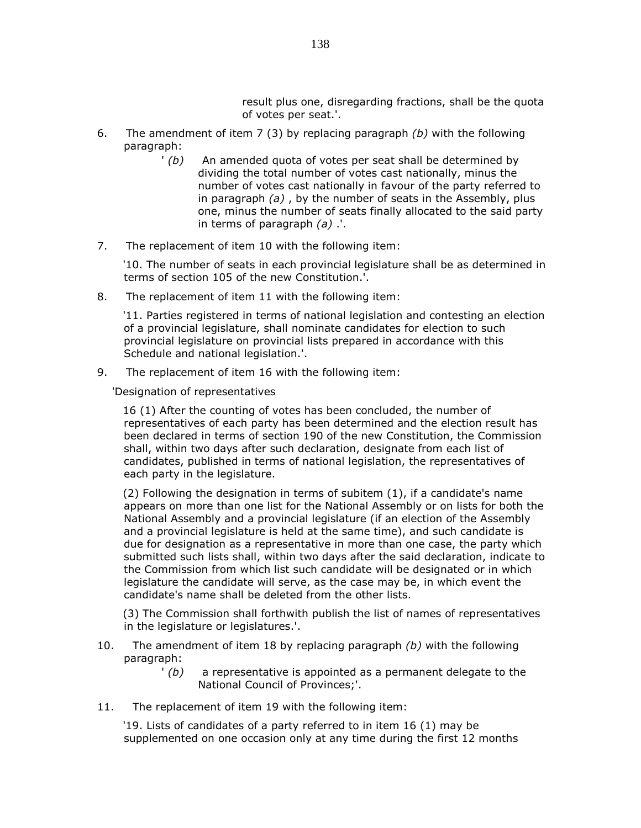result plus one, disregarding fractions, shall be the quota of votes per seat.'.

- 6. The amendment of item 7 (3) by replacing paragraph  $(b)$  with the following paragraph:
	- $(b)$  An amended quota of votes per seat shall be determined by dividing the total number of votes cast nationally, minus the number of votes cast nationally in favour of the party referred to in paragraph  $(a)$ , by the number of seats in the Assembly, plus one, minus the number of seats finally allocated to the said party in terms of paragraph  $(a)$ .
- 7. The replacement of item 10 with the following item:

 '10. The number of seats in each provincial legislature shall be as determined in terms of section 105 of the new Constitution.'.

8. The replacement of item 11 with the following item:

 '11. Parties registered in terms of national legislation and contesting an election of a provincial legislature, shall nominate candidates for election to such provincial legislature on provincial lists prepared in accordance with this Schedule and national legislation.'.

9. The replacement of item 16 with the following item:

'Designation of representatives

 16 (1) After the counting of votes has been concluded, the number of representatives of each party has been determined and the election result has been declared in terms of section 190 of the new Constitution, the Commission shall, within two days after such declaration, designate from each list of candidates, published in terms of national legislation, the representatives of each party in the legislature.

 (2) Following the designation in terms of subitem (1), if a candidate's name appears on more than one list for the National Assembly or on lists for both the National Assembly and a provincial legislature (if an election of the Assembly and a provincial legislature is held at the same time), and such candidate is due for designation as a representative in more than one case, the party which submitted such lists shall, within two days after the said declaration, indicate to the Commission from which list such candidate will be designated or in which legislature the candidate will serve, as the case may be, in which event the candidate's name shall be deleted from the other lists.

 (3) The Commission shall forthwith publish the list of names of representatives in the legislature or legislatures.'.

- 10. The amendment of item 18 by replacing paragraph  $(b)$  with the following paragraph:
	- $(b)$  a representative is appointed as a permanent delegate to the National Council of Provinces;'.
- 11. The replacement of item 19 with the following item:

 '19. Lists of candidates of a party referred to in item 16 (1) may be supplemented on one occasion only at any time during the first 12 months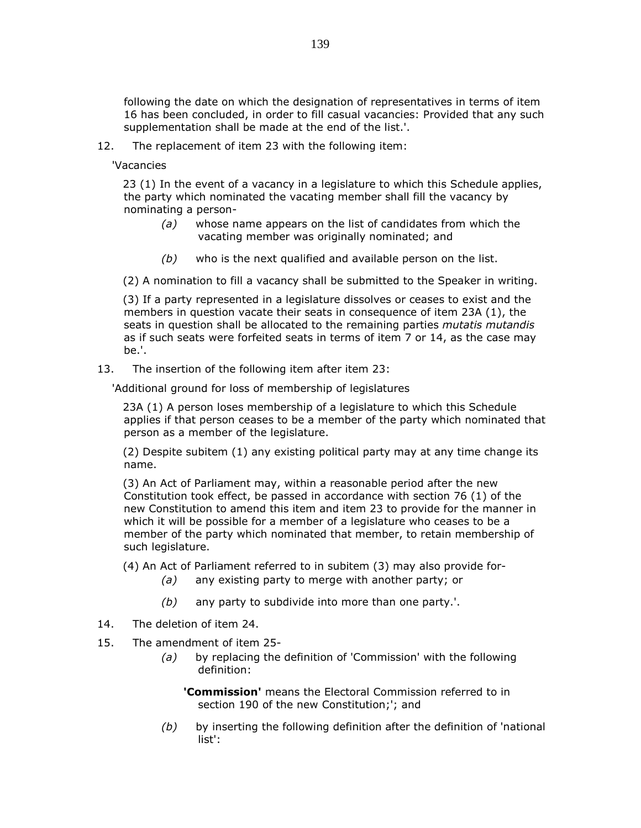following the date on which the designation of representatives in terms of item 16 has been concluded, in order to fill casual vacancies: Provided that any such supplementation shall be made at the end of the list.'.

12. The replacement of item 23 with the following item:

### 'Vacancies

 23 (1) In the event of a vacancy in a legislature to which this Schedule applies, the party which nominated the vacating member shall fill the vacancy by nominating a person-

- (a) whose name appears on the list of candidates from which the vacating member was originally nominated; and
- $(b)$  who is the next qualified and available person on the list.

(2) A nomination to fill a vacancy shall be submitted to the Speaker in writing.

 (3) If a party represented in a legislature dissolves or ceases to exist and the members in question vacate their seats in consequence of item 23A (1), the seats in question shall be allocated to the remaining parties mutatis mutandis as if such seats were forfeited seats in terms of item 7 or 14, as the case may be.'.

13. The insertion of the following item after item 23:

'Additional ground for loss of membership of legislatures

 23A (1) A person loses membership of a legislature to which this Schedule applies if that person ceases to be a member of the party which nominated that person as a member of the legislature.

 (2) Despite subitem (1) any existing political party may at any time change its name.

 (3) An Act of Parliament may, within a reasonable period after the new Constitution took effect, be passed in accordance with section 76 (1) of the new Constitution to amend this item and item 23 to provide for the manner in which it will be possible for a member of a legislature who ceases to be a member of the party which nominated that member, to retain membership of such legislature.

(4) An Act of Parliament referred to in subitem (3) may also provide for-

- (a) any existing party to merge with another party; or
- $(b)$  any party to subdivide into more than one party.'.
- 14. The deletion of item 24.
- 15. The amendment of item 25-
	- (a) by replacing the definition of 'Commission' with the following definition:

**'Commission'** means the Electoral Commission referred to in section 190 of the new Constitution;'; and

 $(b)$  by inserting the following definition after the definition of 'national list':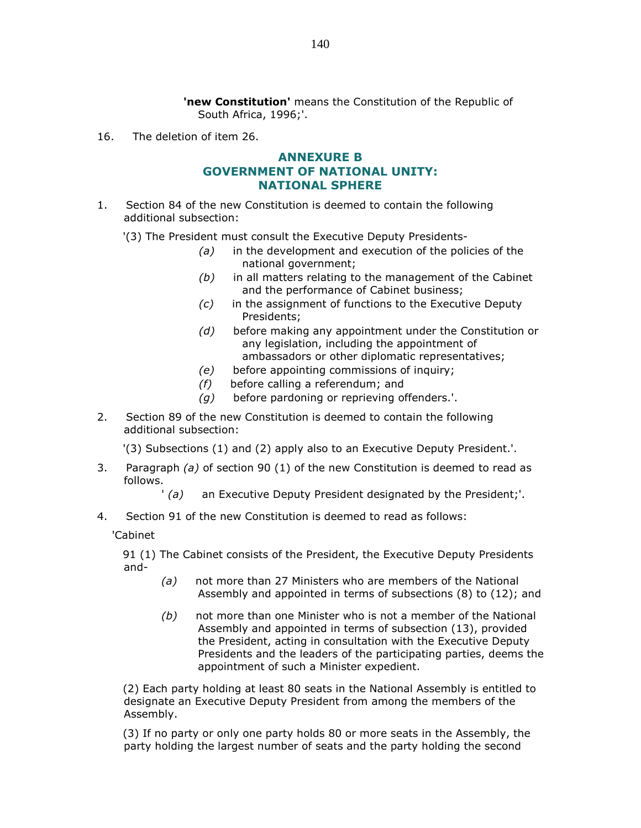**'new Constitution'** means the Constitution of the Republic of South Africa, 1996;'.

16. The deletion of item 26.

## ANNEXURE B GOVERNMENT OF NATIONAL UNITY: NATIONAL SPHERE

1. Section 84 of the new Constitution is deemed to contain the following additional subsection:

'(3) The President must consult the Executive Deputy Presidents-

- $(a)$  in the development and execution of the policies of the national government;
- $(b)$  in all matters relating to the management of the Cabinet and the performance of Cabinet business;
- (c) in the assignment of functions to the Executive Deputy Presidents;
- (d) before making any appointment under the Constitution or any legislation, including the appointment of ambassadors or other diplomatic representatives;
- (e) before appointing commissions of inquiry;
- $(f)$  before calling a referendum; and
- (g) before pardoning or reprieving offenders.'.
- 2. Section 89 of the new Constitution is deemed to contain the following additional subsection:

'(3) Subsections (1) and (2) apply also to an Executive Deputy President.'.

3. Paragraph (a) of section 90 (1) of the new Constitution is deemed to read as follows.

' (a) an Executive Deputy President designated by the President;'.

4. Section 91 of the new Constitution is deemed to read as follows:

'Cabinet

 91 (1) The Cabinet consists of the President, the Executive Deputy Presidents and-

- (a) not more than 27 Ministers who are members of the National Assembly and appointed in terms of subsections (8) to (12); and
- $(b)$  not more than one Minister who is not a member of the National Assembly and appointed in terms of subsection (13), provided the President, acting in consultation with the Executive Deputy Presidents and the leaders of the participating parties, deems the appointment of such a Minister expedient.

 (2) Each party holding at least 80 seats in the National Assembly is entitled to designate an Executive Deputy President from among the members of the Assembly.

 (3) If no party or only one party holds 80 or more seats in the Assembly, the party holding the largest number of seats and the party holding the second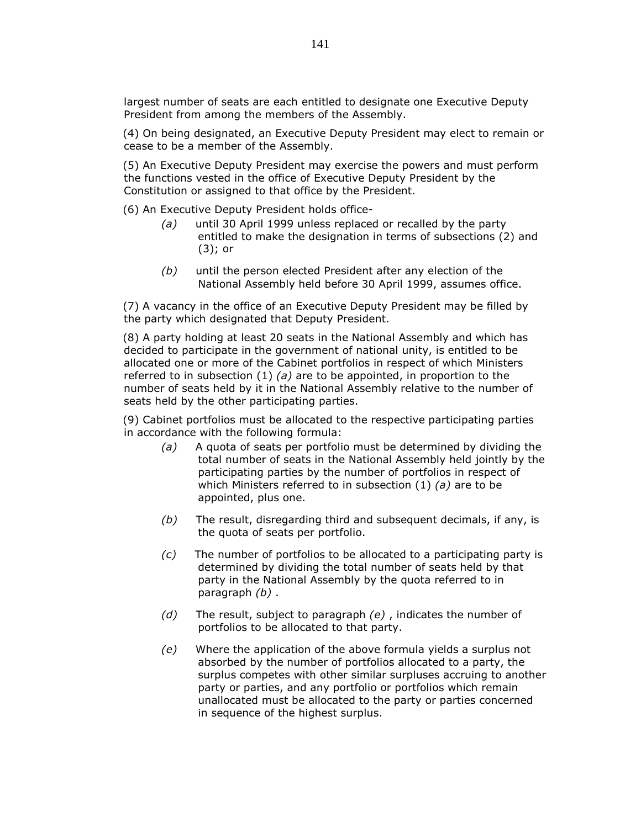largest number of seats are each entitled to designate one Executive Deputy President from among the members of the Assembly.

 (4) On being designated, an Executive Deputy President may elect to remain or cease to be a member of the Assembly.

 (5) An Executive Deputy President may exercise the powers and must perform the functions vested in the office of Executive Deputy President by the Constitution or assigned to that office by the President.

(6) An Executive Deputy President holds office-

- (a) until 30 April 1999 unless replaced or recalled by the party entitled to make the designation in terms of subsections (2) and (3); or
- (b) until the person elected President after any election of the National Assembly held before 30 April 1999, assumes office.

 (7) A vacancy in the office of an Executive Deputy President may be filled by the party which designated that Deputy President.

 (8) A party holding at least 20 seats in the National Assembly and which has decided to participate in the government of national unity, is entitled to be allocated one or more of the Cabinet portfolios in respect of which Ministers referred to in subsection (1) (a) are to be appointed, in proportion to the number of seats held by it in the National Assembly relative to the number of seats held by the other participating parties.

 (9) Cabinet portfolios must be allocated to the respective participating parties in accordance with the following formula:

- $(a)$  A quota of seats per portfolio must be determined by dividing the total number of seats in the National Assembly held jointly by the participating parties by the number of portfolios in respect of which Ministers referred to in subsection  $(1)$   $(a)$  are to be appointed, plus one.
- $(b)$  The result, disregarding third and subsequent decimals, if any, is the quota of seats per portfolio.
- $(c)$  The number of portfolios to be allocated to a participating party is determined by dividing the total number of seats held by that party in the National Assembly by the quota referred to in paragraph (b) .
- $(d)$  The result, subject to paragraph  $(e)$ , indicates the number of portfolios to be allocated to that party.
- (e) Where the application of the above formula yields a surplus not absorbed by the number of portfolios allocated to a party, the surplus competes with other similar surpluses accruing to another party or parties, and any portfolio or portfolios which remain unallocated must be allocated to the party or parties concerned in sequence of the highest surplus.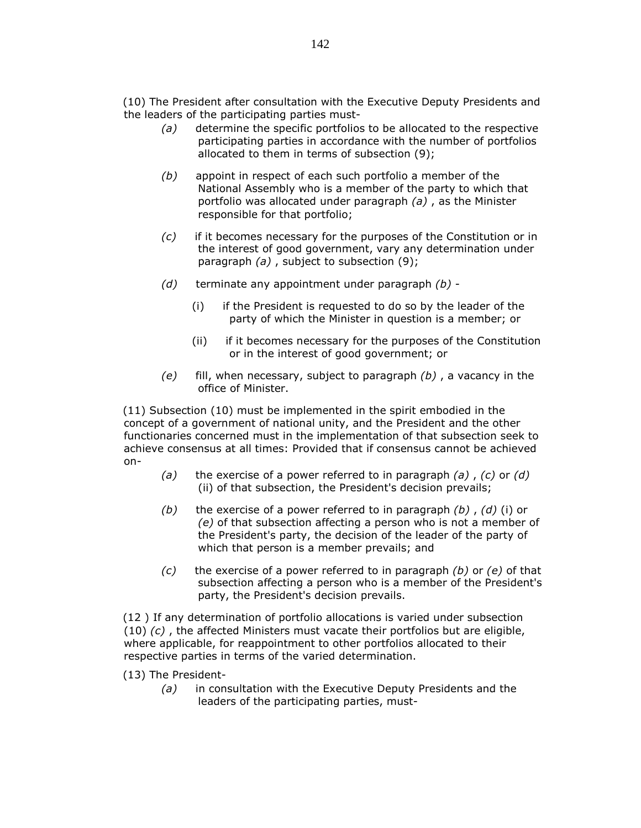(10) The President after consultation with the Executive Deputy Presidents and the leaders of the participating parties must-

- (a) determine the specific portfolios to be allocated to the respective participating parties in accordance with the number of portfolios allocated to them in terms of subsection (9);
- $(b)$  appoint in respect of each such portfolio a member of the National Assembly who is a member of the party to which that portfolio was allocated under paragraph (a) , as the Minister responsible for that portfolio;
- (c) if it becomes necessary for the purposes of the Constitution or in the interest of good government, vary any determination under paragraph  $(a)$ , subject to subsection  $(9)$ ;
- (d) terminate any appointment under paragraph  $(b)$  -
	- (i) if the President is requested to do so by the leader of the party of which the Minister in question is a member; or
	- (ii) if it becomes necessary for the purposes of the Constitution or in the interest of good government; or
- (e) fill, when necessary, subject to paragraph  $(b)$ , a vacancy in the office of Minister.

 (11) Subsection (10) must be implemented in the spirit embodied in the concept of a government of national unity, and the President and the other functionaries concerned must in the implementation of that subsection seek to achieve consensus at all times: Provided that if consensus cannot be achieved on-

- (a) the exercise of a power referred to in paragraph (a),  $(c)$  or  $(d)$ (ii) of that subsection, the President's decision prevails;
- (b) the exercise of a power referred to in paragraph  $(b)$ ,  $(d)$  (i) or (e) of that subsection affecting a person who is not a member of the President's party, the decision of the leader of the party of which that person is a member prevails; and
- $(c)$  the exercise of a power referred to in paragraph (b) or (e) of that subsection affecting a person who is a member of the President's party, the President's decision prevails.

 (12 ) If any determination of portfolio allocations is varied under subsection  $(10)$   $(c)$ , the affected Ministers must vacate their portfolios but are eligible, where applicable, for reappointment to other portfolios allocated to their respective parties in terms of the varied determination.

(13) The President-

(a) in consultation with the Executive Deputy Presidents and the leaders of the participating parties, must-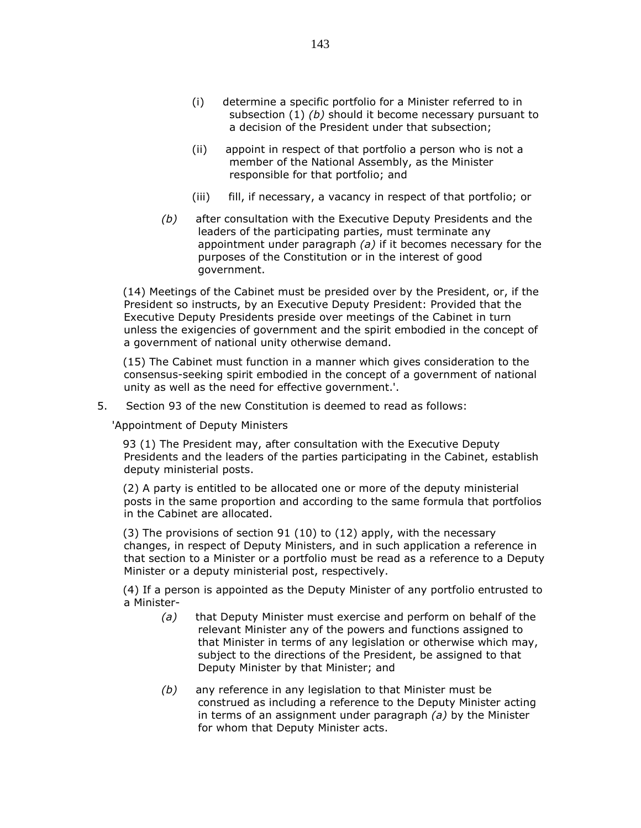- (i) determine a specific portfolio for a Minister referred to in subsection (1) (b) should it become necessary pursuant to a decision of the President under that subsection;
- (ii) appoint in respect of that portfolio a person who is not a member of the National Assembly, as the Minister responsible for that portfolio; and
- (iii) fill, if necessary, a vacancy in respect of that portfolio; or
- (b) after consultation with the Executive Deputy Presidents and the leaders of the participating parties, must terminate any appointment under paragraph (a) if it becomes necessary for the purposes of the Constitution or in the interest of good government.

 (14) Meetings of the Cabinet must be presided over by the President, or, if the President so instructs, by an Executive Deputy President: Provided that the Executive Deputy Presidents preside over meetings of the Cabinet in turn unless the exigencies of government and the spirit embodied in the concept of a government of national unity otherwise demand.

 (15) The Cabinet must function in a manner which gives consideration to the consensus-seeking spirit embodied in the concept of a government of national unity as well as the need for effective government.'.

5. Section 93 of the new Constitution is deemed to read as follows:

'Appointment of Deputy Ministers

 93 (1) The President may, after consultation with the Executive Deputy Presidents and the leaders of the parties participating in the Cabinet, establish deputy ministerial posts.

 (2) A party is entitled to be allocated one or more of the deputy ministerial posts in the same proportion and according to the same formula that portfolios in the Cabinet are allocated.

 (3) The provisions of section 91 (10) to (12) apply, with the necessary changes, in respect of Deputy Ministers, and in such application a reference in that section to a Minister or a portfolio must be read as a reference to a Deputy Minister or a deputy ministerial post, respectively.

 (4) If a person is appointed as the Deputy Minister of any portfolio entrusted to a Minister-

- (a) that Deputy Minister must exercise and perform on behalf of the relevant Minister any of the powers and functions assigned to that Minister in terms of any legislation or otherwise which may, subject to the directions of the President, be assigned to that Deputy Minister by that Minister; and
- $(b)$  any reference in any legislation to that Minister must be construed as including a reference to the Deputy Minister acting in terms of an assignment under paragraph  $(a)$  by the Minister for whom that Deputy Minister acts.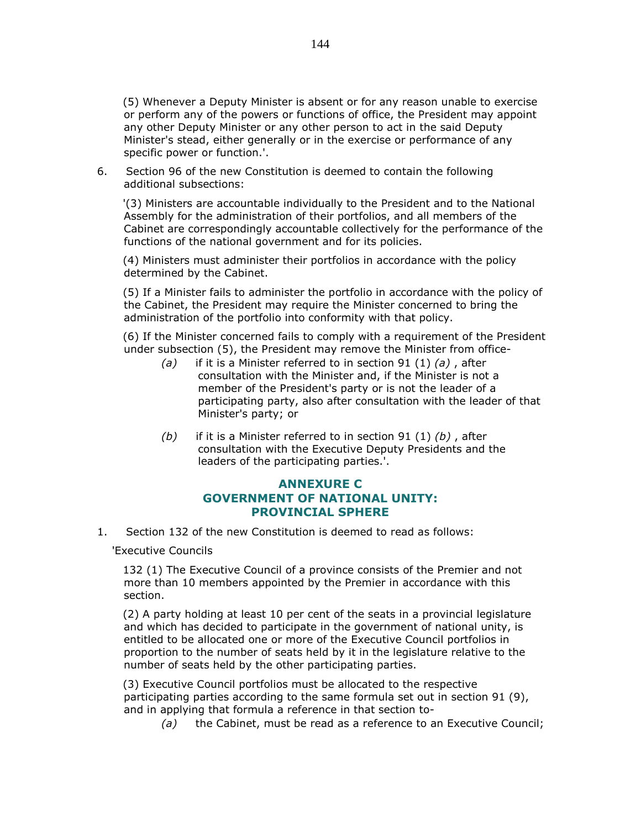(5) Whenever a Deputy Minister is absent or for any reason unable to exercise or perform any of the powers or functions of office, the President may appoint any other Deputy Minister or any other person to act in the said Deputy Minister's stead, either generally or in the exercise or performance of any specific power or function.'.

6. Section 96 of the new Constitution is deemed to contain the following additional subsections:

 '(3) Ministers are accountable individually to the President and to the National Assembly for the administration of their portfolios, and all members of the Cabinet are correspondingly accountable collectively for the performance of the functions of the national government and for its policies.

 (4) Ministers must administer their portfolios in accordance with the policy determined by the Cabinet.

 (5) If a Minister fails to administer the portfolio in accordance with the policy of the Cabinet, the President may require the Minister concerned to bring the administration of the portfolio into conformity with that policy.

 (6) If the Minister concerned fails to comply with a requirement of the President under subsection (5), the President may remove the Minister from office-

- (a) if it is a Minister referred to in section 91 (1) (a), after consultation with the Minister and, if the Minister is not a member of the President's party or is not the leader of a participating party, also after consultation with the leader of that Minister's party; or
- (b) if it is a Minister referred to in section 91 (1)  $(b)$ , after consultation with the Executive Deputy Presidents and the leaders of the participating parties.'.

## ANNEXURE C GOVERNMENT OF NATIONAL UNITY: PROVINCIAL SPHERE

1. Section 132 of the new Constitution is deemed to read as follows:

'Executive Councils

 132 (1) The Executive Council of a province consists of the Premier and not more than 10 members appointed by the Premier in accordance with this section.

 (2) A party holding at least 10 per cent of the seats in a provincial legislature and which has decided to participate in the government of national unity, is entitled to be allocated one or more of the Executive Council portfolios in proportion to the number of seats held by it in the legislature relative to the number of seats held by the other participating parties.

 (3) Executive Council portfolios must be allocated to the respective participating parties according to the same formula set out in section 91 (9), and in applying that formula a reference in that section to-

 $(a)$  the Cabinet, must be read as a reference to an Executive Council;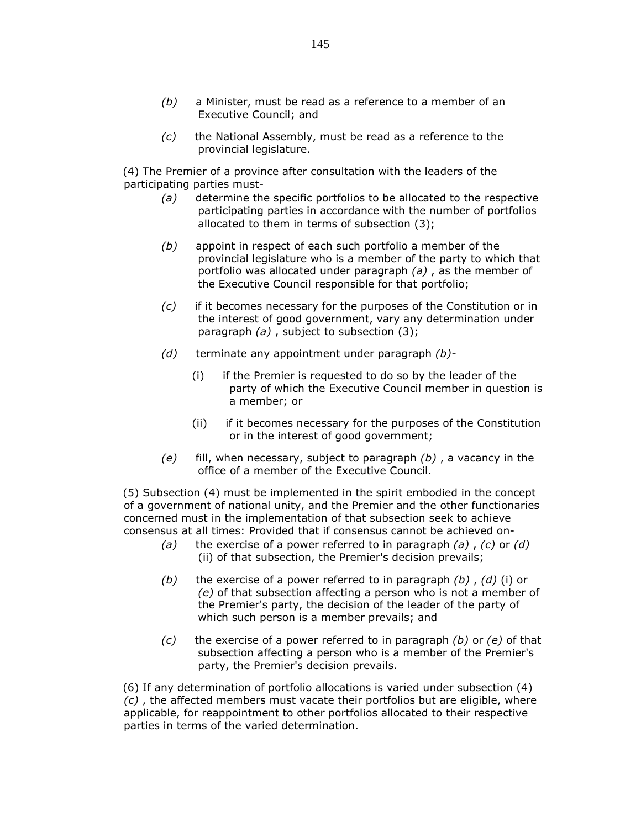- $(b)$  a Minister, must be read as a reference to a member of an Executive Council; and
- $(c)$  the National Assembly, must be read as a reference to the provincial legislature.

 (4) The Premier of a province after consultation with the leaders of the participating parties must-

- $(a)$  determine the specific portfolios to be allocated to the respective participating parties in accordance with the number of portfolios allocated to them in terms of subsection (3);
- $(b)$  appoint in respect of each such portfolio a member of the provincial legislature who is a member of the party to which that portfolio was allocated under paragraph (a) , as the member of the Executive Council responsible for that portfolio;
- $(c)$  if it becomes necessary for the purposes of the Constitution or in the interest of good government, vary any determination under paragraph  $(a)$ , subject to subsection  $(3)$ ;
- (d) terminate any appointment under paragraph  $(b)$ -
	- (i) if the Premier is requested to do so by the leader of the party of which the Executive Council member in question is a member; or
	- (ii) if it becomes necessary for the purposes of the Constitution or in the interest of good government;
- (e) fill, when necessary, subject to paragraph  $(b)$ , a vacancy in the office of a member of the Executive Council.

 (5) Subsection (4) must be implemented in the spirit embodied in the concept of a government of national unity, and the Premier and the other functionaries concerned must in the implementation of that subsection seek to achieve consensus at all times: Provided that if consensus cannot be achieved on-

- (a) the exercise of a power referred to in paragraph  $(a)$ ,  $(c)$  or  $(d)$ (ii) of that subsection, the Premier's decision prevails;
- (b) the exercise of a power referred to in paragraph  $(b)$ ,  $(d)$  (i) or (e) of that subsection affecting a person who is not a member of the Premier's party, the decision of the leader of the party of which such person is a member prevails; and
- $(c)$  the exercise of a power referred to in paragraph (b) or (e) of that subsection affecting a person who is a member of the Premier's party, the Premier's decision prevails.

 (6) If any determination of portfolio allocations is varied under subsection (4)  $(c)$ , the affected members must vacate their portfolios but are eligible, where applicable, for reappointment to other portfolios allocated to their respective parties in terms of the varied determination.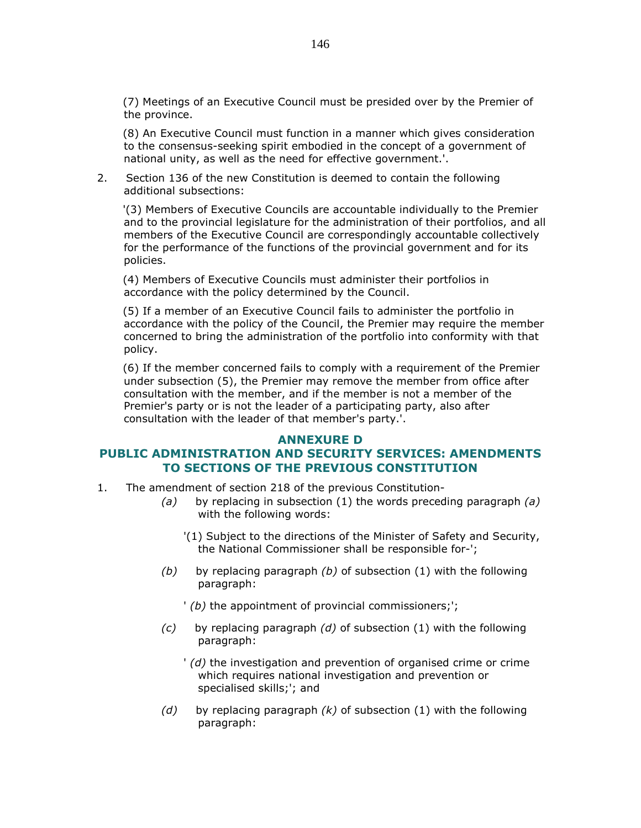(7) Meetings of an Executive Council must be presided over by the Premier of the province.

 (8) An Executive Council must function in a manner which gives consideration to the consensus-seeking spirit embodied in the concept of a government of national unity, as well as the need for effective government.'.

2. Section 136 of the new Constitution is deemed to contain the following additional subsections:

 '(3) Members of Executive Councils are accountable individually to the Premier and to the provincial legislature for the administration of their portfolios, and all members of the Executive Council are correspondingly accountable collectively for the performance of the functions of the provincial government and for its policies.

 (4) Members of Executive Councils must administer their portfolios in accordance with the policy determined by the Council.

 (5) If a member of an Executive Council fails to administer the portfolio in accordance with the policy of the Council, the Premier may require the member concerned to bring the administration of the portfolio into conformity with that policy.

 (6) If the member concerned fails to comply with a requirement of the Premier under subsection (5), the Premier may remove the member from office after consultation with the member, and if the member is not a member of the Premier's party or is not the leader of a participating party, also after consultation with the leader of that member's party.'.

### ANNEXURE D

# PUBLIC ADMINISTRATION AND SECURITY SERVICES: AMENDMENTS TO SECTIONS OF THE PREVIOUS CONSTITUTION

- 1. The amendment of section 218 of the previous Constitution-
	- (a) by replacing in subsection (1) the words preceding paragraph (a) with the following words:
		- '(1) Subject to the directions of the Minister of Safety and Security, the National Commissioner shall be responsible for-';
	- (b) by replacing paragraph (b) of subsection  $(1)$  with the following paragraph:
		- ' (b) the appointment of provincial commissioners;';
	- $(c)$  by replacing paragraph  $(d)$  of subsection (1) with the following paragraph:
		- $'(d)$  the investigation and prevention of organised crime or crime which requires national investigation and prevention or specialised skills;'; and
	- (d) by replacing paragraph  $(k)$  of subsection (1) with the following paragraph: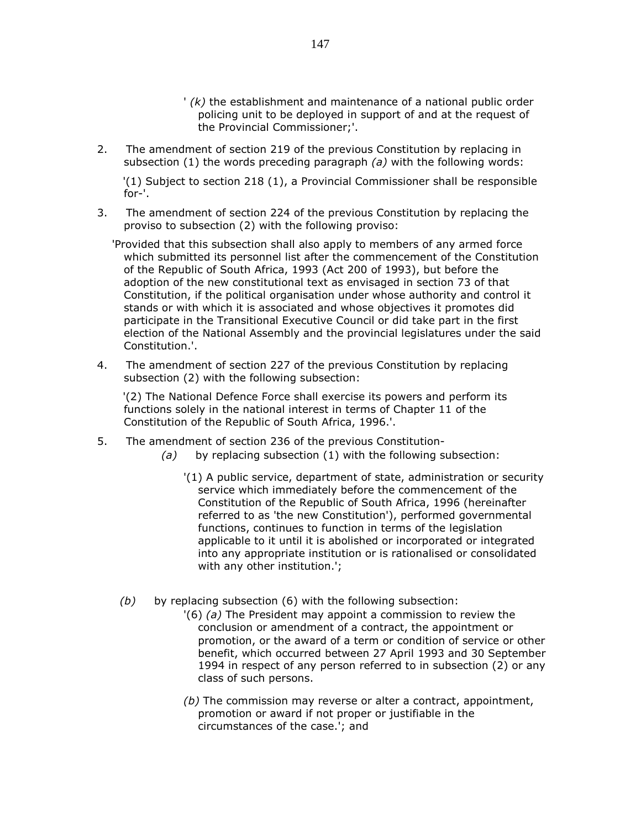- $(k)$  the establishment and maintenance of a national public order policing unit to be deployed in support of and at the request of the Provincial Commissioner;'.
- 2. The amendment of section 219 of the previous Constitution by replacing in subsection  $(1)$  the words preceding paragraph  $(a)$  with the following words:

 '(1) Subject to section 218 (1), a Provincial Commissioner shall be responsible for-'.

3. The amendment of section 224 of the previous Constitution by replacing the proviso to subsection (2) with the following proviso:

 'Provided that this subsection shall also apply to members of any armed force which submitted its personnel list after the commencement of the Constitution of the Republic of South Africa, 1993 (Act 200 of 1993), but before the adoption of the new constitutional text as envisaged in section 73 of that Constitution, if the political organisation under whose authority and control it stands or with which it is associated and whose objectives it promotes did participate in the Transitional Executive Council or did take part in the first election of the National Assembly and the provincial legislatures under the said Constitution.'.

4. The amendment of section 227 of the previous Constitution by replacing subsection (2) with the following subsection:

 '(2) The National Defence Force shall exercise its powers and perform its functions solely in the national interest in terms of Chapter 11 of the Constitution of the Republic of South Africa, 1996.'.

- 5. The amendment of section 236 of the previous Constitution-
	- $(a)$  by replacing subsection (1) with the following subsection:
		- '(1) A public service, department of state, administration or security service which immediately before the commencement of the Constitution of the Republic of South Africa, 1996 (hereinafter referred to as 'the new Constitution'), performed governmental functions, continues to function in terms of the legislation applicable to it until it is abolished or incorporated or integrated into any appropriate institution or is rationalised or consolidated with any other institution.';
	- $(b)$  by replacing subsection (6) with the following subsection:
		- '(6) (a) The President may appoint a commission to review the conclusion or amendment of a contract, the appointment or promotion, or the award of a term or condition of service or other benefit, which occurred between 27 April 1993 and 30 September 1994 in respect of any person referred to in subsection (2) or any class of such persons.
		- $(b)$  The commission may reverse or alter a contract, appointment, promotion or award if not proper or justifiable in the circumstances of the case.'; and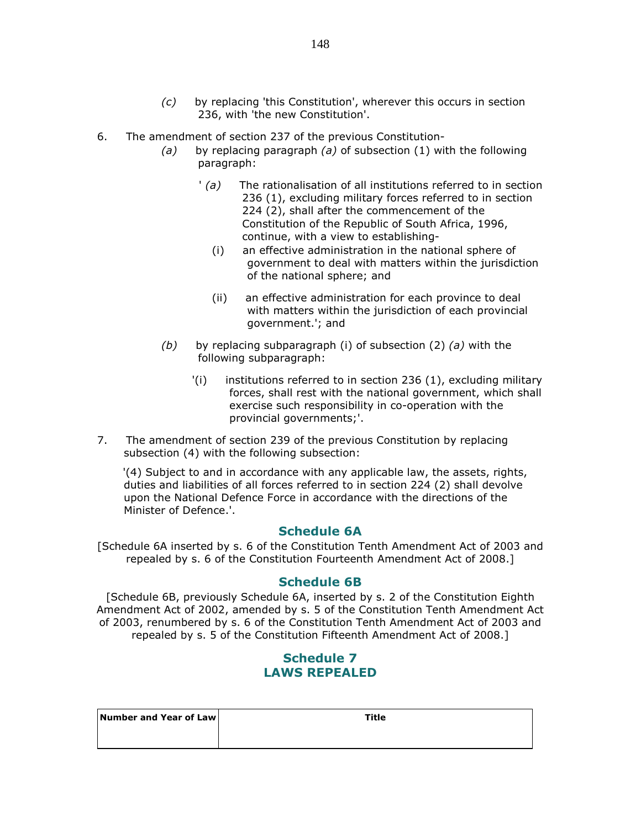- (c) by replacing 'this Constitution', wherever this occurs in section 236, with 'the new Constitution'.
- 6. The amendment of section 237 of the previous Constitution-
	- (a) by replacing paragraph (a) of subsection (1) with the following paragraph:
		- $(a)$  The rationalisation of all institutions referred to in section 236 (1), excluding military forces referred to in section 224 (2), shall after the commencement of the Constitution of the Republic of South Africa, 1996, continue, with a view to establishing-
			- (i) an effective administration in the national sphere of government to deal with matters within the jurisdiction of the national sphere; and
			- (ii) an effective administration for each province to deal with matters within the jurisdiction of each provincial government.'; and
	- (b) by replacing subparagraph (i) of subsection (2) (a) with the following subparagraph:
		- '(i) institutions referred to in section 236 (1), excluding military forces, shall rest with the national government, which shall exercise such responsibility in co-operation with the provincial governments;'.
- 7. The amendment of section 239 of the previous Constitution by replacing subsection (4) with the following subsection:

 '(4) Subject to and in accordance with any applicable law, the assets, rights, duties and liabilities of all forces referred to in section 224 (2) shall devolve upon the National Defence Force in accordance with the directions of the Minister of Defence.'.

# Schedule 6A

[Schedule 6A inserted by s. 6 of the Constitution Tenth Amendment Act of 2003 and repealed by s. 6 of the Constitution Fourteenth Amendment Act of 2008.]

# Schedule 6B

[Schedule 6B, previously Schedule 6A, inserted by s. 2 of the Constitution Eighth Amendment Act of 2002, amended by s. 5 of the Constitution Tenth Amendment Act of 2003, renumbered by s. 6 of the Constitution Tenth Amendment Act of 2003 and repealed by s. 5 of the Constitution Fifteenth Amendment Act of 2008.]

# Schedule 7 LAWS REPEALED

| Number and Year of Law | Title |
|------------------------|-------|
|                        |       |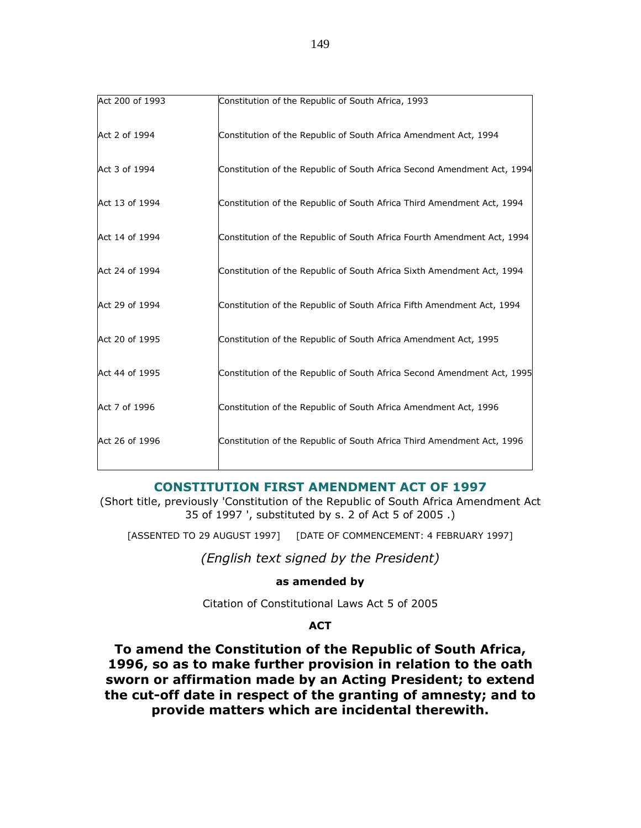| Act 200 of 1993 | Constitution of the Republic of South Africa, 1993                      |
|-----------------|-------------------------------------------------------------------------|
| Act 2 of 1994   | Constitution of the Republic of South Africa Amendment Act, 1994        |
| Act 3 of 1994   | Constitution of the Republic of South Africa Second Amendment Act, 1994 |
| Act 13 of 1994  | Constitution of the Republic of South Africa Third Amendment Act, 1994  |
| Act 14 of 1994  | Constitution of the Republic of South Africa Fourth Amendment Act, 1994 |
| Act 24 of 1994  | Constitution of the Republic of South Africa Sixth Amendment Act, 1994  |
| Act 29 of 1994  | Constitution of the Republic of South Africa Fifth Amendment Act, 1994  |
| Act 20 of 1995  | Constitution of the Republic of South Africa Amendment Act, 1995        |
| Act 44 of 1995  | Constitution of the Republic of South Africa Second Amendment Act, 1995 |
| Act 7 of 1996   | Constitution of the Republic of South Africa Amendment Act, 1996        |
| Act 26 of 1996  | Constitution of the Republic of South Africa Third Amendment Act, 1996  |
|                 |                                                                         |

# CONSTITUTION FIRST AMENDMENT ACT OF 1997

(Short title, previously 'Constitution of the Republic of South Africa Amendment Act 35 of 1997 ', substituted by s. 2 of Act 5 of 2005 .)

[ASSENTED TO 29 AUGUST 1997] [DATE OF COMMENCEMENT: 4 FEBRUARY 1997]

(English text signed by the President)

# as amended by

Citation of Constitutional Laws Act 5 of 2005

# **ACT**

To amend the Constitution of the Republic of South Africa, 1996, so as to make further provision in relation to the oath sworn or affirmation made by an Acting President; to extend the cut-off date in respect of the granting of amnesty; and to provide matters which are incidental therewith.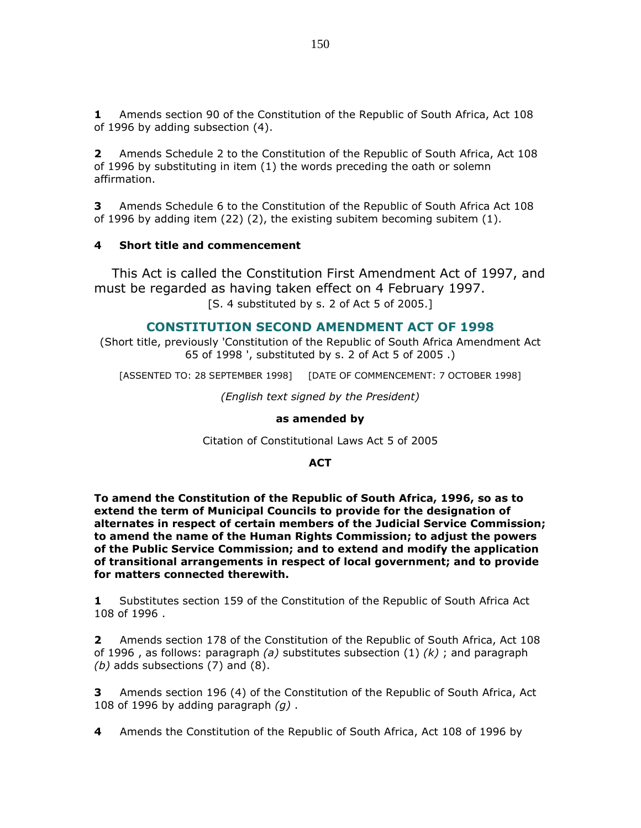1 Amends section 90 of the Constitution of the Republic of South Africa, Act 108 of 1996 by adding subsection (4).

2 Amends Schedule 2 to the Constitution of the Republic of South Africa, Act 108 of 1996 by substituting in item (1) the words preceding the oath or solemn affirmation.

3 Amends Schedule 6 to the Constitution of the Republic of South Africa Act 108 of 1996 by adding item (22) (2), the existing subitem becoming subitem (1).

# 4 Short title and commencement

 This Act is called the Constitution First Amendment Act of 1997, and must be regarded as having taken effect on 4 February 1997. [S. 4 substituted by s. 2 of Act 5 of 2005.]

## CONSTITUTION SECOND AMENDMENT ACT OF 1998

(Short title, previously 'Constitution of the Republic of South Africa Amendment Act 65 of 1998 ', substituted by s. 2 of Act 5 of 2005 .)

[ASSENTED TO: 28 SEPTEMBER 1998] [DATE OF COMMENCEMENT: 7 OCTOBER 1998]

(English text signed by the President)

#### as amended by

Citation of Constitutional Laws Act 5 of 2005

#### ACT

To amend the Constitution of the Republic of South Africa, 1996, so as to extend the term of Municipal Councils to provide for the designation of alternates in respect of certain members of the Judicial Service Commission; to amend the name of the Human Rights Commission; to adjust the powers of the Public Service Commission; and to extend and modify the application of transitional arrangements in respect of local government; and to provide for matters connected therewith.

1 Substitutes section 159 of the Constitution of the Republic of South Africa Act 108 of 1996 .

2 Amends section 178 of the Constitution of the Republic of South Africa, Act 108 of 1996, as follows: paragraph (a) substitutes subsection  $(1)$  (k); and paragraph  $(b)$  adds subsections  $(7)$  and  $(8)$ .

3 Amends section 196 (4) of the Constitution of the Republic of South Africa, Act 108 of 1996 by adding paragraph  $(g)$ .

4 Amends the Constitution of the Republic of South Africa, Act 108 of 1996 by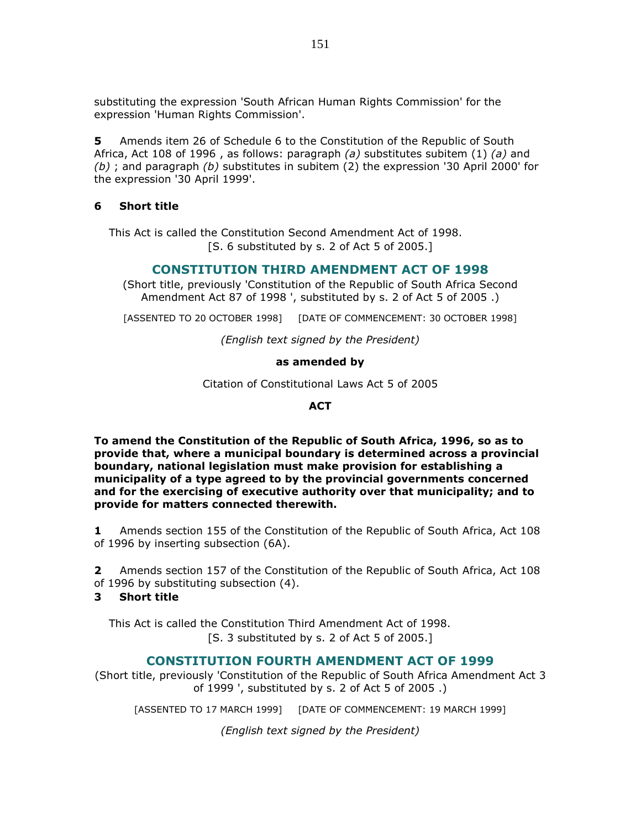substituting the expression 'South African Human Rights Commission' for the expression 'Human Rights Commission'.

5 Amends item 26 of Schedule 6 to the Constitution of the Republic of South Africa, Act 108 of 1996, as follows: paragraph (a) substitutes subitem (1) (a) and  $(b)$ ; and paragraph  $(b)$  substitutes in subitem (2) the expression '30 April 2000' for the expression '30 April 1999'.

# 6 Short title

 This Act is called the Constitution Second Amendment Act of 1998. [S. 6 substituted by s. 2 of Act 5 of 2005.]

# CONSTITUTION THIRD AMENDMENT ACT OF 1998

(Short title, previously 'Constitution of the Republic of South Africa Second Amendment Act 87 of 1998 ', substituted by s. 2 of Act 5 of 2005 .)

[ASSENTED TO 20 OCTOBER 1998] [DATE OF COMMENCEMENT: 30 OCTOBER 1998]

(English text signed by the President)

## as amended by

Citation of Constitutional Laws Act 5 of 2005

## ACT

To amend the Constitution of the Republic of South Africa, 1996, so as to provide that, where a municipal boundary is determined across a provincial boundary, national legislation must make provision for establishing a municipality of a type agreed to by the provincial governments concerned and for the exercising of executive authority over that municipality; and to provide for matters connected therewith.

1 Amends section 155 of the Constitution of the Republic of South Africa, Act 108 of 1996 by inserting subsection (6A).

2 Amends section 157 of the Constitution of the Republic of South Africa, Act 108 of 1996 by substituting subsection (4).

# 3 Short title

 This Act is called the Constitution Third Amendment Act of 1998. [S. 3 substituted by s. 2 of Act 5 of 2005.]

# CONSTITUTION FOURTH AMENDMENT ACT OF 1999

(Short title, previously 'Constitution of the Republic of South Africa Amendment Act 3 of 1999 ', substituted by s. 2 of Act 5 of 2005 .)

[ASSENTED TO 17 MARCH 1999] [DATE OF COMMENCEMENT: 19 MARCH 1999]

(English text signed by the President)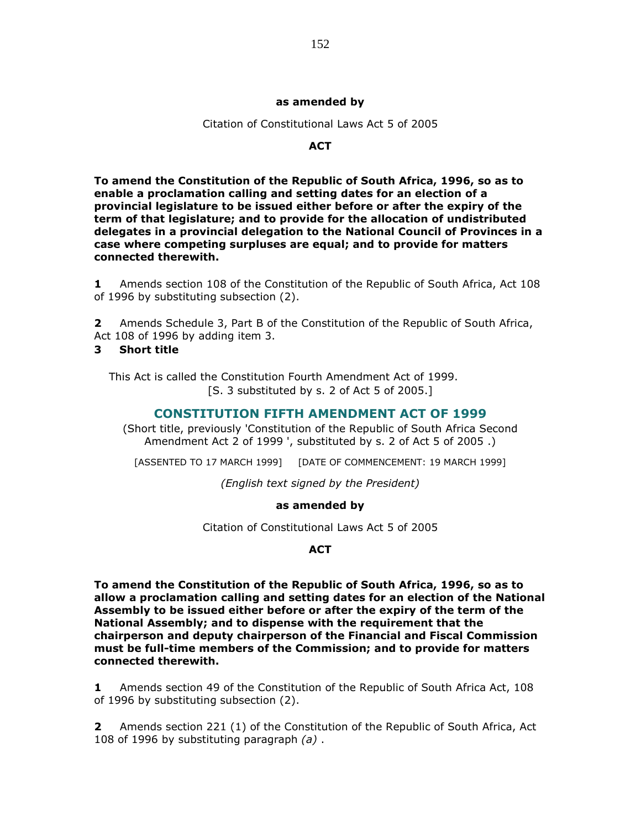### as amended by

Citation of Constitutional Laws Act 5 of 2005

# **ACT**

To amend the Constitution of the Republic of South Africa, 1996, so as to enable a proclamation calling and setting dates for an election of a provincial legislature to be issued either before or after the expiry of the term of that legislature; and to provide for the allocation of undistributed delegates in a provincial delegation to the National Council of Provinces in a case where competing surpluses are equal; and to provide for matters connected therewith.

1 Amends section 108 of the Constitution of the Republic of South Africa, Act 108 of 1996 by substituting subsection (2).

2 Amends Schedule 3, Part B of the Constitution of the Republic of South Africa, Act 108 of 1996 by adding item 3.

## 3 Short title

 This Act is called the Constitution Fourth Amendment Act of 1999. [S. 3 substituted by s. 2 of Act 5 of 2005.]

# CONSTITUTION FIFTH AMENDMENT ACT OF 1999

(Short title, previously 'Constitution of the Republic of South Africa Second Amendment Act 2 of 1999 ', substituted by s. 2 of Act 5 of 2005 .)

[ASSENTED TO 17 MARCH 1999] [DATE OF COMMENCEMENT: 19 MARCH 1999]

(English text signed by the President)

# as amended by

Citation of Constitutional Laws Act 5 of 2005

# **ACT**

To amend the Constitution of the Republic of South Africa, 1996, so as to allow a proclamation calling and setting dates for an election of the National Assembly to be issued either before or after the expiry of the term of the National Assembly; and to dispense with the requirement that the chairperson and deputy chairperson of the Financial and Fiscal Commission must be full-time members of the Commission; and to provide for matters connected therewith.

1 Amends section 49 of the Constitution of the Republic of South Africa Act, 108 of 1996 by substituting subsection (2).

2 Amends section 221 (1) of the Constitution of the Republic of South Africa, Act 108 of 1996 by substituting paragraph  $(a)$ .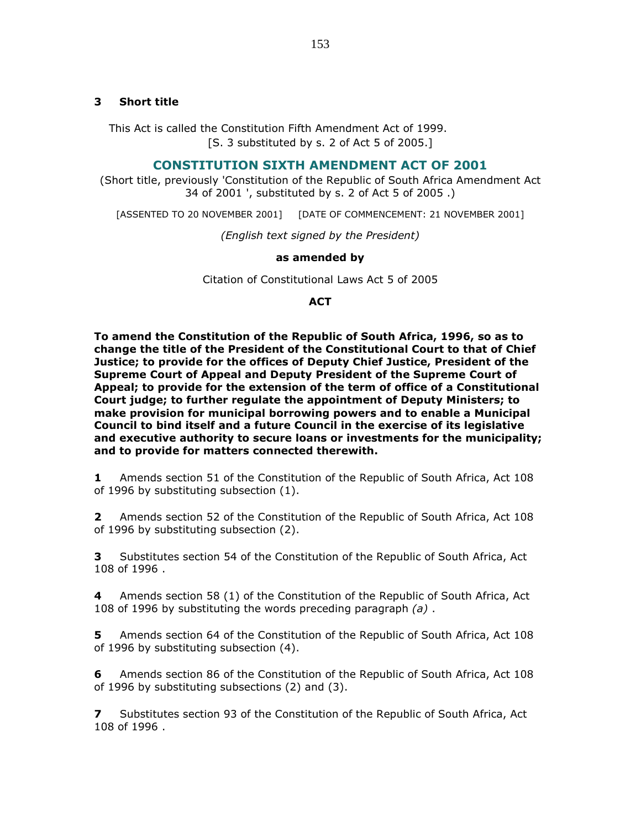## 3 Short title

 This Act is called the Constitution Fifth Amendment Act of 1999. [S. 3 substituted by s. 2 of Act 5 of 2005.]

# CONSTITUTION SIXTH AMENDMENT ACT OF 2001

(Short title, previously 'Constitution of the Republic of South Africa Amendment Act 34 of 2001 ', substituted by s. 2 of Act 5 of 2005 .)

[ASSENTED TO 20 NOVEMBER 2001] [DATE OF COMMENCEMENT: 21 NOVEMBER 2001]

(English text signed by the President)

#### as amended by

Citation of Constitutional Laws Act 5 of 2005

#### **ACT**

To amend the Constitution of the Republic of South Africa, 1996, so as to change the title of the President of the Constitutional Court to that of Chief Justice; to provide for the offices of Deputy Chief Justice, President of the Supreme Court of Appeal and Deputy President of the Supreme Court of Appeal; to provide for the extension of the term of office of a Constitutional Court judge; to further regulate the appointment of Deputy Ministers; to make provision for municipal borrowing powers and to enable a Municipal Council to bind itself and a future Council in the exercise of its legislative and executive authority to secure loans or investments for the municipality; and to provide for matters connected therewith.

1 Amends section 51 of the Constitution of the Republic of South Africa, Act 108 of 1996 by substituting subsection (1).

2 Amends section 52 of the Constitution of the Republic of South Africa, Act 108 of 1996 by substituting subsection (2).

**3** Substitutes section 54 of the Constitution of the Republic of South Africa, Act 108 of 1996 .

4 Amends section 58 (1) of the Constitution of the Republic of South Africa, Act 108 of 1996 by substituting the words preceding paragraph  $(a)$ .

5 Amends section 64 of the Constitution of the Republic of South Africa, Act 108 of 1996 by substituting subsection (4).

6 Amends section 86 of the Constitution of the Republic of South Africa, Act 108 of 1996 by substituting subsections (2) and (3).

7 Substitutes section 93 of the Constitution of the Republic of South Africa, Act 108 of 1996 .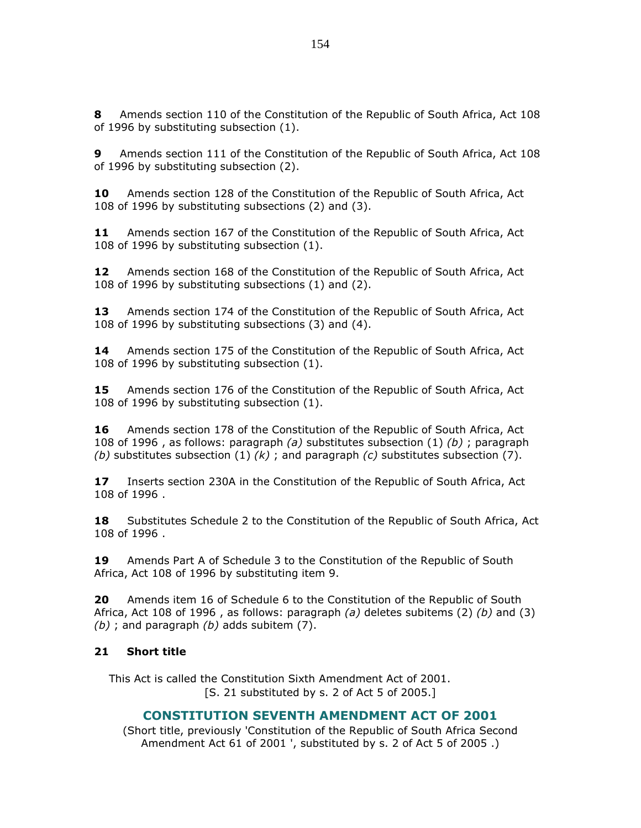8 Amends section 110 of the Constitution of the Republic of South Africa, Act 108 of 1996 by substituting subsection (1).

9 Amends section 111 of the Constitution of the Republic of South Africa, Act 108 of 1996 by substituting subsection (2).

**10** Amends section 128 of the Constitution of the Republic of South Africa, Act 108 of 1996 by substituting subsections (2) and (3).

11 Amends section 167 of the Constitution of the Republic of South Africa, Act 108 of 1996 by substituting subsection (1).

12 Amends section 168 of the Constitution of the Republic of South Africa, Act 108 of 1996 by substituting subsections (1) and (2).

13 Amends section 174 of the Constitution of the Republic of South Africa, Act 108 of 1996 by substituting subsections (3) and (4).

14 Amends section 175 of the Constitution of the Republic of South Africa, Act 108 of 1996 by substituting subsection (1).

15 Amends section 176 of the Constitution of the Republic of South Africa, Act 108 of 1996 by substituting subsection (1).

16 Amends section 178 of the Constitution of the Republic of South Africa, Act 108 of 1996, as follows: paragraph (a) substitutes subsection (1) (b); paragraph (b) substitutes subsection (1)  $(k)$ ; and paragraph (c) substitutes subsection (7).

17 Inserts section 230A in the Constitution of the Republic of South Africa, Act 108 of 1996 .

18 Substitutes Schedule 2 to the Constitution of the Republic of South Africa, Act 108 of 1996 .

19 Amends Part A of Schedule 3 to the Constitution of the Republic of South Africa, Act 108 of 1996 by substituting item 9.

20 Amends item 16 of Schedule 6 to the Constitution of the Republic of South Africa, Act 108 of 1996, as follows: paragraph  $(a)$  deletes subitems (2)  $(b)$  and (3)  $(b)$ ; and paragraph  $(b)$  adds subitem  $(7)$ .

# 21 Short title

 This Act is called the Constitution Sixth Amendment Act of 2001. [S. 21 substituted by s. 2 of Act 5 of 2005.]

# CONSTITUTION SEVENTH AMENDMENT ACT OF 2001

(Short title, previously 'Constitution of the Republic of South Africa Second Amendment Act 61 of 2001 ', substituted by s. 2 of Act 5 of 2005 .)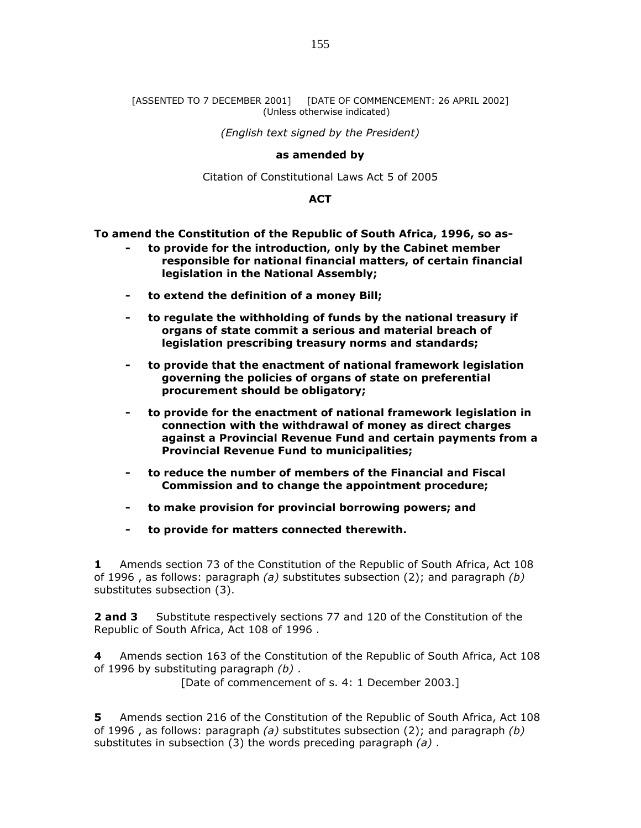[ASSENTED TO 7 DECEMBER 2001] [DATE OF COMMENCEMENT: 26 APRIL 2002] (Unless otherwise indicated)

(English text signed by the President)

### as amended by

Citation of Constitutional Laws Act 5 of 2005

## **ACT**

To amend the Constitution of the Republic of South Africa, 1996, so as-

- to provide for the introduction, only by the Cabinet member responsible for national financial matters, of certain financial legislation in the National Assembly;
- to extend the definition of a money Bill;
- to regulate the withholding of funds by the national treasury if organs of state commit a serious and material breach of legislation prescribing treasury norms and standards;
- to provide that the enactment of national framework legislation governing the policies of organs of state on preferential procurement should be obligatory;
- to provide for the enactment of national framework legislation in connection with the withdrawal of money as direct charges against a Provincial Revenue Fund and certain payments from a Provincial Revenue Fund to municipalities;
- to reduce the number of members of the Financial and Fiscal Commission and to change the appointment procedure;
- to make provision for provincial borrowing powers; and
- to provide for matters connected therewith.

1 Amends section 73 of the Constitution of the Republic of South Africa, Act 108 of 1996, as follows: paragraph (a) substitutes subsection (2); and paragraph (b) substitutes subsection (3).

**2 and 3** Substitute respectively sections 77 and 120 of the Constitution of the Republic of South Africa, Act 108 of 1996 .

4 Amends section 163 of the Constitution of the Republic of South Africa, Act 108 of 1996 by substituting paragraph  $(b)$ .

[Date of commencement of s. 4: 1 December 2003.]

5 Amends section 216 of the Constitution of the Republic of South Africa, Act 108 of 1996, as follows: paragraph (a) substitutes subsection (2); and paragraph  $(b)$ substitutes in subsection (3) the words preceding paragraph  $(a)$ .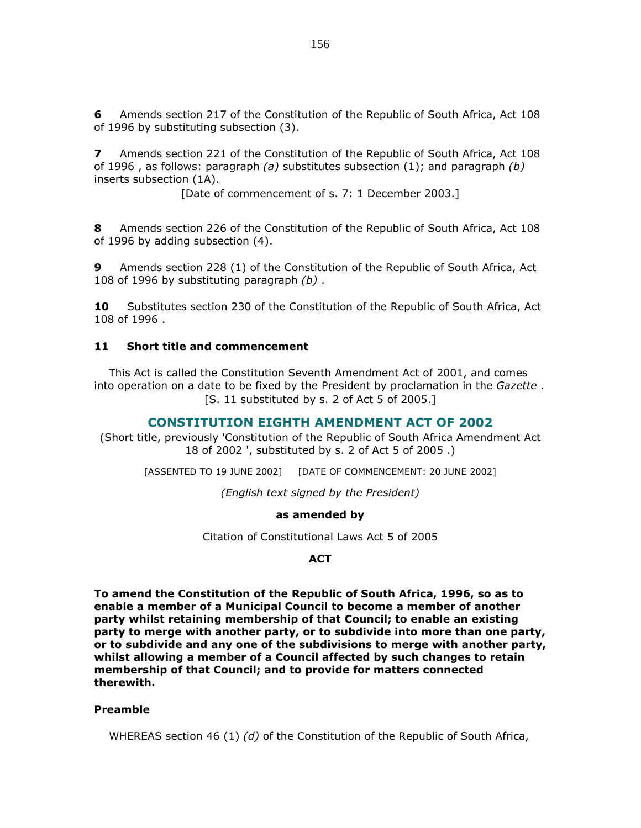6 Amends section 217 of the Constitution of the Republic of South Africa, Act 108 of 1996 by substituting subsection (3).

7 Amends section 221 of the Constitution of the Republic of South Africa, Act 108 of 1996, as follows: paragraph (a) substitutes subsection  $(1)$ ; and paragraph  $(b)$ inserts subsection (1A).

[Date of commencement of s. 7: 1 December 2003.]

8 Amends section 226 of the Constitution of the Republic of South Africa, Act 108 of 1996 by adding subsection (4).

9 Amends section 228 (1) of the Constitution of the Republic of South Africa, Act 108 of 1996 by substituting paragraph  $(b)$ .

10 Substitutes section 230 of the Constitution of the Republic of South Africa, Act 108 of 1996 .

## 11 Short title and commencement

 This Act is called the Constitution Seventh Amendment Act of 2001, and comes into operation on a date to be fixed by the President by proclamation in the Gazette. [S. 11 substituted by s. 2 of Act 5 of 2005.]

#### CONSTITUTION EIGHTH AMENDMENT ACT OF 2002

(Short title, previously 'Constitution of the Republic of South Africa Amendment Act 18 of 2002 ', substituted by s. 2 of Act 5 of 2005 .)

[ASSENTED TO 19 JUNE 2002] [DATE OF COMMENCEMENT: 20 JUNE 2002]

(English text signed by the President)

#### as amended by

Citation of Constitutional Laws Act 5 of 2005

# **ACT**

To amend the Constitution of the Republic of South Africa, 1996, so as to enable a member of a Municipal Council to become a member of another party whilst retaining membership of that Council; to enable an existing party to merge with another party, or to subdivide into more than one party, or to subdivide and any one of the subdivisions to merge with another party, whilst allowing a member of a Council affected by such changes to retain membership of that Council; and to provide for matters connected therewith.

#### Preamble

WHEREAS section 46 (1) (d) of the Constitution of the Republic of South Africa,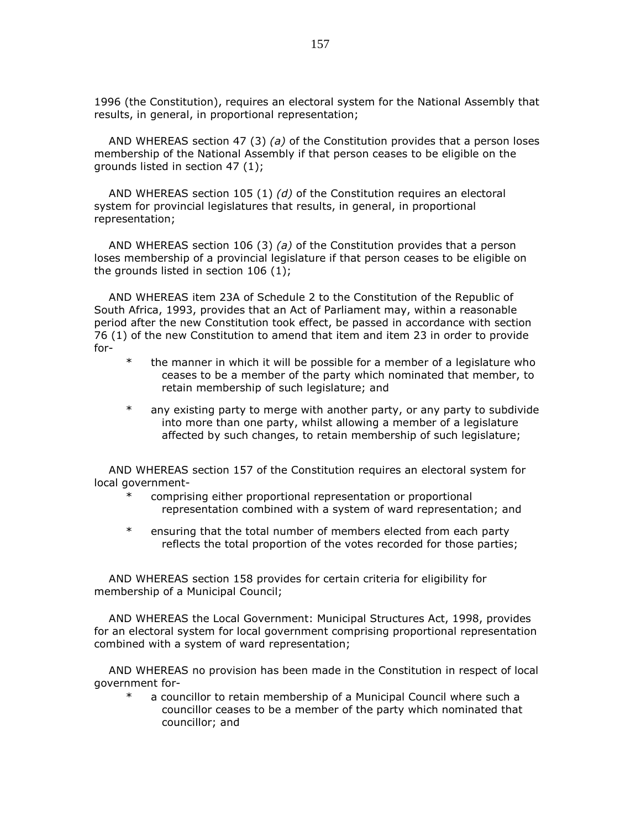1996 (the Constitution), requires an electoral system for the National Assembly that results, in general, in proportional representation;

AND WHEREAS section 47 (3) (a) of the Constitution provides that a person loses membership of the National Assembly if that person ceases to be eligible on the grounds listed in section 47 (1);

AND WHEREAS section 105 (1) (d) of the Constitution requires an electoral system for provincial legislatures that results, in general, in proportional representation;

AND WHEREAS section 106 (3) (a) of the Constitution provides that a person loses membership of a provincial legislature if that person ceases to be eligible on the grounds listed in section 106 (1);

 AND WHEREAS item 23A of Schedule 2 to the Constitution of the Republic of South Africa, 1993, provides that an Act of Parliament may, within a reasonable period after the new Constitution took effect, be passed in accordance with section 76 (1) of the new Constitution to amend that item and item 23 in order to provide for-

- \* the manner in which it will be possible for a member of a legislature who ceases to be a member of the party which nominated that member, to retain membership of such legislature; and
- \* any existing party to merge with another party, or any party to subdivide into more than one party, whilst allowing a member of a legislature affected by such changes, to retain membership of such legislature;

 AND WHEREAS section 157 of the Constitution requires an electoral system for local government-

- comprising either proportional representation or proportional representation combined with a system of ward representation; and
- \* ensuring that the total number of members elected from each party reflects the total proportion of the votes recorded for those parties;

 AND WHEREAS section 158 provides for certain criteria for eligibility for membership of a Municipal Council;

 AND WHEREAS the Local Government: Municipal Structures Act, 1998, provides for an electoral system for local government comprising proportional representation combined with a system of ward representation;

 AND WHEREAS no provision has been made in the Constitution in respect of local government for-

a councillor to retain membership of a Municipal Council where such a councillor ceases to be a member of the party which nominated that councillor; and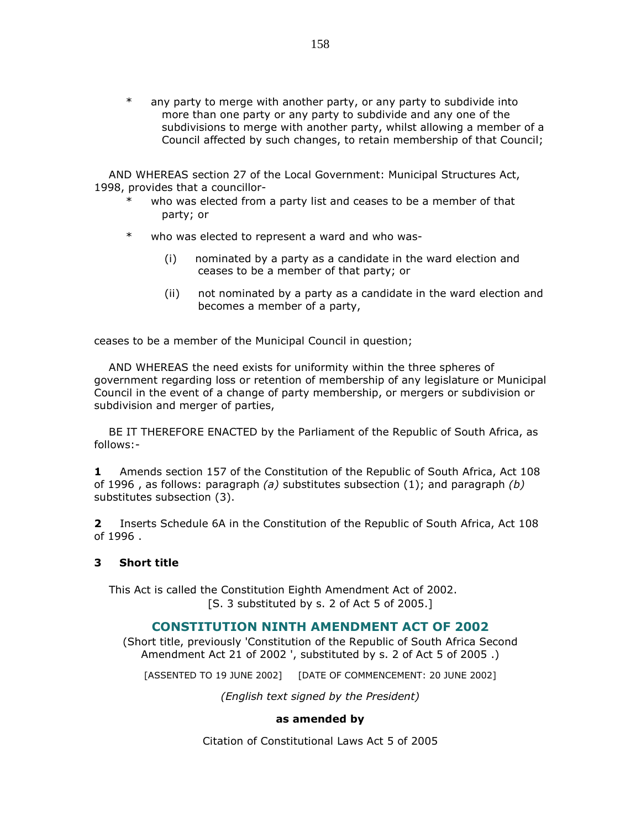\* any party to merge with another party, or any party to subdivide into more than one party or any party to subdivide and any one of the subdivisions to merge with another party, whilst allowing a member of a Council affected by such changes, to retain membership of that Council;

 AND WHEREAS section 27 of the Local Government: Municipal Structures Act, 1998, provides that a councillor-

- \* who was elected from a party list and ceases to be a member of that party; or
- \* who was elected to represent a ward and who was-
	- (i) nominated by a party as a candidate in the ward election and ceases to be a member of that party; or
	- (ii) not nominated by a party as a candidate in the ward election and becomes a member of a party,

ceases to be a member of the Municipal Council in question;

 AND WHEREAS the need exists for uniformity within the three spheres of government regarding loss or retention of membership of any legislature or Municipal Council in the event of a change of party membership, or mergers or subdivision or subdivision and merger of parties,

 BE IT THEREFORE ENACTED by the Parliament of the Republic of South Africa, as follows:-

1 Amends section 157 of the Constitution of the Republic of South Africa, Act 108 of 1996, as follows: paragraph  $(a)$  substitutes subsection  $(1)$ ; and paragraph  $(b)$ substitutes subsection (3).

2 Inserts Schedule 6A in the Constitution of the Republic of South Africa, Act 108 of 1996 .

# 3 Short title

 This Act is called the Constitution Eighth Amendment Act of 2002. [S. 3 substituted by s. 2 of Act 5 of 2005.]

# CONSTITUTION NINTH AMENDMENT ACT OF 2002

(Short title, previously 'Constitution of the Republic of South Africa Second Amendment Act 21 of 2002 ', substituted by s. 2 of Act 5 of 2005 .)

[ASSENTED TO 19 JUNE 2002] [DATE OF COMMENCEMENT: 20 JUNE 2002]

(English text signed by the President)

#### as amended by

Citation of Constitutional Laws Act 5 of 2005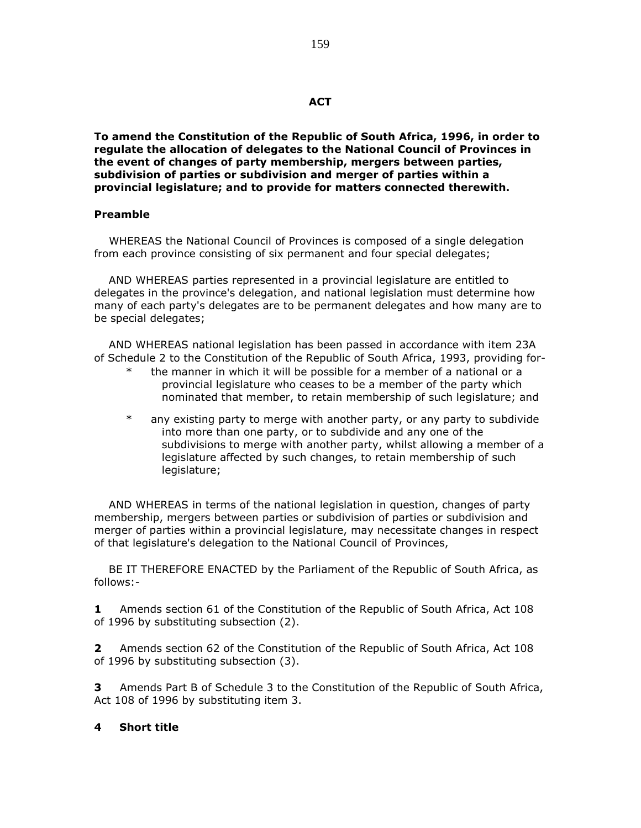## ACT

To amend the Constitution of the Republic of South Africa, 1996, in order to regulate the allocation of delegates to the National Council of Provinces in the event of changes of party membership, mergers between parties, subdivision of parties or subdivision and merger of parties within a provincial legislature; and to provide for matters connected therewith.

## Preamble

 WHEREAS the National Council of Provinces is composed of a single delegation from each province consisting of six permanent and four special delegates;

 AND WHEREAS parties represented in a provincial legislature are entitled to delegates in the province's delegation, and national legislation must determine how many of each party's delegates are to be permanent delegates and how many are to be special delegates;

 AND WHEREAS national legislation has been passed in accordance with item 23A of Schedule 2 to the Constitution of the Republic of South Africa, 1993, providing for-

- the manner in which it will be possible for a member of a national or a provincial legislature who ceases to be a member of the party which nominated that member, to retain membership of such legislature; and
- \* any existing party to merge with another party, or any party to subdivide into more than one party, or to subdivide and any one of the subdivisions to merge with another party, whilst allowing a member of a legislature affected by such changes, to retain membership of such legislature;

 AND WHEREAS in terms of the national legislation in question, changes of party membership, mergers between parties or subdivision of parties or subdivision and merger of parties within a provincial legislature, may necessitate changes in respect of that legislature's delegation to the National Council of Provinces,

 BE IT THEREFORE ENACTED by the Parliament of the Republic of South Africa, as follows:-

1 Amends section 61 of the Constitution of the Republic of South Africa, Act 108 of 1996 by substituting subsection (2).

2 Amends section 62 of the Constitution of the Republic of South Africa, Act 108 of 1996 by substituting subsection (3).

3 Amends Part B of Schedule 3 to the Constitution of the Republic of South Africa, Act 108 of 1996 by substituting item 3.

## 4 Short title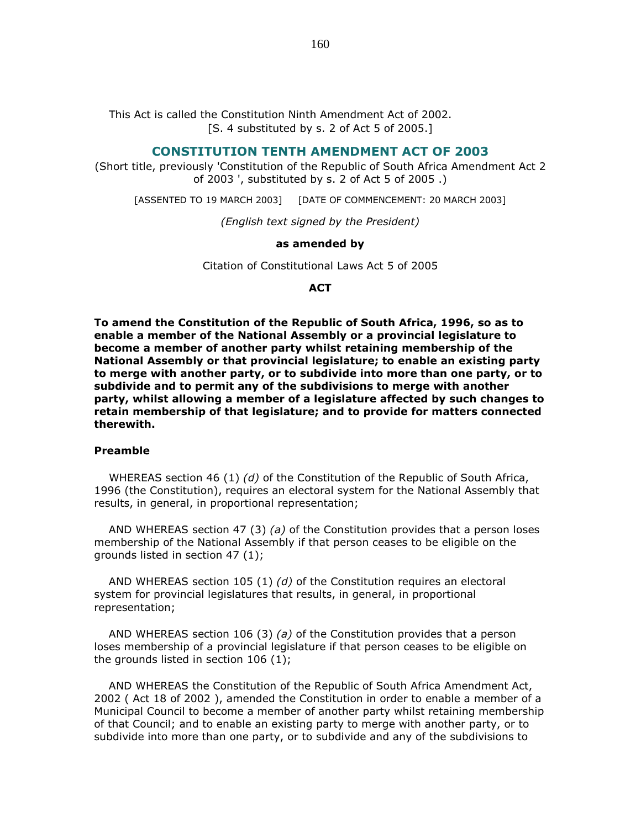This Act is called the Constitution Ninth Amendment Act of 2002. [S. 4 substituted by s. 2 of Act 5 of 2005.]

## CONSTITUTION TENTH AMENDMENT ACT OF 2003

(Short title, previously 'Constitution of the Republic of South Africa Amendment Act 2 of 2003 ', substituted by s. 2 of Act 5 of 2005 .)

[ASSENTED TO 19 MARCH 2003] [DATE OF COMMENCEMENT: 20 MARCH 2003]

(English text signed by the President)

#### as amended by

Citation of Constitutional Laws Act 5 of 2005

## **ACT**

To amend the Constitution of the Republic of South Africa, 1996, so as to enable a member of the National Assembly or a provincial legislature to become a member of another party whilst retaining membership of the National Assembly or that provincial legislature; to enable an existing party to merge with another party, or to subdivide into more than one party, or to subdivide and to permit any of the subdivisions to merge with another party, whilst allowing a member of a legislature affected by such changes to retain membership of that legislature; and to provide for matters connected therewith.

#### Preamble

WHEREAS section 46 (1)  $(d)$  of the Constitution of the Republic of South Africa, 1996 (the Constitution), requires an electoral system for the National Assembly that results, in general, in proportional representation;

AND WHEREAS section 47 (3) (a) of the Constitution provides that a person loses membership of the National Assembly if that person ceases to be eligible on the grounds listed in section 47 (1);

AND WHEREAS section 105 (1) (d) of the Constitution requires an electoral system for provincial legislatures that results, in general, in proportional representation;

AND WHEREAS section 106 (3) (a) of the Constitution provides that a person loses membership of a provincial legislature if that person ceases to be eligible on the grounds listed in section 106 (1);

 AND WHEREAS the Constitution of the Republic of South Africa Amendment Act, 2002 ( Act 18 of 2002 ), amended the Constitution in order to enable a member of a Municipal Council to become a member of another party whilst retaining membership of that Council; and to enable an existing party to merge with another party, or to subdivide into more than one party, or to subdivide and any of the subdivisions to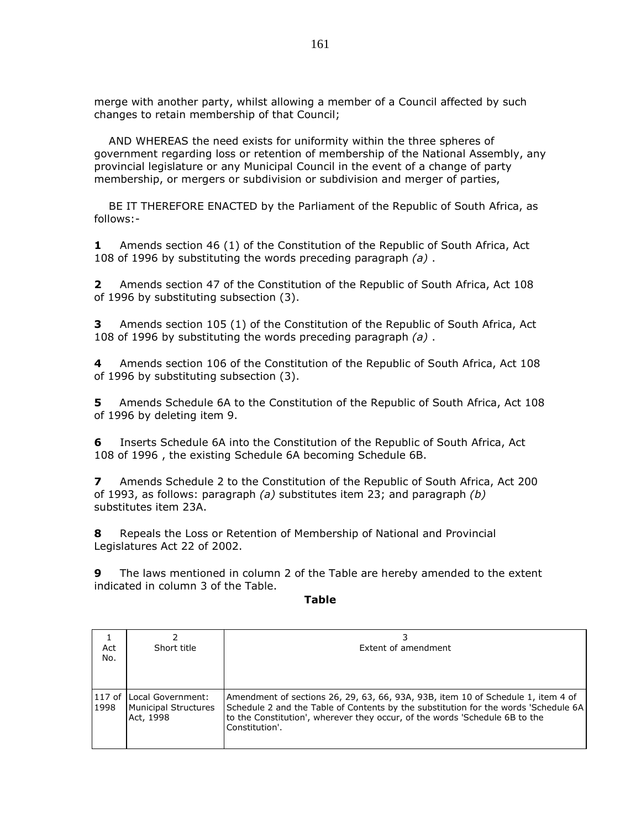merge with another party, whilst allowing a member of a Council affected by such changes to retain membership of that Council;

 AND WHEREAS the need exists for uniformity within the three spheres of government regarding loss or retention of membership of the National Assembly, any provincial legislature or any Municipal Council in the event of a change of party membership, or mergers or subdivision or subdivision and merger of parties,

 BE IT THEREFORE ENACTED by the Parliament of the Republic of South Africa, as follows:-

1 Amends section 46 (1) of the Constitution of the Republic of South Africa, Act 108 of 1996 by substituting the words preceding paragraph  $(a)$ .

2 Amends section 47 of the Constitution of the Republic of South Africa, Act 108 of 1996 by substituting subsection (3).

**3** Amends section 105 (1) of the Constitution of the Republic of South Africa, Act 108 of 1996 by substituting the words preceding paragraph (a).

4 Amends section 106 of the Constitution of the Republic of South Africa, Act 108 of 1996 by substituting subsection (3).

5 Amends Schedule 6A to the Constitution of the Republic of South Africa, Act 108 of 1996 by deleting item 9.

6 Inserts Schedule 6A into the Constitution of the Republic of South Africa, Act 108 of 1996 , the existing Schedule 6A becoming Schedule 6B.

7 Amends Schedule 2 to the Constitution of the Republic of South Africa, Act 200 of 1993, as follows: paragraph (a) substitutes item 23; and paragraph  $(b)$ substitutes item 23A.

8 Repeals the Loss or Retention of Membership of National and Provincial Legislatures Act 22 of 2002.

**9** The laws mentioned in column 2 of the Table are hereby amended to the extent indicated in column 3 of the Table.

#### Table

| Act<br>No. | Short title                                                     | Extent of amendment                                                                                                                                                                                                                                                      |
|------------|-----------------------------------------------------------------|--------------------------------------------------------------------------------------------------------------------------------------------------------------------------------------------------------------------------------------------------------------------------|
| 1998       | 1117 of ILocal Government:<br>Municipal Structures<br>Act, 1998 | Amendment of sections 26, 29, 63, 66, 93A, 93B, item 10 of Schedule 1, item 4 of<br>Schedule 2 and the Table of Contents by the substitution for the words 'Schedule 6A<br>to the Constitution', wherever they occur, of the words 'Schedule 6B to the<br>Constitution'. |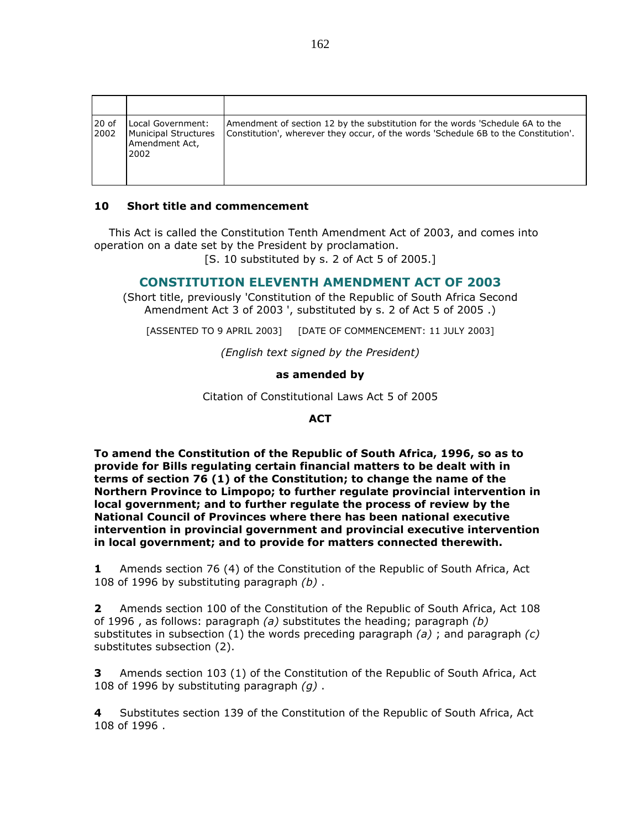| 20 of<br>2002 | Local Government:<br>Municipal Structures<br>Amendment Act,<br>2002 | Amendment of section 12 by the substitution for the words 'Schedule 6A to the<br>Constitution', wherever they occur, of the words 'Schedule 6B to the Constitution'. |
|---------------|---------------------------------------------------------------------|----------------------------------------------------------------------------------------------------------------------------------------------------------------------|

# 10 Short title and commencement

 This Act is called the Constitution Tenth Amendment Act of 2003, and comes into operation on a date set by the President by proclamation.

[S. 10 substituted by s. 2 of Act 5 of 2005.]

# CONSTITUTION ELEVENTH AMENDMENT ACT OF 2003

(Short title, previously 'Constitution of the Republic of South Africa Second Amendment Act 3 of 2003 ', substituted by s. 2 of Act 5 of 2005 .)

[ASSENTED TO 9 APRIL 2003] [DATE OF COMMENCEMENT: 11 JULY 2003]

(English text signed by the President)

## as amended by

Citation of Constitutional Laws Act 5 of 2005

# **ACT**

To amend the Constitution of the Republic of South Africa, 1996, so as to provide for Bills regulating certain financial matters to be dealt with in terms of section 76 (1) of the Constitution; to change the name of the Northern Province to Limpopo; to further regulate provincial intervention in local government; and to further regulate the process of review by the National Council of Provinces where there has been national executive intervention in provincial government and provincial executive intervention in local government; and to provide for matters connected therewith.

1 Amends section 76 (4) of the Constitution of the Republic of South Africa, Act 108 of 1996 by substituting paragraph  $(b)$ .

2 Amends section 100 of the Constitution of the Republic of South Africa, Act 108 of 1996, as follows: paragraph  $(a)$  substitutes the heading; paragraph  $(b)$ substitutes in subsection (1) the words preceding paragraph  $(a)$ ; and paragraph  $(c)$ substitutes subsection (2).

**3** Amends section 103 (1) of the Constitution of the Republic of South Africa, Act 108 of 1996 by substituting paragraph  $(q)$ .

4 Substitutes section 139 of the Constitution of the Republic of South Africa, Act 108 of 1996 .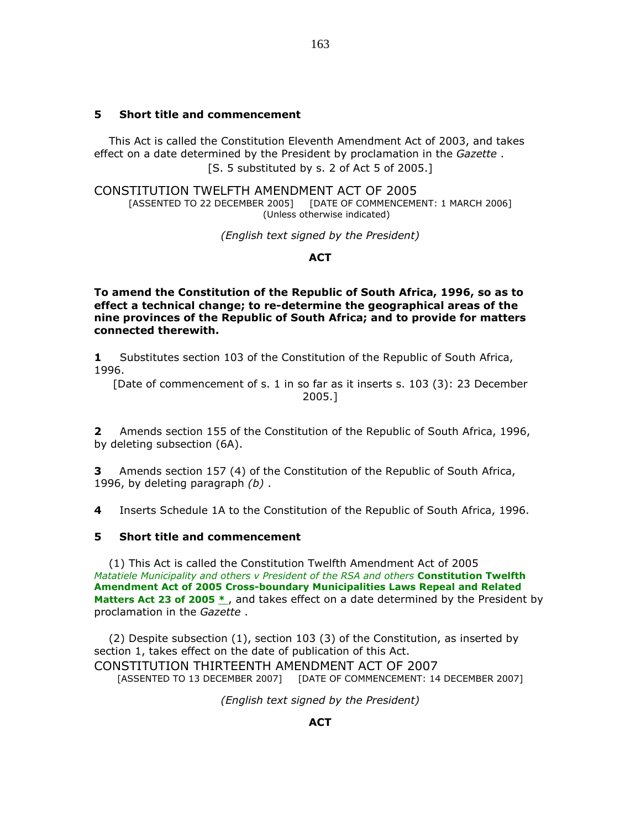# 5 Short title and commencement

 This Act is called the Constitution Eleventh Amendment Act of 2003, and takes effect on a date determined by the President by proclamation in the Gazette. [S. 5 substituted by s. 2 of Act 5 of 2005.]

163

CONSTITUTION TWELFTH AMENDMENT ACT OF 2005 [ASSENTED TO 22 DECEMBER 2005] [DATE OF COMMENCEMENT: 1 MARCH 2006] (Unless otherwise indicated)

(English text signed by the President)

### **ACT**

To amend the Constitution of the Republic of South Africa, 1996, so as to effect a technical change; to re-determine the geographical areas of the nine provinces of the Republic of South Africa; and to provide for matters connected therewith.

1 Substitutes section 103 of the Constitution of the Republic of South Africa, 1996.

[Date of commencement of s. 1 in so far as it inserts s. 103 (3): 23 December 2005.]

2 Amends section 155 of the Constitution of the Republic of South Africa, 1996, by deleting subsection (6A).

**3** Amends section 157 (4) of the Constitution of the Republic of South Africa, 1996, by deleting paragraph  $(b)$ .

4 Inserts Schedule 1A to the Constitution of the Republic of South Africa, 1996.

# 5 Short title and commencement

 (1) This Act is called the Constitution Twelfth Amendment Act of 2005 Matatiele Municipality and others v President of the RSA and others Constitution Twelfth Amendment Act of 2005 Cross-boundary Municipalities Laws Repeal and Related Matters Act 23 of 2005  $*$ , and takes effect on a date determined by the President by proclamation in the Gazette .

 (2) Despite subsection (1), section 103 (3) of the Constitution, as inserted by section 1, takes effect on the date of publication of this Act. CONSTITUTION THIRTEENTH AMENDMENT ACT OF 2007 [ASSENTED TO 13 DECEMBER 2007] [DATE OF COMMENCEMENT: 14 DECEMBER 2007]

(English text signed by the President)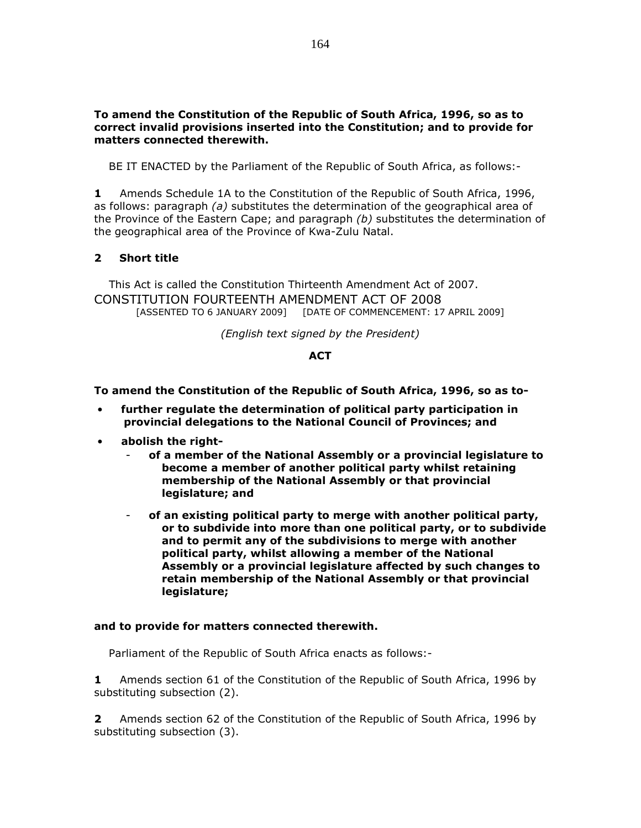# To amend the Constitution of the Republic of South Africa, 1996, so as to correct invalid provisions inserted into the Constitution; and to provide for matters connected therewith.

BE IT ENACTED by the Parliament of the Republic of South Africa, as follows:-

1 Amends Schedule 1A to the Constitution of the Republic of South Africa, 1996, as follows: paragraph  $(a)$  substitutes the determination of the geographical area of the Province of the Eastern Cape; and paragraph  $(b)$  substitutes the determination of the geographical area of the Province of Kwa-Zulu Natal.

# 2 Short title

 This Act is called the Constitution Thirteenth Amendment Act of 2007. CONSTITUTION FOURTEENTH AMENDMENT ACT OF 2008 [ASSENTED TO 6 JANUARY 2009] [DATE OF COMMENCEMENT: 17 APRIL 2009]

(English text signed by the President)

## **ACT**

To amend the Constitution of the Republic of South Africa, 1996, so as to-

- further regulate the determination of political party participation in provincial delegations to the National Council of Provinces; and
- abolish the right
	- of a member of the National Assembly or a provincial legislature to become a member of another political party whilst retaining membership of the National Assembly or that provincial legislature; and
	- of an existing political party to merge with another political party, or to subdivide into more than one political party, or to subdivide and to permit any of the subdivisions to merge with another political party, whilst allowing a member of the National Assembly or a provincial legislature affected by such changes to retain membership of the National Assembly or that provincial legislature;

#### and to provide for matters connected therewith.

Parliament of the Republic of South Africa enacts as follows:-

1 Amends section 61 of the Constitution of the Republic of South Africa, 1996 by substituting subsection (2).

2 Amends section 62 of the Constitution of the Republic of South Africa, 1996 by substituting subsection (3).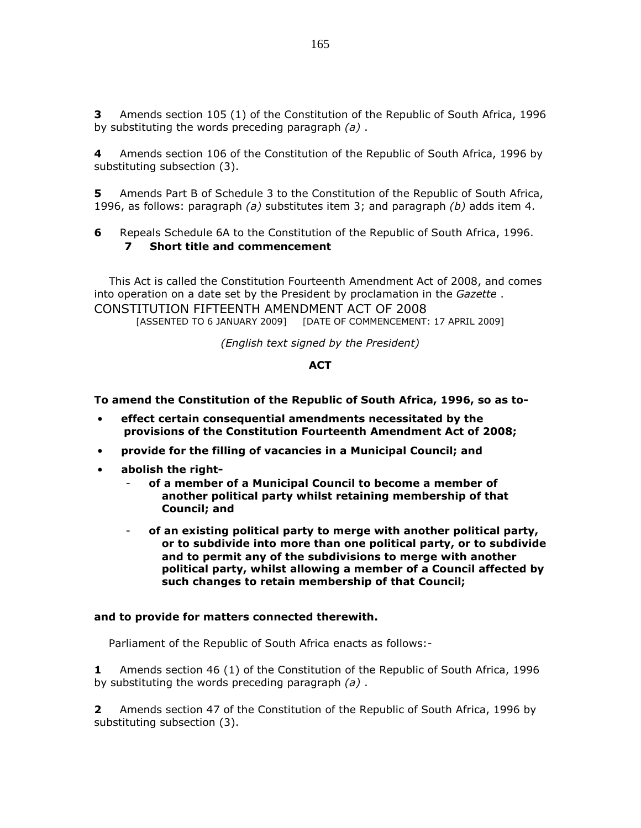3 Amends section 105 (1) of the Constitution of the Republic of South Africa, 1996 by substituting the words preceding paragraph  $(a)$ .

4 Amends section 106 of the Constitution of the Republic of South Africa, 1996 by substituting subsection (3).

5 Amends Part B of Schedule 3 to the Constitution of the Republic of South Africa, 1996, as follows: paragraph (a) substitutes item 3; and paragraph (b) adds item 4.

6 Repeals Schedule 6A to the Constitution of the Republic of South Africa, 1996. 7 Short title and commencement

 This Act is called the Constitution Fourteenth Amendment Act of 2008, and comes into operation on a date set by the President by proclamation in the Gazette. CONSTITUTION FIFTEENTH AMENDMENT ACT OF 2008 [ASSENTED TO 6 JANUARY 2009] [DATE OF COMMENCEMENT: 17 APRIL 2009]

(English text signed by the President)

## **ACT**

To amend the Constitution of the Republic of South Africa, 1996, so as to-

- effect certain consequential amendments necessitated by the provisions of the Constitution Fourteenth Amendment Act of 2008;
- provide for the filling of vacancies in a Municipal Council; and
- abolish the right
	- of a member of a Municipal Council to become a member of another political party whilst retaining membership of that Council; and
	- of an existing political party to merge with another political party, or to subdivide into more than one political party, or to subdivide and to permit any of the subdivisions to merge with another political party, whilst allowing a member of a Council affected by such changes to retain membership of that Council;

#### and to provide for matters connected therewith.

Parliament of the Republic of South Africa enacts as follows:-

1 Amends section 46 (1) of the Constitution of the Republic of South Africa, 1996 by substituting the words preceding paragraph  $(a)$ .

2 Amends section 47 of the Constitution of the Republic of South Africa, 1996 by substituting subsection (3).